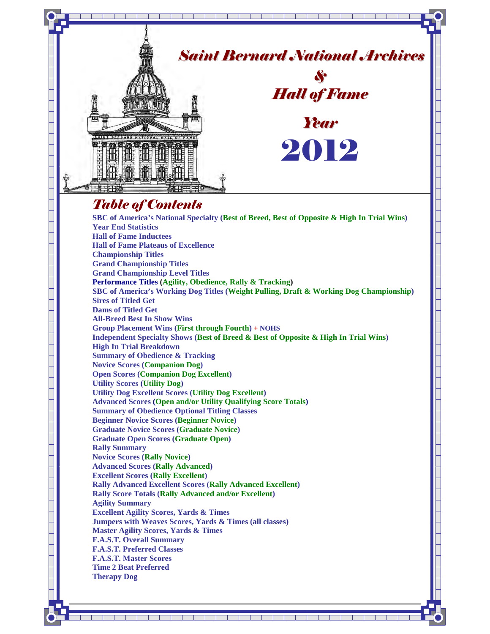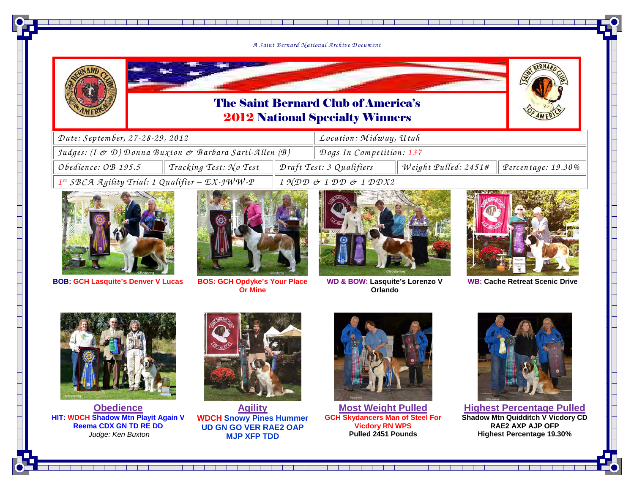#### *<sup>A</sup> Saint B ernard N ational A rchive D ocum ent*

<u> Karl Maria (K. 1989)</u>



### The Saint Bernard Club of America's2012 National Specialty Winners



| Date: September, 27-28-29, 2012                                                 |                        |                          | Location: Midway, Utah                              |                      |                            |  |
|---------------------------------------------------------------------------------|------------------------|--------------------------|-----------------------------------------------------|----------------------|----------------------------|--|
| Judges: $(I \n\dot{\sigma} \mathcal{D})$ Donna Buxton & Barbara Sarti-Allen (B) |                        |                          | Dogs In Competition: 137                            |                      |                            |  |
| Obedience: OB 195.5                                                             | Tracking Test: No Test | Draft Test: 3 Qualifiers |                                                     | Weight Pulled: 2451# | $\vert$ Percentage: 19.30% |  |
| $1^{st}$ SBCA Agility Trial: 1 Qualifier - $EX$ -JWW-P                          |                        |                          | $1 \text{ NDD}$ & $1 \text{ DD}$ & $1 \text{ DDX2}$ |                      |                            |  |



**BOB: GCH Lasquite's Denver V Lucas**



 **BOS: GCH Opdyke's Your Place Or Mine** 







**WB: Cache Retreat Scenic Drive**



**Obedience HIT: WDCH Shadow Mtn Playit Again V Reema CDX GN TD RE DD** Judge: Ken Buxton



**Agility WDCH Snowy Pines Hummer UD GN GO VER RAE2 OAP MJP XFP TDD**



**Most Weight Pulled GCH Skydancers Man of Steel For Vicdory RN WPSPulled 2451 Pounds**



**Highest Percentage Pulled Shadow Mtn Quidditch V Vicdory CD RAE2 AXP AJP OFP Highest Percentage 19.30%**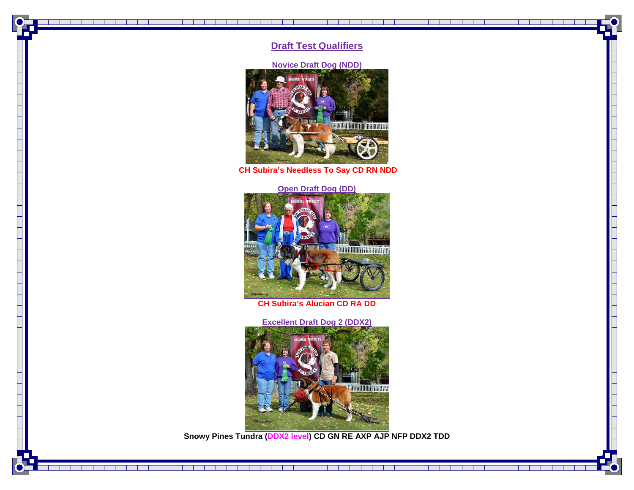#### **Draft Test Qualifiers**

 $\blacksquare$ 

- 11

#### **Novice Draft Dog (NDD)**



**CH Subira's Needless To Say CD RN NDD** 

#### **Open Draft Dog (DD)**



**CH Subira's Alucian CD RA DD**

**Excellent Draft Dog 2 (DDX2) SACARTHON GREEN** 

**Snowy Pines Tundra (DDX2 level) CD GN RE AXP AJP NFP DDX2 TDD**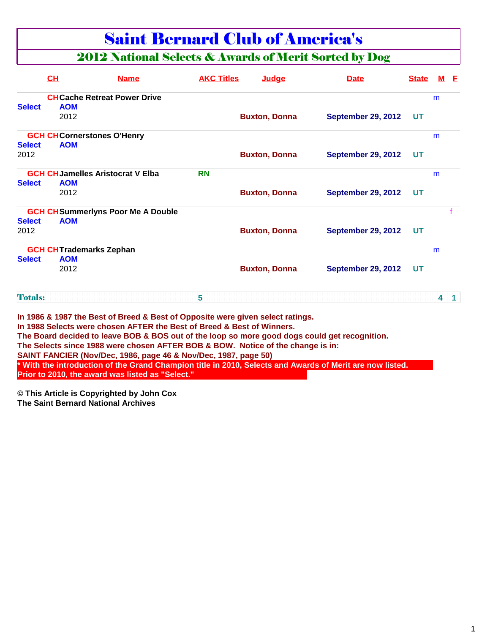### Saint Bernard Club of America's

### 2012 National Selects & Awards of Merit Sorted by Dog

|                | <b>CH</b>                      | <b>Name</b>                                                                                                                                                                                                                                                                                                                                                                                                                                                                                                                                                                     | <b>AKC Titles</b> | Judge                | <b>Date</b>               | <b>State</b> | M | - F |
|----------------|--------------------------------|---------------------------------------------------------------------------------------------------------------------------------------------------------------------------------------------------------------------------------------------------------------------------------------------------------------------------------------------------------------------------------------------------------------------------------------------------------------------------------------------------------------------------------------------------------------------------------|-------------------|----------------------|---------------------------|--------------|---|-----|
|                |                                | <b>CHCache Retreat Power Drive</b>                                                                                                                                                                                                                                                                                                                                                                                                                                                                                                                                              |                   |                      |                           |              | m |     |
| <b>Select</b>  | <b>AOM</b>                     |                                                                                                                                                                                                                                                                                                                                                                                                                                                                                                                                                                                 |                   |                      |                           |              |   |     |
|                | 2012                           |                                                                                                                                                                                                                                                                                                                                                                                                                                                                                                                                                                                 |                   | <b>Buxton, Donna</b> | <b>September 29, 2012</b> | UT           |   |     |
|                |                                | <b>GCH CHCornerstones O'Henry</b>                                                                                                                                                                                                                                                                                                                                                                                                                                                                                                                                               |                   |                      |                           |              | m |     |
| <b>Select</b>  | <b>AOM</b>                     |                                                                                                                                                                                                                                                                                                                                                                                                                                                                                                                                                                                 |                   |                      |                           |              |   |     |
| 2012           |                                |                                                                                                                                                                                                                                                                                                                                                                                                                                                                                                                                                                                 |                   | <b>Buxton, Donna</b> | <b>September 29, 2012</b> | UT           |   |     |
|                |                                | <b>GCH CH Jamelles Aristocrat V Elba</b>                                                                                                                                                                                                                                                                                                                                                                                                                                                                                                                                        | <b>RN</b>         |                      |                           |              | m |     |
| <b>Select</b>  | <b>AOM</b>                     |                                                                                                                                                                                                                                                                                                                                                                                                                                                                                                                                                                                 |                   |                      |                           |              |   |     |
|                | 2012                           |                                                                                                                                                                                                                                                                                                                                                                                                                                                                                                                                                                                 |                   | <b>Buxton, Donna</b> | <b>September 29, 2012</b> | UT           |   |     |
|                |                                | <b>GCH CHSummerlyns Poor Me A Double</b>                                                                                                                                                                                                                                                                                                                                                                                                                                                                                                                                        |                   |                      |                           |              |   |     |
| <b>Select</b>  | <b>AOM</b>                     |                                                                                                                                                                                                                                                                                                                                                                                                                                                                                                                                                                                 |                   |                      |                           |              |   |     |
| 2012           |                                |                                                                                                                                                                                                                                                                                                                                                                                                                                                                                                                                                                                 |                   | <b>Buxton, Donna</b> | <b>September 29, 2012</b> | UT           |   |     |
|                | <b>GCH CHTrademarks Zephan</b> |                                                                                                                                                                                                                                                                                                                                                                                                                                                                                                                                                                                 |                   |                      |                           |              | m |     |
| <b>Select</b>  | <b>AOM</b>                     |                                                                                                                                                                                                                                                                                                                                                                                                                                                                                                                                                                                 |                   |                      |                           |              |   |     |
|                | 2012                           |                                                                                                                                                                                                                                                                                                                                                                                                                                                                                                                                                                                 |                   | <b>Buxton, Donna</b> | <b>September 29, 2012</b> | UT           |   |     |
| <b>Totals:</b> |                                |                                                                                                                                                                                                                                                                                                                                                                                                                                                                                                                                                                                 | 5                 |                      |                           |              | 4 |     |
|                |                                | In 1986 & 1987 the Best of Breed & Best of Opposite were given select ratings.<br>In 1988 Selects were chosen AFTER the Best of Breed & Best of Winners.<br>The Board decided to leave BOB & BOS out of the loop so more good dogs could get recognition.<br>The Selects since 1988 were chosen AFTER BOB & BOW. Notice of the change is in:<br>SAINT FANCIER (Nov/Dec, 1986, page 46 & Nov/Dec, 1987, page 50)<br>* With the introduction of the Grand Champion title in 2010, Selects and Awards of Merit are now listed.<br>Prior to 2010, the award was listed as "Select." |                   |                      |                           |              |   |     |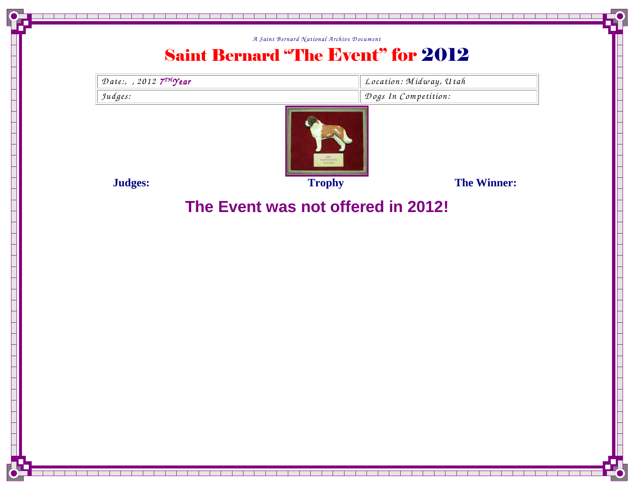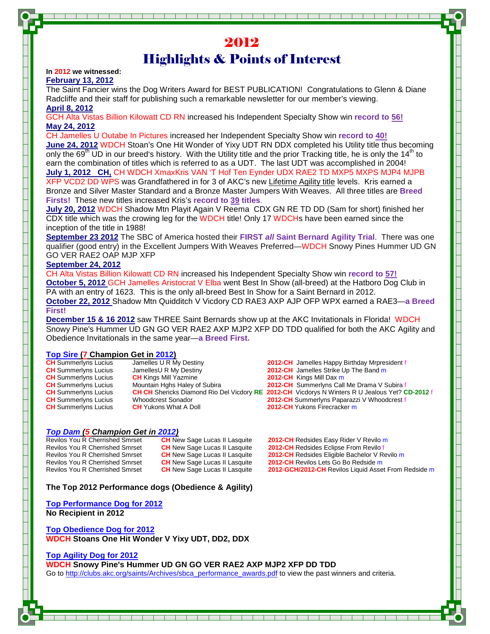### 2012 Highlights & Points of Interest

#### **In 2012 we witnessed:**

**February 13, 2012**

The Saint Fancier wins the Dog Writers Award for BEST PUBLICATION! Congratulations to Glenn & Diane Radcliffe and their staff for publishing such a remarkable newsletter for our member's viewing. **April 8, 2012**

GCH Alta Vistas Billion Kilowatt CD RN increased his Independent Specialty Show win **record to 56! May 24, 2012**

CH Jamelles U Outabe In Pictures increased her Independent Specialty Show win **record to 40! June 24, 2012** WDCH Stoan's One Hit Wonder of Yixy UDT RN DDX completed his Utility title thus becoming only the  $69^{\text{th}}$  UD in our breed's history. With the Utility title and the prior Tracking title, he is only the 14<sup>th</sup> to earn the combination of titles which is referred to as a UDT. The last UDT was accomplished in 2004! **July 1, 2012 CH,** CH WDCH XmaxKris VAN 'T Hof Ten Eynder UDX RAE2 TD MXP5 MXPS MJP4 MJPB XFP VCD2 DD WPS was Grandfathered in for 3 of AKC's new Lifetime Agility title levels. Kris earned a Bronze and Silver Master Standard and a Bronze Master Jumpers With Weaves. All three titles are **Breed Firsts!** These new titles increased Kris's **record to 39 titles**.

**July 20, 2012** WDCH Shadow Mtn Playit Again V Reema CDX GN RE TD DD (Sam for short) finished her CDX title which was the crowing leg for the WDCH title! Only 17 WDCHs have been earned since the inception of the title in 1988!

**September 23 2012** The SBC of America hosted their **FIRST all Saint Bernard Agility Trial**. There was one qualifier (good entry) in the Excellent Jumpers With Weaves Preferred—WDCH Snowy Pines Hummer UD GN GO VER RAE2 OAP MJP XFP

#### **September 24, 2012**

CH Alta Vistas Billion Kilowatt CD RN increased his Independent Specialty Show win **record to 57! October 5, 2012** GCH Jamelles Aristocrat V Elba went Best In Show (all-breed) at the Hatboro Dog Club in PA with an entry of 1623. This is the only all-breed Best In Show for a Saint Bernard in 2012.

**October 22, 2012** Shadow Mtn Quidditch V Vicdory CD RAE3 AXP AJP OFP WPX earned a RAE3—**a Breed First!** 

**December 15 & 16 2012** saw THREE Saint Bernards show up at the AKC Invitationals in Florida! WDCH Snowy Pine's Hummer UD GN GO VER RAE2 AXP MJP2 XFP DD TDD qualified for both the AKC Agility and Obedience Invitationals in the same year—**a Breed First.**

#### **Top Sire (7 Champion Get in 2012)**

| <b>CH</b> Summerlyns Lucius | Jamelles U R My Destiny       | <b>2012-CH</b> Jamelles Happy Birthday Mrpresident f                                                   |
|-----------------------------|-------------------------------|--------------------------------------------------------------------------------------------------------|
| <b>CH</b> Summerlyns Lucius | JamellesU R My Destiny        | 2012-CH Jamelles Strike Up The Band m                                                                  |
| <b>CH</b> Summerlyns Lucius | <b>CH</b> Kings Mill Yazmine  | 2012-CH Kings Mill Dax m                                                                               |
| <b>CH</b> Summerlyns Lucius | Mountain Hghs Haley of Subira | <b>2012-CH</b> Summerlyns Call Me Drama V Subira f                                                     |
| <b>CH</b> Summerlyns Lucius |                               | <b>CH CH Shericks Diamond Rio Del Vicdory RE 2012-CH Vicdorys N Winters R U Jealous Yet? CD-2012 f</b> |
| <b>CH</b> Summerlyns Lucius | Whoodcrest Sonador            | <b>2012-CH</b> Summerlyns Paparazzi V Whoodcrest f                                                     |
| <b>CH</b> Summerlyns Lucius | <b>CH</b> Yukons What A Doll  | <b>2012-CH</b> Yukons Firecracker m                                                                    |
|                             |                               |                                                                                                        |

### **Top Dam (5 Champion Get in 2012)**

Revilos You R Cherrished Smrset **CH New Sage Lucas II Lasquite 2012-CH Redsides Easy Rider V Revilo m**<br>Revilos You R Cherrished Smrset **CH New Sage Lucas II Lasquite 2012-CH Redsides Eclipse From Revilo f** Revilos You R Cherrished Smrset **CH** New Sage Lucas II Lasquite **2012-CH** Redsides Eclipse From Revilo f<br>Revilos You R Cherrished Smrset **CH** New Sage Lucas II Lasquite **2012-CH** Redsides Eligible Bachelor V R Revilos You R Cherrished Smrset **CH** New Sage Lucas II Lasquite **2012-CH** Revilos Lets Go Bo Redside m Revilos You R Cherrished Smrset **CH** New Sage Lucas II Lasquite **2012-GCH/2012-CH** Revilos Liquid Asset From Redside m

**CH** New Sage Lucas II Lasquite **2012-CH** Redsides Eligible Bachelor V Revilo m

**The Top 2012 Performance dogs (Obedience & Agility)** 

**Top Performance Dog for 2012 No Recipient in 2012** 

**Top Obedience Dog for 2012 WDCH Stoans One Hit Wonder V Yixy UDT, DD2, DDX** 

#### **Top Agility Dog for 2012**

#### **WDCH Snowy Pine's Hummer UD GN GO VER RAE2 AXP MJP2 XFP DD TDD**

Go to http://clubs.akc.org/saints/Archives/sbca\_performance\_awards.pdf to view the past winners and criteria.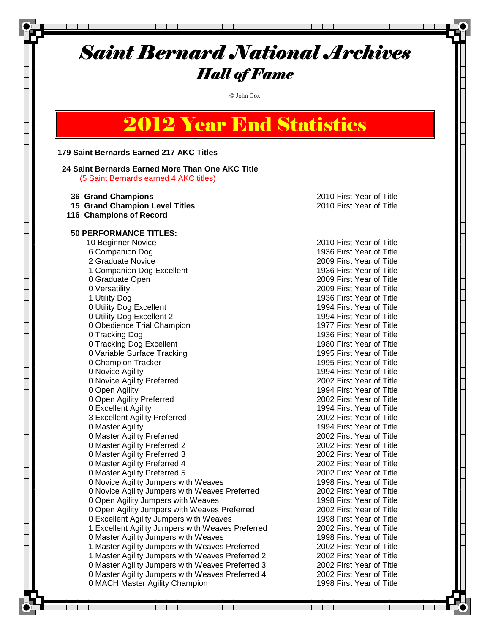© John Cox

### 2012 Year End Statistics

#### **179 Saint Bernards Earned 217 AKC Titles**

#### **24 Saint Bernards Earned More Than One AKC Title** (5 Saint Bernards earned 4 AKC titles)

 **36 Grand Champions** 2010 First Year of Title **15 Grand Champion Level Titles** 2010 First Year of Title  **116 Champions of Record 50 PERFORMANCE TITLES:** 10 Beginner Novice 2010 First Year of Title 6 Companion Dog 1936 First Year of Title 2 Graduate Novice 2009 First Year of Title 1 Companion Dog Excellent 1936 First Year of Title 0 Graduate Open 2009 First Year of Title 0 Versatility 2009 First Year of Title 1 Utility Dog 1936 First Year of Title 0 Utility Dog Excellent 1994 First Year of Title 0 Utility Dog Excellent 2 1994 First Year of Title 0 Obedience Trial Champion 1977 First Year of Title 0 Tracking Dog 1936 First Year of Title 0 Tracking Dog Excellent 1980 First Year of Title 0 Variable Surface Tracking 1995 First Year of Title 0 Champion Tracker 1995 First Year of Title 0 Novice Agility 1994 First Year of Title 0 Novice Agility Preferred 2002 First Year of Title 0 Open Agility 1994 First Year of Title 0 Open Agility Preferred 2002 First Year of Title 0 Excellent Agility 1994 First Year of Title 3 Excellent Agility Preferred 2002 First Year of Title 0 Master Agility 1994 First Year of Title 0 Master Agility Preferred 2002 First Year of Title 0 Master Agility Preferred 2 2002 First Year of Title 0 Master Agility Preferred 3 2002 First Year of Title 0 Master Agility Preferred 4 2002 First Year of Title 0 Master Agility Preferred 5 2002 First Year of Title 0 Novice Agility Jumpers with Weaves 1998 First Year of Title 0 Novice Agility Jumpers with Weaves Preferred 2002 First Year of Title 0 Open Agility Jumpers with Weaves 1998 First Year of Title 0 Open Agility Jumpers with Weaves Preferred 2002 First Year of Title 0 Excellent Agility Jumpers with Weaves 1998 First Year of Title 1 Excellent Agility Jumpers with Weaves Preferred 2002 First Year of Title 0 Master Agility Jumpers with Weaves 1998 First Year of Title 1 Master Agility Jumpers with Weaves Preferred 2002 First Year of Title 1 Master Agility Jumpers with Weaves Preferred 2 2002 First Year of Title 0 Master Agility Jumpers with Weaves Preferred 3 2002 First Year of Title 0 Master Agility Jumpers with Weaves Preferred 4 2002 First Year of Title 0 MACH Master Agility Champion 1998 First Year of Title

and the state of the state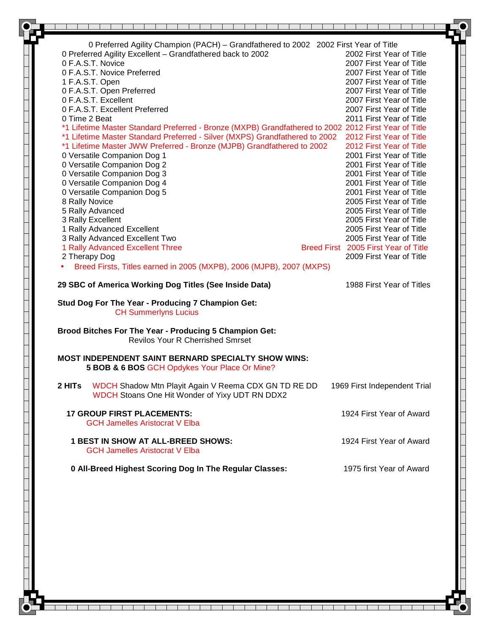|        | 0 Preferred Agility Champion (PACH) - Grandfathered to 2002 2002 First Year of Title                        |  |                                      |
|--------|-------------------------------------------------------------------------------------------------------------|--|--------------------------------------|
|        | 0 Preferred Agility Excellent - Grandfathered back to 2002                                                  |  | 2002 First Year of Title             |
|        | 0 F.A.S.T. Novice                                                                                           |  | 2007 First Year of Title             |
|        | 0 F.A.S.T. Novice Preferred                                                                                 |  | 2007 First Year of Title             |
|        | 1 F.A.S.T. Open                                                                                             |  | 2007 First Year of Title             |
|        | 0 F.A.S.T. Open Preferred                                                                                   |  | 2007 First Year of Title             |
|        | 0 F.A.S.T. Excellent                                                                                        |  | 2007 First Year of Title             |
|        | 0 F.A.S.T. Excellent Preferred                                                                              |  | 2007 First Year of Title             |
|        | 0 Time 2 Beat                                                                                               |  | 2011 First Year of Title             |
|        | *1 Lifetime Master Standard Preferred - Bronze (MXPB) Grandfathered to 2002 2012 First Year of Title        |  |                                      |
|        | *1 Lifetime Master Standard Preferred - Silver (MXPS) Grandfathered to 2002                                 |  | 2012 First Year of Title             |
|        | *1 Lifetime Master JWW Preferred - Bronze (MJPB) Grandfathered to 2002                                      |  | 2012 First Year of Title             |
|        | 0 Versatile Companion Dog 1                                                                                 |  | 2001 First Year of Title             |
|        | 0 Versatile Companion Dog 2                                                                                 |  | 2001 First Year of Title             |
|        | 0 Versatile Companion Dog 3                                                                                 |  | 2001 First Year of Title             |
|        | 0 Versatile Companion Dog 4                                                                                 |  | 2001 First Year of Title             |
|        | 0 Versatile Companion Dog 5                                                                                 |  | 2001 First Year of Title             |
|        | 8 Rally Novice                                                                                              |  | 2005 First Year of Title             |
|        | 5 Rally Advanced                                                                                            |  | 2005 First Year of Title             |
|        | 3 Rally Excellent                                                                                           |  | 2005 First Year of Title             |
|        | 1 Rally Advanced Excellent                                                                                  |  | 2005 First Year of Title             |
|        | 3 Rally Advanced Excellent Two                                                                              |  | 2005 First Year of Title             |
|        | 1 Rally Advanced Excellent Three                                                                            |  | Breed First 2005 First Year of Title |
|        | 2 Therapy Dog                                                                                               |  | 2009 First Year of Title             |
|        | Breed Firsts, Titles earned in 2005 (MXPB), 2006 (MJPB), 2007 (MXPS)                                        |  |                                      |
|        | 29 SBC of America Working Dog Titles (See Inside Data)                                                      |  | 1988 First Year of Titles            |
|        | <b>CH Summerlyns Lucius</b><br>Brood Bitches For The Year - Producing 5 Champion Get:                       |  |                                      |
|        | <b>Revilos Your R Cherrished Smrset</b>                                                                     |  |                                      |
|        | <b>MOST INDEPENDENT SAINT BERNARD SPECIALTY SHOW WINS:</b><br>5 BOB & 6 BOS GCH Opdykes Your Place Or Mine? |  |                                      |
| 2 HITs | WDCH Shadow Mtn Playit Again V Reema CDX GN TD RE DD<br>WDCH Stoans One Hit Wonder of Yixy UDT RN DDX2      |  | 1969 First Independent Trial         |
|        | <b>17 GROUP FIRST PLACEMENTS:</b><br><b>GCH Jamelles Aristocrat V Elba</b>                                  |  | 1924 First Year of Award             |
|        | <b>1 BEST IN SHOW AT ALL-BREED SHOWS:</b>                                                                   |  | 1924 First Year of Award             |
|        | <b>GCH Jamelles Aristocrat V Elba</b>                                                                       |  |                                      |
|        | 0 All-Breed Highest Scoring Dog In The Regular Classes:                                                     |  | 1975 first Year of Award             |
|        |                                                                                                             |  |                                      |
|        |                                                                                                             |  |                                      |
|        |                                                                                                             |  |                                      |
|        |                                                                                                             |  |                                      |
|        |                                                                                                             |  |                                      |

т T. a pro T  $\blacksquare$  T T. ┱ ┱ ┰ ┰ т  $\perp$ 

 $\lceil$ 

 $\overline{\phantom{a}}$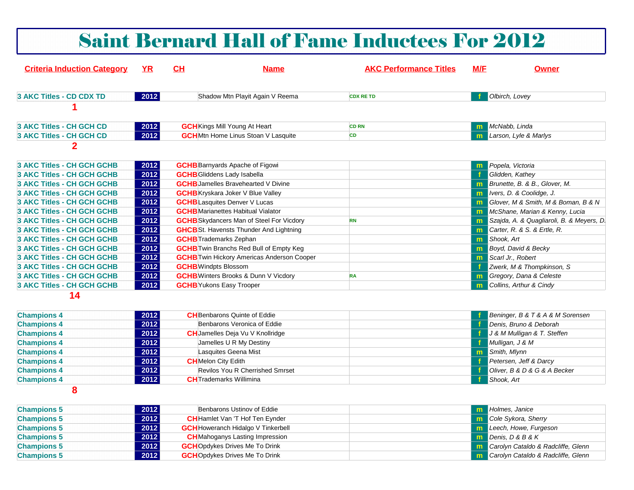## Saint Bernard Hall of Fame Inductees For 2012

| <b>Criteria Induction Category</b> | <b>YR</b> | CH | <b>Name</b>                                       | <b>AKC Performance Titles</b> | M/F | <b>Owner</b>                              |
|------------------------------------|-----------|----|---------------------------------------------------|-------------------------------|-----|-------------------------------------------|
| 3 AKC Titles - CD CDX TD           | 2012      |    | Shadow Mtn Playit Again V Reema                   | <b>CDX RETD</b>               |     | Olbirch, Lovey                            |
|                                    |           |    |                                                   |                               |     |                                           |
|                                    |           |    |                                                   |                               |     |                                           |
| 3 AKC Titles - CH GCH CD           | 2012      |    | <b>GCH</b> Kings Mill Young At Heart              | <b>CD RN</b>                  |     | m McNabb, Linda                           |
| 3 AKC Titles - CH GCH CD           | 2012      |    | <b>GCH</b> Mtn Home Linus Stoan V Lasquite        | <b>CD</b>                     | m.  | Larson, Lyle & Marlys                     |
| $\mathbf 2$                        |           |    |                                                   |                               |     |                                           |
| <b>3 AKC Titles - CH GCH GCHB</b>  | 2012      |    | <b>GCHB</b> Barnyards Apache of Figowi            |                               | m.  | Popela, Victoria                          |
| 3 AKC Titles - CH GCH GCHB         | 2012      |    | <b>GCHB</b> Gliddens Lady Isabella                |                               | -f  | Glidden, Kathey                           |
| 3 AKC Titles - CH GCH GCHB         | 2012      |    | <b>GCHB</b> Jamelles Bravehearted V Divine        |                               | m   | Brunette, B. & B., Glover, M.             |
| 3 AKC Titles - CH GCH GCHB         | 2012      |    | <b>GCHB</b> Kryskara Joker V Blue Valley          |                               | m   | Ivers, D. & Coolidge, J.                  |
| 3 AKC Titles - CH GCH GCHB         | 2012      |    | <b>GCHB</b> Lasquites Denver V Lucas              |                               | m.  | Glover, M & Smith, M & Boman, B & N       |
| <b>3 AKC Titles - CH GCH GCHB</b>  | 2012      |    | <b>GCHB</b> Marianettes Habitual Vialator         |                               |     | <b>m</b> McShane, Marian & Kenny, Lucia   |
| 3 AKC Titles - CH GCH GCHB         | 2012      |    | <b>GCHB</b> Skydancers Man of Steel For Vicdory   | <b>RN</b>                     | m   | Szajda, A. & Quagliaroli, B. & Meyers, D. |
| 3 AKC Titles - CH GCH GCHB         | 2012      |    | <b>GHCB</b> St. Havensts Thunder And Lightning    |                               | m   | Carter, R. & S. & Ertle, R.               |
| 3 AKC Titles - CH GCH GCHB         | 2012      |    | <b>GCHB</b> Trademarks Zephan                     |                               | m.  | Shook, Art                                |
| 3 AKC Titles - CH GCH GCHB         | 2012      |    | <b>GCHB</b> Twin Branchs Red Bull of Empty Keg    |                               | m   | Boyd, David & Becky                       |
| <b>3 AKC Titles - CH GCH GCHB</b>  | 2012      |    | <b>GCHB</b> Twin Hickory Americas Anderson Cooper |                               | m.  | Scarl Jr., Robert                         |
| 3 AKC Titles - CH GCH GCHB         | 2012      |    | <b>GCHB</b> Windpts Blossom                       |                               | -f  | Zwerk, M & Thompkinson, S                 |
| 3 AKC Titles - CH GCH GCHB         | 2012      |    | <b>GCHB</b> Winters Brooks & Dunn V Vicdory       | <b>RA</b>                     | m.  | Gregory, Dana & Celeste                   |
| 3 AKC Titles - CH GCH GCHB         | 2012      |    | <b>GCHB</b> Yukons Easy Trooper                   |                               | m.  | Collins, Arthur & Cindy                   |
| 14                                 |           |    |                                                   |                               |     |                                           |
| <b>Champions 4</b>                 | 2012      |    | <b>CH</b> Benbarons Quinte of Eddie               |                               |     | Beninger, B & T & A & M Sorensen          |
| <b>Champions 4</b>                 | 2012      |    | Benbarons Veronica of Eddie                       |                               |     | Denis, Bruno & Deborah                    |
| <b>Champions 4</b>                 | 2012      |    | <b>CH</b> Jamelles Deja Vu V Knollridge           |                               |     | J & M Mulligan & T. Steffen               |
| <b>Champions 4</b>                 | 2012      |    | Jamelles U R My Destiny                           |                               | −f. | Mulligan, J & M                           |
| <b>Champions 4</b>                 | 2012      |    | Lasquites Geena Mist                              |                               | m.  | Smith, Mlynn                              |
| <b>Champions 4</b>                 | 2012      |    | <b>CH</b> Melon City Edith                        |                               |     | Petersen, Jeff & Darcy                    |
| <b>Champions 4</b>                 | 2012      |    | Revilos You R Cherrished Smrset                   |                               |     | Oliver, B & D & G & A Becker              |
| <b>Champions 4</b>                 | 2012      |    | <b>CH</b> Trademarks Willimina                    |                               | Æ   | Shook, Art                                |
| 8                                  |           |    |                                                   |                               |     |                                           |
| <b>Champions 5</b>                 | 2012      |    | Benbarons Ustinov of Eddie                        |                               |     | <b>m</b> Holmes, Janice                   |
| <b>Champions 5</b>                 | 2012      |    | <b>CH</b> Hamlet Van 'T Hof Ten Eynder            |                               | m   | Cole Sykora, Sherry                       |
| <b>Champions 5</b>                 | 2012      |    | <b>GCH</b> Howeranch Hidalgo V Tinkerbell         |                               |     | m Leech, Howe, Furgeson                   |
|                                    |           |    |                                                   |                               |     |                                           |

| <b>Champions 5</b> | 2012 | <b>GCH</b> Howeranch Hidalgo V Tinkerbell | <b>m</b> Leech, Howe, Furgeson              |
|--------------------|------|-------------------------------------------|---------------------------------------------|
| <b>Champions 5</b> | 2012 | <b>CH</b> Mahoganys Lasting Impression    | <b>m</b> Denis. $D & B & K$                 |
| <b>Champions 5</b> | 2012 | <b>GCH</b> Opdykes Drives Me To Drink     | <b>m</b> Carolyn Cataldo & Radcliffe, Glenn |
| <b>Champions 5</b> | 2012 | <b>GCH</b> Opdykes Drives Me To Drink     | <b>m</b> Carolyn Cataldo & Radcliffe, Glenn |
|                    |      |                                           |                                             |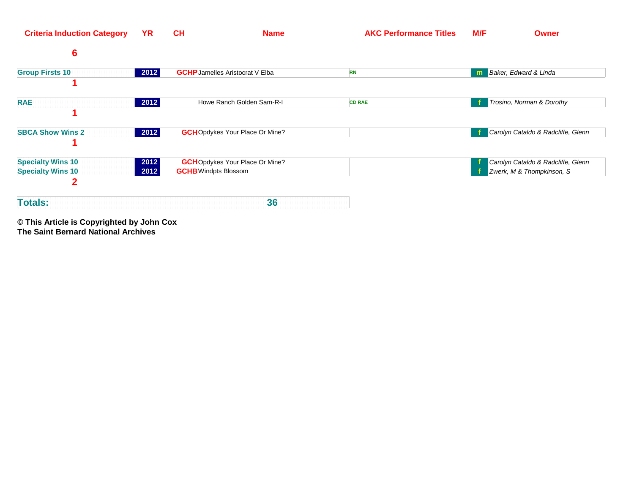| <b>Criteria Induction Category</b>                   | $YR$         | CL<br><b>Name</b>                                                     | <b>AKC Performance Titles</b> | <b>M/E</b><br><b>Owner</b>                                      |
|------------------------------------------------------|--------------|-----------------------------------------------------------------------|-------------------------------|-----------------------------------------------------------------|
| $6\phantom{1}6$                                      |              |                                                                       |                               |                                                                 |
| <b>Group Firsts 10</b>                               | 2012         | <b>GCHP</b> Jamelles Aristocrat V Elba                                | <b>RN</b>                     | Baker, Edward & Linda<br>m                                      |
| <b>RAE</b>                                           | 2012         | Howe Ranch Golden Sam-R-I                                             | <b>CD RAE</b>                 | Trosino, Norman & Dorothy                                       |
| <b>SBCA Show Wins 2</b>                              | 2012         | <b>GCH</b> Opdykes Your Place Or Mine?                                |                               | Carolyn Cataldo & Radcliffe, Glenn                              |
| <b>Specialty Wins 10</b><br><b>Specialty Wins 10</b> | 2012<br>2012 | <b>GCH</b> Opdykes Your Place Or Mine?<br><b>GCHB</b> Windpts Blossom |                               | Carolyn Cataldo & Radcliffe, Glenn<br>Zwerk, M & Thompkinson, S |
| $\mathbf{2}$<br><b>Totals:</b>                       |              | 36                                                                    |                               |                                                                 |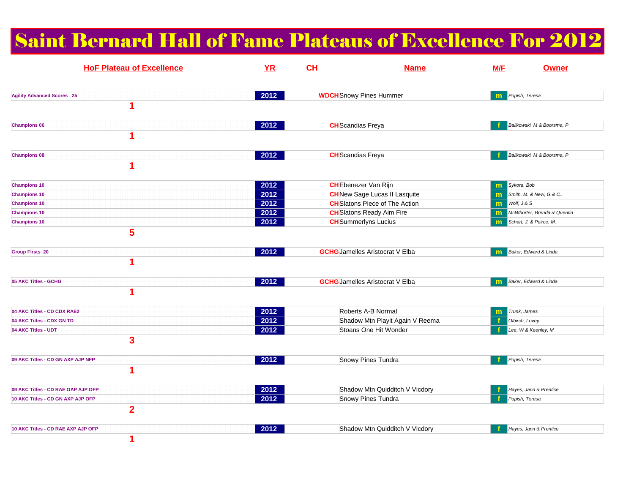## Saint Bernard Hall of Fame Plateaus of Excellence For 2012

| <b>HoF Plateau of Excellence</b>                    | YR     | <b>CH</b> | <b>Name</b>                            | M/F | <b>Owner</b>                |
|-----------------------------------------------------|--------|-----------|----------------------------------------|-----|-----------------------------|
| <b>Agility Advanced Scores 25</b>                   | 2012   |           | <b>WDCH</b> Snowy Pines Hummer         | m   | Popish, Teresa              |
| 1                                                   |        |           |                                        |     |                             |
| <b>Champions 06</b><br>1                            | 2012   |           | <b>CH</b> Scandias Freya               |     | Balikowski, M & Boorsma, P  |
|                                                     |        |           |                                        |     |                             |
| <b>Champions 08</b><br>1                            | 2012   |           | <b>CH</b> Scandias Freya               |     | Balikowski, M & Boorsma, P  |
| <b>Champions 10</b>                                 | 2012   |           | <b>CH</b> Ebenezer Van Rijn            | m   | Sykora, Bob                 |
| <b>Champions 10</b>                                 | 2012   |           | <b>CH</b> New Sage Lucas II Lasquite   | m   | Smith, M. & New, G.& C      |
| <b>Champions 10</b>                                 | 2012   |           | <b>CH</b> Slatons Piece of The Action  | m   | Wolf, J & S                 |
| <b>Champions 10</b>                                 | 2012   |           | <b>CH</b> Slatons Ready Aim Fire       | m   | McWhorter, Brenda & Quentin |
| <b>Champions 10</b>                                 | 2012   |           | <b>CH</b> Summerlyns Lucius            | m   | Schart, J. & Peirce, M.     |
| 5<br><b>Group Firsts 20</b><br>$\blacktriangleleft$ | 2012   |           | <b>GCHG</b> Jamelles Aristocrat V Elba | m   | Baker, Edward & Linda       |
| 05 AKC Titles - GCHG<br>1                           | 2012   |           | <b>GCHG</b> Jamelles Aristocrat V Elba |     | Baker, Edward & Linda       |
| 04 AKC Titles - CD CDX RAE2                         | 2012   |           | Roberts A-B Normal                     | m   | Trunk, James                |
| 04 AKC Titles - CDX GN TD                           | 2012   |           | Shadow Mtn Playit Again V Reema        |     | Olbirch, Lovey              |
| 04 AKC Titles - UDT                                 | 2012   |           | Stoans One Hit Wonder                  |     | Lee, W & Keenley, M         |
| $\overline{\mathbf{3}}$                             |        |           |                                        |     |                             |
| 09 AKC Titles - CD GN AXP AJP NFP                   | 2012   |           | Snowy Pines Tundra                     |     | Popish, Teresa              |
| 1                                                   |        |           |                                        |     |                             |
| 09 AKC Titles - CD RAE OAP AJP OFP                  | 2012   |           | Shadow Mtn Quidditch V Vicdory         |     | Hayes, Jann & Prentice      |
| 10 AKC Titles - CD GN AXP AJP OFP                   | 2012   |           | Snowy Pines Tundra                     |     | Popish, Teresa              |
| $\overline{2}$                                      |        |           |                                        |     |                             |
| 10 AKC Titles - CD RAE AXP AJP OFP<br>1             | $2012$ |           | Shadow Mtn Quidditch V Vicdory         |     | Hayes, Jann & Prentice      |
|                                                     |        |           |                                        |     |                             |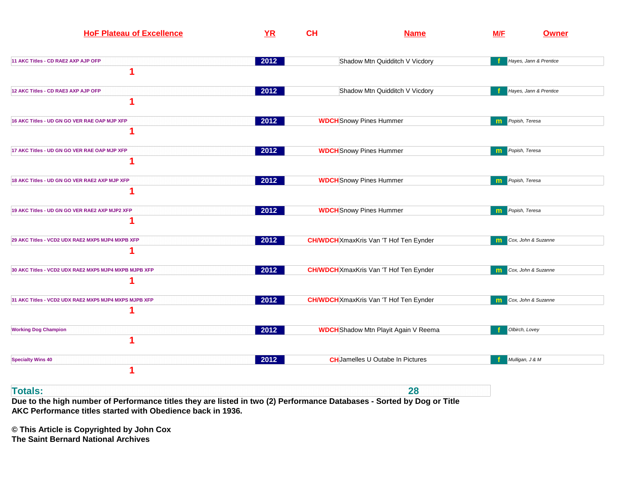| <b>HoF Plateau of Excellence</b>                           | <b>YR</b> | CH | <b>Name</b>                                   | M/F | <b>Owner</b>           |
|------------------------------------------------------------|-----------|----|-----------------------------------------------|-----|------------------------|
| 11 AKC Titles - CD RAE2 AXP AJP OFP<br>4                   | 2012      |    | Shadow Mtn Quidditch V Vicdory                |     | Hayes, Jann & Prentice |
| 12 AKC Titles - CD RAE3 AXP AJP OFP<br>1                   | 2012      |    | Shadow Mtn Quidditch V Vicdory                |     | Hayes, Jann & Prentice |
| 16 AKC Titles - UD GN GO VER RAE OAP MJP XFP               | 2012      |    | <b>WDCH</b> Snowy Pines Hummer                | m.  | Popish, Teresa         |
| 17 AKC Titles - UD GN GO VER RAE OAP MJP XFP               | 2012      |    | <b>WDCH</b> Snowy Pines Hummer                | m   | Popish, Teresa         |
| 18 AKC Titles - UD GN GO VER RAE2 AXP MJP XFP              | 2012      |    | <b>WDCH</b> Snowy Pines Hummer                | m   | Popish, Teresa         |
| 19 AKC Titles - UD GN GO VER RAE2 AXP MJP2 XFP             | 2012      |    | <b>WDCH</b> Snowy Pines Hummer                | m   | Popish, Teresa         |
| 29 AKC Titles - VCD2 UDX RAE2 MXP5 MJP4 MXPB XFP           | 2012      |    | <b>CH/WDCH</b> XmaxKris Van 'T Hof Ten Eynder | m   | Cox, John & Suzanne    |
| 30 AKC Titles - VCD2 UDX RAE2 MXP5 MJP4 MXPB MJPB XFP      | 2012      |    | <b>CH/WDCH</b> XmaxKris Van 'T Hof Ten Eynder | m   | Cox, John & Suzanne    |
| 31 AKC Titles - VCD2 UDX RAE2 MXP5 MJP4 MXPS MJPB XFP<br>1 | 2012      |    | <b>CH/WDCH</b> XmaxKris Van 'T Hof Ten Eynder | m   | Cox, John & Suzanne    |
| <b>Working Dog Champion</b><br>1                           | 2012      |    | <b>WDCH</b> Shadow Mtn Playit Again V Reema   |     | Olbirch, Lovey         |
| <b>Specialty Wins 40</b><br>1                              | 2012      |    | <b>CH</b> Jamelles U Outabe In Pictures       |     | Mulligan, J & M        |
| <b>Totals:</b>                                             |           |    | 28                                            |     |                        |

**Due to the high number of Performance titles they are listed in two (2) Performance Databases - Sorted by Dog or Title AKC Performance titles started with Obedience back in 1936.**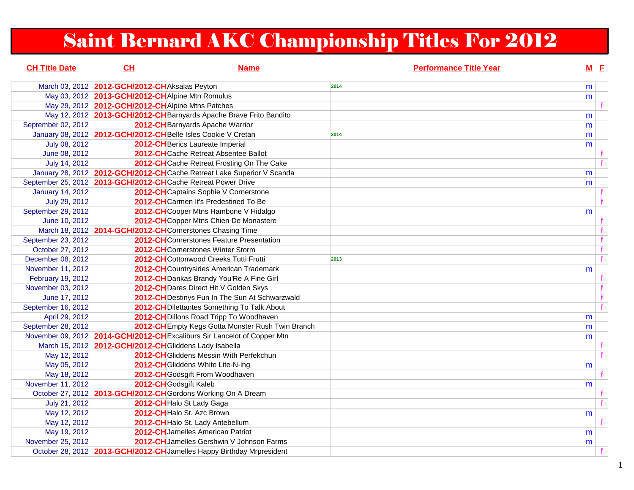# Saint Bernard AKC Championship Titles For 2012

| <b>CH Title Date</b>    | CL                                                             | <b>Name</b>                                                              | <b>Performance Title Year</b> | $M$ E |    |
|-------------------------|----------------------------------------------------------------|--------------------------------------------------------------------------|-------------------------------|-------|----|
|                         | March 03, 2012 2012-GCH/2012-CH Aksalas Peyton                 |                                                                          | 2014                          | m     |    |
|                         | May 03, 2012   2013-GCH/2012-CH Alpine Mtn Romulus             |                                                                          |                               | m     |    |
|                         | May 29, 2012   2012-GCH/2012-CH Alpine Mtns Patches            |                                                                          |                               |       |    |
|                         |                                                                | May 12, 2012 2013-GCH/2012-CH Barnyards Apache Brave Frito Bandito       |                               | m     |    |
| September 02, 2012      |                                                                | 2012-CH Barnyards Apache Warrior                                         |                               | m     |    |
|                         | January 08, 2012 2012-GCH/2012-CH Belle Isles Cookie V Cretan  |                                                                          | 2014                          | m     |    |
| July 08, 2012           |                                                                | 2012-CH Berics Laureate Imperial                                         |                               | m     |    |
| June 08, 2012           |                                                                | 2012-CHCache Retreat Absentee Ballot                                     |                               |       | f. |
| July 14, 2012           |                                                                | 2012-CHCache Retreat Frosting On The Cake                                |                               |       |    |
|                         |                                                                | January 28, 2012   2012-GCH/2012-CH Cache Retreat Lake Superior V Scanda |                               | m     |    |
|                         | September 25, 2012 2013-GCH/2012-CHCache Retreat Power Drive   |                                                                          |                               | m     |    |
| <b>January 14, 2012</b> |                                                                | 2012-CH Captains Sophie V Cornerstone                                    |                               |       |    |
| July 29, 2012           |                                                                | 2012-CHCarmen It's Predestined To Be                                     |                               |       | f  |
| September 29, 2012      |                                                                | 2012-CHCooper Mtns Hambone V Hidalgo                                     |                               | m     |    |
| June 10, 2012           |                                                                | 2012-CHCopper Mtns Chien De Monastere                                    |                               |       | f  |
|                         | March 18, 2012   2014-GCH/2012-CH Cornerstones Chasing Time    |                                                                          |                               |       | f  |
| September 23, 2012      |                                                                | 2012-CH Cornerstones Feature Presentation                                |                               |       | f  |
| October 27, 2012        |                                                                | 2012-CHCornerstones Winter Storm                                         |                               |       | f  |
| December 08, 2012       |                                                                | 2012-CHCottonwood Creeks Tutti Frutti                                    | 2013                          |       | f  |
| November 11, 2012       |                                                                | 2012-CHCountrysides American Trademark                                   |                               | m     |    |
| February 19, 2012       |                                                                | 2012-CH Dankas Brandy You'Re A Fine Girl                                 |                               |       | f. |
| November 03, 2012       |                                                                | 2012-CH Dares Direct Hit V Golden Skys                                   |                               |       | f  |
| June 17, 2012           |                                                                | 2012-CH Destinys Fun In The Sun At Schwarzwald                           |                               |       | f  |
| September 16, 2012      |                                                                | 2012-CH Dilettantes Something To Talk About                              |                               |       | f  |
| April 29, 2012          |                                                                | 2012-CH Dillons Road Tripp To Woodhaven                                  |                               | m     |    |
| September 28, 2012      |                                                                | 2012-CH Empty Kegs Gotta Monster Rush Twin Branch                        |                               | m     |    |
|                         |                                                                | November 09, 2012 2014-GCH/2012-CHExcaliburs Sir Lancelot of Copper Mtn  |                               | m     |    |
|                         | March 15, 2012 2012-GCH/2012-CH Gliddens Lady Isabella         |                                                                          |                               |       |    |
| May 12, 2012            |                                                                | 2012-CH Gliddens Messin With Perfekchun                                  |                               |       | f  |
| May 05, 2012            |                                                                | 2012-CH Gliddens White Lite-N-ing                                        |                               | m     |    |
| May 18, 2012            |                                                                | 2012-CH Godsgift From Woodhaven                                          |                               |       |    |
| November 11, 2012       | 2012-CH Godsgift Kaleb                                         |                                                                          |                               | m     |    |
|                         | October 27, 2012   2013-GCH/2012-CH Gordons Working On A Dream |                                                                          |                               |       | f  |
| July 21, 2012           | 2012-CH Halo St Lady Gaga                                      |                                                                          |                               |       | f  |
| May 12, 2012            | 2012-CH Halo St. Azc Brown                                     |                                                                          |                               | m     |    |
| May 12, 2012            |                                                                | 2012-CH Halo St. Lady Antebellum                                         |                               |       |    |
| May 19, 2012            |                                                                | 2012-CHJamelles American Patriot                                         |                               | m     |    |
| November 25, 2012       |                                                                | 2012-CH Jamelles Gershwin V Johnson Farms                                |                               | m     |    |
|                         |                                                                | October 28, 2012 2013-GCH/2012-CH Jamelles Happy Birthday Mrpresident    |                               |       |    |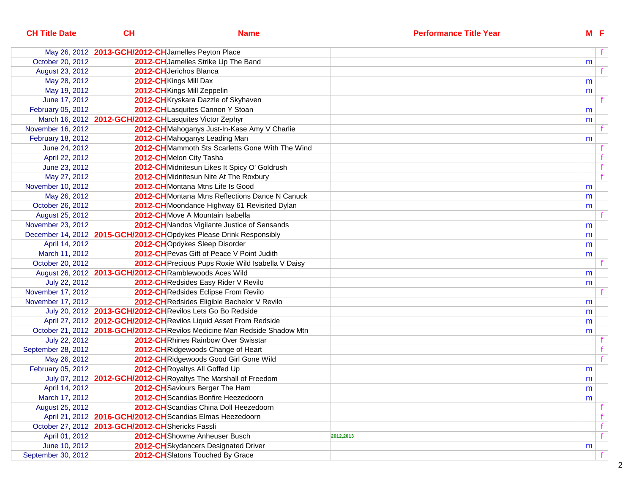| <u>Name</u> |                                                                                                                                                                                                                                                                                                                                                                                                                                                                                                                                                                                                                                                                                                                                                                                                                                                                                                                                                                                                                                                                                                                                                                                                                                                                                                                                                                                                                                                                                                                                                                                                                                                                                                                                                                                                                                                                                                                                                                                                              |                               | <u>M E</u>     |
|-------------|--------------------------------------------------------------------------------------------------------------------------------------------------------------------------------------------------------------------------------------------------------------------------------------------------------------------------------------------------------------------------------------------------------------------------------------------------------------------------------------------------------------------------------------------------------------------------------------------------------------------------------------------------------------------------------------------------------------------------------------------------------------------------------------------------------------------------------------------------------------------------------------------------------------------------------------------------------------------------------------------------------------------------------------------------------------------------------------------------------------------------------------------------------------------------------------------------------------------------------------------------------------------------------------------------------------------------------------------------------------------------------------------------------------------------------------------------------------------------------------------------------------------------------------------------------------------------------------------------------------------------------------------------------------------------------------------------------------------------------------------------------------------------------------------------------------------------------------------------------------------------------------------------------------------------------------------------------------------------------------------------------------|-------------------------------|----------------|
|             |                                                                                                                                                                                                                                                                                                                                                                                                                                                                                                                                                                                                                                                                                                                                                                                                                                                                                                                                                                                                                                                                                                                                                                                                                                                                                                                                                                                                                                                                                                                                                                                                                                                                                                                                                                                                                                                                                                                                                                                                              |                               | f              |
|             |                                                                                                                                                                                                                                                                                                                                                                                                                                                                                                                                                                                                                                                                                                                                                                                                                                                                                                                                                                                                                                                                                                                                                                                                                                                                                                                                                                                                                                                                                                                                                                                                                                                                                                                                                                                                                                                                                                                                                                                                              |                               |                |
|             |                                                                                                                                                                                                                                                                                                                                                                                                                                                                                                                                                                                                                                                                                                                                                                                                                                                                                                                                                                                                                                                                                                                                                                                                                                                                                                                                                                                                                                                                                                                                                                                                                                                                                                                                                                                                                                                                                                                                                                                                              |                               | f.             |
|             |                                                                                                                                                                                                                                                                                                                                                                                                                                                                                                                                                                                                                                                                                                                                                                                                                                                                                                                                                                                                                                                                                                                                                                                                                                                                                                                                                                                                                                                                                                                                                                                                                                                                                                                                                                                                                                                                                                                                                                                                              | m                             |                |
|             |                                                                                                                                                                                                                                                                                                                                                                                                                                                                                                                                                                                                                                                                                                                                                                                                                                                                                                                                                                                                                                                                                                                                                                                                                                                                                                                                                                                                                                                                                                                                                                                                                                                                                                                                                                                                                                                                                                                                                                                                              | m                             |                |
|             |                                                                                                                                                                                                                                                                                                                                                                                                                                                                                                                                                                                                                                                                                                                                                                                                                                                                                                                                                                                                                                                                                                                                                                                                                                                                                                                                                                                                                                                                                                                                                                                                                                                                                                                                                                                                                                                                                                                                                                                                              |                               | f.             |
|             |                                                                                                                                                                                                                                                                                                                                                                                                                                                                                                                                                                                                                                                                                                                                                                                                                                                                                                                                                                                                                                                                                                                                                                                                                                                                                                                                                                                                                                                                                                                                                                                                                                                                                                                                                                                                                                                                                                                                                                                                              | m                             |                |
|             |                                                                                                                                                                                                                                                                                                                                                                                                                                                                                                                                                                                                                                                                                                                                                                                                                                                                                                                                                                                                                                                                                                                                                                                                                                                                                                                                                                                                                                                                                                                                                                                                                                                                                                                                                                                                                                                                                                                                                                                                              | m                             |                |
|             |                                                                                                                                                                                                                                                                                                                                                                                                                                                                                                                                                                                                                                                                                                                                                                                                                                                                                                                                                                                                                                                                                                                                                                                                                                                                                                                                                                                                                                                                                                                                                                                                                                                                                                                                                                                                                                                                                                                                                                                                              |                               | f.             |
|             |                                                                                                                                                                                                                                                                                                                                                                                                                                                                                                                                                                                                                                                                                                                                                                                                                                                                                                                                                                                                                                                                                                                                                                                                                                                                                                                                                                                                                                                                                                                                                                                                                                                                                                                                                                                                                                                                                                                                                                                                              | m                             |                |
|             |                                                                                                                                                                                                                                                                                                                                                                                                                                                                                                                                                                                                                                                                                                                                                                                                                                                                                                                                                                                                                                                                                                                                                                                                                                                                                                                                                                                                                                                                                                                                                                                                                                                                                                                                                                                                                                                                                                                                                                                                              |                               | f.             |
|             |                                                                                                                                                                                                                                                                                                                                                                                                                                                                                                                                                                                                                                                                                                                                                                                                                                                                                                                                                                                                                                                                                                                                                                                                                                                                                                                                                                                                                                                                                                                                                                                                                                                                                                                                                                                                                                                                                                                                                                                                              |                               | f              |
|             |                                                                                                                                                                                                                                                                                                                                                                                                                                                                                                                                                                                                                                                                                                                                                                                                                                                                                                                                                                                                                                                                                                                                                                                                                                                                                                                                                                                                                                                                                                                                                                                                                                                                                                                                                                                                                                                                                                                                                                                                              |                               | f              |
|             |                                                                                                                                                                                                                                                                                                                                                                                                                                                                                                                                                                                                                                                                                                                                                                                                                                                                                                                                                                                                                                                                                                                                                                                                                                                                                                                                                                                                                                                                                                                                                                                                                                                                                                                                                                                                                                                                                                                                                                                                              |                               | $\overline{f}$ |
|             |                                                                                                                                                                                                                                                                                                                                                                                                                                                                                                                                                                                                                                                                                                                                                                                                                                                                                                                                                                                                                                                                                                                                                                                                                                                                                                                                                                                                                                                                                                                                                                                                                                                                                                                                                                                                                                                                                                                                                                                                              | m                             |                |
|             |                                                                                                                                                                                                                                                                                                                                                                                                                                                                                                                                                                                                                                                                                                                                                                                                                                                                                                                                                                                                                                                                                                                                                                                                                                                                                                                                                                                                                                                                                                                                                                                                                                                                                                                                                                                                                                                                                                                                                                                                              | m                             |                |
|             |                                                                                                                                                                                                                                                                                                                                                                                                                                                                                                                                                                                                                                                                                                                                                                                                                                                                                                                                                                                                                                                                                                                                                                                                                                                                                                                                                                                                                                                                                                                                                                                                                                                                                                                                                                                                                                                                                                                                                                                                              | m                             |                |
|             |                                                                                                                                                                                                                                                                                                                                                                                                                                                                                                                                                                                                                                                                                                                                                                                                                                                                                                                                                                                                                                                                                                                                                                                                                                                                                                                                                                                                                                                                                                                                                                                                                                                                                                                                                                                                                                                                                                                                                                                                              |                               | f.             |
|             |                                                                                                                                                                                                                                                                                                                                                                                                                                                                                                                                                                                                                                                                                                                                                                                                                                                                                                                                                                                                                                                                                                                                                                                                                                                                                                                                                                                                                                                                                                                                                                                                                                                                                                                                                                                                                                                                                                                                                                                                              | m                             |                |
|             |                                                                                                                                                                                                                                                                                                                                                                                                                                                                                                                                                                                                                                                                                                                                                                                                                                                                                                                                                                                                                                                                                                                                                                                                                                                                                                                                                                                                                                                                                                                                                                                                                                                                                                                                                                                                                                                                                                                                                                                                              | m                             |                |
|             |                                                                                                                                                                                                                                                                                                                                                                                                                                                                                                                                                                                                                                                                                                                                                                                                                                                                                                                                                                                                                                                                                                                                                                                                                                                                                                                                                                                                                                                                                                                                                                                                                                                                                                                                                                                                                                                                                                                                                                                                              | m                             |                |
|             |                                                                                                                                                                                                                                                                                                                                                                                                                                                                                                                                                                                                                                                                                                                                                                                                                                                                                                                                                                                                                                                                                                                                                                                                                                                                                                                                                                                                                                                                                                                                                                                                                                                                                                                                                                                                                                                                                                                                                                                                              | m                             |                |
|             |                                                                                                                                                                                                                                                                                                                                                                                                                                                                                                                                                                                                                                                                                                                                                                                                                                                                                                                                                                                                                                                                                                                                                                                                                                                                                                                                                                                                                                                                                                                                                                                                                                                                                                                                                                                                                                                                                                                                                                                                              |                               | f.             |
|             |                                                                                                                                                                                                                                                                                                                                                                                                                                                                                                                                                                                                                                                                                                                                                                                                                                                                                                                                                                                                                                                                                                                                                                                                                                                                                                                                                                                                                                                                                                                                                                                                                                                                                                                                                                                                                                                                                                                                                                                                              | m                             |                |
|             |                                                                                                                                                                                                                                                                                                                                                                                                                                                                                                                                                                                                                                                                                                                                                                                                                                                                                                                                                                                                                                                                                                                                                                                                                                                                                                                                                                                                                                                                                                                                                                                                                                                                                                                                                                                                                                                                                                                                                                                                              | m                             |                |
|             |                                                                                                                                                                                                                                                                                                                                                                                                                                                                                                                                                                                                                                                                                                                                                                                                                                                                                                                                                                                                                                                                                                                                                                                                                                                                                                                                                                                                                                                                                                                                                                                                                                                                                                                                                                                                                                                                                                                                                                                                              |                               | f.             |
|             |                                                                                                                                                                                                                                                                                                                                                                                                                                                                                                                                                                                                                                                                                                                                                                                                                                                                                                                                                                                                                                                                                                                                                                                                                                                                                                                                                                                                                                                                                                                                                                                                                                                                                                                                                                                                                                                                                                                                                                                                              | m                             |                |
|             |                                                                                                                                                                                                                                                                                                                                                                                                                                                                                                                                                                                                                                                                                                                                                                                                                                                                                                                                                                                                                                                                                                                                                                                                                                                                                                                                                                                                                                                                                                                                                                                                                                                                                                                                                                                                                                                                                                                                                                                                              | m                             |                |
|             |                                                                                                                                                                                                                                                                                                                                                                                                                                                                                                                                                                                                                                                                                                                                                                                                                                                                                                                                                                                                                                                                                                                                                                                                                                                                                                                                                                                                                                                                                                                                                                                                                                                                                                                                                                                                                                                                                                                                                                                                              | m                             |                |
|             |                                                                                                                                                                                                                                                                                                                                                                                                                                                                                                                                                                                                                                                                                                                                                                                                                                                                                                                                                                                                                                                                                                                                                                                                                                                                                                                                                                                                                                                                                                                                                                                                                                                                                                                                                                                                                                                                                                                                                                                                              | m                             |                |
|             |                                                                                                                                                                                                                                                                                                                                                                                                                                                                                                                                                                                                                                                                                                                                                                                                                                                                                                                                                                                                                                                                                                                                                                                                                                                                                                                                                                                                                                                                                                                                                                                                                                                                                                                                                                                                                                                                                                                                                                                                              |                               | f.             |
|             |                                                                                                                                                                                                                                                                                                                                                                                                                                                                                                                                                                                                                                                                                                                                                                                                                                                                                                                                                                                                                                                                                                                                                                                                                                                                                                                                                                                                                                                                                                                                                                                                                                                                                                                                                                                                                                                                                                                                                                                                              |                               | f              |
|             |                                                                                                                                                                                                                                                                                                                                                                                                                                                                                                                                                                                                                                                                                                                                                                                                                                                                                                                                                                                                                                                                                                                                                                                                                                                                                                                                                                                                                                                                                                                                                                                                                                                                                                                                                                                                                                                                                                                                                                                                              |                               | f              |
|             |                                                                                                                                                                                                                                                                                                                                                                                                                                                                                                                                                                                                                                                                                                                                                                                                                                                                                                                                                                                                                                                                                                                                                                                                                                                                                                                                                                                                                                                                                                                                                                                                                                                                                                                                                                                                                                                                                                                                                                                                              | m                             |                |
|             |                                                                                                                                                                                                                                                                                                                                                                                                                                                                                                                                                                                                                                                                                                                                                                                                                                                                                                                                                                                                                                                                                                                                                                                                                                                                                                                                                                                                                                                                                                                                                                                                                                                                                                                                                                                                                                                                                                                                                                                                              | m                             |                |
|             |                                                                                                                                                                                                                                                                                                                                                                                                                                                                                                                                                                                                                                                                                                                                                                                                                                                                                                                                                                                                                                                                                                                                                                                                                                                                                                                                                                                                                                                                                                                                                                                                                                                                                                                                                                                                                                                                                                                                                                                                              | ${\sf m}$                     |                |
|             |                                                                                                                                                                                                                                                                                                                                                                                                                                                                                                                                                                                                                                                                                                                                                                                                                                                                                                                                                                                                                                                                                                                                                                                                                                                                                                                                                                                                                                                                                                                                                                                                                                                                                                                                                                                                                                                                                                                                                                                                              | m                             |                |
|             |                                                                                                                                                                                                                                                                                                                                                                                                                                                                                                                                                                                                                                                                                                                                                                                                                                                                                                                                                                                                                                                                                                                                                                                                                                                                                                                                                                                                                                                                                                                                                                                                                                                                                                                                                                                                                                                                                                                                                                                                              |                               | t.             |
|             |                                                                                                                                                                                                                                                                                                                                                                                                                                                                                                                                                                                                                                                                                                                                                                                                                                                                                                                                                                                                                                                                                                                                                                                                                                                                                                                                                                                                                                                                                                                                                                                                                                                                                                                                                                                                                                                                                                                                                                                                              |                               | f              |
|             |                                                                                                                                                                                                                                                                                                                                                                                                                                                                                                                                                                                                                                                                                                                                                                                                                                                                                                                                                                                                                                                                                                                                                                                                                                                                                                                                                                                                                                                                                                                                                                                                                                                                                                                                                                                                                                                                                                                                                                                                              |                               | f              |
|             | 2012,2013                                                                                                                                                                                                                                                                                                                                                                                                                                                                                                                                                                                                                                                                                                                                                                                                                                                                                                                                                                                                                                                                                                                                                                                                                                                                                                                                                                                                                                                                                                                                                                                                                                                                                                                                                                                                                                                                                                                                                                                                    |                               | f              |
|             |                                                                                                                                                                                                                                                                                                                                                                                                                                                                                                                                                                                                                                                                                                                                                                                                                                                                                                                                                                                                                                                                                                                                                                                                                                                                                                                                                                                                                                                                                                                                                                                                                                                                                                                                                                                                                                                                                                                                                                                                              | m                             |                |
|             |                                                                                                                                                                                                                                                                                                                                                                                                                                                                                                                                                                                                                                                                                                                                                                                                                                                                                                                                                                                                                                                                                                                                                                                                                                                                                                                                                                                                                                                                                                                                                                                                                                                                                                                                                                                                                                                                                                                                                                                                              |                               | f              |
| <u>СН</u>   | May 26, 2012   2013-GCH/2012-CH Jamelles Peyton Place<br>2012-CH Jamelles Strike Up The Band<br>2012-CHJerichos Blanca<br>2012-CH Kings Mill Dax<br>2012-CH Kings Mill Zeppelin<br>2012-CH Kryskara Dazzle of Skyhaven<br>2012-CHLasquites Cannon Y Stoan<br>March 16, 2012   2012-GCH/2012-CHLasquites Victor Zephyr<br>2012-CH Mahoganys Just-In-Kase Amy V Charlie<br>2012-CH Mahoganys Leading Man<br>2012-CHMammoth Sts Scarletts Gone With The Wind<br>2012-CHMelon City Tasha<br>2012-CHMidnitesun Likes It Spicy O' Goldrush<br>2012-CH Midnitesun Nite At The Roxbury<br>2012-CHMontana Mtns Life Is Good<br>2012-CH Montana Mtns Reflections Dance N Canuck<br>2012-CHMoondance Highway 61 Revisited Dylan<br>2012-CHMove A Mountain Isabella<br>2012-CHNandos Vigilante Justice of Sensands<br>December 14, 2012 2015-GCH/2012-CHOpdykes Please Drink Responsibly<br>2012-CHOpdykes Sleep Disorder<br>2012-CH Pevas Gift of Peace V Point Judith<br>2012-CH Precious Pups Roxie Wild Isabella V Daisy<br>August 26, 2012   2013-GCH/2012-CHRamblewoods Aces Wild<br>2012-CHRedsides Easy Rider V Revilo<br>2012-CHRedsides Eclipse From Revilo<br>2012-CH Redsides Eligible Bachelor V Revilo<br>July 20, 2012 2013-GCH/2012-CH Revilos Lets Go Bo Redside<br>April 27, 2012   2012-GCH/2012-CHRevilos Liquid Asset From Redside<br>October 21, 2012   2018-GCH/2012-CH Revilos Medicine Man Redside Shadow Mtn<br>2012-CHRhines Rainbow Over Swisstar<br>2012-CH Ridgewoods Change of Heart<br>2012-CH Ridgewoods Good Girl Gone Wild<br>2012-CH Royaltys All Goffed Up<br>July 07, 2012   2012-GCH/2012-CH Royaltys The Marshall of Freedom<br>2012-CH Saviours Berger The Ham<br>2012-CHScandias Bonfire Heezedoorn<br>2012-CHScandias China Doll Heezedoorn<br>April 21, 2012   2016-GCH/2012-CH Scandias Elmas Heezedoorn<br>October 27, 2012   2013-GCH/2012-CHShericks Fassli<br>2012-CH Showme Anheuser Busch<br>2012-CH Skydancers Designated Driver<br>2012-CH Slatons Touched By Grace | <b>Performance Title Year</b> | m              |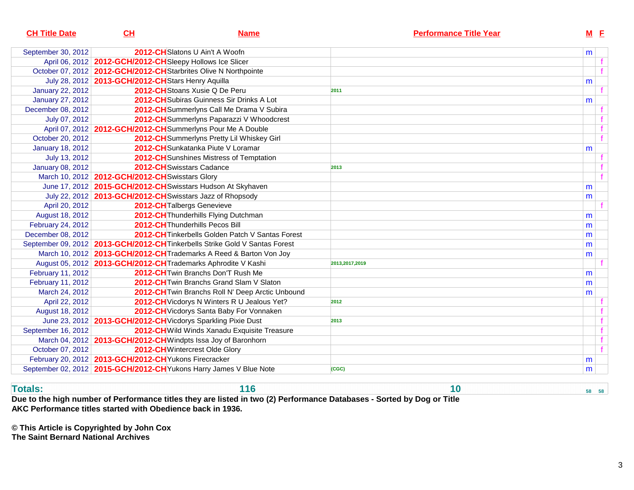| <b>CH Title Date</b>    | CL                                                         | <b>Name</b>                                                                 | <b>Performance Title Year</b> |   | $M$ $E$      |
|-------------------------|------------------------------------------------------------|-----------------------------------------------------------------------------|-------------------------------|---|--------------|
| September 30, 2012      |                                                            | 2012-CHSlatons U Ain't A Woofn                                              |                               | m |              |
|                         | April 06, 2012   2012-GCH/2012-CHSIeepy Hollows Ice Slicer |                                                                             |                               |   | f            |
|                         |                                                            | October 07, 2012   2012-GCH/2012-CH Starbrites Olive N Northpointe          |                               |   | $\mathbf{f}$ |
|                         | July 28, 2012   2013-GCH/2012-CH Stars Henry Aquilla       |                                                                             |                               | m |              |
| <b>January 22, 2012</b> |                                                            | 2012-CH Stoans Xusie Q De Peru                                              | 2011                          |   |              |
| <b>January 27, 2012</b> |                                                            | 2012-CH Subiras Guinness Sir Drinks A Lot                                   |                               | m |              |
| December 08, 2012       |                                                            | 2012-CH Summerlyns Call Me Drama V Subira                                   |                               |   |              |
| July 07, 2012           |                                                            | 2012-CH Summerlyns Paparazzi V Whoodcrest                                   |                               |   |              |
|                         |                                                            | April 07, 2012 2012-GCH/2012-CH Summerlyns Pour Me A Double                 |                               |   |              |
| October 20, 2012        |                                                            | 2012-CH Summerlyns Pretty Lil Whiskey Girl                                  |                               |   |              |
| <b>January 18, 2012</b> |                                                            | 2012-CHSunkatanka Piute V Loramar                                           |                               | m |              |
| July 13, 2012           |                                                            | 2012-CH Sunshines Mistress of Temptation                                    |                               |   |              |
| <b>January 08, 2012</b> |                                                            | 2012-CH Swisstars Cadance                                                   | 2013                          |   |              |
|                         | March 10, 2012 2012-GCH/2012-CH Swisstars Glory            |                                                                             |                               |   |              |
|                         |                                                            | June 17, 2012   2015-GCH/2012-CH Swisstars Hudson At Skyhaven               |                               | m |              |
|                         | July 22, 2012 2013-GCH/2012-CH Swisstars Jazz of Rhopsody  |                                                                             |                               | m |              |
| April 20, 2012          |                                                            | 2012-CH Talbergs Genevieve                                                  |                               |   |              |
| August 18, 2012         |                                                            | 2012-CH Thunderhills Flying Dutchman                                        |                               | m |              |
| February 24, 2012       |                                                            | 2012-CH Thunderhills Pecos Bill                                             |                               | m |              |
| December 08, 2012       |                                                            | 2012-CH Tinkerbells Golden Patch V Santas Forest                            |                               | m |              |
|                         |                                                            | September 09, 2012 2013-GCH/2012-CH Tinkerbells Strike Gold V Santas Forest |                               | m |              |
|                         |                                                            | March 10, 2012   2013-GCH/2012-CH Trademarks A Reed & Barton Von Joy        |                               | m |              |
|                         |                                                            | August 05, 2012 2013-GCH/2012-CH Trademarks Aphrodite V Kashi               | 2013, 2017, 2019              |   |              |
| February 11, 2012       |                                                            | 2012-CH Twin Branchs Don'T Rush Me                                          |                               | m |              |
| February 11, 2012       |                                                            | 2012-CH Twin Branchs Grand Slam V Slaton                                    |                               | m |              |
| March 24, 2012          |                                                            | 2012-CH Twin Branchs Roll N' Deep Arctic Unbound                            |                               | m |              |
| April 22, 2012          |                                                            | 2012-CH Vicdorys N Winters R U Jealous Yet?                                 | 2012                          |   |              |
| August 18, 2012         |                                                            | 2012-CH Vicdorys Santa Baby For Vonnaken                                    |                               |   |              |
|                         |                                                            | June 23, 2012 2013-GCH/2012-CH Vicdorys Sparkling Pixie Dust                | 2013                          |   |              |
| September 16, 2012      |                                                            | 2012-CH Wild Winds Xanadu Exquisite Treasure                                |                               |   | $\mathbf f$  |
|                         |                                                            | March 04, 2012 2013-GCH/2012-CH Windpts Issa Joy of Baronhorn               |                               |   |              |
| October 07, 2012        |                                                            | 2012-CH Wintercrest Olde Glory                                              |                               |   |              |
|                         | February 20, 2012 2013-GCH/2012-CH Yukons Firecracker      |                                                                             |                               | m |              |
|                         |                                                            | September 02, 2012 2015-GCH/2012-CH Yukons Harry James V Blue Note          | (CGC)                         | m |              |

**Totals:**

 **116 10 58 58 Due to the high number of Performance titles they are listed in two (2) Performance Databases - Sorted by Dog or TitleAKC Performance titles started with Obedience back in 1936.**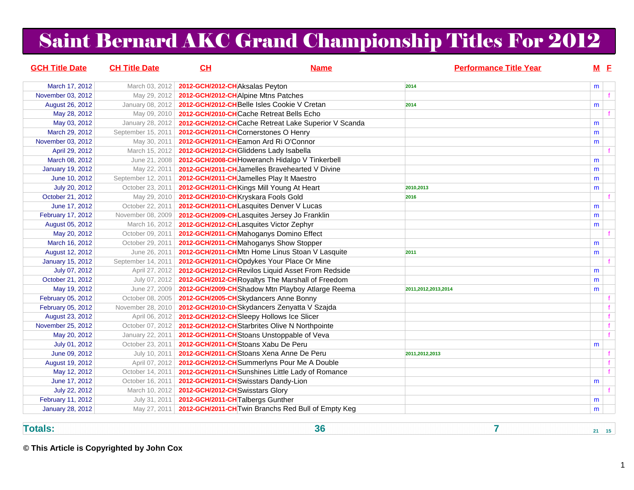## Saint Bernard AKC Grand Championship Titles For 2012

| <b>GCH Title Date</b>   | <b>CH Title Date</b> | CH                                         | <b>Name</b>                                                        | <b>Performance Title Year</b> |   | $M$ E        |
|-------------------------|----------------------|--------------------------------------------|--------------------------------------------------------------------|-------------------------------|---|--------------|
| March 17, 2012          | March 03, 2012       | 2012-GCH/2012-CHAksalas Peyton             |                                                                    | 2014                          | m |              |
| November 03, 2012       | May 29, 2012         | 2012-GCH/2012-CH Alpine Mtns Patches       |                                                                    |                               |   | f            |
| August 26, 2012         | January 08, 2012     |                                            | 2012-GCH/2012-CHBelle Isles Cookie V Cretan                        | 2014                          | m |              |
| May 28, 2012            | May 09, 2010         | 2012-GCH/2010-CHCache Retreat Bells Echo   |                                                                    |                               |   |              |
| May 03, 2012            | January 28, 2012     |                                            | 2012-GCH/2012-CHCache Retreat Lake Superior V Scanda               |                               | m |              |
| March 29, 2012          | September 15, 2011   | 2012-GCH/2011-CHCornerstones O Henry       |                                                                    |                               | m |              |
| November 03, 2012       | May 30, 2011         | 2012-GCH/2011-CHEamon Ard Ri O'Connor      |                                                                    |                               | m |              |
| April 29, 2012          | March 15, 2012       | 2012-GCH/2012-CH Gliddens Lady Isabella    |                                                                    |                               |   |              |
| March 08, 2012          | June 21, 2008        |                                            | 2012-GCH/2008-CH Howeranch Hidalgo V Tinkerbell                    |                               | m |              |
| <b>January 19, 2012</b> | May 22, 2011         |                                            | 2012-GCH/2011-CH Jamelles Bravehearted V Divine                    |                               | m |              |
| June 10, 2012           | September 12, 2011   | 2012-GCH/2011-CH Jamelles Play It Maestro  |                                                                    |                               | m |              |
| July 20, 2012           | October 23, 2011     | 2012-GCH/2011-CH Kings Mill Young At Heart |                                                                    | 2010,2013                     | m |              |
| October 21, 2012        | May 29, 2010         | 2012-GCH/2010-CH Kryskara Fools Gold       |                                                                    | 2016                          |   | $\mathbf{f}$ |
| June 17, 2012           | October 22, 2011     | 2012-GCH/2011-CHLasquites Denver V Lucas   |                                                                    |                               | m |              |
| February 17, 2012       | November 08, 2009    |                                            | 2012-GCH/2009-CHL asquites Jersey Jo Franklin                      |                               | m |              |
| August 05, 2012         | March 16, 2012       | 2012-GCH/2012-CHLasquites Victor Zephyr    |                                                                    |                               | m |              |
| May 20, 2012            | October 09, 2011     | 2012-GCH/2011-CHMahoganys Domino Effect    |                                                                    |                               |   |              |
| March 16, 2012          | October 29, 2011     | 2012-GCH/2011-CHMahoganys Show Stopper     |                                                                    |                               | m |              |
| August 12, 2012         | June 26, 2011        |                                            | 2012-GCH/2011-CHMtn Home Linus Stoan V Lasquite                    | 2011                          | m |              |
| January 15, 2012        | September 14, 2011   |                                            | 2012-GCH/2011-CHOpdykes Your Place Or Mine                         |                               |   |              |
| July 07, 2012           | April 27, 2012       |                                            | 2012-GCH/2012-CHRevilos Liquid Asset From Redside                  |                               | m |              |
| October 21, 2012        | July 07, 2012        |                                            | 2012-GCH/2012-CH Royaltys The Marshall of Freedom                  |                               | m |              |
| May 19, 2012            | June 27, 2009        |                                            | 2012-GCH/2009-CH Shadow Mtn Playboy Atlarge Reema                  | 2011, 2012, 2013, 2014        | m |              |
| February 05, 2012       | October 08, 2005     | 2012-GCH/2005-CHSkydancers Anne Bonny      |                                                                    |                               |   | f            |
| February 05, 2012       | November 28, 2010    |                                            | 2012-GCH/2010-CHSkydancers Zenyatta V Szajda                       |                               |   | f            |
| August 23, 2012         | April 06, 2012       | 2012-GCH/2012-CH Sleepy Hollows Ice Slicer |                                                                    |                               |   | f            |
| November 25, 2012       | October 07, 2012     |                                            | 2012-GCH/2012-CH Starbrites Olive N Northpointe                    |                               |   | f            |
| May 20, 2012            | January 22, 2011     |                                            | 2012-GCH/2011-CHStoans Unstoppable of Veva                         |                               |   | f            |
| July 01, 2012           | October 23, 2011     | 2012-GCH/2011-CHStoans Xabu De Peru        |                                                                    |                               | m |              |
| June 09, 2012           | July 10, 2011        |                                            | 2012-GCH/2011-CHStoans Xena Anne De Peru                           | 2011, 2012, 2013              |   |              |
| August 19, 2012         | April 07, 2012       |                                            | 2012-GCH/2012-CH Summerlyns Pour Me A Double                       |                               |   | f            |
| May 12, 2012            | October 14, 2011     |                                            | 2012-GCH/2011-CH Sunshines Little Lady of Romance                  |                               |   | $\mathbf{f}$ |
| June 17, 2012           | October 16, 2011     | 2012-GCH/2011-CH Swisstars Dandy-Lion      |                                                                    |                               | m |              |
| July 22, 2012           | March 10, 2012       | 2012-GCH/2012-CHSwisstars Glory            |                                                                    |                               |   |              |
| February 11, 2012       | July 31, 2011        | 2012-GCH/2011-CHTalbergs Gunther           |                                                                    |                               | m |              |
| <b>January 28, 2012</b> |                      |                                            | May 27, 2011   2012-GCH/2011-CH Twin Branchs Red Bull of Empty Keg |                               | m |              |

**Totals:**

**36 7 21 15** 

**© This Article is Copyrighted by John Cox**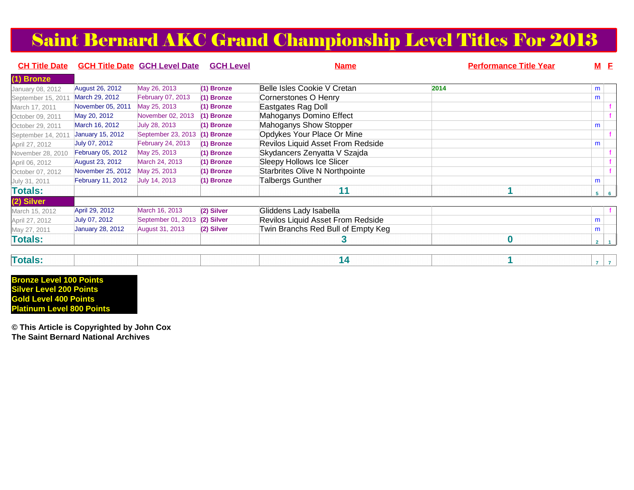### Saint Bernard AKC Grand Championship Level Titles For 2013

| <b>CH Title Date</b> |                         | <b>GCH Title Date GCH Level Date</b> | <b>GCH Level</b> | <b>Name</b>                           | <b>Performance Title Year</b> | $M$ E          |                |
|----------------------|-------------------------|--------------------------------------|------------------|---------------------------------------|-------------------------------|----------------|----------------|
| (1) Bronze           |                         |                                      |                  |                                       |                               |                |                |
| January 08, 2012     | <b>August 26, 2012</b>  | May 26, 2013                         | (1) Bronze       | Belle Isles Cookie V Cretan           | 2014                          | m              |                |
| September 15, 2011   | March 29, 2012          | February 07, 2013                    | $(1)$ Bronze     | Cornerstones O Henry                  |                               | m              |                |
| March 17, 2011       | November 05, 2011       | May 25, 2013                         | (1) Bronze       | Eastgates Rag Doll                    |                               |                |                |
| October 09, 2011     | May 20, 2012            | November 02, 2013                    | $(1)$ Bronze     | Mahoganys Domino Effect               |                               |                |                |
| October 29, 2011     | March 16, 2012          | July 28, 2013                        | $(1)$ Bronze     | Mahoganys Show Stopper                |                               | m              |                |
| September 14, 2011   | <b>January 15, 2012</b> | September 23, 2013                   | (1) Bronze       | Opdykes Your Place Or Mine            |                               |                |                |
| April 27, 2012       | July 07, 2012           | <b>February 24, 2013</b>             | $(1)$ Bronze     | Revilos Liquid Asset From Redside     |                               | m              |                |
| November 28, 2010    | February 05, 2012       | May 25, 2013                         | $(1)$ Bronze     | Skydancers Zenyatta V Szajda          |                               |                |                |
| April 06, 2012       | August 23, 2012         | March 24, 2013                       | $(1)$ Bronze     | Sleepy Hollows Ice Slicer             |                               |                |                |
| October 07, 2012     | November 25, 2012       | May 25, 2013                         | $(1)$ Bronze     | <b>Starbrites Olive N Northpointe</b> |                               |                |                |
| July 31, 2011        | February 11, 2012       | July 14, 2013                        | (1) Bronze       | Talbergs Gunther                      |                               | m              |                |
| <b>Totals:</b>       |                         |                                      |                  | 11                                    |                               | 5 <sup>1</sup> | 61             |
| (2) Silver           |                         |                                      |                  |                                       |                               |                |                |
| March 15, 2012       | April 29, 2012          | March 16, 2013                       | (2) Silver       | Gliddens Lady Isabella                |                               |                |                |
| April 27, 2012       | July 07, 2012           | September 01, 2013                   | (2) Silver       | Revilos Liquid Asset From Redside     |                               | m              |                |
| May 27, 2011         | <b>January 28, 2012</b> | August 31, 2013                      | (2) Silver       | Twin Branchs Red Bull of Empty Keg    |                               | m              |                |
| <b>Totals:</b>       |                         |                                      |                  |                                       | $\bf{0}$                      | $\overline{2}$ | $\overline{1}$ |
|                      |                         |                                      |                  |                                       |                               |                |                |

| лтаг |
|------|
|------|

**Bronze Level 100 Points Silver Level 200 Points Gold Level 400 PointsPlatinum Level 800 Points**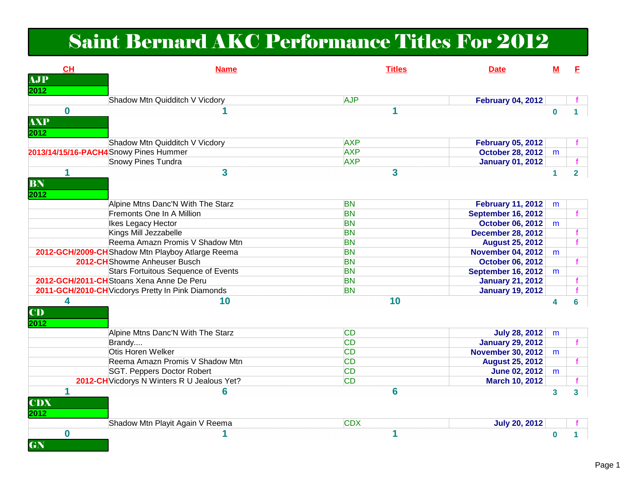### Saint Bernard AKC Performance Titles For 2012

| <b>CH</b><br><b>AJP</b>        | <b>Name</b>                                       | <b>Titles</b> | <b>Date</b>               | M        | E              |
|--------------------------------|---------------------------------------------------|---------------|---------------------------|----------|----------------|
| 2012                           |                                                   |               |                           |          |                |
|                                | Shadow Mtn Quidditch V Vicdory                    | <b>AJP</b>    | <b>February 04, 2012</b>  |          |                |
| $\bf{0}$<br><b>AXP</b><br>2012 | 1                                                 | 1             |                           | $\bf{0}$ |                |
|                                | Shadow Mtn Quidditch V Vicdory                    | <b>AXP</b>    | <b>February 05, 2012</b>  |          |                |
|                                | 2013/14/15/16-PACH4 Snowy Pines Hummer            | <b>AXP</b>    | <b>October 28, 2012</b>   | m        |                |
|                                | <b>Snowy Pines Tundra</b>                         | <b>AXP</b>    | <b>January 01, 2012</b>   |          | f              |
| 1<br>BN<br>2012                | $\overline{\mathbf{3}}$                           | 3             |                           | 1        | 2 <sup>7</sup> |
|                                | Alpine Mtns Danc'N With The Starz                 | <b>BN</b>     | <b>February 11, 2012</b>  | m        |                |
|                                | Fremonts One In A Million                         | <b>BN</b>     | September 16, 2012        |          |                |
|                                | Ikes Legacy Hector                                | <b>BN</b>     | <b>October 06, 2012</b>   | m        |                |
|                                | Kings Mill Jezzabelle                             | <b>BN</b>     | <b>December 28, 2012</b>  |          |                |
|                                | Reema Amazn Promis V Shadow Mtn                   | <b>BN</b>     | <b>August 25, 2012</b>    |          |                |
|                                | 2012-GCH/2009-CHShadow Mtn Playboy Atlarge Reema  | <b>BN</b>     | <b>November 04, 2012</b>  | m        |                |
|                                | 2012-CH Showme Anheuser Busch                     | <b>BN</b>     | <b>October 06, 2012</b>   |          |                |
|                                | <b>Stars Fortuitous Sequence of Events</b>        | <b>BN</b>     | <b>September 16, 2012</b> | m        |                |
|                                | 2012-GCH/2011-CHStoans Xena Anne De Peru          | <b>BN</b>     | <b>January 21, 2012</b>   |          | f.             |
|                                | 2011-GCH/2010-CH Vicdorys Pretty In Pink Diamonds | <b>BN</b>     | <b>January 19, 2012</b>   |          |                |
| 4<br>CD<br>2012                | 10                                                | 10            |                           | 4        | 6              |
|                                | Alpine Mtns Danc'N With The Starz                 | <b>CD</b>     | <b>July 28, 2012</b>      | m        |                |
|                                | Brandy                                            | <b>CD</b>     | <b>January 29, 2012</b>   |          |                |
|                                | Otis Horen Welker                                 | <b>CD</b>     | <b>November 30, 2012</b>  | m        |                |
|                                | Reema Amazn Promis V Shadow Mtn                   | <b>CD</b>     | <b>August 25, 2012</b>    |          | f.             |
|                                | <b>SGT. Peppers Doctor Robert</b>                 | <b>CD</b>     | <b>June 02, 2012</b>      | m        |                |
|                                | 2012-CH Vicdorys N Winters R U Jealous Yet?       | <b>CD</b>     | <b>March 10, 2012</b>     |          |                |
| 1<br><b>CDX</b><br>2012        | 6                                                 | 6             |                           | 3        | 3 <sup>1</sup> |
|                                | Shadow Mtn Playit Again V Reema                   | <b>CDX</b>    | <b>July 20, 2012</b>      |          |                |
| $\bf{0}$<br>GN                 | 1                                                 | 1             |                           | 0        |                |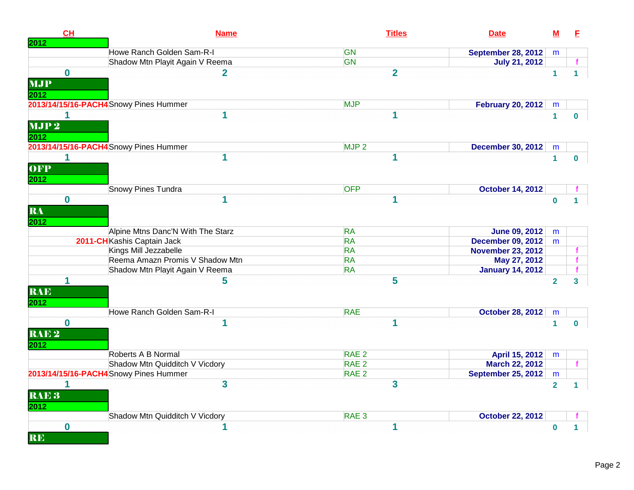| CH<br>2012               | <b>Name</b>                            | <b>Titles</b>           | <b>Date</b>               | $\underline{\mathsf{M}}$ | E              |
|--------------------------|----------------------------------------|-------------------------|---------------------------|--------------------------|----------------|
|                          | Howe Ranch Golden Sam-R-I              | <b>GN</b>               | September 28, 2012        | m                        |                |
|                          | Shadow Mtn Playit Again V Reema        | <b>GN</b>               | <b>July 21, 2012</b>      |                          |                |
| $\bf{0}$                 | $\mathbf 2$                            | $\overline{2}$          |                           | $\mathbf{1}$             | 1              |
| <b>MJP</b><br>2012       |                                        |                         |                           |                          |                |
|                          | 2013/14/15/16-PACH4 Snowy Pines Hummer | <b>MJP</b>              | <b>February 20, 2012</b>  | m                        |                |
| 1                        | 1                                      | 1                       |                           | $\mathbf{1}$             | 0              |
| MJP <sub>2</sub><br>2012 |                                        |                         |                           |                          |                |
|                          | 2013/14/15/16-PACH4 Snowy Pines Hummer | MJP <sub>2</sub>        | <b>December 30, 2012</b>  | m                        |                |
| 1                        | 1                                      | 1                       |                           | $\mathbf{1}$             | $\mathbf{0}$   |
| OFP<br>2012              |                                        |                         |                           |                          |                |
|                          | <b>Snowy Pines Tundra</b>              | <b>OFP</b>              | <b>October 14, 2012</b>   |                          |                |
| $\mathbf 0$              | 1                                      | 1                       |                           | $\bf{0}$                 |                |
| RA<br>2012               |                                        |                         |                           |                          |                |
|                          | Alpine Mtns Danc'N With The Starz      | <b>RA</b>               | <b>June 09, 2012</b>      | m                        |                |
|                          | 2011-CHKashis Captain Jack             | <b>RA</b>               | <b>December 09, 2012</b>  | m                        |                |
|                          | Kings Mill Jezzabelle                  | <b>RA</b>               | <b>November 23, 2012</b>  |                          |                |
|                          | Reema Amazn Promis V Shadow Mtn        | <b>RA</b>               | May 27, 2012              |                          | f              |
|                          | Shadow Mtn Playit Again V Reema        | <b>RA</b>               | <b>January 14, 2012</b>   |                          |                |
| 1<br><b>RAE</b><br>2012  | 5                                      | 5                       |                           | $\overline{2}$           | 3 <sup>1</sup> |
|                          | Howe Ranch Golden Sam-R-I              | <b>RAE</b>              | <b>October 28, 2012</b>   | m                        |                |
| $\mathbf{0}$             | 1                                      | 1                       |                           | $\mathbf{1}$             | $\mathbf{0}$   |
| RAE <sub>2</sub><br>2012 |                                        |                         |                           |                          |                |
|                          | Roberts A B Normal                     | RAE <sub>2</sub>        | April 15, 2012            | m                        |                |
|                          | Shadow Mtn Quidditch V Vicdory         | RAE <sub>2</sub>        | March 22, 2012            |                          | f.             |
|                          | 2013/14/15/16-PACH4 Snowy Pines Hummer | RAE <sub>2</sub>        | <b>September 25, 2012</b> | m                        |                |
| 1                        | $\overline{\mathbf{3}}$                | $\overline{\mathbf{3}}$ |                           | $\overline{2}$           | $\mathbf 1$    |
| RAE <sub>3</sub><br>2012 |                                        |                         |                           |                          |                |
|                          | Shadow Mtn Quidditch V Vicdory         | RAE <sub>3</sub>        | <b>October 22, 2012</b>   |                          |                |
| $\bf{0}$<br><b>RE</b>    | 1                                      | 1                       |                           | $\mathbf{0}$             | 1              |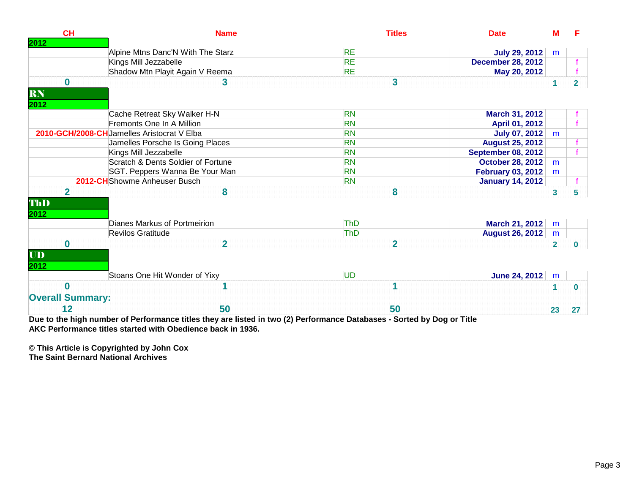| CH                      | <b>Name</b>                                 | <b>Titles</b>  | <b>Date</b>               | <u>M</u>     | E              |
|-------------------------|---------------------------------------------|----------------|---------------------------|--------------|----------------|
| 2012                    |                                             |                |                           |              |                |
|                         | Alpine Mtns Danc'N With The Starz           | <b>RE</b>      | <b>July 29, 2012</b>      | m            |                |
|                         | Kings Mill Jezzabelle                       | <b>RE</b>      | <b>December 28, 2012</b>  |              |                |
|                         | Shadow Mtn Playit Again V Reema             | <b>RE</b>      | May 20, 2012              |              |                |
| $\mathbf 0$             | 3                                           | 3              |                           |              | $\overline{2}$ |
| RN                      |                                             |                |                           |              |                |
| 2012                    |                                             |                |                           |              |                |
|                         | Cache Retreat Sky Walker H-N                | <b>RN</b>      | March 31, 2012            |              |                |
|                         | Fremonts One In A Million                   | <b>RN</b>      | <b>April 01, 2012</b>     |              |                |
|                         | 2010-GCH/2008-CH Jamelles Aristocrat V Elba | <b>RN</b>      | <b>July 07, 2012</b>      | m            |                |
|                         | Jamelles Porsche Is Going Places            | <b>RN</b>      | <b>August 25, 2012</b>    |              |                |
|                         | Kings Mill Jezzabelle                       | <b>RN</b>      | <b>September 08, 2012</b> |              |                |
|                         | Scratch & Dents Soldier of Fortune          | <b>RN</b>      | <b>October 28, 2012</b>   | m            |                |
|                         | SGT. Peppers Wanna Be Your Man              | <b>RN</b>      | <b>February 03, 2012</b>  | m            |                |
|                         | 2012-CHShowme Anheuser Busch                | <b>RN</b>      | <b>January 14, 2012</b>   |              |                |
| $\overline{2}$          | 8                                           | 8              |                           | $\mathbf{3}$ | 5              |
| ThD                     |                                             |                |                           |              |                |
| 2012                    |                                             |                |                           |              |                |
|                         | Dianes Markus of Portmeirion                | <b>ThD</b>     | <b>March 21, 2012</b>     | m            |                |
|                         | <b>Revilos Gratitude</b>                    | <b>ThD</b>     | <b>August 26, 2012</b>    | m            |                |
| $\bf{0}$                | $\overline{2}$                              | $\overline{2}$ |                           | $\mathbf{2}$ | $\mathbf 0$    |
| $\overline{\mathbf{U}}$ |                                             |                |                           |              |                |
| 2012                    |                                             |                |                           |              |                |
|                         | Stoans One Hit Wonder of Yixy               | <b>UD</b>      | <b>June 24, 2012</b>      |              |                |
|                         |                                             |                |                           | m            |                |
| $\bf{0}$                |                                             |                |                           | 1            | 0              |
| <b>Overall Summary:</b> |                                             |                |                           |              |                |
| 12                      | 50                                          | 50             |                           | 23           | 27             |

**Due to the high number of Performance titles they are listed in two (2) Performance Databases - Sorted by Dog or TitleAKC Performance titles started with Obedience back in 1936.**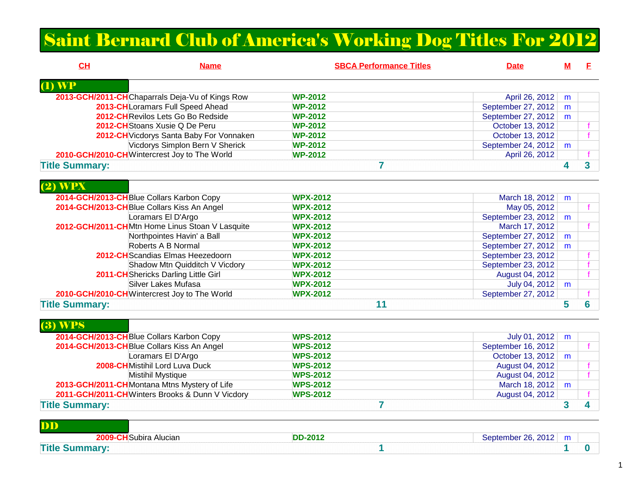### Saint Bernard Club of America's Working Dog Titles For 2012

| CL<br><b>Name</b>                         |                                                 | <b>SBCA Performance Titles</b> | <b>Date</b>        | $M$ | Е                       |
|-------------------------------------------|-------------------------------------------------|--------------------------------|--------------------|-----|-------------------------|
| $\overline{(\mathbf{l})}$ WP              |                                                 |                                |                    |     |                         |
|                                           | 2013-GCH/2011-CHChaparrals Deja-Vu of Kings Row | <b>WP-2012</b>                 | April 26, 2012     | m   |                         |
|                                           | 2013-CH Loramars Full Speed Ahead               | <b>WP-2012</b>                 | September 27, 2012 | m   |                         |
|                                           | 2012-CH Revilos Lets Go Bo Redside              | <b>WP-2012</b>                 | September 27, 2012 | m   |                         |
|                                           | 2012-CH Stoans Xusie Q De Peru                  | <b>WP-2012</b>                 | October 13, 2012   |     | f                       |
|                                           | 2012-CH Vicdorys Santa Baby For Vonnaken        | <b>WP-2012</b>                 | October 13, 2012   |     | $\mathbf{f}$            |
|                                           | Vicdorys Simplon Bern V Sherick                 | <b>WP-2012</b>                 | September 24, 2012 | m   |                         |
|                                           | 2010-GCH/2010-CHWintercrest Joy to The World    | <b>WP-2012</b>                 | April 26, 2012     |     |                         |
| <b>Title Summary:</b>                     |                                                 | 7                              |                    | 4   | $\overline{\mathbf{3}}$ |
| $(2)$ WPX                                 |                                                 |                                |                    |     |                         |
| 2014-GCH/2013-CH Blue Collars Karbon Copy |                                                 | <b>WPX-2012</b>                | March 18, 2012     | m   |                         |
|                                           | 2014-GCH/2013-CHBlue Collars Kiss An Angel      | <b>WPX-2012</b>                | May 05, 2012       |     |                         |
|                                           | Loramars El D'Argo                              | <b>WPX-2012</b>                | September 23, 2012 | m   |                         |
|                                           | 2012-GCH/2011-CHMtn Home Linus Stoan V Lasquite | <b>WPX-2012</b>                | March 17, 2012     |     |                         |
|                                           | Northpointes Havin' a Ball                      | <b>WPX-2012</b>                | September 27, 2012 | m   |                         |
|                                           | Roberts A B Normal                              | <b>WPX-2012</b>                | September 27, 2012 | m   |                         |
|                                           | 2012-CH Scandias Elmas Heezedoorn               | <b>WPX-2012</b>                | September 23, 2012 |     |                         |
|                                           | Shadow Mtn Quidditch V Vicdory                  | <b>WPX-2012</b>                | September 23, 2012 |     |                         |
|                                           | 2011-CH Shericks Darling Little Girl            | <b>WPX-2012</b>                | August 04, 2012    |     |                         |
|                                           | <b>Silver Lakes Mufasa</b>                      | <b>WPX-2012</b>                | July 04, 2012      | m   |                         |
|                                           | 2010-GCH/2010-CHWintercrest Joy to The World    | <b>WPX-2012</b>                | September 27, 2012 |     |                         |
| <b>Title Summary:</b>                     |                                                 | 11                             |                    | 5   | 6                       |
| $(3)$ WPS                                 |                                                 |                                |                    |     |                         |
| 2014-GCH/2013-CH Blue Collars Karbon Copy |                                                 | <b>WPS-2012</b>                | July 01, 2012      | m   |                         |
|                                           | 2014-GCH/2013-CHBlue Collars Kiss An Angel      | <b>WPS-2012</b>                | September 16, 2012 |     | $\mathbf{f}$            |
|                                           | Loramars El D'Argo                              | <b>WPS-2012</b>                | October 13, 2012   | m   |                         |
|                                           | 2008-CHMistihil Lord Luva Duck                  | <b>WPS-2012</b>                | August 04, 2012    |     |                         |
|                                           | Mistihil Mystique                               | <b>WPS-2012</b>                | August 04, 2012    |     |                         |
|                                           | 2013-GCH/2011-CHMontana Mtns Mystery of Life    | <b>WPS-2012</b>                | March 18, 2012     | m   |                         |
|                                           | 2011-GCH/2011-CHWinters Brooks & Dunn V Vicdory | <b>WPS-2012</b>                | August 04, 2012    |     |                         |
| <b>Title Summary:</b>                     |                                                 | 7                              |                    | 3   | 4                       |

**Title Summary:7 3 4** 

| DD                 |  |                |                                 |
|--------------------|--|----------------|---------------------------------|
| ⊦Alucian<br>Subira |  | <b>DD-2012</b> | 0010<br>- Santamhar 28 Stu<br>. |
|                    |  |                |                                 |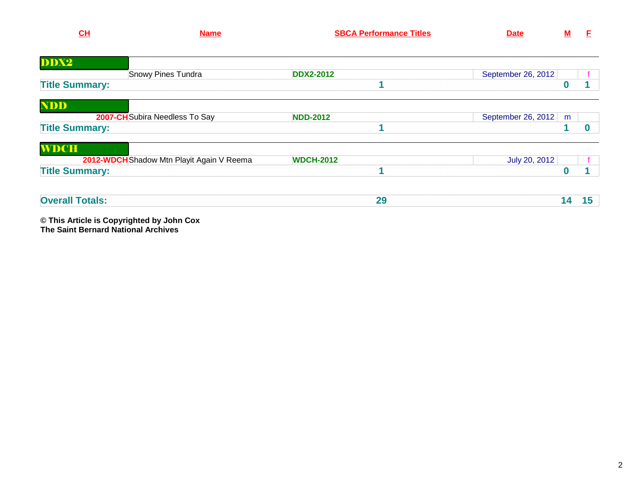| - -<br>. . | ----<br><b>Titles</b><br>mence<br>. | . |  |
|------------|-------------------------------------|---|--|
|            |                                     |   |  |

| DDX2                   |                                           |                  |                         |    |
|------------------------|-------------------------------------------|------------------|-------------------------|----|
|                        | Snowy Pines Tundra                        | <b>DDX2-2012</b> | September 26, 2012      |    |
| <b>Title Summary:</b>  |                                           |                  |                         |    |
| <b>NDD</b>             |                                           |                  |                         |    |
|                        | 2007-CH Subira Needless To Say            | <b>NDD-2012</b>  | September 26, 2012<br>m |    |
| <b>Title Summary:</b>  |                                           |                  |                         |    |
| <b>WDCH</b>            |                                           |                  |                         |    |
|                        | 2012-WDCH Shadow Mtn Playit Again V Reema | <b>WDCH-2012</b> | July 20, 2012           |    |
| <b>Title Summary:</b>  |                                           |                  |                         |    |
| <b>Overall Totals:</b> |                                           | 29               | 14                      | 15 |

**© This Article is Copyrighted by John Cox The Saint Bernard National Archives**

**M F**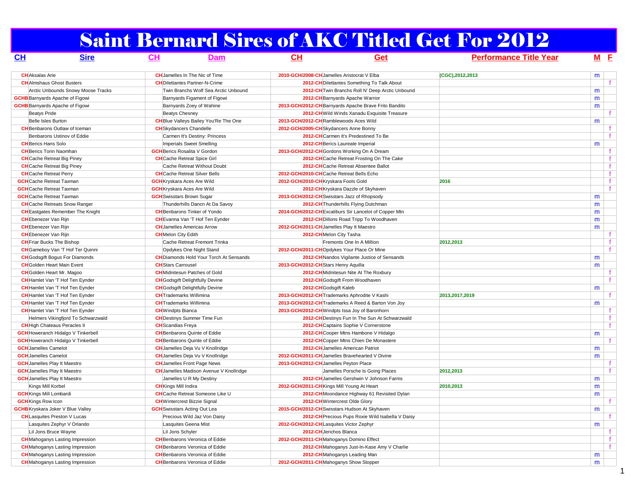## Saint Bernard Sires of AKC Titled Get For 2012

| CH                                       | <b>Sire</b>                               | CH                               | Dam                                            | CL                                              | Get                                                    | <b>Performance Title Year</b> | $M$ E |              |
|------------------------------------------|-------------------------------------------|----------------------------------|------------------------------------------------|-------------------------------------------------|--------------------------------------------------------|-------------------------------|-------|--------------|
| <b>CH</b> Aksalas Arie                   |                                           |                                  | <b>CH</b> Jamelles In The Nic of Time          | 2010-GCH/2008-CH Jamelles Aristocrat V Elba     |                                                        | (CGC), 2012, 2013             | m     |              |
| <b>CH</b> Almshaus Ghost Busters         |                                           |                                  | <b>CH</b> Dilettantes Partner-N-Crime          |                                                 | 2012-CH Dilettantes Something To Talk About            |                               |       |              |
|                                          | Arctic Unbounds Snowy Moose Tracks        |                                  | Twin Branchs Wolf Sea Arctic Unbound           |                                                 | 2012-CH Twin Branchs Roll N' Deep Arctic Unbound       |                               | m     |              |
| <b>GCHB</b> Barnyards Apache of Figowi   |                                           |                                  | Barnyards Figament of Figowi                   |                                                 | 2012-CH Barnyards Apache Warrior                       |                               | m     |              |
| <b>GCHB</b> Barnyards Apache of Figowi   |                                           |                                  | Barnyards Zoey of Wahine                       |                                                 | 2013-GCH/2012-CH Barnyards Apache Brave Frito Bandito  |                               | m     |              |
| <b>Beatys Pride</b>                      |                                           | <b>Beatys Chesney</b>            |                                                |                                                 | 2012-CH Wild Winds Xanadu Exquisite Treasure           |                               |       | $\mathbf{f}$ |
| Belle Isles Burton                       |                                           |                                  | <b>CH</b> Blue Valleys Bailey You'Re The One   | 2013-GCH/2012-CH Ramblewoods Aces Wild          |                                                        |                               | m     |              |
|                                          | <b>CH</b> Benbarons Outlaw of Iceman      |                                  | <b>CH</b> Skydancers Chandelle                 | 2012-GCH/2005-CH Skydancers Anne Bonny          |                                                        |                               |       | f            |
|                                          | Benbarons Ustinov of Eddie                |                                  | Carmen It's Destiny: Princess                  |                                                 | 2012-CHCarmen It's Predestined To Be                   |                               |       | f.           |
| <b>CH</b> Berics Hans Solo               |                                           |                                  | Imperials Sweet Smelling                       | 2012-CH Berics Laureate Imperial                |                                                        |                               | m     |              |
| <b>CH</b> Berics Torin Naomhan           |                                           |                                  | <b>GCH</b> Berics Rosalita V Gordon            | 2013-GCH/2012-CH Gordons Working On A Dream     |                                                        |                               |       | f            |
| <b>CH</b> Cache Retreat Big Piney        |                                           |                                  | <b>CH</b> Cache Retreat Spice Girl             |                                                 | 2012-CH Cache Retreat Frosting On The Cake             |                               |       | f            |
| <b>CH</b> Cache Retreat Big Piney        |                                           |                                  | Cache Retreat Without Doubt                    |                                                 | 2012-CHCache Retreat Absentee Ballot                   |                               |       | f.           |
| <b>CH</b> Cache Retreat Perry            |                                           |                                  | <b>CH</b> Cache Retreat Silver Bells           | 2012-GCH/2010-CHCache Retreat Bells Echo        |                                                        |                               |       | f            |
| <b>GCH</b> Cache Retreat Taxman          |                                           |                                  | <b>GCH</b> Kryskara Aces Are Wild              | 2012-GCH/2010-CH Kryskara Fools Gold            |                                                        | 2016                          |       | f            |
| <b>GCH</b> Cache Retreat Taxman          |                                           |                                  | <b>GCH</b> Kryskara Aces Are Wild              |                                                 | 2012-CH Kryskara Dazzle of Skyhaven                    |                               |       | f            |
| <b>GCH</b> Cache Retreat Taxman          |                                           | <b>GCH</b> Swisstars Brown Sugar |                                                | 2013-GCH/2012-CH Swisstars Jazz of Rhopsody     |                                                        |                               | m     |              |
|                                          | <b>CH</b> Cache Retreats Snow Ranger      |                                  | Thunderhills Dancn At Da Savoy                 |                                                 | 2012-CH Thunderhills Flying Dutchman                   |                               | m     |              |
|                                          | <b>CH</b> Eastgates Remember The Knight   |                                  | <b>CH</b> Benbarons Tinker of Yondo            |                                                 | 2014-GCH/2012-CH Excaliburs Sir Lancelot of Copper Mtn |                               | m     |              |
| <b>CH</b> Ebenezer Van Rijn              |                                           |                                  | <b>CH</b> Evanna Van 'T Hof Ten Eynder         |                                                 | 2012-CH Dillons Road Tripp To Woodhaven                |                               | m     |              |
| <b>CH</b> Ebenezer Van Rijn              |                                           |                                  | <b>CH</b> Jamelles Americas Arrow              | 2012-GCH/2011-CH Jamelles Play It Maestro       |                                                        |                               | m     |              |
| <b>CH</b> Ebenezer Van Rijn              |                                           | <b>CH</b> Melon City Edith       |                                                | 2012-CH Melon City Tasha                        |                                                        |                               |       |              |
| <b>CH</b> Friar Bucks The Bishop         |                                           |                                  | Cache Retreat Fremont Trinka                   |                                                 | Fremonts One In A Million                              | 2012,2013                     |       | $\mathbf{f}$ |
|                                          | <b>CH</b> Gameboy Van 'T Hof Ter Quinni   |                                  | Opdykes One Night Stand                        | 2012-GCH/2011-CHOpdykes Your Place Or Mine      |                                                        |                               |       | f            |
|                                          | <b>CH</b> Godsgift Bogus For Diamonds     |                                  | <b>CH</b> Diamonds Hold Your Torch At Sensands |                                                 | 2012-CH Nandos Vigilante Justice of Sensands           |                               | m     |              |
| <b>CH</b> Golden Heart Main Event        |                                           | <b>CH</b> Stars Carrousel        |                                                | 2013-GCH/2012-CH Stars Henry Aquilla            |                                                        |                               | m     |              |
| <b>CH</b> Golden Heart Mr. Magoo         |                                           |                                  | <b>CH</b> Midnitesun Patches of Gold           |                                                 | 2012-CH Midnitesun Nite At The Roxbury                 |                               |       | f            |
|                                          | <b>CH</b> Hamlet Van 'T Hof Ten Eynder    |                                  | <b>CH</b> Godsgift Delightfully Devine         |                                                 | 2012-CH Godsgift From Woodhaven                        |                               |       | f            |
|                                          | <b>CH</b> Hamlet Van 'T Hof Ten Eynder    |                                  | <b>CH</b> Godsgift Delightfully Devine         | 2012-CH Godsgift Kaleb                          |                                                        |                               | m     |              |
|                                          | <b>CH</b> Hamlet Van 'T Hof Ten Eynder    | <b>CH</b> Trademarks Willimina   |                                                | 2013-GCH/2012-CH Trademarks Aphrodite V Kashi   |                                                        | 2013,2017,2019                |       | f            |
|                                          | <b>CH</b> Hamlet Van 'T Hof Ten Eynder    | <b>CH</b> Trademarks Willimina   |                                                |                                                 | 2013-GCH/2012-CH Trademarks A Reed & Barton Von Joy    |                               | m     |              |
|                                          | <b>CH</b> Hamlet Van 'T Hof Ten Eynder    | <b>CH</b> Windpts Bianca         |                                                | 2013-GCH/2012-CH Windpts Issa Joy of Baronhorn  |                                                        |                               |       | f            |
|                                          | Helmers Vikingfjord To Schwarzwald        |                                  | <b>CH</b> Destinys Summer Time Fun             |                                                 | 2012-CH Destinys Fun In The Sun At Schwarzwald         |                               |       | f            |
|                                          | <b>CH</b> High Chateaus Peracles II       | <b>CH</b> Scandias Freya         |                                                |                                                 | 2012-CH Captains Sophie V Cornerstone                  |                               |       | $\mathbf{f}$ |
|                                          | <b>GCH</b> Howeranch Hidalgo V Tinkerbell |                                  | <b>CH</b> Benbarons Quinte of Eddie            |                                                 | 2012-CH Cooper Mtns Hambone V Hidalgo                  |                               | m     |              |
|                                          | <b>GCH</b> Howeranch Hidalgo V Tinkerbell |                                  | <b>CH</b> Benbarons Quinte of Eddie            |                                                 | 2012-CH Copper Mtns Chien De Monastere                 |                               |       |              |
| <b>GCH</b> Jamelles Camelot              |                                           |                                  | <b>CH</b> Jamelles Deja Vu V Knollridge        |                                                 | 2012-CH Jamelles American Patriot                      |                               | m     |              |
| <b>GCH</b> Jamelles Camelot              |                                           |                                  | <b>CH</b> Jamelles Deja Vu V Knollridge        | 2012-GCH/2011-CH Jamelles Bravehearted V Divine |                                                        |                               | m     |              |
| <b>GCH</b> Jamelles Play It Maestro      |                                           |                                  | <b>CH</b> Jamelles Front Page News             | 2013-GCH/2012-CH Jamelles Peyton Place          |                                                        |                               |       | f            |
| <b>GCH</b> Jamelles Play It Maestro      |                                           |                                  | <b>CH</b> Jamelles Madison Avenue V Knollridge |                                                 | Jamelles Porsche Is Going Places                       | 2012,2013                     |       | f.           |
| <b>GCH</b> Jamelles Play It Maestro      |                                           |                                  | Jamelles U R My Destiny                        |                                                 | 2012-CH Jamelles Gershwin V Johnson Farms              |                               | m     |              |
| Kings Mill Korbel                        |                                           | <b>CH</b> Kings Mill Indira      |                                                | 2012-GCH/2011-CH Kings Mill Young At Heart      |                                                        | 2010,2013                     | m     |              |
| <b>GCH</b> Kings Mill Lombardi           |                                           |                                  | <b>CH</b> Cache Retreat Someone Like U         |                                                 | 2012-CH Moondance Highway 61 Revisited Dylan           |                               | m     |              |
| <b>GCH</b> Kings Row Icon                |                                           |                                  | <b>CH</b> Wintercrest Bizzie Signal            | 2012-CH Wintercrest Olde Glory                  |                                                        |                               |       |              |
| <b>GCHB</b> Kryskara Joker V Blue Valley |                                           |                                  | <b>GCH</b> Swisstars Acting Out Lea            | 2015-GCH/2012-CH Swisstars Hudson At Skyhaven   |                                                        |                               | m     |              |
|                                          | <b>CH</b> Lasquites Preston V Lucas       |                                  | Precious Wild Jaz Von Daisy                    |                                                 | 2012-CH Precious Pups Roxie Wild Isabella V Daisy      |                               |       |              |
|                                          | Lasquites Zephyr V Orlando                |                                  | Lasquites Geena Mist                           | 2012-GCH/2012-CHLasquites Victor Zephyr         |                                                        |                               | m     |              |
| Lil Jons Bruce Wayne                     |                                           | Lil Jons Schyler                 |                                                | 2012-CH Jerichos Blanca                         |                                                        |                               |       | f.           |
|                                          | <b>CH</b> Mahoganys Lasting Impression    |                                  | <b>CH</b> Benbarons Veronica of Eddie          | 2012-GCH/2011-CH Mahoganys Domino Effect        |                                                        |                               |       | f.           |
|                                          | <b>CH</b> Mahoganys Lasting Impression    |                                  | <b>CH</b> Benbarons Veronica of Eddie          |                                                 | 2012-CH Mahoganys Just-In-Kase Amy V Charlie           |                               |       |              |
|                                          | <b>CH</b> Mahoganys Lasting Impression    |                                  | <b>CH</b> Benbarons Veronica of Eddie          |                                                 | 2012-CH Mahoganys Leading Man                          |                               | m     |              |
|                                          | <b>CH</b> Mahoganys Lasting Impression    |                                  | <b>CH</b> Benbarons Veronica of Eddie          | 2012-GCH/2011-CH Mahoganys Show Stopper         |                                                        |                               | m     |              |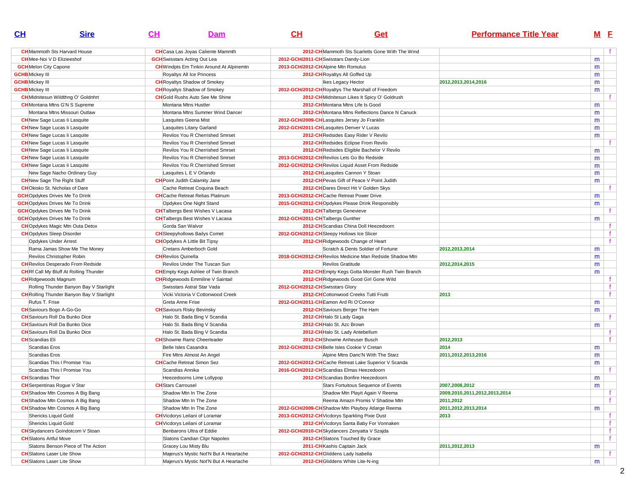| $\mathbf{C}$ H                                                               | <b>Sire</b>                                      | <u>CH</u>                                | Dam                                             | $\mathbf{C}$ H                     | <b>Get</b>                                               | <b>Performance Title Year</b> |   | M E          |
|------------------------------------------------------------------------------|--------------------------------------------------|------------------------------------------|-------------------------------------------------|------------------------------------|----------------------------------------------------------|-------------------------------|---|--------------|
|                                                                              | <b>CH</b> Mammoth Sts Harvard House              | <b>CH</b> Casa Las Joyas Caliente Mammth |                                                 |                                    | 2012-CH Mammoth Sts Scarletts Gone With The Wind         |                               |   |              |
| <b>CH</b> Mee-Noi V D Elizieeshof                                            |                                                  | <b>GCH</b> Swisstars Acting Out Lea      |                                                 |                                    | 2012-GCH/2011-CH Swisstars Dandy-Lion                    |                               | m |              |
| <b>GCH</b> Melon City Capone                                                 |                                                  |                                          | <b>CH</b> Windpts Em Tinkin Around At Alpinemtn | 2013-GCH/2012-CHAlpine Mtn Romulus |                                                          |                               | m |              |
| <b>GCHB</b> Mickey III                                                       |                                                  | Royaltys All Ice Princess                |                                                 |                                    | 2012-CH Royaltys All Goffed Up                           |                               | m |              |
| <b>GCHB</b> Mickey III                                                       |                                                  | <b>CH</b> Royaltys Shadow of Smokey      |                                                 |                                    | Ikes Legacy Hector                                       | 2012, 2013, 2014, 2016        | m |              |
| <b>GCHB</b> Mickey III                                                       |                                                  | <b>CH</b> Royaltys Shadow of Smokey      |                                                 |                                    | 2012-GCH/2012-CH Royaltys The Marshall of Freedom        |                               | m |              |
|                                                                              | <b>CH</b> Midnitesun Wildthng O' Goldnhrt        | <b>CH</b> Gold Rushs Auto See Me Shine   |                                                 |                                    | 2012-CH Midnitesun Likes It Spicy O' Goldrush            |                               |   |              |
|                                                                              | <b>CH</b> Montana Mtns G'N S Supreme             | Montana Mtns Hustler                     |                                                 |                                    | 2012-CH Montana Mtns Life Is Good                        |                               |   |              |
|                                                                              | Montana Mtns Missouri Outlaw                     |                                          | Montana Mtns Summer Wind Dancer                 |                                    | 2012-CH Montana Mtns Reflections Dance N Canuck          |                               | m |              |
|                                                                              |                                                  |                                          |                                                 |                                    | 2012-GCH/2009-CHLasquites Jersey Jo Franklin             |                               | m |              |
| <b>CH</b> New Sage Lucas li Lasquite                                         |                                                  | Lasquites Geena Mist                     |                                                 |                                    | 2012-GCH/2011-CHLasquites Denver V Lucas                 |                               | m |              |
| <b>CH</b> New Sage Lucas li Lasquite                                         |                                                  | Lasquites Litany Garland                 |                                                 |                                    |                                                          |                               | m |              |
| <b>CH</b> New Sage Lucas li Lasquite<br><b>CH</b> New Sage Lucas li Lasquite |                                                  |                                          | Revilos You R Cherrished Smrset                 |                                    | 2012-CH Redsides Easy Rider V Revilo                     |                               | m |              |
|                                                                              |                                                  |                                          | Revilos You R Cherrished Smrset                 |                                    | 2012-CHRedsides Eclipse From Revilo                      |                               |   |              |
| <b>CH</b> New Sage Lucas li Lasquite                                         |                                                  |                                          | Revilos You R Cherrished Smrset                 |                                    | 2012-CH Redsides Eligible Bachelor V Revilo              |                               | m |              |
| <b>CH</b> New Sage Lucas li Lasquite                                         |                                                  |                                          | Revilos You R Cherrished Smrset                 |                                    | 2013-GCH/2012-CHRevilos Lets Go Bo Redside               |                               | m |              |
| <b>CH</b> New Sage Lucas li Lasquite                                         |                                                  |                                          | Revilos You R Cherrished Smrset                 |                                    | 2012-GCH/2012-CHRevilos Liquid Asset From Redside        |                               | m |              |
|                                                                              | New Sage Nacho Ordinary Guy                      | Lasquites L E V Orlando                  |                                                 |                                    | 2012-CHLasquites Cannon Y Stoan                          |                               | m |              |
| <b>CH</b> New Sage The Right Stuff                                           |                                                  | <b>CH</b> Point Judith Calamity Jane     |                                                 |                                    | 2012-CH Pevas Gift of Peace V Point Judith               |                               | m |              |
| <b>CH</b> Okisko St. Nicholas of Dare                                        |                                                  | Cache Retreat Coquina Beach              |                                                 |                                    | 2012-CH Dares Direct Hit V Golden Skys                   |                               |   | f.           |
| <b>GCH</b> Opdykes Drives Me To Drink                                        |                                                  | <b>CH</b> Cache Retreat Rebas Platinum   |                                                 |                                    | 2013-GCH/2012-CHCache Retreat Power Drive                |                               | m |              |
| <b>GCH</b> Opdykes Drives Me To Drink                                        |                                                  | Opdykes One Night Stand                  |                                                 |                                    | 2015-GCH/2012-CHOpdykes Please Drink Responsibly         |                               | m |              |
| <b>GCH</b> Opdykes Drives Me To Drink                                        |                                                  | <b>CH</b> Talbergs Best Wishes V Lacasa  |                                                 |                                    | 2012-CH Talbergs Genevieve                               |                               |   |              |
| <b>GCH</b> Opdykes Drives Me To Drink                                        |                                                  | <b>CH</b> Talbergs Best Wishes V Lacasa  |                                                 | 2012-GCH/2011-CH Talbergs Gunther  |                                                          |                               | m |              |
|                                                                              | <b>CH</b> Opdykes Magic Mtn Outa Detox           | Gorda San Walvor                         |                                                 |                                    | 2012-CH Scandias China Doll Heezedoorn                   |                               |   | f            |
| <b>CH</b> Opdykes Sleep Disorder                                             |                                                  | <b>CH</b> Sleepyhollows Bailys Comet     |                                                 |                                    | 2012-GCH/2012-CH Sleepy Hollows Ice Slicer               |                               |   | $\mathbf{f}$ |
| Opdykes Under Arrest                                                         |                                                  | <b>CH</b> Opdykes A Little Bit Tipsy     |                                                 |                                    | 2012-CH Ridgewoods Change of Heart                       |                               |   | $\mathbf{f}$ |
|                                                                              | Rama Jamas Show Me The Money                     | Cretans Amberboch Gold                   |                                                 |                                    | Scratch & Dents Soldier of Fortune                       | 2012.2013.2014                | m |              |
|                                                                              | Revilos Christopher Robin                        | <b>CH</b> Revilos Quinella               |                                                 |                                    | 2018-GCH/2012-CH Revilos Medicine Man Redside Shadow Mtn |                               | m |              |
|                                                                              | <b>CH</b> Revilos Desperado From Redside         | Revilos Under The Tuscan Sun             |                                                 |                                    | Revilos Gratitude                                        | 2012,2014,2015                | m |              |
|                                                                              | <b>CH</b> Rf Call My Bluff At Rolling Thunder    |                                          | <b>CH</b> Empty Kegs Ashlee of Twin Branch      |                                    | 2012-CH Empty Kegs Gotta Monster Rush Twin Branch        |                               | m |              |
| <b>CH</b> Ridgewoods Magnum                                                  |                                                  | <b>CH</b> Ridgewoods Emmiline V Saintail |                                                 |                                    | 2012-CH Ridgewoods Good Girl Gone Wild                   |                               |   | f.           |
|                                                                              | Rolling Thunder Banyon Bay V Starlight           | Swisstars Astral Star Vada               |                                                 | 2012-GCH/2012-CH Swisstars Glory   |                                                          |                               |   | f            |
|                                                                              | <b>CH</b> Rolling Thunder Banyon Bay V Starlight |                                          | Vicki Victoria V Cottonwood Creek               |                                    | 2012-CHCottonwood Creeks Tutti Frutti                    | 2013                          |   | f            |
| Rufus T. Frise                                                               |                                                  | Greta Anne Frise                         |                                                 |                                    | 2012-GCH/2011-CHEamon Ard Ri O'Connor                    |                               | m |              |
| <b>CH</b> Saviours Bogo A-Go-Go                                              |                                                  | <b>CH</b> Saviours Risky Bevinsky        |                                                 |                                    | 2012-CH Saviours Berger The Ham                          |                               | m |              |
|                                                                              | <b>CH</b> Saviours Roll Da Bunko Dice            | Halo St. Bada Bing V Scandia             |                                                 |                                    | 2012-CH Halo St Lady Gaga                                |                               |   | f            |
|                                                                              | <b>CH</b> Saviours Roll Da Bunko Dice            | Halo St. Bada Bing V Scandia             |                                                 |                                    | 2012-CH Halo St. Azc Brown                               |                               | m |              |
| <b>CH</b> Saviours Roll Da Bunko Dice                                        |                                                  | Halo St. Bada Bing V Scandia             |                                                 |                                    | 2012-CH Halo St. Lady Antebellum                         |                               |   | f            |
| <b>CH</b> Scandias Eli                                                       |                                                  | <b>CH</b> Showme Ramz Cheerleader        |                                                 |                                    | 2012-CH Showme Anheuser Busch                            | 2012,2013                     |   |              |
| Scandias Eros                                                                |                                                  | Belle Isles Casandra                     |                                                 |                                    | 2012-GCH/2012-CH Belle Isles Cookie V Cretan             | 2014                          | m |              |
| Scandias Eros                                                                |                                                  | Fire Mtns Almost An Angel                |                                                 |                                    | Alpine Mtns Danc'N With The Starz                        | 2011,2012,2013,2016           | m |              |
|                                                                              | Scandias This I Promise You                      | <b>CH</b> Cache Retreat Simon Sez        |                                                 |                                    | 2012-GCH/2012-CHCache Retreat Lake Superior V Scanda     |                               | m |              |
|                                                                              | Scandias This I Promise You                      | Scandias Annika                          |                                                 |                                    | 2016-GCH/2012-CH Scandias Elmas Heezedoorn               |                               |   |              |
| <b>CH</b> Scandias Thor                                                      |                                                  | Heezedoorns Lime Lollypop                |                                                 |                                    | 2012-CH Scandias Bonfire Heezedoorn                      |                               | m |              |
| <b>CH</b> Serpentinas Rogue V Star                                           |                                                  | <b>CH</b> Stars Carrousel                |                                                 |                                    | Stars Fortuitous Sequence of Events                      | 2007.2008.2012                | m |              |
|                                                                              | <b>CH</b> Shadow Mtn Cosmos A Big Bang           | Shadow Mtn In The Zone                   |                                                 |                                    | Shadow Mtn Playit Again V Reema                          | 2009,2010,2011,2012,2013,2014 |   |              |
|                                                                              | <b>CH</b> Shadow Mtn Cosmos A Big Bang           | Shadow Mtn In The Zone                   |                                                 |                                    | Reema Amazn Promis V Shadow Mtn                          | 2011,2012                     |   | f            |
|                                                                              | <b>CH</b> Shadow Mtn Cosmos A Big Bang           | Shadow Mtn In The Zone                   |                                                 |                                    | 2012-GCH/2009-CH Shadow Mtn Playboy Atlarge Reema        | 2011,2012,2013,2014           | m |              |
| Shericks Liquid Gold                                                         |                                                  | <b>CH</b> Vicdorys Leilani of Loramar    |                                                 |                                    | 2013-GCH/2012-CH Vicdorys Sparkling Pixie Dust           | 2013                          |   | f            |
| Shericks Liquid Gold                                                         |                                                  | <b>CH</b> Vicdorys Leilani of Loramar    |                                                 |                                    | 2012-CH Vicdorys Santa Baby For Vonnaken                 |                               |   | f            |
|                                                                              | <b>CH</b> Skydancers Goindotcom V Stoan          | Benbarons Ultra of Eddie                 |                                                 |                                    | 2012-GCH/2010-CH Skydancers Zenyatta V Szajda            |                               |   | f.           |
| <b>CH</b> Slatons Artful Move                                                |                                                  |                                          | Slatons Candian Clipr Napoleo                   |                                    | 2012-CH Slatons Touched By Grace                         |                               |   | f            |
|                                                                              | Slatons Benson Piece of The Action               | Gracey Lou Misty Blu                     |                                                 |                                    | 2011-CH Kashis Captain Jack                              | 2011,2012,2013                | m |              |
| <b>CH</b> Slatons Laser Lite Show                                            |                                                  |                                          | Majerus's Mystic Not'N But A Heartache          |                                    | 2012-GCH/2012-CH Gliddens Lady Isabella                  |                               |   | f            |
| <b>CH</b> Slatons Laser Lite Show                                            |                                                  |                                          | Majerus's Mystic Not'N But A Heartache          |                                    | 2012-CH Gliddens White Lite-N-ing                        |                               | m |              |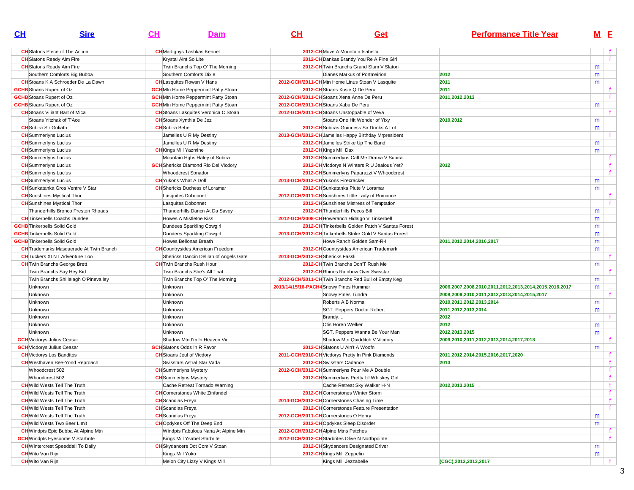| CL                                 | <b>Sire</b>                                    | CH | Dam                                         | CH                                     | Get                                                      | <b>Performance Title Year</b>                          | M <sub>E</sub> |    |
|------------------------------------|------------------------------------------------|----|---------------------------------------------|----------------------------------------|----------------------------------------------------------|--------------------------------------------------------|----------------|----|
|                                    | <b>CH</b> Slatons Piece of The Action          |    | <b>CH</b> Martignys Tashkas Kennel          |                                        | 2012-CH Move A Mountain Isabella                         |                                                        |                |    |
| <b>CH</b> Slatons Ready Aim Fire   |                                                |    | Krystal Aint So Lite                        |                                        | 2012-CH Dankas Brandy You'Re A Fine Girl                 |                                                        |                | f  |
| <b>CH</b> Slatons Ready Aim Fire   |                                                |    | Twin Branchs Top O' The Morning             |                                        | 2012-CH Twin Branchs Grand Slam V Slaton                 |                                                        | m              |    |
|                                    | Southern Comforts Big Bubba                    |    | Southern Comforts Dixie                     |                                        | Dianes Markus of Portmeirion                             | 2012                                                   | m              |    |
|                                    | <b>CH</b> Stoans K A Schroeder De La Dawn      |    | <b>CH</b> Lasquites Rowan V Hans            |                                        | 2012-GCH/2011-CHMtn Home Linus Stoan V Lasquite          | 2011                                                   | m              |    |
| <b>GCHB</b> Stoans Rupert of Oz    |                                                |    | <b>GCH</b> Mtn Home Peppermint Patty Stoan  |                                        | 2012-CH Stoans Xusie Q De Peru                           | 2011                                                   |                |    |
| <b>GCHB</b> Stoans Rupert of Oz    |                                                |    | <b>GCH</b> Mtn Home Peppermint Patty Stoan  |                                        | 2012-GCH/2011-CH Stoans Xena Anne De Peru                | 2011,2012,2013                                         |                |    |
| <b>GCHB</b> Stoans Rupert of Oz    |                                                |    | <b>GCH</b> Mtn Home Peppermint Patty Stoan  |                                        | 2012-GCH/2011-CH Stoans Xabu De Peru                     |                                                        | m              |    |
|                                    | <b>CH</b> Stoans Viliant Bart of Mica          |    | <b>CH</b> Stoans Lasquites Veronica C Stoan |                                        | 2012-GCH/2011-CH Stoans Unstoppable of Veva              |                                                        |                |    |
|                                    | Stoans Yitzhak of T'Ace                        |    | <b>CH</b> Stoans Xynthia De Jez             |                                        | Stoans One Hit Wonder of Yixy                            | 2010,2012                                              | m              |    |
| <b>CH</b> Subira Sir Goliath       |                                                |    | <b>CH</b> Subira Bebe                       |                                        | 2012-CH Subiras Guinness Sir Drinks A Lot                |                                                        | m              |    |
| <b>CH</b> Summerlyns Lucius        |                                                |    | Jamelles U R My Destiny                     |                                        | 2013-GCH/2012-CH Jamelles Happy Birthday Mrpresident     |                                                        |                |    |
| <b>CH</b> Summerlyns Lucius        |                                                |    | Jamelles U R My Destiny                     |                                        | 2012-CH Jamelles Strike Up The Band                      |                                                        | m              |    |
| <b>CH</b> Summerlyns Lucius        |                                                |    | <b>CH</b> Kings Mill Yazmine                |                                        | 2012-CH Kings Mill Dax                                   |                                                        | m              |    |
| <b>CH</b> Summerlyns Lucius        |                                                |    | Mountain Hghs Haley of Subira               |                                        | 2012-CH Summerlyns Call Me Drama V Subira                |                                                        |                | f. |
| <b>CH</b> Summerlyns Lucius        |                                                |    | <b>GCH</b> Shericks Diamond Rio Del Vicdory |                                        | 2012-CH Vicdorys N Winters R U Jealous Yet?              | 2012                                                   |                | f  |
| <b>CH</b> Summerlyns Lucius        |                                                |    | <b>Whoodcrest Sonador</b>                   |                                        | 2012-CH Summerlyns Paparazzi V Whoodcrest                |                                                        |                | f  |
| <b>CH</b> Summerlyns Lucius        |                                                |    | <b>CH</b> Yukons What A Doll                | 2013-GCH/2012-CH Yukons Firecracker    |                                                          |                                                        | m              |    |
|                                    | <b>CH</b> Sunkatanka Gros Ventre V Star        |    | <b>CH</b> Shericks Duchess of Loramar       |                                        | 2012-CH Sunkatanka Piute V Loramar                       |                                                        | m              |    |
|                                    | <b>CH</b> Sunshines Mystical Thor              |    | Lasquites Dobonnet                          |                                        | 2012-GCH/2011-CH Sunshines Little Lady of Romance        |                                                        |                | f. |
|                                    | <b>CH</b> Sunshines Mystical Thor              |    | Lasquites Dobonnet                          |                                        | 2012-CH Sunshines Mistress of Temptation                 |                                                        |                | Ť. |
|                                    | Thunderhills Bronco Preston Rhoads             |    | Thunderhills Dancn At Da Savoy              |                                        | 2012-CH Thunderhills Pecos Bill                          |                                                        | m              |    |
|                                    | <b>CH</b> Tinkerbells Coachs Dundee            |    | Howes A Mistletoe Kiss                      |                                        | 2012-GCH/2008-CH Howeranch Hidalgo V Tinkerbell          |                                                        | m              |    |
| <b>GCHB</b> Tinkerbells Solid Gold |                                                |    | Dundees Sparkling Cowgirl                   |                                        | 2012-CH Tinkerbells Golden Patch V Santas Forest         |                                                        | m              |    |
| <b>GCHB</b> Tinkerbells Solid Gold |                                                |    | Dundees Sparkling Cowgirl                   |                                        | 2013-GCH/2012-CH Tinkerbells Strike Gold V Santas Forest |                                                        | m              |    |
| <b>GCHB</b> Tinkerbells Solid Gold |                                                |    | Howes Bellonas Breath                       |                                        | Howe Ranch Golden Sam-R-I                                | 2011,2012,2014,2016,2017                               | m              |    |
|                                    | <b>CH</b> Trademarks Masquerade At Twin Branch |    | <b>CH</b> Countrysides American Freedom     |                                        | 2012-CH Countrysides American Trademark                  |                                                        | m              |    |
|                                    | <b>CH</b> Tuckers XLNT Adventure Too           |    | Shericks Dancin Delilah of Angels Gate      | 2013-GCH/2012-CH Shericks Fassli       |                                                          |                                                        |                |    |
|                                    | <b>CH</b> Twin Branchs George Brett            |    | <b>CH</b> Twin Branchs Rush Hour            |                                        | 2012-CH Twin Branchs Don'T Rush Me                       |                                                        | m              |    |
|                                    | Twin Branchs Say Hey Kid                       |    | Twin Branchs She's All That                 |                                        | 2012-CHRhines Rainbow Over Swisstar                      |                                                        |                |    |
|                                    | Twin Branchs Shillelagh O'Pinevalley           |    | Twin Branchs Top O' The Morning             |                                        | 2012-GCH/2011-CH Twin Branchs Red Bull of Empty Keg      |                                                        | m              |    |
| Unknown                            |                                                |    | Unknown                                     | 2013/14/15/16-PACH4 Snowy Pines Hummer |                                                          | 2006,2007,2008,2010,2011,2012,2013,2014,2015,2016,2017 | m              |    |
| Unknown                            |                                                |    | Unknown                                     |                                        | Snowy Pines Tundra                                       | 2008,2009,2010,2011,2012,2013,2014,2015,2017           |                |    |
| Unknown                            |                                                |    | Unknown                                     |                                        | Roberts A B Normal                                       | 2010, 2011, 2012, 2013, 2014                           | m              |    |
| Unknown                            |                                                |    | Unknown                                     |                                        | SGT. Peppers Doctor Robert                               | 2011,2012,2013,2014                                    | m              |    |
| Unknown                            |                                                |    | Unknown                                     |                                        | Brandy                                                   | 2012                                                   |                |    |
| Unknown                            |                                                |    | Unknown                                     |                                        | Otis Horen Welker                                        | 2012                                                   | m              |    |
| Unknown                            |                                                |    | Unknown                                     |                                        | SGT. Peppers Wanna Be Your Man                           | 2012, 2013, 2015                                       | m              |    |
| <b>GCH</b> Vicdorys Julius Ceasar  |                                                |    | Shadow Mtn I'm In Heaven Vic                |                                        | Shadow Mtn Quidditch V Vicdory                           | 2009,2010,2011,2012,2013,2014,2017,2018                |                | Ť. |
| <b>GCH</b> Vicdorys Julius Ceasar  |                                                |    | <b>GCH</b> Slatons Odds In R Favor          |                                        | 2012-CH Slatons U Ain't A Woofn                          |                                                        | m              |    |
| <b>CH</b> Vicdorys Los Banditos    |                                                |    | <b>CH</b> Stoans Jeul of Vicdory            |                                        | 2011-GCH/2010-CH Vicdorys Pretty In Pink Diamonds        | 2011,2012,2014,2015,2016,2017,2020                     |                | f. |
|                                    | <b>CH</b> Westhaven Bee-Yond Reproach          |    | Swisstars Astral Star Vada                  |                                        | 2012-CH Swisstars Cadance                                | 2013                                                   |                | f  |
| Whoodcrest 502                     |                                                |    | <b>CH</b> Summerlyns Mystery                |                                        | 2012-GCH/2012-CH Summerlyns Pour Me A Double             |                                                        |                |    |
| Whoodcrest 502                     |                                                |    | <b>CH</b> Summerlyns Mystery                |                                        | 2012-CH Summerlyns Pretty Lil Whiskey Girl               |                                                        |                |    |
|                                    | <b>CH</b> Wild Wests Tell The Truth            |    | Cache Retreat Tornado Warning               |                                        | Cache Retreat Sky Walker H-N                             | 2012, 2013, 2015                                       |                | f  |
|                                    | <b>CH</b> Wild Wests Tell The Truth            |    | <b>CH</b> Cornerstones White Zinfandel      |                                        | 2012-CH Cornerstones Winter Storm                        |                                                        |                | t. |
|                                    | <b>CH</b> Wild Wests Tell The Truth            |    | <b>CH</b> Scandias Freya                    |                                        | 2014-GCH/2012-CH Cornerstones Chasing Time               |                                                        |                | f  |
|                                    | <b>CH</b> Wild Wests Tell The Truth            |    | <b>CH</b> Scandias Freya                    |                                        | 2012-CH Cornerstones Feature Presentation                |                                                        |                | f  |
|                                    | <b>CH</b> Wild Wests Tell The Truth            |    | <b>CH</b> Scandias Freya                    |                                        | 2012-GCH/2011-CH Cornerstones O Henry                    |                                                        | m              |    |
|                                    | <b>CH</b> Wild Wests Two Beer Limit            |    | <b>CH</b> Opdykes Off The Deep End          |                                        | 2012-CHOpdykes Sleep Disorder                            |                                                        | m              |    |
|                                    | <b>CH</b> Windpts Epic Bubba At Alpine Mtn     |    | Windpts Fabulous Nana At Alpine Mtn         |                                        | 2012-GCH/2012-CH Alpine Mtns Patches                     |                                                        |                | f  |
|                                    | <b>GCH</b> Windpts Eyesonme V Starbrite        |    | Kings Mill Ysabel Starbrite                 |                                        | 2012-GCH/2012-CH Starbrites Olive N Northpointe          |                                                        |                | f  |
|                                    | <b>CH</b> Wintercrest Speeddail To Daily       |    | <b>CH</b> Skydancers Dot Com V Stoan        |                                        | 2012-CH Skydancers Designated Driver                     |                                                        | m              |    |
| <b>CH</b> Wito Van Rijn            |                                                |    | Kings Mill Yoko                             |                                        | 2012-CH Kings Mill Zeppelin                              |                                                        | m              |    |
| <b>CH</b> Wito Van Rijn            |                                                |    | Melon City Lizzy V Kings Mill               |                                        | Kings Mill Jezzabelle                                    | (CGC), 2012, 2013, 2017                                |                |    |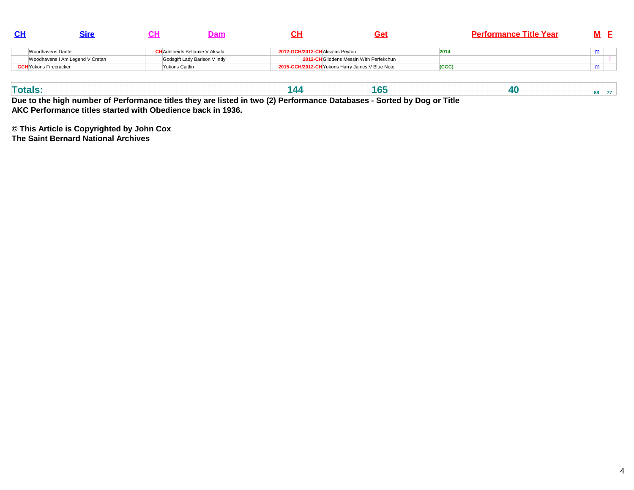|                                 |                                       |                                |                                                 | <b>Performance Title Year</b> |  |
|---------------------------------|---------------------------------------|--------------------------------|-------------------------------------------------|-------------------------------|--|
| Woodhavens Dante                | <b>CH</b> Adelheids Bellamie V Aksala | 2012-GCH/2012-CHAksalas Pevton |                                                 | 2014                          |  |
| Woodhavens I Am Legend V Cretan | Godsgift Lady Barison V Indy          |                                | 2012-CHGliddens Messin With Perfekchun          |                               |  |
| <b>GCH</b> Yukons Firecracker   | <sup>V</sup> ukons Caitlin            |                                | 2015-GCH/2012-CH Yukons Harry James V Blue Note | (CGC)                         |  |

| готян    |  |   |  |   |   |                      | . |   |   |  |  |  |
|----------|--|---|--|---|---|----------------------|---|---|---|--|--|--|
| ________ |  | . |  | . | . | $\sim$ $\sim$ $\sim$ |   | . | . |  |  |  |

**Due to the high number of Performance titles they are listed in two (2) Performance Databases - Sorted by Dog or TitleAKC Performance titles started with Obedience back in 1936.**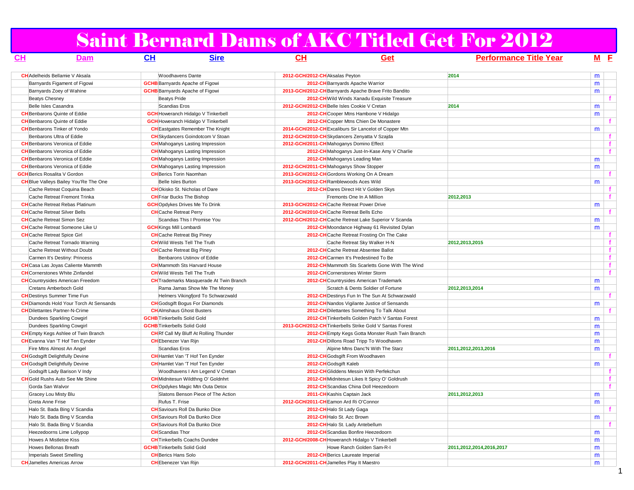### Saint Bernard Dams of AKC Titled Get For 2012

| <u>CH</u>                           | Dam                                            | <b>CH</b><br><b>Sire</b>                       | <u>CH</u>                                                | Get                                               | <b>Performance Title Year</b> |   | M E          |
|-------------------------------------|------------------------------------------------|------------------------------------------------|----------------------------------------------------------|---------------------------------------------------|-------------------------------|---|--------------|
|                                     | <b>CH</b> Adelheids Bellamie V Aksala          | <b>Woodhavens Dante</b>                        | 2012-GCH/2012-CH Aksalas Peyton                          |                                                   | 2014                          | m |              |
|                                     | Barnyards Figament of Figowi                   | <b>GCHB</b> Barnyards Apache of Figowi         | 2012-CH Barnyards Apache Warrior                         |                                                   |                               | m |              |
|                                     | Barnyards Zoey of Wahine                       | <b>GCHB</b> Barnyards Apache of Figowi         | 2013-GCH/2012-CH Barnyards Apache Brave Frito Bandito    |                                                   |                               | m |              |
| <b>Beatys Chesney</b>               |                                                | <b>Beatys Pride</b>                            | 2012-CH Wild Winds Xanadu Exquisite Treasure             |                                                   |                               |   |              |
| Belle Isles Casandra                |                                                | Scandias Eros                                  | 2012-GCH/2012-CH Belle Isles Cookie V Cretan             |                                                   | 2014                          | m |              |
|                                     | <b>CH</b> Benbarons Quinte of Eddie            | <b>GCH</b> Howeranch Hidalgo V Tinkerbell      | 2012-CHCooper Mtns Hambone V Hidalgo                     |                                                   |                               | m |              |
|                                     | <b>CH</b> Benbarons Quinte of Eddie            | <b>GCH</b> Howeranch Hidalgo V Tinkerbell      | 2012-CH Copper Mtns Chien De Monastere                   |                                                   |                               |   |              |
|                                     | <b>CH</b> Benbarons Tinker of Yondo            | <b>CH</b> Eastgates Remember The Knight        | 2014-GCH/2012-CH Excaliburs Sir Lancelot of Copper Mtn   |                                                   |                               | m |              |
|                                     | Benbarons Ultra of Eddie                       | <b>CH</b> Skydancers Goindotcom V Stoan        | 2012-GCH/2010-CH Skydancers Zenyatta V Szajda            |                                                   |                               |   | f            |
|                                     | <b>CH</b> Benbarons Veronica of Eddie          | <b>CH</b> Mahoganys Lasting Impression         | 2012-GCH/2011-CH Mahoganys Domino Effect                 |                                                   |                               |   | $\mathbf{f}$ |
|                                     | <b>CH</b> Benbarons Veronica of Eddie          | <b>CH</b> Mahoganys Lasting Impression         | 2012-CH Mahoganys Just-In-Kase Amy V Charlie             |                                                   |                               |   | $\mathbf{f}$ |
|                                     | <b>CH</b> Benbarons Veronica of Eddie          | <b>CH</b> Mahoganys Lasting Impression         | 2012-CH Mahoganys Leading Man                            |                                                   |                               | m |              |
|                                     | <b>CH</b> Benbarons Veronica of Eddie          | <b>CH</b> Mahoganys Lasting Impression         | 2012-GCH/2011-CH Mahoganys Show Stopper                  |                                                   |                               | m |              |
| <b>GCH</b> Berics Rosalita V Gordon |                                                | <b>CH</b> Berics Torin Naomhan                 | 2013-GCH/2012-CH Gordons Working On A Dream              |                                                   |                               |   | f.           |
|                                     | <b>CH</b> Blue Valleys Bailey You'Re The One   | Belle Isles Burton                             | 2013-GCH/2012-CH Ramblewoods Aces Wild                   |                                                   |                               | m |              |
|                                     | Cache Retreat Coquina Beach                    | <b>CHO</b> kisko St. Nicholas of Dare          | 2012-CH Dares Direct Hit V Golden Skys                   |                                                   |                               |   |              |
|                                     | Cache Retreat Fremont Trinka                   | <b>CH</b> Friar Bucks The Bishop               | Fremonts One In A Million                                |                                                   | 2012,2013                     |   | $\mathbf{f}$ |
|                                     | <b>CH</b> Cache Retreat Rebas Platinum         | <b>GCH</b> Opdykes Drives Me To Drink          | 2013-GCH/2012-CHCache Retreat Power Drive                |                                                   |                               | m |              |
|                                     | <b>CH</b> Cache Retreat Silver Bells           | <b>CH</b> Cache Retreat Perry                  | 2012-GCH/2010-CHCache Retreat Bells Echo                 |                                                   |                               |   |              |
|                                     | <b>CH</b> Cache Retreat Simon Sez              | Scandias This I Promise You                    | 2012-GCH/2012-CHCache Retreat Lake Superior V Scanda     |                                                   |                               | m |              |
|                                     | <b>CH</b> Cache Retreat Someone Like U         | <b>GCH</b> Kings Mill Lombardi                 | 2012-CH Moondance Highway 61 Revisited Dylan             |                                                   |                               | m |              |
| <b>CH</b> Cache Retreat Spice Girl  |                                                | <b>CH</b> Cache Retreat Big Piney              | 2012-CH Cache Retreat Frosting On The Cake               |                                                   |                               |   | f            |
|                                     | Cache Retreat Tornado Warning                  | <b>CH</b> Wild Wests Tell The Truth            | Cache Retreat Sky Walker H-N                             |                                                   | 2012, 2013, 2015              |   | $\mathbf{f}$ |
|                                     | Cache Retreat Without Doubt                    | <b>CH</b> Cache Retreat Big Piney              | 2012-CHCache Retreat Absentee Ballot                     |                                                   |                               |   | $\mathbf{f}$ |
|                                     | Carmen It's Destiny: Princess                  | Benbarons Ustinov of Eddie                     | 2012-CH Carmen It's Predestined To Be                    |                                                   |                               |   | $\mathbf{f}$ |
|                                     | <b>CH</b> Casa Las Joyas Caliente Mammth       | <b>CH</b> Mammoth Sts Harvard House            |                                                          | 2012-CH Mammoth Sts Scarletts Gone With The Wind  |                               |   | f            |
|                                     | <b>CH</b> Cornerstones White Zinfandel         | <b>CH</b> Wild Wests Tell The Truth            | 2012-CHCornerstones Winter Storm                         |                                                   |                               |   | $\mathbf{f}$ |
|                                     | <b>CH</b> Countrysides American Freedom        | <b>CH</b> Trademarks Masquerade At Twin Branch | 2012-CH Countrysides American Trademark                  |                                                   |                               | m |              |
|                                     | Cretans Amberboch Gold                         | Rama Jamas Show Me The Money                   |                                                          | Scratch & Dents Soldier of Fortune                | 2012,2013,2014                | m |              |
|                                     | <b>CH</b> Destinys Summer Time Fun             | Helmers Vikingfjord To Schwarzwald             | 2012-CH Destinys Fun In The Sun At Schwarzwald           |                                                   |                               |   | f.           |
|                                     | <b>CH</b> Diamonds Hold Your Torch At Sensands | <b>CH</b> Godsgift Bogus For Diamonds          | 2012-CH Nandos Vigilante Justice of Sensands             |                                                   |                               | m |              |
|                                     | <b>CH</b> Dilettantes Partner-N-Crime          | <b>CH</b> AImshaus Ghost Busters               | 2012-CH Dilettantes Something To Talk About              |                                                   |                               |   |              |
|                                     | Dundees Sparkling Cowgirl                      | <b>GCHB</b> Tinkerbells Solid Gold             |                                                          | 2012-CH Tinkerbells Golden Patch V Santas Forest  |                               | m |              |
|                                     | Dundees Sparkling Cowgirl                      | <b>GCHB</b> Tinkerbells Solid Gold             | 2013-GCH/2012-CH Tinkerbells Strike Gold V Santas Forest |                                                   |                               | m |              |
|                                     | <b>CH</b> Empty Kegs Ashlee of Twin Branch     | <b>CH</b> Rf Call My Bluff At Rolling Thunder  |                                                          | 2012-CH Empty Kegs Gotta Monster Rush Twin Branch |                               | m |              |
|                                     | <b>CH</b> Evanna Van 'T Hof Ten Eynder         | <b>CH</b> Ebenezer Van Rijn                    | 2012-CH Dillons Road Tripp To Woodhaven                  |                                                   |                               | m |              |
|                                     | Fire Mtns Almost An Angel                      | Scandias Eros                                  |                                                          | Alpine Mtns Danc'N With The Starz                 | 2011,2012,2013,2016           | m |              |
|                                     | <b>CH</b> Godsgift Delightfully Devine         | <b>CH</b> Hamlet Van 'T Hof Ten Eynder         | 2012-CH Godsgift From Woodhaven                          |                                                   |                               |   | f.           |
|                                     | <b>CH</b> Godsgift Delightfully Devine         | <b>CH</b> Hamlet Van 'T Hof Ten Eynder         | 2012-CH Godsgift Kaleb                                   |                                                   |                               | m |              |
|                                     | Godsgift Lady Barison V Indy                   | Woodhavens I Am Legend V Cretan                | 2012-CH Gliddens Messin With Perfekchun                  |                                                   |                               |   | f            |
|                                     | <b>CH</b> Gold Rushs Auto See Me Shine         | <b>CH</b> Midnitesun Wildthng O' Goldnhrt      | 2012-CH Midnitesun Likes It Spicy O' Goldrush            |                                                   |                               |   | $\mathbf{f}$ |
| Gorda San Walvor                    |                                                | <b>CH</b> Opdykes Magic Mtn Outa Detox         | 2012-CH Scandias China Doll Heezedoorn                   |                                                   |                               |   | $\mathbf{f}$ |
| Gracey Lou Misty Blu                |                                                | Slatons Benson Piece of The Action             | 2011-CH Kashis Captain Jack                              |                                                   | 2011,2012,2013                | m |              |
| Greta Anne Frise                    |                                                | Rufus T. Frise                                 | 2012-GCH/2011-CH Eamon Ard Ri O'Connor                   |                                                   |                               | m |              |
|                                     | Halo St. Bada Bing V Scandia                   | <b>CH</b> Saviours Roll Da Bunko Dice          | 2012-CH Halo St Lady Gaga                                |                                                   |                               |   | $\mathbf{f}$ |
|                                     | Halo St. Bada Bing V Scandia                   | <b>CH</b> Saviours Roll Da Bunko Dice          | 2012-CH Halo St. Azc Brown                               |                                                   |                               | m |              |
|                                     | Halo St. Bada Bing V Scandia                   | <b>CH</b> Saviours Roll Da Bunko Dice          | 2012-CH Halo St. Lady Antebellum                         |                                                   |                               |   |              |
|                                     | Heezedoorns Lime Lollypop                      | <b>CH</b> Scandias Thor                        | 2012-CH Scandias Bonfire Heezedoorn                      |                                                   |                               | m |              |
|                                     | Howes A Mistletoe Kiss                         | <b>CH</b> Tinkerbells Coachs Dundee            | 2012-GCH/2008-CH Howeranch Hidalgo V Tinkerbell          |                                                   |                               | m |              |
|                                     | Howes Bellonas Breath                          | <b>GCHB</b> Tinkerbells Solid Gold             | Howe Ranch Golden Sam-R-I                                |                                                   | 2011,2012,2014,2016,2017      | m |              |
|                                     | Imperials Sweet Smelling                       | <b>CH</b> Berics Hans Solo                     | 2012-CH Berics Laureate Imperial                         |                                                   |                               | m |              |
| <b>CH</b> Jamelles Americas Arrow   |                                                | <b>CH</b> Ebenezer Van Riin                    | 2012-GCH/2011-CH Jamelles Play It Maestro                |                                                   |                               | m |              |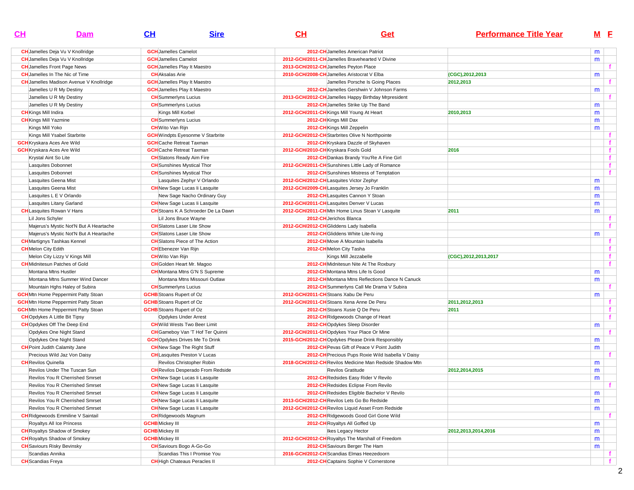| CL                          | Dam                                                                | CH                                                                           | <b>Sire</b>                               | CH | Get                                                                                            | <b>Performance Title Year</b> |        | M <sub>E</sub> |
|-----------------------------|--------------------------------------------------------------------|------------------------------------------------------------------------------|-------------------------------------------|----|------------------------------------------------------------------------------------------------|-------------------------------|--------|----------------|
|                             | <b>CH</b> Jamelles Deja Vu V Knollridge                            | <b>GCH</b> Jamelles Camelot                                                  |                                           |    | 2012-CH Jamelles American Patriot                                                              |                               | m      |                |
|                             | <b>CH</b> Jamelles Deja Vu V Knollridge                            | <b>GCH</b> Jamelles Camelot                                                  |                                           |    | 2012-GCH/2011-CH Jamelles Bravehearted V Divine                                                |                               | m      |                |
|                             | <b>CH</b> Jamelles Front Page News                                 | <b>GCH</b> Jamelles Play It Maestro                                          |                                           |    | 2013-GCH/2012-CH Jamelles Peyton Place                                                         |                               |        |                |
|                             | <b>CH</b> Jamelles In The Nic of Time                              | <b>CH</b> Aksalas Arie                                                       |                                           |    | 2010-GCH/2008-CH Jamelles Aristocrat V Elba                                                    | (CGC), 2012, 2013             | m      |                |
|                             | <b>CH</b> Jamelles Madison Avenue V Knollridge                     | <b>GCH</b> Jamelles Play It Maestro                                          |                                           |    | Jamelles Porsche Is Going Places                                                               | 2012,2013                     |        |                |
|                             | Jamelles U R My Destiny                                            | <b>GCH</b> Jamelles Play It Maestro                                          |                                           |    | 2012-CH Jamelles Gershwin V Johnson Farms                                                      |                               | m      |                |
|                             | Jamelles U R My Destiny                                            | <b>CH</b> Summerlyns Lucius                                                  |                                           |    | 2013-GCH/2012-CH Jamelles Happy Birthday Mrpresident                                           |                               |        |                |
|                             | Jamelles U R My Destiny                                            | <b>CH</b> Summerlyns Lucius                                                  |                                           |    | 2012-CH Jamelles Strike Up The Band                                                            |                               | m      |                |
| <b>CH</b> Kings Mill Indira |                                                                    | Kings Mill Korbel                                                            |                                           |    | 2012-GCH/2011-CH Kings Mill Young At Heart                                                     | 2010,2013                     | m      |                |
|                             | <b>CH</b> Kings Mill Yazmine                                       | <b>CH</b> Summerlyns Lucius                                                  |                                           |    | 2012-CH Kings Mill Dax                                                                         |                               | m      |                |
| Kings Mill Yoko             |                                                                    | <b>CH</b> Wito Van Rijn                                                      |                                           |    | 2012-CH Kings Mill Zeppelin                                                                    |                               | m      |                |
|                             | Kings Mill Ysabel Starbrite                                        | <b>GCH</b> Windpts Eyesonme V Starbrite                                      |                                           |    | 2012-GCH/2012-CH Starbrites Olive N Northpointe                                                |                               |        |                |
|                             | <b>GCH</b> Kryskara Aces Are Wild                                  | <b>GCH</b> Cache Retreat Taxman                                              |                                           |    | 2012-CH Kryskara Dazzle of Skyhaven                                                            |                               |        | $\mathbf{f}$   |
|                             | <b>GCH</b> Kryskara Aces Are Wild                                  | <b>GCH</b> Cache Retreat Taxman                                              |                                           |    | 2012-GCH/2010-CH Kryskara Fools Gold                                                           | 2016                          |        | f.             |
|                             | Krystal Aint So Lite                                               | <b>CH</b> Slatons Ready Aim Fire                                             |                                           |    | 2012-CH Dankas Brandy You'Re A Fine Girl                                                       |                               |        | $\mathbf{f}$   |
|                             | Lasquites Dobonnet                                                 | <b>CH</b> Sunshines Mystical Thor                                            |                                           |    | 2012-GCH/2011-CH Sunshines Little Lady of Romance                                              |                               |        | $\mathbf{f}$   |
|                             | Lasquites Dobonnet                                                 | <b>CH</b> Sunshines Mystical Thor                                            |                                           |    | 2012-CH Sunshines Mistress of Temptation                                                       |                               |        | $\mathbf{f}$   |
|                             | Lasquites Geena Mist                                               |                                                                              | Lasquites Zephyr V Orlando                |    | 2012-GCH/2012-CHLasquites Victor Zephyr                                                        |                               |        |                |
|                             | Lasquites Geena Mist                                               | <b>CH</b> New Sage Lucas li Lasquite                                         |                                           |    | 2012-GCH/2009-CHLasquites Jersey Jo Franklin                                                   |                               | m      |                |
|                             | Lasquites L E V Orlando                                            |                                                                              | New Sage Nacho Ordinary Guy               |    | 2012-CH Lasquites Cannon Y Stoan                                                               |                               | m<br>m |                |
|                             | Lasquites Litany Garland                                           | <b>CH</b> New Sage Lucas li Lasquite                                         |                                           |    | 2012-GCH/2011-CHLasquites Denver V Lucas                                                       |                               | m      |                |
|                             | <b>CH</b> Lasquites Rowan V Hans                                   |                                                                              | <b>CH</b> Stoans K A Schroeder De La Dawn |    | 2012-GCH/2011-CHMtn Home Linus Stoan V Lasquite                                                | 2011                          |        |                |
|                             | Lil Jons Schyler                                                   | Lil Jons Bruce Wayne                                                         |                                           |    | 2012-CH Jerichos Blanca                                                                        |                               | m      |                |
|                             |                                                                    | <b>CH</b> Slatons Laser Lite Show                                            |                                           |    | 2012-GCH/2012-CH Gliddens Lady Isabella                                                        |                               |        |                |
|                             | Majerus's Mystic Not'N But A Heartache                             | <b>CH</b> Slatons Laser Lite Show                                            |                                           |    | 2012-CH Gliddens White Lite-N-ing                                                              |                               |        |                |
|                             | Majerus's Mystic Not'N But A Heartache                             | <b>CH</b> Slatons Piece of The Action                                        |                                           |    | 2012-CHMove A Mountain Isabella                                                                |                               | m      | $\mathbf{f}$   |
|                             | <b>CH</b> Martignys Tashkas Kennel                                 | <b>CH</b> Ebenezer Van Rijn                                                  |                                           |    |                                                                                                |                               |        | f.             |
| <b>CH</b> Melon City Edith  |                                                                    |                                                                              |                                           |    | 2012-CH Melon City Tasha                                                                       |                               |        | $\mathbf{f}$   |
|                             | Melon City Lizzy V Kings Mill                                      | <b>CH</b> Wito Van Rijn                                                      |                                           |    | Kings Mill Jezzabelle                                                                          | (CGC), 2012, 2013, 2017       |        | $\mathbf{f}$   |
|                             | <b>CH</b> Midnitesun Patches of Gold<br>Montana Mtns Hustler       | <b>CH</b> Golden Heart Mr. Magoo                                             |                                           |    | 2012-CH Midnitesun Nite At The Roxbury<br>2012-CH Montana Mtns Life Is Good                    |                               |        |                |
|                             |                                                                    |                                                                              | <b>CH</b> Montana Mtns G'N S Supreme      |    |                                                                                                |                               | m      |                |
|                             | Montana Mtns Summer Wind Dancer                                    |                                                                              | Montana Mtns Missouri Outlaw              |    | 2012-CH Montana Mtns Reflections Dance N Canuck                                                |                               | m      | f.             |
|                             | Mountain Hghs Haley of Subira                                      | <b>CH</b> Summerlyns Lucius                                                  |                                           |    | 2012-CH Summerlyns Call Me Drama V Subira<br>2012-GCH/2011-CH Stoans Xabu De Peru              |                               |        |                |
|                             | <b>GCH</b> Mtn Home Peppermint Patty Stoan                         | <b>GCHB</b> Stoans Rupert of Oz<br><b>GCHB</b> Stoans Rupert of Oz           |                                           |    | 2012-GCH/2011-CH Stoans Xena Anne De Peru                                                      |                               | m      |                |
|                             | <b>GCH</b> Mtn Home Peppermint Patty Stoan                         |                                                                              |                                           |    |                                                                                                | 2011,2012,2013                |        |                |
|                             | <b>GCH</b> Mtn Home Peppermint Patty Stoan                         | <b>GCHB</b> Stoans Rupert of Oz                                              |                                           |    | 2012-CH Stoans Xusie Q De Peru                                                                 | 2011                          |        |                |
|                             | <b>CH</b> Opdykes A Little Bit Tipsy                               | Opdykes Under Arrest                                                         |                                           |    | 2012-CH Ridgewoods Change of Heart                                                             |                               |        |                |
|                             | <b>CH</b> Opdykes Off The Deep End                                 | <b>CH</b> Wild Wests Two Beer Limit                                          |                                           |    | 2012-CHOpdykes Sleep Disorder                                                                  |                               | m      |                |
|                             | Opdykes One Night Stand                                            |                                                                              | <b>CH</b> Gameboy Van 'T Hof Ter Quinni   |    | 2012-GCH/2011-CHOpdykes Your Place Or Mine                                                     |                               |        |                |
|                             | Opdykes One Night Stand<br><b>CH</b> Point Judith Calamity Jane    | <b>GCH</b> Opdykes Drives Me To Drink<br><b>CH</b> New Sage The Right Stuff  |                                           |    | 2015-GCH/2012-CHOpdykes Please Drink Responsibly<br>2012-CH Pevas Gift of Peace V Point Judith |                               | m      |                |
|                             | Precious Wild Jaz Von Daisy                                        | <b>CH</b> Lasquites Preston V Lucas                                          |                                           |    | 2012-CH Precious Pups Roxie Wild Isabella V Daisy                                              |                               | m      |                |
| <b>CH</b> Revilos Quinella  |                                                                    |                                                                              |                                           |    | 2018-GCH/2012-CH Revilos Medicine Man Redside Shadow Mtn                                       |                               |        |                |
|                             | Revilos Under The Tuscan Sun                                       | Revilos Christopher Robin                                                    |                                           |    | Revilos Gratitude                                                                              |                               | m      |                |
|                             | Revilos You R Cherrished Smrset                                    | <b>CH</b> New Sage Lucas li Lasquite                                         | <b>CH</b> Revilos Desperado From Redside  |    | 2012-CH Redsides Easy Rider V Revilo                                                           | 2012,2014,2015                | m      |                |
|                             | <b>Revilos You R Cherrished Smrset</b>                             |                                                                              |                                           |    | 2012-CH Redsides Eclipse From Revilo                                                           |                               | m      |                |
|                             |                                                                    | <b>CH</b> New Sage Lucas li Lasquite                                         |                                           |    |                                                                                                |                               |        |                |
|                             | Revilos You R Cherrished Smrset<br>Revilos You R Cherrished Smrset | <b>CH</b> New Sage Lucas li Lasquite                                         |                                           |    | 2012-CH Redsides Eligible Bachelor V Revilo<br>2013-GCH/2012-CHRevilos Lets Go Bo Redside      |                               | m      |                |
|                             | Revilos You R Cherrished Smrset                                    | <b>CH</b> New Sage Lucas li Lasquite<br><b>CH</b> New Sage Lucas li Lasquite |                                           |    | 2012-GCH/2012-CH Revilos Liquid Asset From Redside                                             |                               | m      |                |
|                             |                                                                    |                                                                              |                                           |    |                                                                                                |                               | m      |                |
|                             | <b>CH</b> Ridgewoods Emmiline V Saintail                           | <b>CH</b> Ridgewoods Magnum<br><b>GCHB</b> Mickey III                        |                                           |    | 2012-CH Ridgewoods Good Girl Gone Wild                                                         |                               |        |                |
|                             | Royaltys All Ice Princess                                          |                                                                              |                                           |    | 2012-CH Royaltys All Goffed Up                                                                 |                               | m      |                |
|                             | <b>CH</b> Royaltys Shadow of Smokey                                | <b>GCHB</b> Mickey III                                                       |                                           |    | Ikes Legacy Hector<br>2012-GCH/2012-CHRoyaltys The Marshall of Freedom                         | 2012, 2013, 2014, 2016        | m      |                |
|                             | <b>CH</b> Royaltys Shadow of Smokey                                | <b>GCHB</b> Mickey III<br><b>CH</b> Saviours Bogo A-Go-Go                    |                                           |    | 2012-CH Saviours Berger The Ham                                                                |                               | m      |                |
|                             | <b>CH</b> Saviours Risky Bevinsky<br>Scandias Annika               |                                                                              | Scandias This I Promise You               |    | 2016-GCH/2012-CH Scandias Elmas Heezedoorn                                                     |                               | m      |                |
| <b>CH</b> Scandias Freya    |                                                                    | <b>CH</b> High Chateaus Peracles II                                          |                                           |    | 2012-CH Captains Sophie V Cornerstone                                                          |                               |        | Ť.<br>f.       |
|                             |                                                                    |                                                                              |                                           |    |                                                                                                |                               |        |                |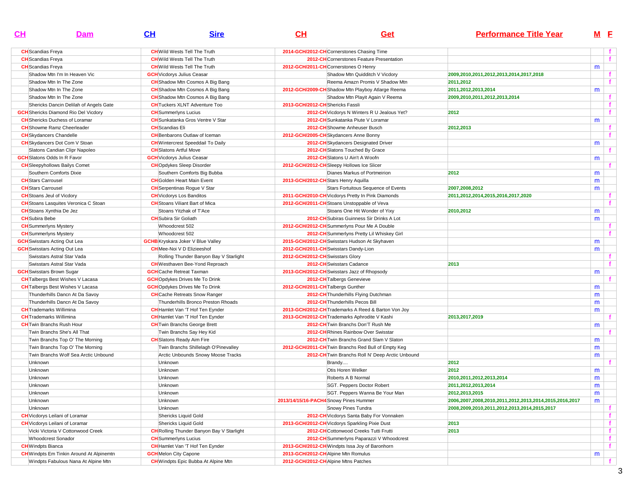| $\mathbf{C}$ H                        | Dam                                             | CH                                | <b>Sire</b>                                      | CH                                | Get                                                 | <b>Performance Title Year</b>                          |   | M <sub>E</sub> |
|---------------------------------------|-------------------------------------------------|-----------------------------------|--------------------------------------------------|-----------------------------------|-----------------------------------------------------|--------------------------------------------------------|---|----------------|
| <b>CH</b> Scandias Freya              |                                                 |                                   | <b>CH</b> Wild Wests Tell The Truth              |                                   | 2014-GCH/2012-CH Cornerstones Chasing Time          |                                                        |   | f              |
| <b>CH</b> Scandias Freya              |                                                 |                                   | <b>CH</b> Wild Wests Tell The Truth              |                                   | 2012-CH Cornerstones Feature Presentation           |                                                        |   | f              |
| <b>CH</b> Scandias Freya              |                                                 |                                   | <b>CH</b> Wild Wests Tell The Truth              |                                   | 2012-GCH/2011-CHCornerstones O Henry                |                                                        | m |                |
|                                       | Shadow Mtn I'm In Heaven Vic                    | <b>GCH</b> Vicdorys Julius Ceasar |                                                  |                                   | Shadow Mtn Quidditch V Vicdory                      | 2009.2010.2011.2012.2013.2014.2017.2018                |   | f.             |
| Shadow Mtn In The Zone                |                                                 |                                   | <b>CH</b> Shadow Mtn Cosmos A Big Bang           |                                   | Reema Amazn Promis V Shadow Mtn                     | 2011,2012                                              |   | $\mathbf{f}$   |
| Shadow Mtn In The Zone                |                                                 |                                   | <b>CH</b> Shadow Mtn Cosmos A Big Bang           |                                   | 2012-GCH/2009-CH Shadow Mtn Playboy Atlarge Reema   | 2011,2012,2013,2014                                    | m |                |
| Shadow Mtn In The Zone                |                                                 |                                   | <b>CH</b> Shadow Mtn Cosmos A Big Bang           |                                   | Shadow Mtn Playit Again V Reema                     | 2009,2010,2011,2012,2013,2014                          |   | f              |
|                                       | Shericks Dancin Delilah of Angels Gate          |                                   | <b>CH</b> Tuckers XLNT Adventure Too             | 2013-GCH/2012-CH Shericks Fassli  |                                                     |                                                        |   | f              |
|                                       | <b>GCH</b> Shericks Diamond Rio Del Vicdory     | <b>CH</b> Summerlyns Lucius       |                                                  |                                   | 2012-CH Vicdorys N Winters R U Jealous Yet?         | 2012                                                   |   | f              |
|                                       | <b>CH</b> Shericks Duchess of Loramar           |                                   | <b>CH</b> Sunkatanka Gros Ventre V Star          |                                   | 2012-CH Sunkatanka Piute V Loramar                  |                                                        | m |                |
| <b>CH</b> Showme Ramz Cheerleader     |                                                 | <b>CH</b> Scandias Eli            |                                                  |                                   | 2012-CH Showme Anheuser Busch                       | 2012,2013                                              |   | f              |
| <b>CH</b> Skydancers Chandelle        |                                                 |                                   | <b>CH</b> Benbarons Outlaw of Iceman             |                                   | 2012-GCH/2005-CH Skydancers Anne Bonny              |                                                        |   | $\mathbf f$    |
|                                       | <b>CH</b> Skydancers Dot Com V Stoan            |                                   | <b>CH</b> Wintercrest Speeddail To Daily         |                                   | 2012-CH Skydancers Designated Driver                |                                                        | m |                |
|                                       | Slatons Candian Clipr Napoleo                   | <b>CH</b> Slatons Artful Move     |                                                  |                                   | 2012-CH Slatons Touched By Grace                    |                                                        |   | f.             |
| <b>GCH</b> Slatons Odds In R Favor    |                                                 | <b>GCH</b> Vicdorys Julius Ceasar |                                                  |                                   | 2012-CH Slatons U Ain't A Woofn                     |                                                        | m |                |
| <b>CH</b> Sleepyhollows Bailys Comet  |                                                 |                                   | <b>CHO</b> pdykes Sleep Disorder                 |                                   | 2012-GCH/2012-CH Sleepy Hollows Ice Slicer          |                                                        |   |                |
| Southern Comforts Dixie               |                                                 |                                   | Southern Comforts Big Bubba                      |                                   | Dianes Markus of Portmeirion                        | 2012                                                   | m |                |
| <b>CH</b> Stars Carrousel             |                                                 |                                   | <b>CH</b> Golden Heart Main Event                |                                   | 2013-GCH/2012-CH Stars Henry Aquilla                |                                                        | m |                |
| <b>CH</b> Stars Carrousel             |                                                 |                                   | <b>CH</b> Serpentinas Rogue V Star               |                                   | Stars Fortuitous Sequence of Events                 | 2007.2008.2012                                         | m |                |
| <b>CH</b> Stoans Jeul of Vicdory      |                                                 | <b>CH</b> Vicdorys Los Banditos   |                                                  |                                   | 2011-GCH/2010-CH Vicdorys Pretty In Pink Diamonds   | 2011,2012,2014,2015,2016,2017,2020                     |   | f              |
|                                       | <b>CH</b> Stoans Lasquites Veronica C Stoan     |                                   | <b>CH</b> Stoans Viliant Bart of Mica            |                                   | 2012-GCH/2011-CH Stoans Unstoppable of Veva         |                                                        |   | $\mathbf{f}$   |
| <b>CH</b> Stoans Xynthia De Jez       |                                                 |                                   | Stoans Yitzhak of T'Ace                          |                                   | Stoans One Hit Wonder of Yixy                       | 2010,2012                                              | m |                |
| <b>CH</b> Subira Bebe                 |                                                 | <b>CH</b> Subira Sir Goliath      |                                                  |                                   | 2012-CH Subiras Guinness Sir Drinks A Lot           |                                                        | m |                |
| <b>CH</b> Summerlyns Mystery          |                                                 | Whoodcrest 502                    |                                                  |                                   | 2012-GCH/2012-CH Summerlyns Pour Me A Double        |                                                        |   | f              |
| <b>CH</b> Summerlyns Mystery          |                                                 | Whoodcrest 502                    |                                                  |                                   | 2012-CH Summerlyns Pretty Lil Whiskey Girl          |                                                        |   |                |
| <b>GCH</b> Swisstars Acting Out Lea   |                                                 |                                   | <b>GCHB</b> Kryskara Joker V Blue Valley         |                                   | 2015-GCH/2012-CH Swisstars Hudson At Skyhaven       |                                                        | m |                |
| <b>GCH</b> Swisstars Acting Out Lea   |                                                 |                                   | <b>CH</b> Mee-Noi V D Elizieeshof                |                                   | 2012-GCH/2011-CH Swisstars Dandy-Lion               |                                                        | m |                |
|                                       | Swisstars Astral Star Vada                      |                                   | Rolling Thunder Banyon Bay V Starlight           | 2012-GCH/2012-CH Swisstars Glory  |                                                     |                                                        |   | f.             |
|                                       | Swisstars Astral Star Vada                      |                                   | <b>CH</b> Westhaven Bee-Yond Reproach            |                                   | 2012-CH Swisstars Cadance                           | 2013                                                   |   | f              |
| <b>GCH</b> Swisstars Brown Sugar      |                                                 | <b>GCH</b> Cache Retreat Taxman   |                                                  |                                   | 2013-GCH/2012-CH Swisstars Jazz of Rhopsody         |                                                        | m |                |
|                                       | <b>CH</b> Talbergs Best Wishes V Lacasa         |                                   | <b>GCH</b> Opdykes Drives Me To Drink            |                                   | 2012-CH Talbergs Genevieve                          |                                                        |   |                |
|                                       | <b>CH</b> Talbergs Best Wishes V Lacasa         |                                   | <b>GCH</b> Opdykes Drives Me To Drink            | 2012-GCH/2011-CH Talbergs Gunther |                                                     |                                                        | m |                |
|                                       | Thunderhills Dancn At Da Savoy                  |                                   | <b>CH</b> Cache Retreats Snow Ranger             |                                   | 2012-CH Thunderhills Flying Dutchman                |                                                        | m |                |
|                                       | Thunderhills Dancn At Da Savoy                  |                                   | Thunderhills Bronco Preston Rhoads               |                                   | 2012-CH Thunderhills Pecos Bill                     |                                                        | m |                |
| <b>CH</b> Trademarks Willimina        |                                                 |                                   | <b>CH</b> Hamlet Van 'T Hof Ten Eynder           |                                   | 2013-GCH/2012-CH Trademarks A Reed & Barton Von Joy |                                                        | m |                |
| <b>CH</b> Trademarks Willimina        |                                                 |                                   | <b>CH</b> Hamlet Van 'T Hof Ten Eynder           |                                   | 2013-GCH/2012-CH Trademarks Aphrodite V Kashi       | 2013,2017,2019                                         |   |                |
| <b>CH</b> Twin Branchs Rush Hour      |                                                 |                                   | <b>CH</b> Twin Branchs George Brett              |                                   | 2012-CH Twin Branchs Don'T Rush Me                  |                                                        | m |                |
|                                       | Twin Branchs She's All That                     |                                   | Twin Branchs Say Hey Kid                         |                                   | 2012-CHRhines Rainbow Over Swisstar                 |                                                        |   |                |
|                                       | Twin Branchs Top O' The Morning                 |                                   | <b>CH</b> Slatons Ready Aim Fire                 |                                   | 2012-CH Twin Branchs Grand Slam V Slaton            |                                                        | m |                |
|                                       | Twin Branchs Top O' The Morning                 |                                   | Twin Branchs Shillelagh O'Pinevalley             |                                   | 2012-GCH/2011-CH Twin Branchs Red Bull of Empty Keg |                                                        | m |                |
|                                       | Twin Branchs Wolf Sea Arctic Unbound            |                                   | Arctic Unbounds Snowy Moose Tracks               |                                   | 2012-CH Twin Branchs Roll N' Deep Arctic Unbound    |                                                        | m |                |
| Unknown                               |                                                 | Unknown                           |                                                  |                                   | Brandy                                              | 2012                                                   |   |                |
| Unknown                               |                                                 | Unknown                           |                                                  |                                   | Otis Horen Welker                                   | 2012                                                   | m |                |
| Unknown                               |                                                 | Unknown                           |                                                  |                                   | Roberts A B Normal                                  | 2010, 2011, 2012, 2013, 2014                           | m |                |
| Unknown                               |                                                 | Unknown                           |                                                  |                                   | SGT. Peppers Doctor Robert                          | 2011,2012,2013,2014                                    | m |                |
| Unknown                               |                                                 | Unknown                           |                                                  |                                   | SGT. Peppers Wanna Be Your Man                      | 2012, 2013, 2015                                       | m |                |
| Unknown                               |                                                 | Unknown                           |                                                  |                                   | 2013/14/15/16-PACH4 Snowy Pines Hummer              | 2006,2007,2008,2010,2011,2012,2013,2014,2015,2016,2017 | m |                |
| Unknown                               |                                                 | Unknown                           |                                                  |                                   | Snowy Pines Tundra                                  | 2008,2009,2010,2011,2012,2013,2014,2015,2017           |   | f.             |
| <b>CH</b> Vicdorys Leilani of Loramar |                                                 |                                   | Shericks Liquid Gold                             |                                   | 2012-CH Vicdorys Santa Baby For Vonnaken            |                                                        |   | f              |
| <b>CH</b> Vicdorys Leilani of Loramar |                                                 |                                   | Shericks Liquid Gold                             |                                   | 2013-GCH/2012-CH Vicdorys Sparkling Pixie Dust      | 2013                                                   |   | f              |
|                                       | Vicki Victoria V Cottonwood Creek               |                                   | <b>CH</b> Rolling Thunder Banyon Bay V Starlight |                                   | 2012-CH Cottonwood Creeks Tutti Frutti              | 2013                                                   |   | f              |
| Whoodcrest Sonador                    |                                                 | <b>CH</b> Summerlyns Lucius       |                                                  |                                   | 2012-CH Summerlyns Paparazzi V Whoodcrest           |                                                        |   | f              |
| <b>CH</b> Windpts Bianca              |                                                 |                                   | <b>CH</b> Hamlet Van 'T Hof Ten Eynder           |                                   | 2013-GCH/2012-CH Windpts Issa Joy of Baronhorn      |                                                        |   | f              |
|                                       | <b>CH</b> Windpts Em Tinkin Around At Alpinemtn | <b>GCH</b> Melon City Capone      |                                                  |                                   | 2013-GCH/2012-CHAlpine Mtn Romulus                  |                                                        | m |                |
|                                       | Windpts Fabulous Nana At Alpine Mtn             |                                   | <b>CH</b> Windpts Epic Bubba At Alpine Mtn       |                                   | 2012-GCH/2012-CHAlpine Mtns Patches                 |                                                        |   | f.             |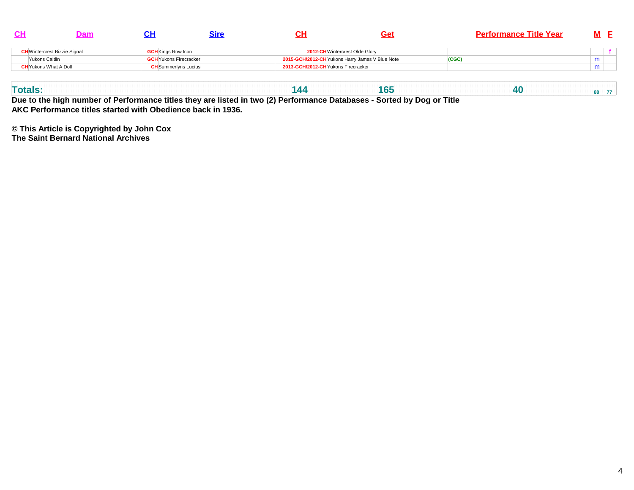|                                     | 5Ir                           | Ge.                                             | <b>Performance Title Year</b> |   |  |
|-------------------------------------|-------------------------------|-------------------------------------------------|-------------------------------|---|--|
| <b>CH</b> Wintercrest Bizzie Signal | <b>GCH</b> Kings Row Icon     | 2012-CH Wintercrest Olde Glory                  |                               |   |  |
| Yukons Caitlin                      | <b>GCH</b> Yukons Firecracker | 2015-GCH/2012-CH Yukons Harry James V Blue Note | (CGC                          | m |  |
| <b>CH</b> Yukons What A Doll        | <b>CH</b> Summerlyns Lucius   | 2013-GCH/2012-CH Yukons Firecracker             |                               | m |  |

**Due to the high number of Performance titles they are listed in two (2) Performance Databases - Sorted by Dog or TitleAKC Performance titles started with Obedience back in 1936.**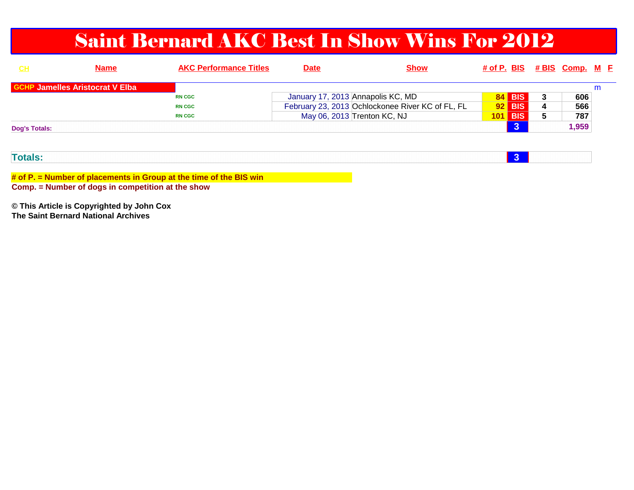### Saint Bernard AKC Best In Show Wins For 2012

| <u>CH</u>            | <b>Name</b>                            | <b>AKC Performance Titles</b> | <b>Date</b> | <b>Show</b>                                      |    |                |   | # of P. BIS # BIS Comp. M E |   |  |
|----------------------|----------------------------------------|-------------------------------|-------------|--------------------------------------------------|----|----------------|---|-----------------------------|---|--|
|                      | <b>GCHP Jamelles Aristocrat V Elba</b> |                               |             |                                                  |    |                |   |                             | m |  |
|                      |                                        | <b>RN CGC</b>                 |             | January 17, 2013 Annapolis KC, MD                | 84 | <b>BIS</b>     | 3 | 606                         |   |  |
|                      |                                        | <b>RN CGC</b>                 |             | February 23, 2013 Ochlockonee River KC of FL, FL |    | $92$ BIS       | 4 | 566                         |   |  |
|                      |                                        | <b>RN CGC</b>                 |             | May 06, 2013 Trenton KC, NJ                      |    | <b>101 BIS</b> | 5 | 787                         |   |  |
| <b>Dog's Totals:</b> |                                        |                               |             |                                                  |    |                |   | 1,959                       |   |  |
|                      |                                        |                               |             |                                                  |    |                |   |                             |   |  |

| and the second control of the second<br>птак |  |  |  |  |
|----------------------------------------------|--|--|--|--|
|                                              |  |  |  |  |

**# of P. = Number of placements in Group at the time of the BIS winComp. = Number of dogs in competition at the show**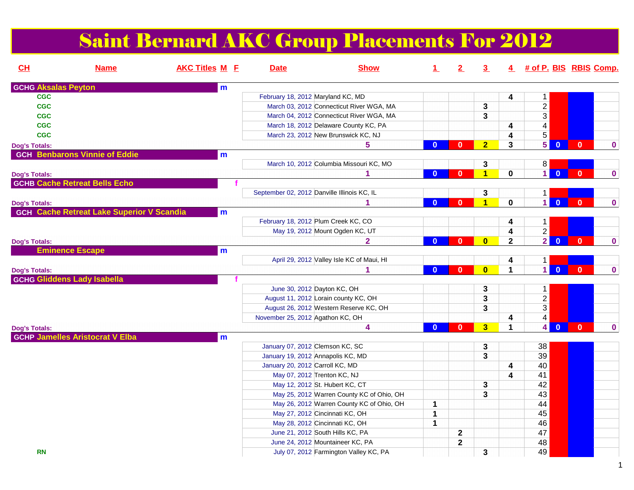### Saint Bernard AKC Group Placements For 2012

| CH                         | <b>Name</b>                                      | <b>AKC Titles M E</b> | <b>Date</b> | <b>Show</b>                                 | $\perp$        | 2            | $\overline{3}$          |                | 4 # of P. BIS RBIS Comp.                |                |             |
|----------------------------|--------------------------------------------------|-----------------------|-------------|---------------------------------------------|----------------|--------------|-------------------------|----------------|-----------------------------------------|----------------|-------------|
| <b>GCHG Aksalas Peyton</b> |                                                  | m                     |             |                                             |                |              |                         |                |                                         |                |             |
| <b>CGC</b>                 |                                                  |                       |             | February 18, 2012 Maryland KC, MD           |                |              |                         | 4              | $\mathbf{1}$                            |                |             |
| <b>CGC</b>                 |                                                  |                       |             | March 03, 2012 Connecticut River WGA, MA    |                |              | 3                       |                | $\overline{2}$                          |                |             |
| <b>CGC</b>                 |                                                  |                       |             | March 04, 2012 Connecticut River WGA, MA    |                |              | 3                       |                | $\overline{3}$                          |                |             |
| <b>CGC</b>                 |                                                  |                       |             | March 18, 2012 Delaware County KC, PA       |                |              |                         | 4              | $\overline{4}$                          |                |             |
| <b>CGC</b>                 |                                                  |                       |             | March 23, 2012 New Brunswick KC, NJ         |                |              |                         | 4              | $\overline{5}$                          |                |             |
| <b>Dog's Totals:</b>       |                                                  |                       |             | 5                                           | $\bf{0}$       | $\mathbf{0}$ | 2 <sup>1</sup>          | 3              | $\overline{5}$<br>$\mathbf{0}$          | $\mathbf{0}$   | $\bf{0}$    |
|                            | <b>GCH Benbarons Vinnie of Eddie</b>             | m                     |             |                                             |                |              |                         |                |                                         |                |             |
|                            |                                                  |                       |             | March 10, 2012 Columbia Missouri KC, MO     |                |              | 3                       |                | 8                                       |                |             |
| <b>Dog's Totals:</b>       |                                                  |                       |             | 1                                           | $\bf{0}$       | $\bf{0}$     | $\overline{\mathbf{1}}$ | $\mathbf 0$    | 1.<br>$\overline{0}$                    | $\overline{0}$ | $\bf{0}$    |
|                            | <b>GCHB Cache Retreat Bells Echo</b>             |                       |             |                                             |                |              |                         |                |                                         |                |             |
|                            |                                                  |                       |             | September 02, 2012 Danville Illinois KC, IL |                |              | 3                       |                | 1                                       |                |             |
| <b>Dog's Totals:</b>       |                                                  |                       |             |                                             | $\mathbf{0}$   | $\mathbf{0}$ | $\overline{\mathbf{1}}$ | $\mathbf 0$    | $\blacksquare$<br>$\mathbf{0}$          | $\mathbf{0}$   | $\mathbf 0$ |
|                            | <b>GCH Cache Retreat Lake Superior V Scandia</b> | m                     |             |                                             |                |              |                         |                |                                         |                |             |
|                            |                                                  |                       |             | February 18, 2012 Plum Creek KC, CO         |                |              |                         | 4              | $\mathbf 1$                             |                |             |
|                            |                                                  |                       |             | May 19, 2012 Mount Ogden KC, UT             |                |              |                         | 4              | $\overline{2}$                          |                |             |
| <b>Dog's Totals:</b>       |                                                  |                       |             | $\overline{\mathbf{2}}$                     | $\mathbf{0}$   | $\mathbf{0}$ | $\overline{\mathbf{0}}$ | $\overline{2}$ | $\overline{2}$<br>$\overline{0}$        | $\mathbf{0}$   | $\bf{0}$    |
|                            | <b>Eminence Escape</b>                           | m                     |             |                                             |                |              |                         |                |                                         |                |             |
|                            |                                                  |                       |             | April 29, 2012 Valley Isle KC of Maui, HI   |                |              |                         | 4              | $\mathbf 1$                             |                |             |
| <b>Dog's Totals:</b>       |                                                  |                       |             | 1                                           | $\overline{0}$ | $\mathbf{0}$ | $\overline{\mathbf{0}}$ | 1              | $\mathbf{1}$<br>$\overline{0}$          | $\overline{0}$ | $\mathbf 0$ |
|                            | <b>GCHG Gliddens Lady Isabella</b>               |                       |             |                                             |                |              |                         |                |                                         |                |             |
|                            |                                                  |                       |             | June 30, 2012 Dayton KC, OH                 |                |              | 3                       |                | 1                                       |                |             |
|                            |                                                  |                       |             | August 11, 2012 Lorain county KC, OH        |                |              | 3                       |                | $\overline{2}$                          |                |             |
|                            |                                                  |                       |             | August 26, 2012 Western Reserve KC, OH      |                |              | 3                       |                | $\overline{3}$                          |                |             |
|                            |                                                  |                       |             | November 25, 2012 Agathon KC, OH            |                |              |                         | 4              | 4                                       |                |             |
| <b>Dog's Totals:</b>       |                                                  |                       |             | 4                                           | $\mathbf{0}$   | $\mathbf{0}$ | $\overline{\mathbf{3}}$ | $\mathbf 1$    | $\overline{\mathbf{4}}$<br>$\mathbf{0}$ | $\mathbf{0}$   | $\mathbf 0$ |
|                            | <b>GCHP Jamelles Aristocrat V Elba</b>           | m                     |             |                                             |                |              |                         |                |                                         |                |             |
|                            |                                                  |                       |             | January 07, 2012 Clemson KC, SC             |                |              | 3                       |                | 38                                      |                |             |
|                            |                                                  |                       |             | January 19, 2012 Annapolis KC, MD           |                |              | 3                       |                | 39                                      |                |             |
|                            |                                                  |                       |             | January 20, 2012 Carroll KC, MD             |                |              |                         | 4              | 40                                      |                |             |
|                            |                                                  |                       |             | May 07, 2012 Trenton KC, NJ                 |                |              |                         | 4              | 41                                      |                |             |
|                            |                                                  |                       |             | May 12, 2012 St. Hubert KC, CT              |                |              | 3                       |                | 42                                      |                |             |
|                            |                                                  |                       |             | May 25, 2012 Warren County KC of Ohio, OH   |                |              | 3                       |                | 43                                      |                |             |
|                            |                                                  |                       |             | May 26, 2012 Warren County KC of Ohio, OH   | $\mathbf 1$    |              |                         |                | 44                                      |                |             |
|                            |                                                  |                       |             | May 27, 2012 Cincinnati KC, OH              | $\mathbf 1$    |              |                         |                | 45                                      |                |             |
|                            |                                                  |                       |             |                                             |                |              |                         |                | 46                                      |                |             |
|                            |                                                  |                       |             | May 28, 2012 Cincinnati KC, OH              | $\mathbf{1}$   |              |                         |                | 47                                      |                |             |
|                            |                                                  |                       |             | June 21, 2012 South Hills KC, PA            |                | $\mathbf{2}$ |                         |                |                                         |                |             |
|                            |                                                  |                       |             | June 24, 2012 Mountaineer KC, PA            |                | $\mathbf{2}$ |                         |                | 48                                      |                |             |
| <b>RN</b>                  |                                                  |                       |             | July 07, 2012 Farmington Valley KC, PA      |                |              | 3                       |                | 49                                      |                |             |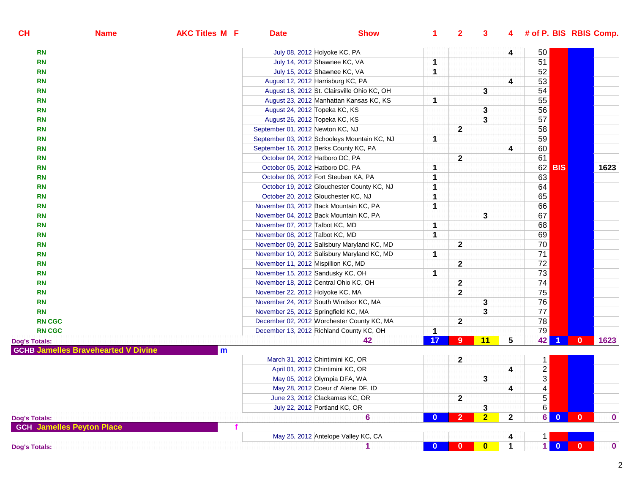| CL                   | <u>Name</u>                                | <b>AKC Titles M E</b> | <b>Date</b>                            | <b>Show</b>                                  | $\perp$                 | 2              | $\overline{3}$ |              | 4 # of P. BIS RBIS Comp. |                      |              |             |
|----------------------|--------------------------------------------|-----------------------|----------------------------------------|----------------------------------------------|-------------------------|----------------|----------------|--------------|--------------------------|----------------------|--------------|-------------|
| <b>RN</b>            |                                            |                       | July 08, 2012 Holyoke KC, PA           |                                              |                         |                |                | 4            | 50                       |                      |              |             |
| <b>RN</b>            |                                            |                       |                                        | July 14, 2012 Shawnee KC, VA                 | 1                       |                |                |              | 51                       |                      |              |             |
| <b>RN</b>            |                                            |                       |                                        | July 15, 2012 Shawnee KC, VA                 | 1                       |                |                |              | 52                       |                      |              |             |
| <b>RN</b>            |                                            |                       | August 12, 2012 Harrisburg KC, PA      |                                              |                         |                |                | 4            | 53                       |                      |              |             |
| <b>RN</b>            |                                            |                       |                                        | August 18, 2012 St. Clairsville Ohio KC, OH  |                         |                | 3              |              | 54                       |                      |              |             |
| <b>RN</b>            |                                            |                       |                                        | August 23, 2012 Manhattan Kansas KC, KS      | 1                       |                |                |              | $\overline{55}$          |                      |              |             |
| <b>RN</b>            |                                            |                       | August 24, 2012 Topeka KC, KS          |                                              |                         |                | 3              |              | 56                       |                      |              |             |
| <b>RN</b>            |                                            |                       | August 26, 2012 Topeka KC, KS          |                                              |                         |                | 3              |              | $\overline{57}$          |                      |              |             |
| <b>RN</b>            |                                            |                       | September 01, 2012 Newton KC, NJ       |                                              |                         | $\mathbf{2}$   |                |              | 58                       |                      |              |             |
| <b>RN</b>            |                                            |                       |                                        | September 03, 2012 Schooleys Mountain KC, NJ | $\mathbf 1$             |                |                |              | 59                       |                      |              |             |
| <b>RN</b>            |                                            |                       | September 16, 2012 Berks County KC, PA |                                              |                         |                |                | 4            | 60                       |                      |              |             |
| <b>RN</b>            |                                            |                       | October 04, 2012 Hatboro DC, PA        |                                              |                         | $\mathbf{2}$   |                |              | 61                       |                      |              |             |
| <b>RN</b>            |                                            |                       | October 05, 2012 Hatboro DC, PA        |                                              | 1                       |                |                |              | 62                       | <b>BIS</b>           |              | 1623        |
| <b>RN</b>            |                                            |                       |                                        | October 06, 2012 Fort Steuben KA, PA         | $\mathbf{1}$            |                |                |              | 63                       |                      |              |             |
| <b>RN</b>            |                                            |                       |                                        | October 19, 2012 Glouchester County KC, NJ   | $\mathbf 1$             |                |                |              | 64                       |                      |              |             |
| <b>RN</b>            |                                            |                       | October 20, 2012 Glouchester KC, NJ    |                                              | 1                       |                |                |              | 65                       |                      |              |             |
| <b>RN</b>            |                                            |                       |                                        | November 03, 2012 Back Mountain KC, PA       | 1                       |                |                |              | 66                       |                      |              |             |
| <b>RN</b>            |                                            |                       |                                        | November 04, 2012 Back Mountain KC, PA       |                         |                | 3              |              | 67                       |                      |              |             |
| <b>RN</b>            |                                            |                       | November 07, 2012 Talbot KC, MD        |                                              | 1                       |                |                |              | 68                       |                      |              |             |
| <b>RN</b>            |                                            |                       | November 08, 2012 Talbot KC, MD        |                                              | 1                       |                |                |              | 69                       |                      |              |             |
| <b>RN</b>            |                                            |                       |                                        | November 09, 2012 Salisbury Maryland KC, MD  |                         | $\mathbf{2}$   |                |              | 70                       |                      |              |             |
| <b>RN</b>            |                                            |                       |                                        | November 10, 2012 Salisbury Maryland KC, MD  | 1                       |                |                |              | $\overline{71}$          |                      |              |             |
| <b>RN</b>            |                                            |                       | November 11, 2012 Mispillion KC, MD    |                                              |                         | $\mathbf{2}$   |                |              | 72                       |                      |              |             |
| <b>RN</b>            |                                            |                       | November 15, 2012 Sandusky KC, OH      |                                              | 1                       |                |                |              | $\overline{73}$          |                      |              |             |
| <b>RN</b>            |                                            |                       | November 18, 2012 Central Ohio KC, OH  |                                              |                         | $\mathbf{2}$   |                |              | 74                       |                      |              |             |
| <b>RN</b>            |                                            |                       | November 22, 2012 Holyoke KC, MA       |                                              |                         | $\mathbf{2}$   |                |              | $\overline{75}$          |                      |              |             |
| <b>RN</b>            |                                            |                       |                                        | November 24, 2012 South Windsor KC, MA       |                         |                | 3              |              | $\overline{76}$          |                      |              |             |
| <b>RN</b>            |                                            |                       | November 25, 2012 Springfield KC, MA   |                                              |                         |                | 3              |              | $\overline{77}$          |                      |              |             |
| <b>RN CGC</b>        |                                            |                       |                                        | December 02, 2012 Worchester County KC, MA   |                         | $\mathbf{2}$   |                |              | 78                       |                      |              |             |
| <b>RN CGC</b>        |                                            |                       |                                        | December 13, 2012 Richland County KC, OH     | 1                       |                |                |              | 79                       |                      |              |             |
| <b>Dog's Totals:</b> | <b>GCHB Jamelles Bravehearted V Divine</b> | m                     |                                        | 42                                           | 17                      | $9\phantom{.}$ | 11             | 5            | 42                       | $\blacktriangleleft$ | $\mathbf{0}$ | 1623        |
|                      |                                            |                       |                                        | March 31, 2012 Chintimini KC, OR             |                         | 2              |                |              | 1                        |                      |              |             |
|                      |                                            |                       |                                        | April 01, 2012 Chintimini KC, OR             |                         |                |                | 4            |                          |                      |              |             |
|                      |                                            |                       |                                        | May 05, 2012 Olympia DFA, WA                 |                         |                | 3              |              | $\frac{2}{3}$            |                      |              |             |
|                      |                                            |                       |                                        | May 28, 2012 Coeur d' Alene DF, ID           |                         |                |                | 4            | 4                        |                      |              |             |
|                      |                                            |                       |                                        | June 23, 2012 Clackamas KC, OR               |                         | $\mathbf 2$    |                |              | $\overline{5}$           |                      |              |             |
|                      |                                            |                       |                                        | July 22, 2012 Portland KC, OR                |                         |                | 3              |              | $6\,$                    |                      |              |             |
| <b>Dog's Totals:</b> |                                            |                       |                                        | $6\phantom{1}6$                              | $\mathbf{0}$            | $\overline{2}$ | $\overline{2}$ | $\mathbf{2}$ | $6 \mid$                 | $\overline{0}$       | $\mathbf{0}$ | $\bf{0}$    |
|                      | <b>GCH Jamelles Peyton Place</b>           |                       |                                        |                                              |                         |                |                |              |                          |                      |              |             |
|                      |                                            |                       |                                        | May 25, 2012 Antelope Valley KC, CA          |                         |                |                | 4            | 1                        |                      |              |             |
|                      |                                            |                       |                                        | 1                                            | $\overline{\mathbf{0}}$ | $\bf{0}$       | $\bullet$      | 1            | $\mathbf{1}$             | $\mathbf{0}$         | $\mathbf{0}$ | $\mathbf 0$ |
| <b>Dog's Totals:</b> |                                            |                       |                                        |                                              |                         |                |                |              |                          |                      |              |             |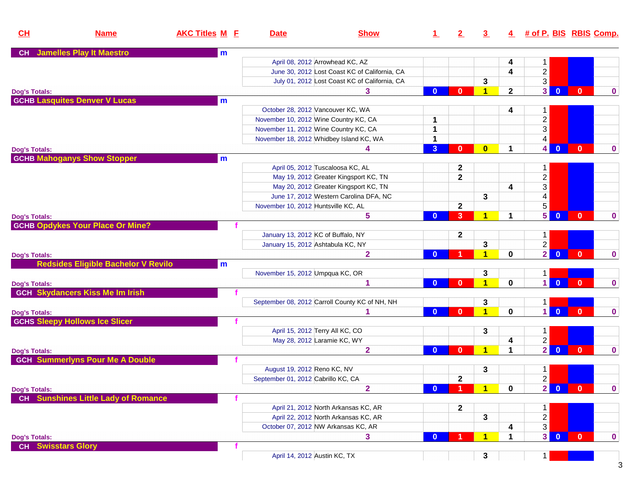| CH                        | <b>Name</b>                                | <b>AKC Titles M E</b> | <b>Date</b>                           | <b>Show</b>                                    |                         | $2\overline{ }$ | 3 <sub>2</sub>          |              | 4 # of P. BIS RBIS Comp.                  |              |             |
|---------------------------|--------------------------------------------|-----------------------|---------------------------------------|------------------------------------------------|-------------------------|-----------------|-------------------------|--------------|-------------------------------------------|--------------|-------------|
| <b>CH</b>                 | <b>Jamelles Play It Maestro</b>            | m                     |                                       |                                                |                         |                 |                         |              |                                           |              |             |
|                           |                                            |                       |                                       | April 08, 2012 Arrowhead KC, AZ                |                         |                 |                         | 4            | 1                                         |              |             |
|                           |                                            |                       |                                       | June 30, 2012 Lost Coast KC of California, CA  |                         |                 |                         | 4            | $\overline{c}$                            |              |             |
|                           |                                            |                       |                                       | July 01, 2012 Lost Coast KC of California, CA  |                         |                 | 3                       |              | $\overline{3}$                            |              |             |
| <b>Dog's Totals:</b>      |                                            |                       |                                       | 3                                              | $\mathbf{0}$            | $\mathbf{0}$    | $\blacktriangleleft$    | $\mathbf{2}$ | 3 <sup>1</sup><br>$\overline{\mathbf{0}}$ | $\mathbf{0}$ | $\bf{0}$    |
|                           | <b>GCHB Lasquites Denver V Lucas</b>       | m                     |                                       |                                                |                         |                 |                         |              |                                           |              |             |
|                           |                                            |                       | October 28, 2012 Vancouver KC, WA     |                                                |                         |                 |                         | 4            | 1                                         |              |             |
|                           |                                            |                       | November 10, 2012 Wine Country KC, CA |                                                | 1                       |                 |                         |              | $\overline{c}$                            |              |             |
|                           |                                            |                       | November 11, 2012 Wine Country KC, CA |                                                | 1                       |                 |                         |              | 3                                         |              |             |
|                           |                                            |                       |                                       | November 18, 2012 Whidbey Island KC, WA        | 1                       |                 |                         |              | 4                                         |              |             |
| <b>Dog's Totals:</b>      |                                            |                       |                                       | 4                                              | $\overline{\mathbf{3}}$ | $\mathbf{0}$    | $\mathbf{0}$            | $\mathbf 1$  | 4 <br>$\overline{0}$                      | $\mathbf{0}$ | $\bf{0}$    |
|                           | <b>GCHB Mahoganys Show Stopper</b>         | m                     |                                       |                                                |                         |                 |                         |              |                                           |              |             |
|                           |                                            |                       |                                       | April 05, 2012 Tuscaloosa KC, AL               |                         | $\mathbf 2$     |                         |              | 1                                         |              |             |
|                           |                                            |                       |                                       | May 19, 2012 Greater Kingsport KC, TN          |                         | $\mathbf 2$     |                         |              | $\overline{c}$                            |              |             |
|                           |                                            |                       |                                       | May 20, 2012 Greater Kingsport KC, TN          |                         |                 |                         | 4            | 3                                         |              |             |
|                           |                                            |                       |                                       | June 17, 2012 Western Carolina DFA, NC         |                         |                 | 3                       |              | 4                                         |              |             |
|                           |                                            |                       | November 10, 2012 Huntsville KC, AL   |                                                |                         | $\mathbf{2}$    |                         |              | 5                                         |              |             |
| <b>Dog's Totals:</b>      |                                            |                       |                                       | 5                                              | $\bf{0}$                | 3               | $\overline{\mathbf{1}}$ | 1            | 5 <br>$\overline{0}$                      | $\mathbf{0}$ | $\bf{0}$    |
|                           | <b>GCHB Opdykes Your Place Or Mine?</b>    |                       |                                       |                                                |                         |                 |                         |              |                                           |              |             |
|                           |                                            |                       | January 13, 2012 KC of Buffalo, NY    |                                                |                         | $\mathbf{2}$    |                         |              | $\mathbf{1}$                              |              |             |
|                           |                                            |                       | January 15, 2012 Ashtabula KC, NY     |                                                |                         |                 | 3                       |              | $\overline{2}$                            |              |             |
| <b>Dog's Totals:</b>      |                                            |                       |                                       | $\mathbf{2}$                                   | $\bf{0}$                |                 | $\blacktriangleleft$    | 0            | 2 <sup>1</sup><br>$\overline{\mathbf{0}}$ | $\mathbf{0}$ | $\bf{0}$    |
|                           | <b>Redsides Eligible Bachelor V Revilo</b> | m                     |                                       |                                                |                         |                 |                         |              |                                           |              |             |
|                           |                                            |                       | November 15, 2012 Umpqua KC, OR       |                                                |                         |                 | 3                       |              | 1                                         |              |             |
| <b>Dog's Totals:</b>      |                                            |                       |                                       | 1                                              | $\mathbf{0}$            | <sup>0</sup>    | $\blacktriangleleft$    | $\mathbf 0$  | $\vert$ 1<br>$\mathbf{0}$                 | $\mathbf{0}$ | $\bf{0}$    |
|                           | <b>GCH Skydancers Kiss Me Im Irish</b>     |                       |                                       |                                                |                         |                 |                         |              |                                           |              |             |
|                           |                                            |                       |                                       | September 08, 2012 Carroll County KC of NH, NH |                         |                 | 3                       |              | $\mathbf{1}$                              |              |             |
| <b>Dog's Totals:</b>      |                                            |                       |                                       |                                                | $\mathbf{0}$            | $\mathbf{0}$    | $\overline{\mathbf{1}}$ | $\mathbf 0$  | $\vert$ 1<br>$\mathbf{0}$                 | $\mathbf{0}$ | $\bf{0}$    |
|                           | <b>GCHS Sleepy Hollows Ice Slicer</b>      |                       |                                       |                                                |                         |                 |                         |              |                                           |              |             |
|                           |                                            |                       | April 15, 2012 Terry All KC, CO       |                                                |                         |                 | 3                       |              | 1                                         |              |             |
|                           |                                            |                       | May 28, 2012 Laramie KC, WY           |                                                |                         |                 |                         | 4            | $\overline{2}$                            |              |             |
| <b>Dog's Totals:</b>      |                                            |                       |                                       | $\overline{2}$                                 | $\mathbf{0}$            | $\mathbf{0}$    | $\blacktriangleleft$    | $\mathbf 1$  | $\overline{2}$<br>$\overline{\mathbf{0}}$ | $\mathbf{0}$ | $\bf{0}$    |
|                           | <b>GCH Summerlyns Pour Me A Double</b>     |                       |                                       |                                                |                         |                 |                         |              |                                           |              |             |
|                           |                                            |                       | August 19, 2012 Reno KC, NV           |                                                |                         |                 | 3                       |              | 1                                         |              |             |
|                           |                                            |                       | September 01, 2012 Cabrillo KC, CA    |                                                |                         | $\mathbf{2}$    |                         |              | $\overline{2}$                            |              |             |
| <b>Dog's Totals:</b>      |                                            |                       |                                       | $\overline{2}$                                 | $\mathbf{0}$            |                 | $\blacktriangleleft$    | $\mathbf 0$  | $2 \ 0$                                   | $\mathbf{0}$ | 0           |
| <b>CH</b>                 | <b>Sunshines Little Lady of Romance</b>    |                       |                                       |                                                |                         |                 |                         |              |                                           |              |             |
|                           |                                            |                       |                                       | April 21, 2012 North Arkansas KC, AR           |                         | $\mathbf{2}$    |                         |              | 1                                         |              |             |
|                           |                                            |                       |                                       | April 22, 2012 North Arkansas KC, AR           |                         |                 | 3                       |              | $\overline{c}$                            |              |             |
|                           |                                            |                       |                                       | October 07, 2012 NW Arkansas KC, AR            |                         |                 |                         | 4            | 3                                         |              |             |
| <b>Dog's Totals:</b>      |                                            |                       |                                       | 3                                              | $\mathbf{0}$            |                 | $\overline{\mathbf{1}}$ | 1            | 3 <sup>1</sup><br>$\mathbf{0}$            | $\mathbf{0}$ | $\mathbf 0$ |
| <b>CH</b> Swisstars Glory |                                            |                       |                                       |                                                |                         |                 |                         |              |                                           |              |             |
|                           |                                            |                       | April 14, 2012 Austin KC, TX          |                                                |                         |                 | 3                       |              | $\mathbf 1$                               |              |             |

 $\overline{3}$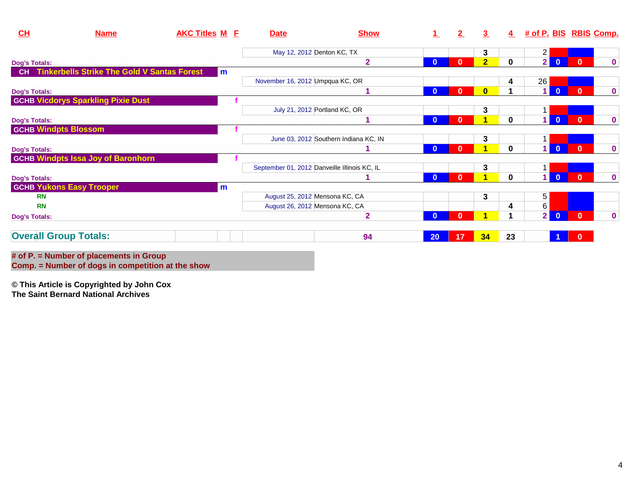| CL                           | <b>Name</b>                                        | <b>AKC Titles M E</b> | <b>Date</b>                                  | <b>Show</b>                           |              | $\mathbf{2}$ | 3              | 4           | # of P. BIS RBIS Comp. |                |              |             |
|------------------------------|----------------------------------------------------|-----------------------|----------------------------------------------|---------------------------------------|--------------|--------------|----------------|-------------|------------------------|----------------|--------------|-------------|
|                              |                                                    |                       | May 12, 2012 Denton KC, TX                   |                                       |              |              | 3              |             | $\overline{c}$         |                |              |             |
| <b>Dog's Totals:</b>         |                                                    |                       |                                              | $\overline{2}$                        | $\mathbf{0}$ |              | $\overline{2}$ | $\bf{0}$    | 2                      | $\mathbf{0}$   | $\mathbf{0}$ | $\mathbf 0$ |
| <b>CH</b>                    | <b>Tinkerbells Strike The Gold V Santas Forest</b> | m                     |                                              |                                       |              |              |                |             |                        |                |              |             |
|                              |                                                    |                       | November 16, 2012 Umpqua KC, OR              |                                       |              |              |                | 4           | 26                     |                |              |             |
| <b>Dog's Totals:</b>         |                                                    |                       |                                              |                                       | $\mathbf{0}$ | $\bf{0}$     | $\bf{0}$       |             | 1                      | $\overline{0}$ | $\mathbf{0}$ | $\mathbf 0$ |
|                              | <b>GCHB Vicdorys Sparkling Pixie Dust</b>          |                       |                                              |                                       |              |              |                |             |                        |                |              |             |
|                              |                                                    |                       |                                              | July 21, 2012 Portland KC, OR         |              |              | 3              |             |                        |                |              |             |
| <b>Dog's Totals:</b>         |                                                    |                       |                                              |                                       | $\mathbf{0}$ | 0            | 1              | $\mathbf 0$ | 1                      | $\overline{0}$ | $\mathbf{0}$ | $\mathbf 0$ |
| <b>GCHB Windpts Blossom</b>  |                                                    |                       |                                              |                                       |              |              |                |             |                        |                |              |             |
|                              |                                                    |                       |                                              | June 03, 2012 Southern Indiana KC, IN |              |              | 3              |             |                        |                |              |             |
| <b>Dog's Totals:</b>         |                                                    |                       |                                              |                                       | $\bf{0}$     |              |                | $\bf{0}$    | и                      | $\overline{0}$ | $\mathbf{0}$ | $\bf{0}$    |
|                              | <b>GCHB Windpts Issa Joy of Baronhorn</b>          |                       |                                              |                                       |              |              |                |             |                        |                |              |             |
|                              |                                                    |                       | September 01, 2012 Danveille Illinois KC, IL |                                       |              |              | 3              |             |                        |                |              |             |
| <b>Dog's Totals:</b>         |                                                    |                       |                                              |                                       | $\mathbf{0}$ | n            | 4              | $\bf{0}$    | $\overline{1}$         | $\overline{0}$ | $\mathbf{0}$ | $\mathbf 0$ |
|                              | <b>GCHB Yukons Easy Trooper</b>                    | m                     |                                              |                                       |              |              |                |             |                        |                |              |             |
| <b>RN</b>                    |                                                    |                       | August 25, 2012 Mensona KC, CA               |                                       |              |              | 3              |             | 5                      |                |              |             |
| <b>RN</b>                    |                                                    |                       | August 26, 2012 Mensona KC, CA               |                                       |              |              |                | 4           | 6                      |                |              |             |
| <b>Dog's Totals:</b>         |                                                    |                       |                                              | $\overline{2}$                        | $\mathbf{0}$ |              |                |             | $\overline{2}$         | $\Omega$       | $\mathbf{0}$ | $\mathbf 0$ |
| <b>Overall Group Totals:</b> |                                                    |                       |                                              | 94                                    | 20           | 17           | 34             | 23          |                        |                | $\mathbf{0}$ |             |
|                              | # of $P =$ Number of placements in Group           |                       |                                              |                                       |              |              |                |             |                        |                |              |             |

**# of P. = Number of placements in Group Comp. = Number of dogs in competition at the show**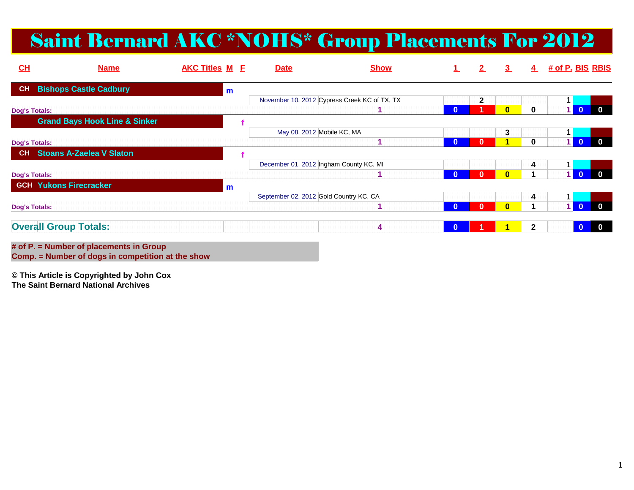## Saint Bernard AKC \*NOHS\* Group Placements For 2012

| CL                   | <b>Name</b>                                                                                                                                                                                                                   | <b>AKC Titles M F</b> |   | <b>Date</b>                            | <b>Show</b>                                  |              | 2            | $\overline{3}$ | 4            | # of P. BIS RBIS |          |              |
|----------------------|-------------------------------------------------------------------------------------------------------------------------------------------------------------------------------------------------------------------------------|-----------------------|---|----------------------------------------|----------------------------------------------|--------------|--------------|----------------|--------------|------------------|----------|--------------|
| CH                   | <b>Bishops Castle Cadbury</b>                                                                                                                                                                                                 |                       | m |                                        |                                              |              |              |                |              |                  |          |              |
|                      |                                                                                                                                                                                                                               |                       |   |                                        | November 10, 2012 Cypress Creek KC of TX, TX |              | $\mathbf{2}$ |                |              |                  |          |              |
| <b>Dog's Totals:</b> |                                                                                                                                                                                                                               |                       |   |                                        |                                              | $\bf{0}$     |              | $\bf{0}$       | $\mathbf{0}$ |                  |          |              |
|                      | <b>Grand Bays Hook Line &amp; Sinker</b>                                                                                                                                                                                      |                       |   |                                        |                                              |              |              |                |              |                  |          |              |
|                      |                                                                                                                                                                                                                               |                       |   | May 08, 2012 Mobile KC, MA             |                                              |              |              | 3              |              |                  |          |              |
| <b>Dog's Totals:</b> |                                                                                                                                                                                                                               |                       |   |                                        |                                              | $\bf{0}$     | $\bf{0}$     |                | $\bf{0}$     |                  | $\Omega$ | $\mathbf{0}$ |
| CH                   | <b>Stoans A-Zaelea V Slaton</b>                                                                                                                                                                                               |                       |   |                                        |                                              |              |              |                |              |                  |          |              |
|                      |                                                                                                                                                                                                                               |                       |   | December 01, 2012 Ingham County KC, MI |                                              |              |              |                | 4            |                  |          |              |
| <b>Dog's Totals:</b> |                                                                                                                                                                                                                               |                       |   |                                        |                                              | $\bf{0}$     | $\bf{0}$     | $\bf{0}$       |              |                  |          |              |
| <b>GCH</b>           | <b>Yukons Firecracker</b>                                                                                                                                                                                                     |                       | m |                                        |                                              |              |              |                |              |                  |          |              |
|                      |                                                                                                                                                                                                                               |                       |   | September 02, 2012 Gold Country KC, CA |                                              |              |              |                | 4            |                  |          |              |
| <b>Dog's Totals:</b> |                                                                                                                                                                                                                               |                       |   |                                        |                                              | $\Omega$     |              | 0              |              |                  |          |              |
|                      | <b>Overall Group Totals:</b>                                                                                                                                                                                                  |                       |   |                                        | 4                                            | $\mathbf{0}$ |              |                | $\mathbf{2}$ |                  |          |              |
|                      | the company of the company of the company of the company of the company of the company of the company of the company of the company of the company of the company of the company of the company of the company of the company |                       |   |                                        |                                              |              |              |                |              |                  |          |              |

**# of P. = Number of placements in GroupComp. = Number of dogs in competition at the show**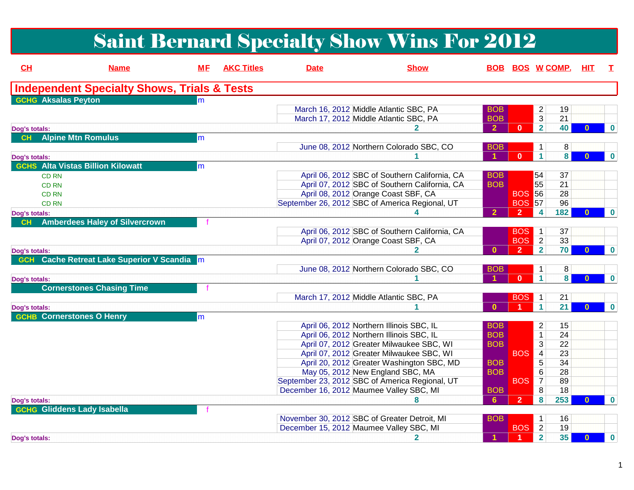# Saint Bernard Specialty Show Wins For 2012

| CH            | <b>Name</b>                                            | MЕ  | <b>AKC Titles</b> | <b>Date</b> | <b>Show</b>                                    |                      | <b>BOB BOS W COMP. HIT</b> |                         |     |              | $\top$      |
|---------------|--------------------------------------------------------|-----|-------------------|-------------|------------------------------------------------|----------------------|----------------------------|-------------------------|-----|--------------|-------------|
|               | <b>Independent Specialty Shows, Trials &amp; Tests</b> |     |                   |             |                                                |                      |                            |                         |     |              |             |
|               | <b>GCHG Aksalas Peyton</b>                             | lm. |                   |             |                                                |                      |                            |                         |     |              |             |
|               |                                                        |     |                   |             | March 16, 2012 Middle Atlantic SBC, PA         | <b>BOB</b>           |                            | $\overline{2}$          | 19  |              |             |
|               |                                                        |     |                   |             | March 17, 2012 Middle Atlantic SBC, PA         | <b>BOB</b>           |                            | $\overline{3}$          | 21  |              |             |
| Dog's totals: |                                                        |     |                   |             |                                                | $\overline{2}$       | $\mathbf{0}$               | $\overline{\mathbf{2}}$ | 40  | $\mathbf{0}$ | $\bf{0}$    |
| CH            | <b>Alpine Mtn Romulus</b>                              | m   |                   |             |                                                |                      |                            |                         |     |              |             |
|               |                                                        |     |                   |             | June 08, 2012 Northern Colorado SBC, CO        | <b>BOB</b>           |                            | $\mathbf{1}$            | 8   |              |             |
| Dog's totals: |                                                        |     |                   |             |                                                | $\blacktriangleleft$ | $\mathbf{0}$               | $\blacktriangleleft$    | 8   |              | $\bf{0}$    |
|               | <b>GCHS</b> Alta Vistas Billion Kilowatt               | m   |                   |             |                                                |                      |                            |                         |     |              |             |
|               | <b>CD RN</b>                                           |     |                   |             | April 06, 2012 SBC of Southern California, CA  | <b>BOB</b>           |                            | 54                      | 37  |              |             |
|               | <b>CD RN</b>                                           |     |                   |             | April 07, 2012 SBC of Southern California, CA  | <b>BOB</b>           |                            | 55                      | 21  |              |             |
|               | <b>CD RN</b>                                           |     |                   |             | April 08, 2012 Orange Coast SBF, CA            |                      | <b>BOS 56</b>              |                         | 28  |              |             |
|               | <b>CD RN</b>                                           |     |                   |             | September 26, 2012 SBC of America Regional, UT |                      | <b>BOS 57</b>              |                         | 96  |              |             |
| Dog's totals: |                                                        |     |                   |             |                                                | $\overline{2}$       | $\overline{2}$             | $\overline{4}$          | 182 | n.           | $\bf{0}$    |
| CH            | <b>Amberdees Haley of Silvercrown</b>                  |     |                   |             |                                                |                      |                            |                         |     |              |             |
|               |                                                        |     |                   |             | April 06, 2012 SBC of Southern California, CA  |                      | <b>BOS</b>                 | $\blacksquare$ 1        | 37  |              |             |
|               |                                                        |     |                   |             | April 07, 2012 Orange Coast SBF, CA            |                      | <b>BOS</b> 2               |                         | 33  |              |             |
| Dog's totals: |                                                        |     |                   |             |                                                | $\Omega$             | $\overline{2}$             | $\overline{2}$          | 70  |              | $\bf{0}$    |
| <b>GCH</b>    | <b>Cache Retreat Lake Superior V Scandia</b>           |     |                   |             |                                                |                      |                            |                         |     |              |             |
|               |                                                        |     |                   |             | June 08, 2012 Northern Colorado SBC, CO        | <b>BOB</b>           |                            | $\mathbf{1}$            | 8   |              |             |
| Dog's totals: |                                                        |     |                   |             |                                                |                      | $\mathbf{0}$               | $\blacktriangleleft$    | 8   | $\mathbf{0}$ | $\bf{0}$    |
|               | <b>Cornerstones Chasing Time</b>                       |     |                   |             |                                                |                      |                            |                         |     |              |             |
|               |                                                        |     |                   |             | March 17, 2012 Middle Atlantic SBC, PA         |                      | BOS <sub>1</sub>           |                         | 21  |              |             |
| Dog's totals: |                                                        |     |                   |             |                                                | $\Omega$             |                            | $\blacktriangleleft$    | 21  | $\mathbf{0}$ | $\mathbf 0$ |
|               | <b>GCHB</b> Cornerstones O Henry                       | m.  |                   |             |                                                |                      |                            |                         |     |              |             |
|               |                                                        |     |                   |             | April 06, 2012 Northern Illinois SBC, IL       | <b>BOB</b>           |                            | $\overline{2}$          | 15  |              |             |
|               |                                                        |     |                   |             | April 06, 2012 Northern Illinois SBC, IL       | <b>BOB</b>           |                            | $\overline{1}$          | 24  |              |             |
|               |                                                        |     |                   |             | April 07, 2012 Greater Milwaukee SBC, WI       | <b>BOB</b>           |                            | 3                       | 22  |              |             |
|               |                                                        |     |                   |             | April 07, 2012 Greater Milwaukee SBC, WI       |                      | <b>BOS</b>                 | $\overline{4}$          | 23  |              |             |
|               |                                                        |     |                   |             | April 20, 2012 Greater Washington SBC, MD      | <b>BOB</b>           |                            | 5                       | 34  |              |             |
|               |                                                        |     |                   |             | May 05, 2012 New England SBC, MA               | <b>BOB</b>           |                            | 6                       | 28  |              |             |
|               |                                                        |     |                   |             | September 23, 2012 SBC of America Regional, UT |                      | <b>BOS</b>                 | $\overline{7}$          | 89  |              |             |
|               |                                                        |     |                   |             | December 16, 2012 Maumee Valley SBC, MI        | <b>BOB</b>           |                            | 8                       | 18  |              |             |
| Dog's totals: |                                                        |     |                   |             | 8                                              | 6                    | $\overline{2}$             | 8                       | 253 | $\Omega$     | $\bf{0}$    |
|               | <b>GCHG Gliddens Lady Isabella</b>                     |     |                   |             |                                                |                      |                            |                         |     |              |             |
|               |                                                        |     |                   |             | November 30, 2012 SBC of Greater Detroit, MI   | <b>BOB</b>           |                            | $\mathbf{1}$            | 16  |              |             |
|               |                                                        |     |                   |             | December 15, 2012 Maumee Valley SBC, MI        |                      | <b>BOS</b>                 | $\vert$ 2               | 19  |              |             |
|               |                                                        |     |                   |             | 2                                              |                      | $\blacktriangleleft$       | $\overline{\mathbf{2}}$ | 35  | $\mathbf{0}$ | $\mathbf 0$ |
| Dog's totals: |                                                        |     |                   |             |                                                |                      |                            |                         |     |              |             |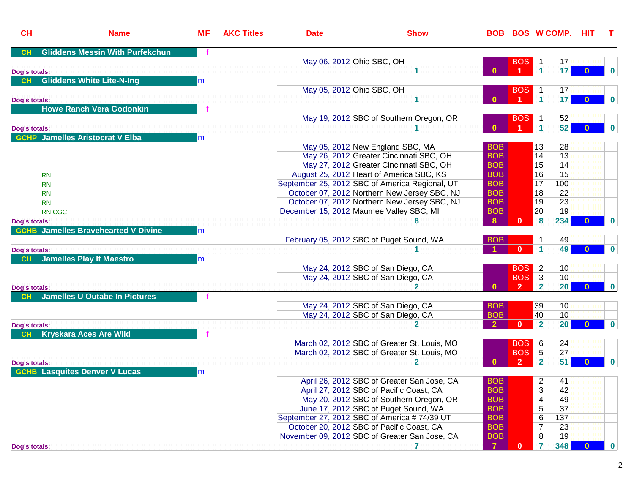| CH            | <b>Name</b>                                | <b>ME</b> | <b>AKC Titles</b> | <b>Date</b> | <b>Show</b>                                    |                | <b>BOB BOS W COMP.</b> |                |                 | <u>HIT</u>   | т           |
|---------------|--------------------------------------------|-----------|-------------------|-------------|------------------------------------------------|----------------|------------------------|----------------|-----------------|--------------|-------------|
| CH            | <b>Gliddens Messin With Purfekchun</b>     |           |                   |             |                                                |                |                        |                |                 |              |             |
|               |                                            |           |                   |             | May 06, 2012 Ohio SBC, OH                      |                | <b>BOS</b>             | $\mathbf{1}$   | 17              |              |             |
| Dog's totals: |                                            |           |                   |             |                                                | $\mathbf{0}$   | 1                      | 1              | 17              | $\mathbf{0}$ | $\bf{0}$    |
| <b>CH</b>     | <b>Gliddens White Lite-N-Ing</b>           | m         |                   |             |                                                |                |                        |                |                 |              |             |
|               |                                            |           |                   |             | May 05, 2012 Ohio SBC, OH                      |                | <b>BOS</b>             | $\mathbf 1$    | 17              |              |             |
| Dog's totals: |                                            |           |                   |             |                                                | $\mathbf{0}$   |                        | 1 <sup>1</sup> | 17              | $\Omega$     | $\bf{0}$    |
|               | <b>Howe Ranch Vera Godonkin</b>            |           |                   |             |                                                |                |                        |                |                 |              |             |
|               |                                            |           |                   |             | May 19, 2012 SBC of Southern Oregon, OR        |                | <b>BOS</b>             | 1              | 52              |              |             |
| Dog's totals: |                                            |           |                   |             |                                                | $\mathbf{0}$   |                        | 1 <sup>1</sup> | 52              | $\mathbf{0}$ | $\mathbf 0$ |
|               | <b>GCHP</b> Jamelles Aristocrat V Elba     | m         |                   |             |                                                |                |                        |                |                 |              |             |
|               |                                            |           |                   |             | May 05, 2012 New England SBC, MA               | <b>BOB</b>     |                        | 13             | 28              |              |             |
|               |                                            |           |                   |             | May 26, 2012 Greater Cincinnati SBC, OH        | <b>BOB</b>     |                        | 14             | 13              |              |             |
|               |                                            |           |                   |             | May 27, 2012 Greater Cincinnati SBC, OH        | <b>BOB</b>     |                        | 15             | 14              |              |             |
|               | <b>RN</b>                                  |           |                   |             | August 25, 2012 Heart of America SBC, KS       | <b>BOB</b>     |                        | 16             | 15              |              |             |
|               | <b>RN</b>                                  |           |                   |             | September 25, 2012 SBC of America Regional, UT | <b>BOB</b>     |                        | 17             | 100             |              |             |
|               | <b>RN</b>                                  |           |                   |             | October 07, 2012 Northern New Jersey SBC, NJ   | <b>BOB</b>     |                        | 18             | 22              |              |             |
|               | <b>RN</b>                                  |           |                   |             | October 07, 2012 Northern New Jersey SBC, NJ   | <b>BOB</b>     |                        | 19             | 23              |              |             |
|               | <b>RN CGC</b>                              |           |                   |             | December 15, 2012 Maumee Valley SBC, MI        | <b>BOB</b>     |                        | 20             | 19              |              |             |
| Dog's totals: |                                            |           |                   |             |                                                | 8              | $\bf{0}$               | 8              | 234             |              | $\mathbf 0$ |
|               | <b>GCHB</b> Jamelles Bravehearted V Divine | lm        |                   |             |                                                |                |                        |                |                 |              |             |
|               |                                            |           |                   |             | February 05, 2012 SBC of Puget Sound, WA       | <b>BOB</b>     |                        | $\mathbf{1}$   | 49              |              |             |
| Dog's totals: |                                            |           |                   |             |                                                |                | $\mathbf{0}$           | $\mathbf{1}$   | 49              | $\Omega$     | $\mathbf 0$ |
| CH            | <b>Jamelles Play It Maestro</b>            | m         |                   |             |                                                |                |                        |                |                 |              |             |
|               |                                            |           |                   |             | May 24, 2012 SBC of San Diego, CA              |                | <b>BOS</b>             | 2              | 10 <sup>1</sup> |              |             |
|               |                                            |           |                   |             | May 24, 2012 SBC of San Diego, CA              |                | <b>BOS</b>             | $\overline{3}$ | 10              |              |             |
| Dog's totals: |                                            |           |                   |             |                                                | $\mathbf{0}$   | $\overline{2}$         | $\overline{2}$ | 20 <sup>°</sup> | $\bf{0}$     | $\bf{0}$    |
| CH            | <b>Jamelles U Outabe In Pictures</b>       |           |                   |             |                                                |                |                        |                |                 |              |             |
|               |                                            |           |                   |             | May 24, 2012 SBC of San Diego, CA              | <b>BOB</b>     |                        | 39             | 10              |              |             |
|               |                                            |           |                   |             | May 24, 2012 SBC of San Diego, CA              | <b>BOB</b>     |                        | 40             | 10              |              |             |
| Dog's totals: |                                            |           |                   |             | 2                                              | $\overline{2}$ | $\mathbf{0}$           | $\overline{2}$ | 20 <sup>°</sup> | $\bf{0}$     | $\mathbf 0$ |
| CH            | <b>Kryskara Aces Are Wild</b>              |           |                   |             |                                                |                |                        |                |                 |              |             |
|               |                                            |           |                   |             | March 02, 2012 SBC of Greater St. Louis, MO    |                | <b>BOS</b>             | 6              | 24              |              |             |
|               |                                            |           |                   |             | March 02, 2012 SBC of Greater St. Louis, MO    |                | <b>BOS</b>             | $\overline{5}$ | 27              |              |             |
| Dog's totals: |                                            |           |                   |             | $\mathbf{2}$                                   | $\mathbf{0}$   | $\overline{2}$         | $\overline{2}$ | 51              | $\bf{0}$     | $\bf{0}$    |
|               | <b>GCHB</b> Lasquites Denver V Lucas       | m         |                   |             |                                                |                |                        |                |                 |              |             |
|               |                                            |           |                   |             | April 26, 2012 SBC of Greater San Jose, CA     | <b>BOB</b>     |                        | $\overline{2}$ | 41              |              |             |
|               |                                            |           |                   |             | April 27, 2012 SBC of Pacific Coast, CA        | <b>BOB</b>     |                        | 3              | 42              |              |             |
|               |                                            |           |                   |             | May 20, 2012 SBC of Southern Oregon, OR        | <b>BOB</b>     |                        | 4              | 49              |              |             |
|               |                                            |           |                   |             | June 17, 2012 SBC of Puget Sound, WA           | <b>BOB</b>     |                        | 5              | 37              |              |             |
|               |                                            |           |                   |             | September 27, 2012 SBC of America #74/39 UT    | <b>BOB</b>     |                        | 6              | 137             |              |             |
|               |                                            |           |                   |             | October 20, 2012 SBC of Pacific Coast, CA      | <b>BOB</b>     |                        | $\overline{7}$ | 23              |              |             |
|               |                                            |           |                   |             | November 09, 2012 SBC of Greater San Jose, CA  | <b>BOB</b>     |                        | 8              | 19              |              |             |
| Dog's totals: |                                            |           |                   |             |                                                | $\overline{7}$ | $\mathbf{0}$           | $\overline{7}$ | 348             | $\bf{0}$     | $\bf{0}$    |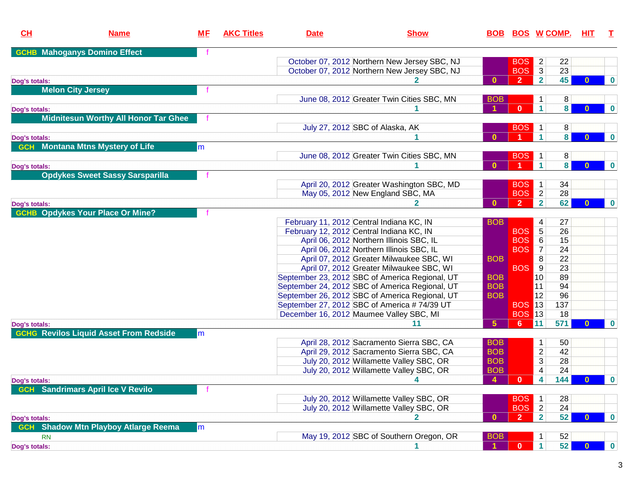| <b>Mahoganys Domino Effect</b><br><b>GCHB</b><br>$\overline{2}$<br>October 07, 2012 Northern New Jersey SBC, NJ<br><b>BOS</b><br>22<br>$\overline{\mathbf{3}}$<br>October 07, 2012 Northern New Jersey SBC, NJ<br><b>BOS</b><br>23<br>45<br>$\overline{2}$<br>$\overline{2}$<br>$\mathbf{0}$<br>$\mathbf{0}$<br>$\bf{0}$<br>Dog's totals:<br><b>Melon City Jersey</b><br>June 08, 2012 Greater Twin Cities SBC, MN<br>8<br><b>BOB</b><br>1<br>8 <sup>1</sup><br>$\mathbf{0}$<br>$\mathbf{1}$<br>$\mathbf 0$<br>$\mathbf{0}$<br>Dog's totals:<br><b>Midnitesun Worthy All Honor Tar Ghee</b><br><b>BOS</b><br>8<br>July 27, 2012 SBC of Alaska, AK<br>$\mathbf{1}$<br>$\overline{\mathbf{8}}$<br>$\mathbf 1$<br>$\bf{0}$<br>$\mathbf{0}$<br>$\mathbf{0}$<br>Dog's totals:<br><b>Montana Mtns Mystery of Life</b><br><b>GCH</b><br>m<br>June 08, 2012 Greater Twin Cities SBC, MN<br><b>BOS</b><br>$\mathbf{1}$<br>8<br>8 <sup>1</sup><br>$\mathbf{1}$<br>$\bf{0}$<br>$\bf{0}$<br>$\Omega$<br>Dog's totals:<br><b>Opdykes Sweet Sassy Sarsparilla</b><br>34<br>April 20, 2012 Greater Washington SBC, MD<br><b>BOS</b><br>$\mathbf 1$<br>$\overline{2}$<br>May 05, 2012 New England SBC, MA<br><b>BOS</b><br>28<br>$\overline{2}$<br>$\overline{2}$<br>62<br>$\bf{0}$<br>$\bf{0}$<br>$\bf{0}$<br>Dog's totals:<br><b>GCHB Opdykes Your Place Or Mine?</b><br>February 11, 2012 Central Indiana KC, IN<br><b>BOB</b><br>4<br>27<br>$\overline{5}$<br>26<br>February 12, 2012 Central Indiana KC, IN<br><b>BOS</b><br>$6\,$<br>April 06, 2012 Northern Illinois SBC, IL<br>15<br><b>BOS</b><br>$\overline{7}$<br>April 06, 2012 Northern Illinois SBC, IL<br><b>BOS</b><br>24<br>April 07, 2012 Greater Milwaukee SBC, WI<br>8<br>22<br><b>BOB</b><br>April 07, 2012 Greater Milwaukee SBC, WI<br>9<br>23<br><b>BOS</b><br>September 23, 2012 SBC of America Regional, UT<br>89<br>10 <sup>1</sup><br><b>BOB</b><br> 11 <br>94<br>September 24, 2012 SBC of America Regional, UT<br><b>BOB</b><br>96<br>September 26, 2012 SBC of America Regional, UT<br><b>BOB</b><br>12<br>September 27, 2012 SBC of America #74/39 UT<br><b>BOS 13</b><br>137<br><b>BOS 13</b><br>18<br>December 16, 2012 Maumee Valley SBC, MI<br>5 <sub>5</sub><br>571<br>11<br>11<br>$6^{\circ}$<br>$\bf{0}$<br>$\mathbf{0}$<br>Dog's totals:<br><b>GCHG Revilos Liquid Asset From Redside</b><br>$\mathsf{Im}$<br>April 28, 2012 Sacramento Sierra SBC, CA<br><b>BOB</b><br>50<br>$\mathbf{1}$<br>$\overline{2}$<br>April 29, 2012 Sacramento Sierra SBC, CA<br><b>BOB</b><br>42<br>$\overline{3}$<br><b>BOB</b><br>July 20, 2012 Willamette Valley SBC, OR<br>28<br>4<br>24<br>July 20, 2012 Willamette Valley SBC, OR<br><b>BOB</b><br>4<br>$\mathbf{0}$<br>144<br>$\overline{4}$<br>$\boldsymbol{0}$<br>$\mathbf{0}$<br>4<br>Dog's totals:<br><b>Sandrimars April Ice V Revilo</b><br><b>GCH</b><br>July 20, 2012 Willamette Valley SBC, OR<br>28<br><b>BOS</b><br>$\mathbf{1}$<br>$\overline{2}$<br>July 20, 2012 Willamette Valley SBC, OR<br>24<br><b>BOS</b><br>$\overline{2}$<br>52<br>$\overline{2}$<br>$\bf{0}$<br>$\bf{0}$<br>$\bf{0}$<br>Dog's totals:<br><b>Shadow Mtn Playboy Atlarge Reema</b><br><b>GCH</b><br>lm<br>May 19, 2012 SBC of Southern Oregon, OR<br><b>BOB</b><br>52<br>1<br><b>RN</b><br>$\vert$ 1<br>52 <br>$\mathbf{0}$<br>$\blacktriangleleft$<br>$\boldsymbol{0}$<br>$\bf{0}$<br>Dog's totals: | CL | <b>Name</b> | <u>МF</u> | <b>AKC Titles</b> | <b>Date</b> | <b>Show</b> |  | <u>BOB BOS W COMP.</u> | HIT. | $\mathbf{T}$ |
|-----------------------------------------------------------------------------------------------------------------------------------------------------------------------------------------------------------------------------------------------------------------------------------------------------------------------------------------------------------------------------------------------------------------------------------------------------------------------------------------------------------------------------------------------------------------------------------------------------------------------------------------------------------------------------------------------------------------------------------------------------------------------------------------------------------------------------------------------------------------------------------------------------------------------------------------------------------------------------------------------------------------------------------------------------------------------------------------------------------------------------------------------------------------------------------------------------------------------------------------------------------------------------------------------------------------------------------------------------------------------------------------------------------------------------------------------------------------------------------------------------------------------------------------------------------------------------------------------------------------------------------------------------------------------------------------------------------------------------------------------------------------------------------------------------------------------------------------------------------------------------------------------------------------------------------------------------------------------------------------------------------------------------------------------------------------------------------------------------------------------------------------------------------------------------------------------------------------------------------------------------------------------------------------------------------------------------------------------------------------------------------------------------------------------------------------------------------------------------------------------------------------------------------------------------------------------------------------------------------------------------------------------------------------------------------------------------------------------------------------------------------------------------------------------------------------------------------------------------------------------------------------------------------------------------------------------------------------------------------------------------------------------------------------------------------------------------------------------------------------------------------------------------------------------------------------------------------------------------------------------------------------------------------------------------------------------------------------------------------------------------------------------------|----|-------------|-----------|-------------------|-------------|-------------|--|------------------------|------|--------------|
|                                                                                                                                                                                                                                                                                                                                                                                                                                                                                                                                                                                                                                                                                                                                                                                                                                                                                                                                                                                                                                                                                                                                                                                                                                                                                                                                                                                                                                                                                                                                                                                                                                                                                                                                                                                                                                                                                                                                                                                                                                                                                                                                                                                                                                                                                                                                                                                                                                                                                                                                                                                                                                                                                                                                                                                                                                                                                                                                                                                                                                                                                                                                                                                                                                                                                                                                                                                                     |    |             |           |                   |             |             |  |                        |      |              |
|                                                                                                                                                                                                                                                                                                                                                                                                                                                                                                                                                                                                                                                                                                                                                                                                                                                                                                                                                                                                                                                                                                                                                                                                                                                                                                                                                                                                                                                                                                                                                                                                                                                                                                                                                                                                                                                                                                                                                                                                                                                                                                                                                                                                                                                                                                                                                                                                                                                                                                                                                                                                                                                                                                                                                                                                                                                                                                                                                                                                                                                                                                                                                                                                                                                                                                                                                                                                     |    |             |           |                   |             |             |  |                        |      |              |
|                                                                                                                                                                                                                                                                                                                                                                                                                                                                                                                                                                                                                                                                                                                                                                                                                                                                                                                                                                                                                                                                                                                                                                                                                                                                                                                                                                                                                                                                                                                                                                                                                                                                                                                                                                                                                                                                                                                                                                                                                                                                                                                                                                                                                                                                                                                                                                                                                                                                                                                                                                                                                                                                                                                                                                                                                                                                                                                                                                                                                                                                                                                                                                                                                                                                                                                                                                                                     |    |             |           |                   |             |             |  |                        |      |              |
|                                                                                                                                                                                                                                                                                                                                                                                                                                                                                                                                                                                                                                                                                                                                                                                                                                                                                                                                                                                                                                                                                                                                                                                                                                                                                                                                                                                                                                                                                                                                                                                                                                                                                                                                                                                                                                                                                                                                                                                                                                                                                                                                                                                                                                                                                                                                                                                                                                                                                                                                                                                                                                                                                                                                                                                                                                                                                                                                                                                                                                                                                                                                                                                                                                                                                                                                                                                                     |    |             |           |                   |             |             |  |                        |      |              |
|                                                                                                                                                                                                                                                                                                                                                                                                                                                                                                                                                                                                                                                                                                                                                                                                                                                                                                                                                                                                                                                                                                                                                                                                                                                                                                                                                                                                                                                                                                                                                                                                                                                                                                                                                                                                                                                                                                                                                                                                                                                                                                                                                                                                                                                                                                                                                                                                                                                                                                                                                                                                                                                                                                                                                                                                                                                                                                                                                                                                                                                                                                                                                                                                                                                                                                                                                                                                     |    |             |           |                   |             |             |  |                        |      |              |
|                                                                                                                                                                                                                                                                                                                                                                                                                                                                                                                                                                                                                                                                                                                                                                                                                                                                                                                                                                                                                                                                                                                                                                                                                                                                                                                                                                                                                                                                                                                                                                                                                                                                                                                                                                                                                                                                                                                                                                                                                                                                                                                                                                                                                                                                                                                                                                                                                                                                                                                                                                                                                                                                                                                                                                                                                                                                                                                                                                                                                                                                                                                                                                                                                                                                                                                                                                                                     |    |             |           |                   |             |             |  |                        |      |              |
|                                                                                                                                                                                                                                                                                                                                                                                                                                                                                                                                                                                                                                                                                                                                                                                                                                                                                                                                                                                                                                                                                                                                                                                                                                                                                                                                                                                                                                                                                                                                                                                                                                                                                                                                                                                                                                                                                                                                                                                                                                                                                                                                                                                                                                                                                                                                                                                                                                                                                                                                                                                                                                                                                                                                                                                                                                                                                                                                                                                                                                                                                                                                                                                                                                                                                                                                                                                                     |    |             |           |                   |             |             |  |                        |      |              |
|                                                                                                                                                                                                                                                                                                                                                                                                                                                                                                                                                                                                                                                                                                                                                                                                                                                                                                                                                                                                                                                                                                                                                                                                                                                                                                                                                                                                                                                                                                                                                                                                                                                                                                                                                                                                                                                                                                                                                                                                                                                                                                                                                                                                                                                                                                                                                                                                                                                                                                                                                                                                                                                                                                                                                                                                                                                                                                                                                                                                                                                                                                                                                                                                                                                                                                                                                                                                     |    |             |           |                   |             |             |  |                        |      |              |
|                                                                                                                                                                                                                                                                                                                                                                                                                                                                                                                                                                                                                                                                                                                                                                                                                                                                                                                                                                                                                                                                                                                                                                                                                                                                                                                                                                                                                                                                                                                                                                                                                                                                                                                                                                                                                                                                                                                                                                                                                                                                                                                                                                                                                                                                                                                                                                                                                                                                                                                                                                                                                                                                                                                                                                                                                                                                                                                                                                                                                                                                                                                                                                                                                                                                                                                                                                                                     |    |             |           |                   |             |             |  |                        |      |              |
|                                                                                                                                                                                                                                                                                                                                                                                                                                                                                                                                                                                                                                                                                                                                                                                                                                                                                                                                                                                                                                                                                                                                                                                                                                                                                                                                                                                                                                                                                                                                                                                                                                                                                                                                                                                                                                                                                                                                                                                                                                                                                                                                                                                                                                                                                                                                                                                                                                                                                                                                                                                                                                                                                                                                                                                                                                                                                                                                                                                                                                                                                                                                                                                                                                                                                                                                                                                                     |    |             |           |                   |             |             |  |                        |      |              |
|                                                                                                                                                                                                                                                                                                                                                                                                                                                                                                                                                                                                                                                                                                                                                                                                                                                                                                                                                                                                                                                                                                                                                                                                                                                                                                                                                                                                                                                                                                                                                                                                                                                                                                                                                                                                                                                                                                                                                                                                                                                                                                                                                                                                                                                                                                                                                                                                                                                                                                                                                                                                                                                                                                                                                                                                                                                                                                                                                                                                                                                                                                                                                                                                                                                                                                                                                                                                     |    |             |           |                   |             |             |  |                        |      |              |
|                                                                                                                                                                                                                                                                                                                                                                                                                                                                                                                                                                                                                                                                                                                                                                                                                                                                                                                                                                                                                                                                                                                                                                                                                                                                                                                                                                                                                                                                                                                                                                                                                                                                                                                                                                                                                                                                                                                                                                                                                                                                                                                                                                                                                                                                                                                                                                                                                                                                                                                                                                                                                                                                                                                                                                                                                                                                                                                                                                                                                                                                                                                                                                                                                                                                                                                                                                                                     |    |             |           |                   |             |             |  |                        |      |              |
|                                                                                                                                                                                                                                                                                                                                                                                                                                                                                                                                                                                                                                                                                                                                                                                                                                                                                                                                                                                                                                                                                                                                                                                                                                                                                                                                                                                                                                                                                                                                                                                                                                                                                                                                                                                                                                                                                                                                                                                                                                                                                                                                                                                                                                                                                                                                                                                                                                                                                                                                                                                                                                                                                                                                                                                                                                                                                                                                                                                                                                                                                                                                                                                                                                                                                                                                                                                                     |    |             |           |                   |             |             |  |                        |      |              |
|                                                                                                                                                                                                                                                                                                                                                                                                                                                                                                                                                                                                                                                                                                                                                                                                                                                                                                                                                                                                                                                                                                                                                                                                                                                                                                                                                                                                                                                                                                                                                                                                                                                                                                                                                                                                                                                                                                                                                                                                                                                                                                                                                                                                                                                                                                                                                                                                                                                                                                                                                                                                                                                                                                                                                                                                                                                                                                                                                                                                                                                                                                                                                                                                                                                                                                                                                                                                     |    |             |           |                   |             |             |  |                        |      |              |
|                                                                                                                                                                                                                                                                                                                                                                                                                                                                                                                                                                                                                                                                                                                                                                                                                                                                                                                                                                                                                                                                                                                                                                                                                                                                                                                                                                                                                                                                                                                                                                                                                                                                                                                                                                                                                                                                                                                                                                                                                                                                                                                                                                                                                                                                                                                                                                                                                                                                                                                                                                                                                                                                                                                                                                                                                                                                                                                                                                                                                                                                                                                                                                                                                                                                                                                                                                                                     |    |             |           |                   |             |             |  |                        |      |              |
|                                                                                                                                                                                                                                                                                                                                                                                                                                                                                                                                                                                                                                                                                                                                                                                                                                                                                                                                                                                                                                                                                                                                                                                                                                                                                                                                                                                                                                                                                                                                                                                                                                                                                                                                                                                                                                                                                                                                                                                                                                                                                                                                                                                                                                                                                                                                                                                                                                                                                                                                                                                                                                                                                                                                                                                                                                                                                                                                                                                                                                                                                                                                                                                                                                                                                                                                                                                                     |    |             |           |                   |             |             |  |                        |      |              |
|                                                                                                                                                                                                                                                                                                                                                                                                                                                                                                                                                                                                                                                                                                                                                                                                                                                                                                                                                                                                                                                                                                                                                                                                                                                                                                                                                                                                                                                                                                                                                                                                                                                                                                                                                                                                                                                                                                                                                                                                                                                                                                                                                                                                                                                                                                                                                                                                                                                                                                                                                                                                                                                                                                                                                                                                                                                                                                                                                                                                                                                                                                                                                                                                                                                                                                                                                                                                     |    |             |           |                   |             |             |  |                        |      |              |
|                                                                                                                                                                                                                                                                                                                                                                                                                                                                                                                                                                                                                                                                                                                                                                                                                                                                                                                                                                                                                                                                                                                                                                                                                                                                                                                                                                                                                                                                                                                                                                                                                                                                                                                                                                                                                                                                                                                                                                                                                                                                                                                                                                                                                                                                                                                                                                                                                                                                                                                                                                                                                                                                                                                                                                                                                                                                                                                                                                                                                                                                                                                                                                                                                                                                                                                                                                                                     |    |             |           |                   |             |             |  |                        |      |              |
|                                                                                                                                                                                                                                                                                                                                                                                                                                                                                                                                                                                                                                                                                                                                                                                                                                                                                                                                                                                                                                                                                                                                                                                                                                                                                                                                                                                                                                                                                                                                                                                                                                                                                                                                                                                                                                                                                                                                                                                                                                                                                                                                                                                                                                                                                                                                                                                                                                                                                                                                                                                                                                                                                                                                                                                                                                                                                                                                                                                                                                                                                                                                                                                                                                                                                                                                                                                                     |    |             |           |                   |             |             |  |                        |      |              |
|                                                                                                                                                                                                                                                                                                                                                                                                                                                                                                                                                                                                                                                                                                                                                                                                                                                                                                                                                                                                                                                                                                                                                                                                                                                                                                                                                                                                                                                                                                                                                                                                                                                                                                                                                                                                                                                                                                                                                                                                                                                                                                                                                                                                                                                                                                                                                                                                                                                                                                                                                                                                                                                                                                                                                                                                                                                                                                                                                                                                                                                                                                                                                                                                                                                                                                                                                                                                     |    |             |           |                   |             |             |  |                        |      |              |
|                                                                                                                                                                                                                                                                                                                                                                                                                                                                                                                                                                                                                                                                                                                                                                                                                                                                                                                                                                                                                                                                                                                                                                                                                                                                                                                                                                                                                                                                                                                                                                                                                                                                                                                                                                                                                                                                                                                                                                                                                                                                                                                                                                                                                                                                                                                                                                                                                                                                                                                                                                                                                                                                                                                                                                                                                                                                                                                                                                                                                                                                                                                                                                                                                                                                                                                                                                                                     |    |             |           |                   |             |             |  |                        |      |              |
|                                                                                                                                                                                                                                                                                                                                                                                                                                                                                                                                                                                                                                                                                                                                                                                                                                                                                                                                                                                                                                                                                                                                                                                                                                                                                                                                                                                                                                                                                                                                                                                                                                                                                                                                                                                                                                                                                                                                                                                                                                                                                                                                                                                                                                                                                                                                                                                                                                                                                                                                                                                                                                                                                                                                                                                                                                                                                                                                                                                                                                                                                                                                                                                                                                                                                                                                                                                                     |    |             |           |                   |             |             |  |                        |      |              |
|                                                                                                                                                                                                                                                                                                                                                                                                                                                                                                                                                                                                                                                                                                                                                                                                                                                                                                                                                                                                                                                                                                                                                                                                                                                                                                                                                                                                                                                                                                                                                                                                                                                                                                                                                                                                                                                                                                                                                                                                                                                                                                                                                                                                                                                                                                                                                                                                                                                                                                                                                                                                                                                                                                                                                                                                                                                                                                                                                                                                                                                                                                                                                                                                                                                                                                                                                                                                     |    |             |           |                   |             |             |  |                        |      |              |
|                                                                                                                                                                                                                                                                                                                                                                                                                                                                                                                                                                                                                                                                                                                                                                                                                                                                                                                                                                                                                                                                                                                                                                                                                                                                                                                                                                                                                                                                                                                                                                                                                                                                                                                                                                                                                                                                                                                                                                                                                                                                                                                                                                                                                                                                                                                                                                                                                                                                                                                                                                                                                                                                                                                                                                                                                                                                                                                                                                                                                                                                                                                                                                                                                                                                                                                                                                                                     |    |             |           |                   |             |             |  |                        |      |              |
|                                                                                                                                                                                                                                                                                                                                                                                                                                                                                                                                                                                                                                                                                                                                                                                                                                                                                                                                                                                                                                                                                                                                                                                                                                                                                                                                                                                                                                                                                                                                                                                                                                                                                                                                                                                                                                                                                                                                                                                                                                                                                                                                                                                                                                                                                                                                                                                                                                                                                                                                                                                                                                                                                                                                                                                                                                                                                                                                                                                                                                                                                                                                                                                                                                                                                                                                                                                                     |    |             |           |                   |             |             |  |                        |      |              |
|                                                                                                                                                                                                                                                                                                                                                                                                                                                                                                                                                                                                                                                                                                                                                                                                                                                                                                                                                                                                                                                                                                                                                                                                                                                                                                                                                                                                                                                                                                                                                                                                                                                                                                                                                                                                                                                                                                                                                                                                                                                                                                                                                                                                                                                                                                                                                                                                                                                                                                                                                                                                                                                                                                                                                                                                                                                                                                                                                                                                                                                                                                                                                                                                                                                                                                                                                                                                     |    |             |           |                   |             |             |  |                        |      |              |
|                                                                                                                                                                                                                                                                                                                                                                                                                                                                                                                                                                                                                                                                                                                                                                                                                                                                                                                                                                                                                                                                                                                                                                                                                                                                                                                                                                                                                                                                                                                                                                                                                                                                                                                                                                                                                                                                                                                                                                                                                                                                                                                                                                                                                                                                                                                                                                                                                                                                                                                                                                                                                                                                                                                                                                                                                                                                                                                                                                                                                                                                                                                                                                                                                                                                                                                                                                                                     |    |             |           |                   |             |             |  |                        |      |              |
|                                                                                                                                                                                                                                                                                                                                                                                                                                                                                                                                                                                                                                                                                                                                                                                                                                                                                                                                                                                                                                                                                                                                                                                                                                                                                                                                                                                                                                                                                                                                                                                                                                                                                                                                                                                                                                                                                                                                                                                                                                                                                                                                                                                                                                                                                                                                                                                                                                                                                                                                                                                                                                                                                                                                                                                                                                                                                                                                                                                                                                                                                                                                                                                                                                                                                                                                                                                                     |    |             |           |                   |             |             |  |                        |      |              |
|                                                                                                                                                                                                                                                                                                                                                                                                                                                                                                                                                                                                                                                                                                                                                                                                                                                                                                                                                                                                                                                                                                                                                                                                                                                                                                                                                                                                                                                                                                                                                                                                                                                                                                                                                                                                                                                                                                                                                                                                                                                                                                                                                                                                                                                                                                                                                                                                                                                                                                                                                                                                                                                                                                                                                                                                                                                                                                                                                                                                                                                                                                                                                                                                                                                                                                                                                                                                     |    |             |           |                   |             |             |  |                        |      |              |
|                                                                                                                                                                                                                                                                                                                                                                                                                                                                                                                                                                                                                                                                                                                                                                                                                                                                                                                                                                                                                                                                                                                                                                                                                                                                                                                                                                                                                                                                                                                                                                                                                                                                                                                                                                                                                                                                                                                                                                                                                                                                                                                                                                                                                                                                                                                                                                                                                                                                                                                                                                                                                                                                                                                                                                                                                                                                                                                                                                                                                                                                                                                                                                                                                                                                                                                                                                                                     |    |             |           |                   |             |             |  |                        |      |              |
|                                                                                                                                                                                                                                                                                                                                                                                                                                                                                                                                                                                                                                                                                                                                                                                                                                                                                                                                                                                                                                                                                                                                                                                                                                                                                                                                                                                                                                                                                                                                                                                                                                                                                                                                                                                                                                                                                                                                                                                                                                                                                                                                                                                                                                                                                                                                                                                                                                                                                                                                                                                                                                                                                                                                                                                                                                                                                                                                                                                                                                                                                                                                                                                                                                                                                                                                                                                                     |    |             |           |                   |             |             |  |                        |      |              |
|                                                                                                                                                                                                                                                                                                                                                                                                                                                                                                                                                                                                                                                                                                                                                                                                                                                                                                                                                                                                                                                                                                                                                                                                                                                                                                                                                                                                                                                                                                                                                                                                                                                                                                                                                                                                                                                                                                                                                                                                                                                                                                                                                                                                                                                                                                                                                                                                                                                                                                                                                                                                                                                                                                                                                                                                                                                                                                                                                                                                                                                                                                                                                                                                                                                                                                                                                                                                     |    |             |           |                   |             |             |  |                        |      |              |
|                                                                                                                                                                                                                                                                                                                                                                                                                                                                                                                                                                                                                                                                                                                                                                                                                                                                                                                                                                                                                                                                                                                                                                                                                                                                                                                                                                                                                                                                                                                                                                                                                                                                                                                                                                                                                                                                                                                                                                                                                                                                                                                                                                                                                                                                                                                                                                                                                                                                                                                                                                                                                                                                                                                                                                                                                                                                                                                                                                                                                                                                                                                                                                                                                                                                                                                                                                                                     |    |             |           |                   |             |             |  |                        |      |              |
|                                                                                                                                                                                                                                                                                                                                                                                                                                                                                                                                                                                                                                                                                                                                                                                                                                                                                                                                                                                                                                                                                                                                                                                                                                                                                                                                                                                                                                                                                                                                                                                                                                                                                                                                                                                                                                                                                                                                                                                                                                                                                                                                                                                                                                                                                                                                                                                                                                                                                                                                                                                                                                                                                                                                                                                                                                                                                                                                                                                                                                                                                                                                                                                                                                                                                                                                                                                                     |    |             |           |                   |             |             |  |                        |      |              |
|                                                                                                                                                                                                                                                                                                                                                                                                                                                                                                                                                                                                                                                                                                                                                                                                                                                                                                                                                                                                                                                                                                                                                                                                                                                                                                                                                                                                                                                                                                                                                                                                                                                                                                                                                                                                                                                                                                                                                                                                                                                                                                                                                                                                                                                                                                                                                                                                                                                                                                                                                                                                                                                                                                                                                                                                                                                                                                                                                                                                                                                                                                                                                                                                                                                                                                                                                                                                     |    |             |           |                   |             |             |  |                        |      |              |
|                                                                                                                                                                                                                                                                                                                                                                                                                                                                                                                                                                                                                                                                                                                                                                                                                                                                                                                                                                                                                                                                                                                                                                                                                                                                                                                                                                                                                                                                                                                                                                                                                                                                                                                                                                                                                                                                                                                                                                                                                                                                                                                                                                                                                                                                                                                                                                                                                                                                                                                                                                                                                                                                                                                                                                                                                                                                                                                                                                                                                                                                                                                                                                                                                                                                                                                                                                                                     |    |             |           |                   |             |             |  |                        |      |              |
|                                                                                                                                                                                                                                                                                                                                                                                                                                                                                                                                                                                                                                                                                                                                                                                                                                                                                                                                                                                                                                                                                                                                                                                                                                                                                                                                                                                                                                                                                                                                                                                                                                                                                                                                                                                                                                                                                                                                                                                                                                                                                                                                                                                                                                                                                                                                                                                                                                                                                                                                                                                                                                                                                                                                                                                                                                                                                                                                                                                                                                                                                                                                                                                                                                                                                                                                                                                                     |    |             |           |                   |             |             |  |                        |      |              |
|                                                                                                                                                                                                                                                                                                                                                                                                                                                                                                                                                                                                                                                                                                                                                                                                                                                                                                                                                                                                                                                                                                                                                                                                                                                                                                                                                                                                                                                                                                                                                                                                                                                                                                                                                                                                                                                                                                                                                                                                                                                                                                                                                                                                                                                                                                                                                                                                                                                                                                                                                                                                                                                                                                                                                                                                                                                                                                                                                                                                                                                                                                                                                                                                                                                                                                                                                                                                     |    |             |           |                   |             |             |  |                        |      |              |
|                                                                                                                                                                                                                                                                                                                                                                                                                                                                                                                                                                                                                                                                                                                                                                                                                                                                                                                                                                                                                                                                                                                                                                                                                                                                                                                                                                                                                                                                                                                                                                                                                                                                                                                                                                                                                                                                                                                                                                                                                                                                                                                                                                                                                                                                                                                                                                                                                                                                                                                                                                                                                                                                                                                                                                                                                                                                                                                                                                                                                                                                                                                                                                                                                                                                                                                                                                                                     |    |             |           |                   |             |             |  |                        |      |              |
|                                                                                                                                                                                                                                                                                                                                                                                                                                                                                                                                                                                                                                                                                                                                                                                                                                                                                                                                                                                                                                                                                                                                                                                                                                                                                                                                                                                                                                                                                                                                                                                                                                                                                                                                                                                                                                                                                                                                                                                                                                                                                                                                                                                                                                                                                                                                                                                                                                                                                                                                                                                                                                                                                                                                                                                                                                                                                                                                                                                                                                                                                                                                                                                                                                                                                                                                                                                                     |    |             |           |                   |             |             |  |                        |      |              |
|                                                                                                                                                                                                                                                                                                                                                                                                                                                                                                                                                                                                                                                                                                                                                                                                                                                                                                                                                                                                                                                                                                                                                                                                                                                                                                                                                                                                                                                                                                                                                                                                                                                                                                                                                                                                                                                                                                                                                                                                                                                                                                                                                                                                                                                                                                                                                                                                                                                                                                                                                                                                                                                                                                                                                                                                                                                                                                                                                                                                                                                                                                                                                                                                                                                                                                                                                                                                     |    |             |           |                   |             |             |  |                        |      |              |
|                                                                                                                                                                                                                                                                                                                                                                                                                                                                                                                                                                                                                                                                                                                                                                                                                                                                                                                                                                                                                                                                                                                                                                                                                                                                                                                                                                                                                                                                                                                                                                                                                                                                                                                                                                                                                                                                                                                                                                                                                                                                                                                                                                                                                                                                                                                                                                                                                                                                                                                                                                                                                                                                                                                                                                                                                                                                                                                                                                                                                                                                                                                                                                                                                                                                                                                                                                                                     |    |             |           |                   |             |             |  |                        |      |              |
|                                                                                                                                                                                                                                                                                                                                                                                                                                                                                                                                                                                                                                                                                                                                                                                                                                                                                                                                                                                                                                                                                                                                                                                                                                                                                                                                                                                                                                                                                                                                                                                                                                                                                                                                                                                                                                                                                                                                                                                                                                                                                                                                                                                                                                                                                                                                                                                                                                                                                                                                                                                                                                                                                                                                                                                                                                                                                                                                                                                                                                                                                                                                                                                                                                                                                                                                                                                                     |    |             |           |                   |             |             |  |                        |      |              |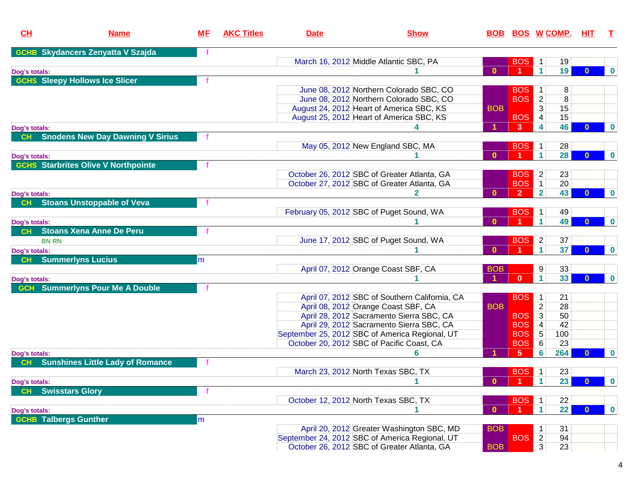| CL                  | <b>Name</b>                                | <u>МF</u> | <b>AKC Titles</b> | <b>Date</b> | <b>Show</b>                                    |              |                |                      | <u>BOB BOS W COMP.</u> | HIT.         | $\top$   |
|---------------------|--------------------------------------------|-----------|-------------------|-------------|------------------------------------------------|--------------|----------------|----------------------|------------------------|--------------|----------|
|                     | <b>GCHB Skydancers Zenyatta V Szajda</b>   |           |                   |             |                                                |              |                |                      |                        |              |          |
|                     |                                            |           |                   |             | March 16, 2012 Middle Atlantic SBC, PA         |              | <b>BOS</b>     | $\overline{1}$       | 19                     |              |          |
| Dog's totals:       |                                            |           |                   |             |                                                | $\mathbf{0}$ |                | $\mathbf{1}$         | 19                     | $\Omega$     | $\bf{0}$ |
|                     | <b>GCHS</b> Sleepy Hollows Ice Slicer      |           |                   |             |                                                |              |                |                      |                        |              |          |
|                     |                                            |           |                   |             | June 08, 2012 Northern Colorado SBC, CO        |              | <b>BOS</b>     | $\overline{1}$       | 8                      |              |          |
|                     |                                            |           |                   |             | June 08, 2012 Northern Colorado SBC, CO        |              | <b>BOS</b>     | $\overline{2}$       | 8                      |              |          |
|                     |                                            |           |                   |             | August 24, 2012 Heart of America SBC, KS       | <b>BOB</b>   |                | 3                    | 15                     |              |          |
|                     |                                            |           |                   |             | August 25, 2012 Heart of America SBC, KS       |              | <b>BOS</b>     | 4                    | 15                     |              |          |
| Dog's totals:       |                                            |           |                   |             |                                                |              | 3              | 4                    | 46                     |              | $\bf{0}$ |
| CH                  | <b>Snodens New Day Dawning V Sirius</b>    |           |                   |             |                                                |              |                |                      |                        |              |          |
|                     |                                            |           |                   |             | May 05, 2012 New England SBC, MA               |              | <b>BOS</b>     | $\overline{1}$       | 28                     |              |          |
| Dog's totals:       |                                            |           |                   |             |                                                | $\Omega$     |                | $\blacktriangleleft$ | 28                     | $\mathbf{0}$ | $\bf{0}$ |
|                     | <b>GCHS</b> Starbrites Olive V Northpointe |           |                   |             |                                                |              |                |                      |                        |              |          |
|                     |                                            |           |                   |             | October 26, 2012 SBC of Greater Atlanta, GA    |              | <b>BOS</b>     | $\overline{2}$       | 23                     |              |          |
|                     |                                            |           |                   |             | October 27, 2012 SBC of Greater Atlanta, GA    |              | <b>BOS</b>     | $\overline{1}$       | 20                     |              |          |
| Dog's totals:       |                                            |           |                   |             |                                                | $\Omega$     | $\overline{2}$ | $\overline{2}$       | 43                     | $\bf{0}$     | $\bf{0}$ |
| CH                  | <b>Stoans Unstoppable of Veva</b>          |           |                   |             |                                                |              |                |                      |                        |              |          |
|                     |                                            |           |                   |             | February 05, 2012 SBC of Puget Sound, WA       |              | <b>BOS</b>     | $\overline{1}$       | 49                     |              |          |
|                     |                                            |           |                   |             |                                                | $\Omega$     |                | $\blacktriangleleft$ | 49                     | $\Omega$     | $\bf{0}$ |
| Dog's totals:<br>CH | <b>Stoans Xena Anne De Peru</b>            |           |                   |             |                                                |              |                |                      |                        |              |          |
|                     |                                            |           |                   |             | June 17, 2012 SBC of Puget Sound, WA           |              | <b>BOS</b>     | $\overline{2}$       | 37                     |              |          |
| <b>BN RN</b>        |                                            |           |                   |             |                                                | $\Omega$     |                | $\blacktriangleleft$ | 37                     | $\Omega$     | $\bf{0}$ |
| Dog's totals:       |                                            |           |                   |             |                                                |              |                |                      |                        |              |          |
| CH                  | <b>Summerlyns Lucius</b>                   | lm        |                   |             |                                                |              |                |                      |                        |              |          |
|                     |                                            |           |                   |             | April 07, 2012 Orange Coast SBF, CA            | <b>BOB</b>   |                | 9                    | 33                     |              |          |
| Dog's totals:       |                                            |           |                   |             |                                                |              | $\mathbf{0}$   | $\mathbf{1}$         | 33                     |              | $\bf{0}$ |
|                     | <b>GCH</b> Summerlyns Pour Me A Double     |           |                   |             |                                                |              |                |                      |                        |              |          |
|                     |                                            |           |                   |             | April 07, 2012 SBC of Southern California, CA  |              | <b>BOS</b>     | $\overline{1}$       | 21                     |              |          |
|                     |                                            |           |                   |             | April 08, 2012 Orange Coast SBF, CA            | <b>BOB</b>   |                | $\overline{2}$       | 28                     |              |          |
|                     |                                            |           |                   |             | April 28, 2012 Sacramento Sierra SBC, CA       |              | <b>BOS</b>     | $\overline{3}$       | 50                     |              |          |
|                     |                                            |           |                   |             | April 29, 2012 Sacramento Sierra SBC, CA       |              | <b>BOS</b>     | 4                    | 42                     |              |          |
|                     |                                            |           |                   |             | September 25, 2012 SBC of America Regional, UT |              | <b>BOS</b>     | $5\phantom{.0}$      | 100                    |              |          |
|                     |                                            |           |                   |             | October 20, 2012 SBC of Pacific Coast, CA      |              | <b>BOS</b>     | $\,6$                | 23                     |              |          |
| Dog's totals:       |                                            |           |                   |             | 6                                              |              | $\sqrt{5}$     | 6                    | 264                    | 0            | $\bf{0}$ |
| <b>CH</b>           | <b>Sunshines Little Lady of Romance</b>    |           |                   |             |                                                |              |                |                      |                        |              |          |
|                     |                                            |           |                   |             | March 23, 2012 North Texas SBC, TX             |              | BOS            | $\overline{1}$       | 23                     |              |          |
| Dog's totals:       |                                            |           |                   |             |                                                | $\mathbf{0}$ | - 1            | $\mathbf{1}$         | 23                     | $\Omega$     | $\bf{0}$ |
|                     | <b>Swisstars Glory</b>                     |           |                   |             |                                                |              |                |                      |                        |              |          |
|                     |                                            |           |                   |             | October 12, 2012 North Texas SBC, TX           |              | <b>BOS</b>     | $\overline{1}$       | 22                     |              |          |
| Dog's totals:       |                                            |           |                   |             |                                                | $\bf{0}$     |                | $\mathbf{1}$         | 22                     | $\Omega$     | $\bf{0}$ |
|                     | <b>GCHB Talbergs Gunther</b>               | m         |                   |             |                                                |              |                |                      |                        |              |          |
|                     |                                            |           |                   |             | April 20, 2012 Greater Washington SBC, MD      | <b>BOB</b>   |                | $\mathbf{1}$         | 31                     |              |          |
|                     |                                            |           |                   |             | September 24, 2012 SBC of America Regional, UT |              | <b>BOS</b>     | $\overline{2}$       | 94                     |              |          |
|                     |                                            |           |                   |             | October 26, 2012 SBC of Greater Atlanta, GA    | <b>BOB</b>   |                | $\overline{3}$       | 23                     |              |          |
|                     |                                            |           |                   |             |                                                |              |                |                      |                        |              |          |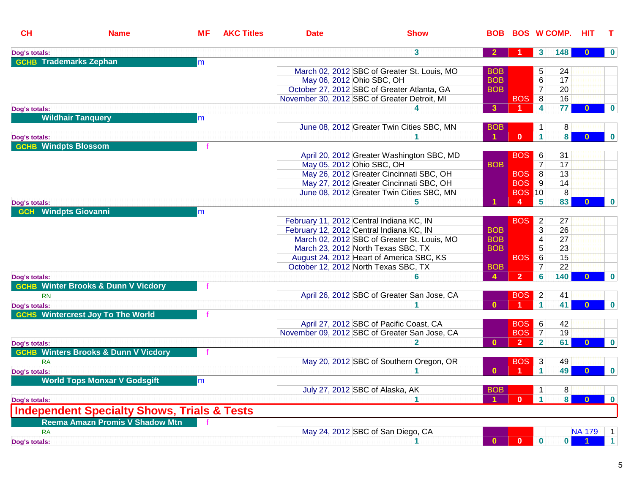| CH                            | <b>Name</b>                                            | <u>MF</u> | <b>AKC Titles</b> | <b>Date</b>               | <b>Show</b>                                   | <b>BOB</b>       | <u>BOS W COMP.</u> |                          |     | ніт           | т                |
|-------------------------------|--------------------------------------------------------|-----------|-------------------|---------------------------|-----------------------------------------------|------------------|--------------------|--------------------------|-----|---------------|------------------|
| Dog's totals:                 |                                                        |           |                   |                           | 3                                             |                  |                    | 3 <sup>1</sup>           | 148 |               | $\bf{0}$         |
| <b>GCHB</b> Trademarks Zephan |                                                        | m         |                   |                           |                                               |                  |                    |                          |     |               |                  |
|                               |                                                        |           |                   |                           | March 02, 2012 SBC of Greater St. Louis, MO   | <b>BOB</b>       |                    | 5                        | 24  |               |                  |
|                               |                                                        |           |                   | May 06, 2012 Ohio SBC, OH |                                               | <b>BOB</b>       |                    | 6                        | 17  |               |                  |
|                               |                                                        |           |                   |                           | October 27, 2012 SBC of Greater Atlanta, GA   | <b>BOB</b>       |                    | $\overline{7}$           | 20  |               |                  |
|                               |                                                        |           |                   |                           | November 30, 2012 SBC of Greater Detroit, MI  |                  | <b>BOS</b>         | 8                        | 16  |               |                  |
| Dog's totals:                 |                                                        |           |                   |                           |                                               | $\mathbf{3}$     |                    | 4                        | 77  | $\mathbf{0}$  | $\bf{0}$         |
|                               | <b>Wildhair Tanquery</b>                               | lm        |                   |                           |                                               |                  |                    |                          |     |               |                  |
|                               |                                                        |           |                   |                           | June 08, 2012 Greater Twin Cities SBC, MN     | <b>BOB</b>       |                    | 1                        | 8   |               |                  |
| Dog's totals:                 |                                                        |           |                   |                           |                                               |                  | $\mathbf{0}$       | $\mathbf{1}$             | 8   | $\mathbf{0}$  | $\boldsymbol{0}$ |
| <b>GCHB Windpts Blossom</b>   |                                                        |           |                   |                           |                                               |                  |                    |                          |     |               |                  |
|                               |                                                        |           |                   |                           | April 20, 2012 Greater Washington SBC, MD     |                  | <b>BOS</b>         | 6                        | 31  |               |                  |
|                               |                                                        |           |                   | May 05, 2012 Ohio SBC, OH |                                               | <b>BOB</b>       |                    | 7                        | 17  |               |                  |
|                               |                                                        |           |                   |                           | May 26, 2012 Greater Cincinnati SBC, OH       |                  | <b>BOS</b>         | 8                        | 13  |               |                  |
|                               |                                                        |           |                   |                           | May 27, 2012 Greater Cincinnati SBC, OH       |                  | <b>BOS</b>         | 9                        | 14  |               |                  |
|                               |                                                        |           |                   |                           | June 08, 2012 Greater Twin Cities SBC, MN     |                  | <b>BOS 10</b>      |                          | 8   |               |                  |
| Dog's totals:                 |                                                        |           |                   |                           |                                               |                  | $\mathbf{A}$       | 5                        | 83  | $\Omega$      | $\bf{0}$         |
| <b>GCH</b>                    | <b>Windpts Giovanni</b>                                | m         |                   |                           |                                               |                  |                    |                          |     |               |                  |
|                               |                                                        |           |                   |                           | February 11, 2012 Central Indiana KC, IN      |                  | <b>BOS</b>         | $\overline{2}$           | 27  |               |                  |
|                               |                                                        |           |                   |                           | February 12, 2012 Central Indiana KC, IN      | <b>BOB</b>       |                    | 3                        | 26  |               |                  |
|                               |                                                        |           |                   |                           | March 02, 2012 SBC of Greater St. Louis, MO   | <b>BOB</b>       |                    | $\overline{\mathcal{A}}$ | 27  |               |                  |
|                               |                                                        |           |                   |                           | March 23, 2012 North Texas SBC, TX            | <b>BOB</b>       |                    | 5                        | 23  |               |                  |
|                               |                                                        |           |                   |                           | August 24, 2012 Heart of America SBC, KS      |                  | <b>BOS</b>         | 6                        | 15  |               |                  |
|                               |                                                        |           |                   |                           |                                               |                  |                    | $\overline{7}$           |     |               |                  |
|                               |                                                        |           |                   |                           | October 12, 2012 North Texas SBC, TX          | <b>BOB</b>       |                    |                          | 22  |               |                  |
| Dog's totals:                 |                                                        |           |                   |                           | 6                                             | $\blacktriangle$ | $\overline{2}$     | 6                        | 140 | $\Omega$      | $\bf{0}$         |
|                               | <b>GCHB Winter Brooks &amp; Dunn V Vicdory</b>         |           |                   |                           |                                               |                  |                    |                          |     |               |                  |
| <b>RN</b>                     |                                                        |           |                   |                           | April 26, 2012 SBC of Greater San Jose, CA    |                  | <b>BOS</b>         | $\overline{2}$           | 41  |               |                  |
| Dog's totals:                 |                                                        |           |                   |                           |                                               | $\mathbf{0}$     |                    | $\mathbf{1}$             | 41  | $\Omega$      | $\bf{0}$         |
|                               | <b>GCHS Wintercrest Joy To The World</b>               |           |                   |                           |                                               |                  |                    |                          |     |               |                  |
|                               |                                                        |           |                   |                           | April 27, 2012 SBC of Pacific Coast, CA       |                  | <b>BOS</b>         | 6                        | 42  |               |                  |
|                               |                                                        |           |                   |                           | November 09, 2012 SBC of Greater San Jose, CA |                  | <b>BOS</b>         | $\overline{7}$           | 19  |               |                  |
| Dog's totals:                 |                                                        |           |                   |                           | $\mathbf{2}$                                  | $\bf{0}$         | $\overline{2}$     | $\overline{2}$           | 61  | 0             | $\bf{0}$         |
|                               | <b>GCHB Winters Brooks &amp; Dunn V Vicdory</b>        |           |                   |                           |                                               |                  |                    |                          |     |               |                  |
| <b>RA</b>                     |                                                        |           |                   |                           | May 20, 2012 SBC of Southern Oregon, OR       |                  | <b>BOS</b>         | $\mathbf{3}$             | 49  |               |                  |
| Dog's totals:                 |                                                        |           |                   |                           |                                               | $\Omega$         |                    | $\blacktriangleleft$     | 49  | $\mathbf{0}$  | $\bf{0}$         |
|                               | <b>World Tops Monxar V Godsgift</b>                    | lm        |                   |                           |                                               |                  |                    |                          |     |               |                  |
|                               |                                                        |           |                   |                           | July 27, 2012 SBC of Alaska, AK               | <b>BOB</b>       |                    | 1                        | 8   |               |                  |
| Dog's totals:                 |                                                        |           |                   |                           |                                               |                  | $\mathbf{0}$       | $\mathbf{1}$             | 8   | $\bf{0}$      | $\bf{0}$         |
|                               | <b>Independent Specialty Shows, Trials &amp; Tests</b> |           |                   |                           |                                               |                  |                    |                          |     |               |                  |
|                               | Reema Amazn Promis V Shadow Mtn                        |           |                   |                           |                                               |                  |                    |                          |     |               |                  |
| <b>RA</b>                     |                                                        |           |                   |                           | May 24, 2012 SBC of San Diego, CA             |                  |                    |                          |     | <b>NA 179</b> | $\overline{1}$   |
| Dog's totals:                 |                                                        |           |                   |                           |                                               | $\mathbf{0}$     | $\bullet$          | $\mathbf 0$              | 0   |               | $\mathbf{1}$     |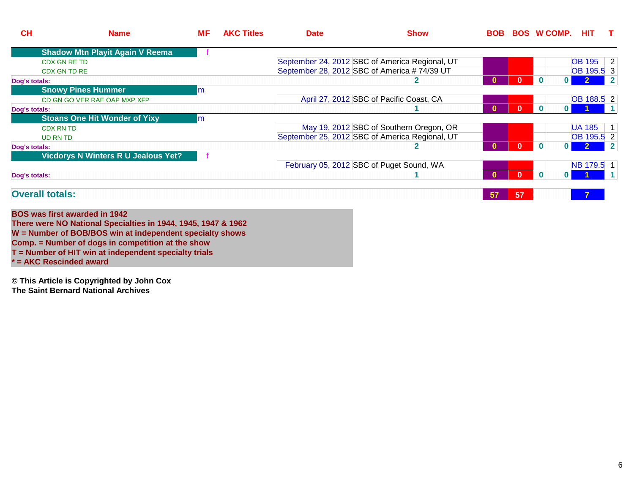| CL            | <b>Name</b>                                | <u>МF</u> | <b>AKC Titles</b> | <b>Date</b> | <b>Show</b>                                    |          |          | <b>BOB BOS W COMP.</b>   | <b>HIT</b>     | $\top$       |
|---------------|--------------------------------------------|-----------|-------------------|-------------|------------------------------------------------|----------|----------|--------------------------|----------------|--------------|
|               | <b>Shadow Mtn Playit Again V Reema</b>     |           |                   |             |                                                |          |          |                          |                |              |
|               | <b>CDX GN RE TD</b>                        |           |                   |             | September 24, 2012 SBC of America Regional, UT |          |          |                          | OB 195 2       |              |
|               | CDX GN TD RE                               |           |                   |             | September 28, 2012 SBC of America #74/39 UT    |          |          |                          | OB 195.5 3     |              |
| Dog's totals: |                                            |           |                   |             |                                                |          |          | $\mathbf{0}$             |                | $\mathsf{Z}$ |
|               | <b>Snowy Pines Hummer</b>                  | m         |                   |             |                                                |          |          |                          |                |              |
|               | CD GN GO VER RAE OAP MXP XFP               |           |                   |             | April 27, 2012 SBC of Pacific Coast, CA        |          |          |                          | OB 188.5 2     |              |
| Dog's totals: |                                            |           |                   |             |                                                | $\bf{0}$ | $\bf{0}$ | $\bf{0}$<br>0            |                |              |
|               | <b>Stoans One Hit Wonder of Yixy</b>       | m         |                   |             |                                                |          |          |                          |                |              |
|               | <b>CDX RN TD</b>                           |           |                   |             | May 19, 2012 SBC of Southern Oregon, OR        |          |          |                          | <b>UA 185</b>  | $\vert$ 1    |
|               | UD RN TD                                   |           |                   |             | September 25, 2012 SBC of America Regional, UT |          |          |                          | OB 195.5 2     |              |
| Dog's totals: |                                            |           |                   |             |                                                | 0        |          | $\Omega$<br>$\mathbf{0}$ |                | $\vert$ 2    |
|               | <b>Vicdorys N Winters R U Jealous Yet?</b> |           |                   |             |                                                |          |          |                          |                |              |
|               |                                            |           |                   |             | February 05, 2012 SBC of Puget Sound, WA       |          |          |                          | NB 179.5 1     |              |
| Dog's totals: |                                            |           |                   |             |                                                |          |          | $\bf{0}$                 |                |              |
|               | <b>Overall totals:</b>                     |           |                   |             |                                                | 57       | 57       |                          | $\overline{7}$ |              |
|               | <b>BOS was first awarded in 1942</b>       |           |                   |             |                                                |          |          |                          |                |              |

 **There were NO National Specialties in 1944, 1945, 1947 & 1962 W = Number of BOB/BOS win at independent specialty showsComp. = Number of dogs in competition at the show T = Number of HIT win at independent specialty trials\* = AKC Rescinded award**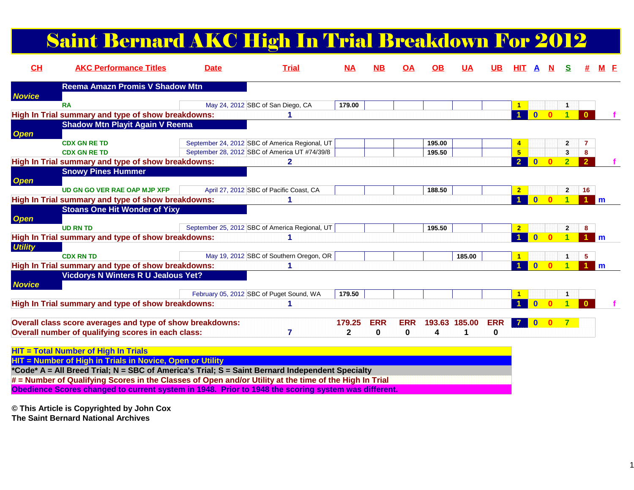# Saint Bernard AKC High In Trial Breakdown For 2012

| CH             | <b>AKC Performance Titles</b>                                                                          | <b>Date</b> | <b>Trial</b>                                   | $NA$         | <b>NB</b>  | <u>OA</u>  | <b>OB</b> | <u>UA</u>     | UB         | HIT.                 |              |   |                         |                      |              |
|----------------|--------------------------------------------------------------------------------------------------------|-------------|------------------------------------------------|--------------|------------|------------|-----------|---------------|------------|----------------------|--------------|---|-------------------------|----------------------|--------------|
|                | <b>Reema Amazn Promis V Shadow Mtn</b>                                                                 |             |                                                |              |            |            |           |               |            |                      |              |   |                         |                      |              |
| <b>Novice</b>  | <b>RA</b>                                                                                              |             | May 24, 2012 SBC of San Diego, CA              | 179.00       |            |            |           |               |            | $\blacktriangleleft$ |              |   | И.                      |                      |              |
|                | High In Trial summary and type of show breakdowns:                                                     |             |                                                |              |            |            |           |               |            | $\blacktriangleleft$ | $\mathbf{0}$ |   | $\blacktriangleleft$    | $\Omega$             |              |
|                | <b>Shadow Mtn Playit Again V Reema</b>                                                                 |             |                                                |              |            |            |           |               |            |                      |              |   |                         |                      |              |
| <b>Open</b>    |                                                                                                        |             |                                                |              |            |            |           |               |            |                      |              |   |                         |                      |              |
|                | <b>CDX GN RE TD</b>                                                                                    |             | September 24, 2012 SBC of America Regional, UT |              |            |            | 195.00    |               |            | $\overline{4}$       |              |   | $\overline{2}$          | 7                    |              |
|                | <b>CDX GN RE TD</b>                                                                                    |             | September 28, 2012 SBC of America UT #74/39/8  |              |            |            | 195.50    |               |            | 5                    |              |   | з                       | 8                    |              |
|                | High In Trial summary and type of show breakdowns:                                                     |             | 2                                              |              |            |            |           |               |            | $\overline{2}$       |              |   | $\overline{2}$          | $\overline{2}$       |              |
|                | <b>Snowy Pines Hummer</b>                                                                              |             |                                                |              |            |            |           |               |            |                      |              |   |                         |                      |              |
| <b>Open</b>    |                                                                                                        |             |                                                |              |            |            |           |               |            |                      |              |   |                         |                      |              |
|                | <b>UD GN GO VER RAE OAP MJP XFP</b>                                                                    |             | April 27, 2012 SBC of Pacific Coast, CA        |              |            |            | 188.50    |               |            | $\overline{2}$       |              |   | $\mathbf{2}$            | 16                   |              |
|                | High In Trial summary and type of show breakdowns:                                                     |             |                                                |              |            |            |           |               |            | $\blacktriangleleft$ | $\bf{0}$     | n |                         |                      | l m          |
|                | <b>Stoans One Hit Wonder of Yixy</b>                                                                   |             |                                                |              |            |            |           |               |            |                      |              |   |                         |                      |              |
| <b>Open</b>    |                                                                                                        |             |                                                |              |            |            |           |               |            |                      |              |   |                         |                      |              |
|                | <b>UD RN TD</b>                                                                                        |             | September 25, 2012 SBC of America Regional, UT |              |            |            | 195.50    |               |            | $\overline{2}$       |              |   | $\overline{\mathbf{2}}$ | 8                    |              |
|                | High In Trial summary and type of show breakdowns:                                                     |             |                                                |              |            |            |           |               |            |                      | $\Omega$     |   |                         |                      | l m          |
| <b>Utility</b> |                                                                                                        |             |                                                |              |            |            |           |               |            |                      |              |   |                         |                      |              |
|                | <b>CDX RN TD</b>                                                                                       |             | May 19, 2012 SBC of Southern Oregon, OR        |              |            |            |           | 185.00        |            | $\blacktriangleleft$ |              |   | 1                       | 5                    |              |
|                | High In Trial summary and type of show breakdowns:                                                     |             |                                                |              |            |            |           |               |            |                      | $\mathbf{0}$ |   |                         | $\blacktriangleleft$ | $\mathsf{m}$ |
|                | <b>Vicdorys N Winters R U Jealous Yet?</b>                                                             |             |                                                |              |            |            |           |               |            |                      |              |   |                         |                      |              |
| <b>Novice</b>  |                                                                                                        |             | February 05, 2012 SBC of Puget Sound, WA       | 179.50       |            |            |           |               |            | $\mathbf{1}$         |              |   |                         |                      |              |
|                | High In Trial summary and type of show breakdowns:                                                     |             | 1                                              |              |            |            |           |               |            |                      |              |   |                         |                      |              |
|                |                                                                                                        |             |                                                |              |            |            |           |               |            |                      |              |   |                         |                      |              |
|                | Overall class score averages and type of show breakdowns:                                              |             |                                                | 179.25       | <b>ERR</b> | <b>ERR</b> |           | 193.63 185.00 | <b>ERR</b> | <b>7</b>             | $\bf{0}$     |   |                         |                      |              |
|                | Overall number of qualifying scores in each class:                                                     |             | 7                                              | $\mathbf{2}$ | 0          | 0          | 4         |               | 0          |                      |              |   |                         |                      |              |
|                |                                                                                                        |             |                                                |              |            |            |           |               |            |                      |              |   |                         |                      |              |
|                | <b>HIT = Total Number of High In Trials</b>                                                            |             |                                                |              |            |            |           |               |            |                      |              |   |                         |                      |              |
|                | HIT = Number of High in Trials in Novice, Open or Utility                                              |             |                                                |              |            |            |           |               |            |                      |              |   |                         |                      |              |
|                | *Code* A = All Breed Trial; N = SBC of America's Trial; S = Saint Bernard Independent Specialty        |             |                                                |              |            |            |           |               |            |                      |              |   |                         |                      |              |
|                | # = Number of Qualifying Scores in the Classes of Open and/or Utility at the time of the High In Trial |             |                                                |              |            |            |           |               |            |                      |              |   |                         |                      |              |
|                |                                                                                                        |             |                                                |              |            |            |           |               |            |                      |              |   |                         |                      |              |

**Obedience Scores changed to current system in 1948. Prior to 1948 the scoring system was different.**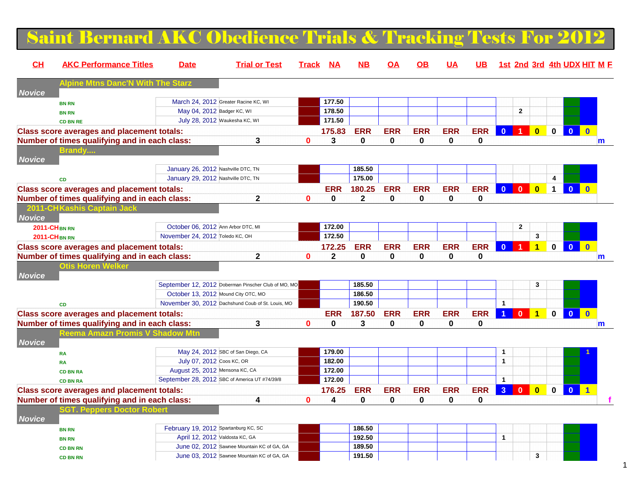### Saint Bernard AKC Obedience Trials & Tracking Tests For 2012

| CH            | <b>AKC Performance Titles</b>                     | <b>Date</b>                                   | <b>Trial or Test</b>                                | <b>Track</b> | <b>NA</b>    | NВ          | ΟA         | OΒ         | <u>UA</u>   | <b>UB</b>   |                      |              |                         |              |                         | 1st 2nd 3rd 4th UDX HIT M F |
|---------------|---------------------------------------------------|-----------------------------------------------|-----------------------------------------------------|--------------|--------------|-------------|------------|------------|-------------|-------------|----------------------|--------------|-------------------------|--------------|-------------------------|-----------------------------|
|               | Albin                                             |                                               |                                                     |              |              |             |            |            |             |             |                      |              |                         |              |                         |                             |
| <b>Novice</b> |                                                   |                                               | March 24, 2012 Greater Racine KC, WI                |              | 177.50       |             |            |            |             |             |                      |              |                         |              |                         |                             |
|               | <b>BN RN</b><br><b>BN RN</b>                      | May 04, 2012 Badger KC, WI                    |                                                     |              | 178.50       |             |            |            |             |             |                      | $\mathbf{2}$ |                         |              |                         |                             |
|               | <b>CD BN RE</b>                                   | July 28, 2012 Waukesha KC, WI                 |                                                     |              | 171.50       |             |            |            |             |             |                      |              |                         |              |                         |                             |
|               | <b>Class score averages and placement totals:</b> |                                               |                                                     |              | 175.83       | <b>ERR</b>  | <b>ERR</b> | <b>ERR</b> | <b>ERR</b>  | <b>ERR</b>  | $\bf{0}$             |              | $\overline{\mathbf{0}}$ | $\mathbf 0$  | $\overline{\mathbf{0}}$ | $\mathbf{0}$                |
|               | Number of times qualifying and in each class:     |                                               | 3                                                   | $\bf{0}$     | 3            | $\mathbf 0$ | 0          | 0          | 0           | $\mathbf 0$ |                      |              |                         |              |                         | $\mathsf{m}$                |
|               | <u>Brandy</u>                                     |                                               |                                                     |              |              |             |            |            |             |             |                      |              |                         |              |                         |                             |
| <b>Novice</b> |                                                   |                                               |                                                     |              |              |             |            |            |             |             |                      |              |                         |              |                         |                             |
|               |                                                   | January 26, 2012 Nashville DTC, TN            |                                                     |              |              | 185.50      |            |            |             |             |                      |              |                         |              |                         |                             |
|               | CD                                                | January 29, 2012 Nashville DTC, TN            |                                                     |              |              | 175.00      |            |            |             |             |                      |              |                         | 4            |                         |                             |
|               | <b>Class score averages and placement totals:</b> |                                               |                                                     |              | ERR          | 180.25      | <b>ERR</b> | <b>ERR</b> | <b>ERR</b>  | <b>ERR</b>  | $\mathbf{0}$         | $\mathbf{0}$ | $\overline{\mathbf{0}}$ | $\mathbf 1$  | $\overline{0}$          | $\mathbf{0}$                |
|               | Number of times qualifying and in each class:     |                                               | $\mathbf{2}$                                        | $\bf{0}$     | 0            | $\mathbf 2$ | 0          | 0          | $\mathbf 0$ | $\pmb{0}$   |                      |              |                         |              |                         |                             |
|               | 2011-CHKashis Captain,                            |                                               |                                                     |              |              |             |            |            |             |             |                      |              |                         |              |                         |                             |
| <b>Novice</b> |                                                   |                                               |                                                     |              |              |             |            |            |             |             |                      |              |                         |              |                         |                             |
|               | <b>2011-CHBN RN</b>                               | October 06, 2012 Ann Arbor DTC, MI            |                                                     |              | 172.00       |             |            |            |             |             |                      | $\mathbf{2}$ |                         |              |                         |                             |
|               | <b>2011-CHBN RN</b>                               | November 24, 2012 Toledo KC, OH               |                                                     |              | 172.50       |             |            |            |             |             |                      |              | 3                       |              |                         |                             |
|               | <b>Class score averages and placement totals:</b> |                                               |                                                     |              | 172.25       | <b>ERR</b>  | <b>ERR</b> | <b>ERR</b> | <b>ERR</b>  | <b>ERR</b>  | $\bf{0}$             |              | $\overline{\mathbf{1}}$ | $\mathbf 0$  | $\mathbf{0}$            | $\mathbf{0}$                |
|               | Number of times qualifying and in each class:     |                                               | $\mathbf 2$                                         | $\bf{0}$     | $\mathbf{2}$ | $\bf{0}$    | 0          | 0          | $\bf{0}$    | $\mathbf 0$ |                      |              |                         |              |                         | $\mathbf{m}$                |
|               | <b>Otis Horen Welker</b>                          |                                               |                                                     |              |              |             |            |            |             |             |                      |              |                         |              |                         |                             |
| <b>Novice</b> |                                                   |                                               |                                                     |              |              |             |            |            |             |             |                      |              |                         |              |                         |                             |
|               |                                                   |                                               | September 12, 2012 Doberman Pinscher Club of MO, MO |              |              | 185.50      |            |            |             |             |                      |              | 3                       |              |                         |                             |
|               |                                                   | October 13, 2012 Mound City OTC, MO           |                                                     |              |              | 186.50      |            |            |             |             |                      |              |                         |              |                         |                             |
|               | <b>CD</b>                                         |                                               | November 30, 2012 Dachshund Coub of St. Louis, MO   |              |              | 190.50      |            |            |             |             | $\mathbf{1}$         |              |                         |              |                         |                             |
|               | <b>Class score averages and placement totals:</b> |                                               |                                                     |              | <b>ERR</b>   | 187.50      | <b>ERR</b> | <b>ERR</b> | <b>ERR</b>  | <b>ERR</b>  | $\blacktriangleleft$ | $\mathbf{0}$ | $\overline{1}$          | $\mathbf{0}$ | $\mathbf{0}$            | $\mathbf{0}$                |
|               | Number of times qualifying and in each class:     |                                               | 3                                                   | 0            | 0            | 3           | 0          | 0          | $\mathbf 0$ | 0           |                      |              |                         |              |                         | m                           |
|               | Reema Amazn Promis                                |                                               |                                                     |              |              |             |            |            |             |             |                      |              |                         |              |                         |                             |
| <b>Novice</b> |                                                   |                                               |                                                     |              |              |             |            |            |             |             |                      |              |                         |              |                         |                             |
|               | <b>RA</b>                                         |                                               | May 24, 2012 SBC of San Diego, CA                   |              | 179.00       |             |            |            |             |             | 1                    |              |                         |              |                         |                             |
|               | <b>RA</b>                                         | July 07, 2012 Coos KC, OR                     |                                                     |              | 182.00       |             |            |            |             |             | $\mathbf{1}$         |              |                         |              |                         |                             |
|               | <b>CD BN RA</b>                                   | August 25, 2012 Mensona KC, CA                |                                                     |              | 172.00       |             |            |            |             |             |                      |              |                         |              |                         |                             |
|               | <b>CD BN RA</b>                                   | September 28, 2012 SBC of America UT #74/39/8 |                                                     |              | 172.00       |             |            |            |             |             | $\mathbf{1}$         |              |                         |              |                         |                             |
|               | <b>Class score averages and placement totals:</b> |                                               |                                                     |              | 176.25       | <b>ERR</b>  | <b>ERR</b> | <b>ERR</b> | <b>ERR</b>  | <b>ERR</b>  | 3 <sup>1</sup>       | $\mathbf{0}$ | $\overline{\mathbf{0}}$ | $\mathbf{0}$ | $\bullet$               | $\blacktriangleleft$        |
|               | Number of times qualifying and in each class:     |                                               | 4                                                   | $\bf{0}$     | 4            | $\bf{0}$    | 0          | 0          | $\bf{0}$    | 0           |                      |              |                         |              |                         |                             |
|               | GT. Peppers Docto                                 |                                               |                                                     |              |              |             |            |            |             |             |                      |              |                         |              |                         |                             |
| <b>Novice</b> |                                                   |                                               |                                                     |              |              |             |            |            |             |             |                      |              |                         |              |                         |                             |
|               | <b>BN RN</b>                                      | February 19, 2012 Spartanburg KC, SC          |                                                     |              |              | 186.50      |            |            |             |             |                      |              |                         |              |                         |                             |
|               | <b>BN RN</b>                                      | April 12, 2012 Valdosta KC, GA                |                                                     |              |              | 192.50      |            |            |             |             | $\mathbf{1}$         |              |                         |              |                         |                             |
|               | <b>CD BN RN</b>                                   |                                               | June 02, 2012 Sawnee Mountain KC of GA, GA          |              |              | 189.50      |            |            |             |             |                      |              |                         |              |                         |                             |
|               | <b>CD BN RN</b>                                   |                                               | June 03, 2012 Sawnee Mountain KC of GA, GA          |              |              | 191.50      |            |            |             |             |                      |              | 3                       |              |                         |                             |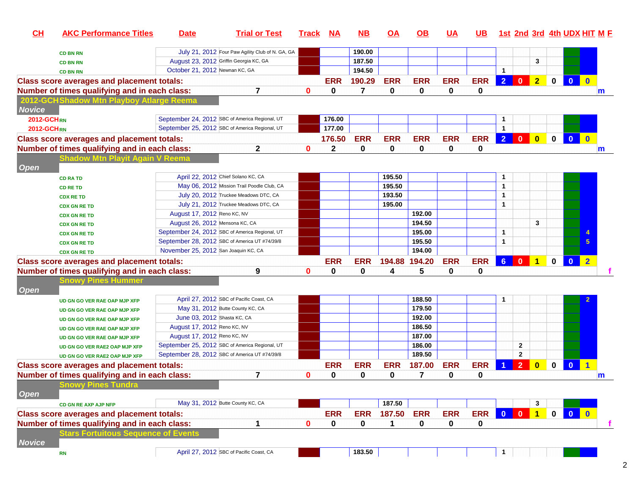|                                                                                                                              |            |                |                |                |             |                                                                    | 1st 2nd 3rd 4th UDX HIT M F |  |
|------------------------------------------------------------------------------------------------------------------------------|------------|----------------|----------------|----------------|-------------|--------------------------------------------------------------------|-----------------------------|--|
| July 21, 2012 Four Paw Agility Club of N. GA, GA<br>190.00<br><b>CD BN RN</b>                                                |            |                |                |                |             |                                                                    |                             |  |
| August 23, 2012 Griffin Georgia KC, GA<br>187.50<br><b>CD BN RN</b>                                                          |            |                |                | 3              |             |                                                                    |                             |  |
| October 21, 2012 Newnan KC, GA<br>194.50<br><b>CD BN RN</b>                                                                  |            | $\mathbf{1}$   |                |                |             |                                                                    |                             |  |
| <b>ERR</b><br><b>Class score averages and placement totals:</b><br>190.29<br><b>ERR</b><br><b>ERR</b><br><b>ERR</b>          | <b>ERR</b> | $\overline{2}$ | $\bf{0}$       | 2 <sup>7</sup> | $\mathbf 0$ | $\Omega$                                                           |                             |  |
| $\overline{7}$<br>$\overline{7}$<br>$\mathbf{0}$<br>0<br>0<br>Number of times qualifying and in each class:<br>$\bf{0}$<br>0 | 0          |                |                |                |             |                                                                    | m                           |  |
| 2012-GCHShadow Mtn Playboy Atlarge Reema                                                                                     |            |                |                |                |             |                                                                    |                             |  |
| <b>Novice</b>                                                                                                                |            |                |                |                |             |                                                                    |                             |  |
| September 24, 2012 SBC of America Regional, UT<br>176.00<br><b>2012-GCHRN</b>                                                |            | 1              |                |                |             |                                                                    |                             |  |
| September 25, 2012 SBC of America Regional, UT<br>177.00<br><b>2012-GCHRN</b>                                                |            | $\mathbf{1}$   |                |                |             |                                                                    |                             |  |
| 176.50<br><b>ERR</b><br><b>ERR</b><br><b>ERR</b><br><b>Class score averages and placement totals:</b><br><b>ERR</b>          | <b>ERR</b> | $\overline{2}$ | $\mathbf{0}$   | $\bullet$      | $\mathbf 0$ | $\mathbf{0}$                                                       |                             |  |
| $\mathbf{2}$<br>0<br>0<br>0<br>Number of times qualifying and in each class:<br>$\mathbf{0}$<br>2<br>0                       | 0          |                |                |                |             |                                                                    | m                           |  |
| <b>Shadow Mtn Playit Again V Reema</b><br>Open                                                                               |            |                |                |                |             |                                                                    |                             |  |
| 195.50<br>April 22, 2012 Chief Solano KC, CA<br><b>CD RA TD</b>                                                              |            | 1              |                |                |             |                                                                    |                             |  |
| 195.50<br>May 06, 2012 Mission Trail Poodle Club, CA<br><b>CD RE TD</b>                                                      |            | $\mathbf{1}$   |                |                |             |                                                                    |                             |  |
| July 20, 2012 Truckee Meadows DTC, CA<br>193.50<br><b>CDX RE TD</b>                                                          |            | $\mathbf{1}$   |                |                |             |                                                                    |                             |  |
| July 21, 2012 Truckee Meadows DTC, CA<br>195.00<br><b>CDX GN RE TD</b>                                                       |            | $\mathbf{1}$   |                |                |             |                                                                    |                             |  |
| 192.00<br>August 17, 2012 Reno KC, NV<br><b>CDX GN RE TD</b>                                                                 |            |                |                |                |             |                                                                    |                             |  |
| 194.50<br>August 26, 2012 Mensona KC, CA<br><b>CDX GN RE TD</b>                                                              |            |                |                | 3              |             |                                                                    |                             |  |
| September 24, 2012 SBC of America Regional, UT<br>195.00<br><b>CDX GN RE TD</b>                                              |            | 1              |                |                |             |                                                                    |                             |  |
| September 28, 2012 SBC of America UT #74/39/8<br>195.50<br><b>CDX GN RE TD</b>                                               |            | $\mathbf{1}$   |                |                |             |                                                                    |                             |  |
| November 25, 2012 San Joaquin KC, CA<br>194.00<br><b>CDX GN RE TD</b>                                                        |            |                |                |                |             |                                                                    |                             |  |
| <b>ERR</b><br>194.20<br><b>ERR</b><br><b>Class score averages and placement totals:</b><br><b>ERR</b><br>194.88              | <b>ERR</b> | $6-1$          | $\bullet$      | $\overline{1}$ | $\mathbf 0$ | $\mathbf{0}$                                                       | $\overline{2}$              |  |
| 5<br>Number of times qualifying and in each class:<br>9<br>$\mathbf 0$<br>0<br>0<br>0<br>4                                   | 0          |                |                |                |             |                                                                    |                             |  |
| <b>Snowy Pines Hummer</b><br><b>Open</b>                                                                                     |            |                |                |                |             |                                                                    |                             |  |
| 188.50<br>April 27, 2012 SBC of Pacific Coast, CA<br>UD GN GO VER RAE OAP MJP XFP                                            |            | 1              |                |                |             |                                                                    |                             |  |
| 179.50<br>May 31, 2012 Butte County KC, CA<br>UD GN GO VER RAE OAP MJP XFP                                                   |            |                |                |                |             |                                                                    |                             |  |
| 192.00<br>June 03, 2012 Shasta KC, CA<br>UD GN GO VER RAE OAP MJP XFP                                                        |            |                |                |                |             |                                                                    |                             |  |
| August 17, 2012 Reno KC, NV<br>186.50<br>UD GN GO VER RAE OAP MJP XFP                                                        |            |                |                |                |             |                                                                    |                             |  |
| 187.00<br>August 17, 2012 Reno KC, NV<br>UD GN GO VER RAE OAP MJP XFP                                                        |            |                |                |                |             |                                                                    |                             |  |
| 186.00<br>September 25, 2012 SBC of America Regional, UT<br>UD GN GO VER RAE2 OAP MJP XFP                                    |            |                | $\mathbf{2}$   |                |             |                                                                    |                             |  |
| September 28, 2012 SBC of America UT #74/39/8<br>189.50<br>UD GN GO VER RAE2 OAP MJP XFP                                     |            |                | $\mathbf{2}$   |                |             |                                                                    |                             |  |
| <b>ERR</b><br>187.00<br><b>ERR</b><br><b>ERR</b><br><b>ERR</b><br><b>Class score averages and placement totals:</b>          | <b>ERR</b> |                | $\overline{2}$ | $\mathbf{0}$   | $\mathbf 0$ | $\mathbf{0}$                                                       | $\overline{\mathbf{1}}$     |  |
| Number of times qualifying and in each class:<br>7<br>0<br>0<br>0<br>7<br>0<br>$\mathbf{0}$                                  | 0          |                |                |                |             |                                                                    | m                           |  |
| <b>Snowy Pines Tundra</b><br><b>Open</b>                                                                                     |            |                |                |                |             |                                                                    |                             |  |
| 187.50<br>May 31, 2012 Butte County KC, CA<br>CD GN RE AXP AJP NFP                                                           |            |                |                | 3              |             |                                                                    |                             |  |
| <b>ERR</b><br><b>ERR</b><br><b>ERR</b><br><b>ERR</b><br>187.50<br><b>Class score averages and placement totals:</b>          | <b>ERR</b> |                | 0 0 1 0        |                |             | $\begin{array}{ c c c c c }\n\hline\n0 & 0 \\ \hline\n\end{array}$ |                             |  |
| Number of times qualifying and in each class:<br>0<br>$\bf{0}$<br>0<br>$\pmb{0}$<br>1<br>$\mathbf 0$<br>1                    | 0          |                |                |                |             |                                                                    |                             |  |
| <b>Stars Fortuitous Sequence of Events</b><br><b>Novice</b>                                                                  |            |                |                |                |             |                                                                    |                             |  |
| April 27, 2012 SBC of Pacific Coast, CA<br>183.50<br><b>RN</b>                                                               |            | $\mathbf{1}$   |                |                |             |                                                                    |                             |  |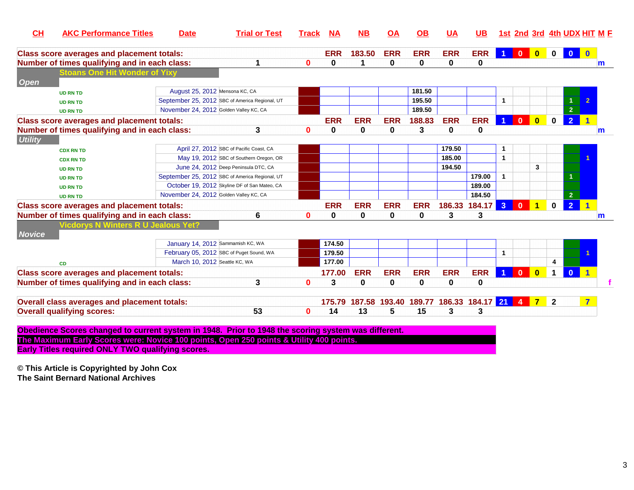| CL             | <b>AKC Performance Titles</b>                                                                       | <b>Date</b>                            | <b>Trial or Test</b>                           | Track        | <b>NA</b>  | <b>NB</b>  | OA         | <u>OB</u>   | <u>UA</u>   | <b>UB</b>          |                      | 1st 2nd 3rd 4th UDX HIT M E |                                                                    |                         |                |                         |   |
|----------------|-----------------------------------------------------------------------------------------------------|----------------------------------------|------------------------------------------------|--------------|------------|------------|------------|-------------|-------------|--------------------|----------------------|-----------------------------|--------------------------------------------------------------------|-------------------------|----------------|-------------------------|---|
|                | <b>Class score averages and placement totals:</b>                                                   |                                        |                                                |              | <b>ERR</b> | 183.50     | <b>ERR</b> | <b>ERR</b>  | <b>ERR</b>  | <b>ERR</b>         | $\blacktriangleleft$ |                             | $\begin{array}{ c c c c c }\n\hline\n0 & 0 \\ \hline\n\end{array}$ | $\overline{\mathbf{0}}$ | $\overline{0}$ | $\mathbf{0}$            |   |
|                | Number of times qualifying and in each class:                                                       |                                        | 1                                              | $\mathbf{0}$ | $\bf{0}$   | 1          | 0          | $\mathbf 0$ | $\mathbf 0$ | 0                  |                      |                             |                                                                    |                         |                |                         | m |
|                | toans One Hit Wonder of Yix                                                                         |                                        |                                                |              |            |            |            |             |             |                    |                      |                             |                                                                    |                         |                |                         |   |
| <b>Open</b>    |                                                                                                     |                                        |                                                |              |            |            |            |             |             |                    |                      |                             |                                                                    |                         |                |                         |   |
|                | <b>UD RN TD</b>                                                                                     | August 25, 2012 Mensona KC, CA         |                                                |              |            |            |            | 181.50      |             |                    |                      |                             |                                                                    |                         |                |                         |   |
|                | <b>UD RN TD</b>                                                                                     |                                        | September 25, 2012 SBC of America Regional, UT |              |            |            |            | 195.50      |             |                    | $\mathbf{1}$         |                             |                                                                    |                         |                |                         |   |
|                | <b>UD RN TD</b>                                                                                     | November 24, 2012 Golden Valley KC, CA |                                                |              |            |            |            | 189.50      |             |                    |                      |                             |                                                                    |                         | $\overline{2}$ |                         |   |
|                | <b>Class score averages and placement totals:</b>                                                   |                                        |                                                |              | <b>ERR</b> | <b>ERR</b> | <b>ERR</b> | 188.83      | <b>ERR</b>  | <b>ERR</b>         |                      | $\mathbf{0}$                | $\mathbf{0}$                                                       | $\mathbf 0$             | $\overline{2}$ |                         |   |
|                | Number of times qualifying and in each class:                                                       |                                        | 3                                              | $\bf{0}$     | $\bf{0}$   | 0          | 0          | 3           | 0           | 0                  |                      |                             |                                                                    |                         |                |                         | m |
| <b>Utility</b> |                                                                                                     |                                        |                                                |              |            |            |            |             |             |                    |                      |                             |                                                                    |                         |                |                         |   |
|                | <b>CDX RN TD</b>                                                                                    |                                        | April 27, 2012 SBC of Pacific Coast, CA        |              |            |            |            |             | 179.50      |                    | $\mathbf 1$          |                             |                                                                    |                         |                |                         |   |
|                | <b>CDX RN TD</b>                                                                                    |                                        | May 19, 2012 SBC of Southern Oregon, OR        |              |            |            |            |             | 185.00      |                    | $\mathbf{1}$         |                             |                                                                    |                         |                |                         |   |
|                | <b>UD RN TD</b>                                                                                     |                                        | June 24, 2012 Deep Peninsula DTC, CA           |              |            |            |            |             | 194.50      |                    |                      |                             | 3                                                                  |                         |                |                         |   |
|                | <b>UD RN TD</b>                                                                                     |                                        | September 25, 2012 SBC of America Regional, UT |              |            |            |            |             |             | 179.00             | $\mathbf{1}$         |                             |                                                                    |                         |                |                         |   |
|                | <b>UD RN TD</b>                                                                                     |                                        | October 19, 2012 Skyline DF of San Mateo, CA   |              |            |            |            |             |             | 189.00             |                      |                             |                                                                    |                         |                |                         |   |
|                | <b>UD RN TD</b>                                                                                     | November 24, 2012 Golden Valley KC, CA |                                                |              |            |            |            |             |             | 184.50             |                      |                             |                                                                    |                         | $\overline{2}$ |                         |   |
|                | <b>Class score averages and placement totals:</b>                                                   |                                        |                                                |              | <b>ERR</b> | <b>ERR</b> | <b>ERR</b> | <b>ERR</b>  | 186.33      | 184.17             | 3 <sup>2</sup>       | $\mathbf{0}$                | $\blacktriangleleft$                                               | $\mathbf 0$             | $\overline{2}$ | $\blacksquare$          |   |
|                | Number of times qualifying and in each class:                                                       |                                        | 6                                              | $\mathbf 0$  | 0          | 0          | 0          | 0           | 3           | 3                  |                      |                             |                                                                    |                         |                |                         | m |
|                | Vicdorys N Winters R U Jealous Yet?                                                                 |                                        |                                                |              |            |            |            |             |             |                    |                      |                             |                                                                    |                         |                |                         |   |
| <b>Novice</b>  |                                                                                                     |                                        |                                                |              |            |            |            |             |             |                    |                      |                             |                                                                    |                         |                |                         |   |
|                |                                                                                                     | January 14, 2012 Sammamish KC, WA      |                                                |              | 174.50     |            |            |             |             |                    |                      |                             |                                                                    |                         |                |                         |   |
|                |                                                                                                     |                                        | February 05, 2012 SBC of Puget Sound, WA       |              | 179.50     |            |            |             |             |                    | $\mathbf{1}$         |                             |                                                                    |                         |                |                         |   |
|                | <b>CD</b>                                                                                           | March 10, 2012 Seattle KC, WA          |                                                |              | 177.00     |            |            |             |             |                    |                      |                             |                                                                    | 4                       |                |                         |   |
|                | <b>Class score averages and placement totals:</b>                                                   |                                        |                                                |              | 177.00     | <b>ERR</b> | <b>ERR</b> | <b>ERR</b>  | <b>ERR</b>  | <b>ERR</b>         | $\overline{1}$       | $\mathbf{0}$                | $\overline{\mathbf{0}}$                                            | $\mathbf 1$             | $\overline{0}$ |                         |   |
|                | Number of times qualifying and in each class:                                                       |                                        | 3                                              | $\bf{0}$     | 3          | $\bf{0}$   | $\bf{0}$   | $\mathbf 0$ | 0           | 0                  |                      |                             |                                                                    |                         |                |                         |   |
|                |                                                                                                     |                                        |                                                |              |            |            |            |             |             |                    |                      |                             |                                                                    |                         |                |                         |   |
|                | Overall class averages and placement totals:                                                        |                                        |                                                |              | 175.79     | 187.58     | 193.40     | 189.77      |             | 186.33 184.17 21 4 |                      |                             | $\overline{\phantom{a}}$ 7                                         | $\mathbf{2}$            |                | $\overline{\mathbf{z}}$ |   |
|                | <b>Overall qualifying scores:</b>                                                                   |                                        | 53                                             | $\mathbf 0$  | 14         | 13         | 5          | 15          | 3           | 3                  |                      |                             |                                                                    |                         |                |                         |   |
|                |                                                                                                     |                                        |                                                |              |            |            |            |             |             |                    |                      |                             |                                                                    |                         |                |                         |   |
|                | Obedience Scores changed to current system in 1948. Prior to 1948 the scoring system was different. |                                        |                                                |              |            |            |            |             |             |                    |                      |                             |                                                                    |                         |                |                         |   |
|                | The Maximum Early Scores were: Novice 100 points, Open 250 points & Utility 400 points.             |                                        |                                                |              |            |            |            |             |             |                    |                      |                             |                                                                    |                         |                |                         |   |
|                | <b>Early Titles required ONLY TWO qualifying scores.</b>                                            |                                        |                                                |              |            |            |            |             |             |                    |                      |                             |                                                                    |                         |                |                         |   |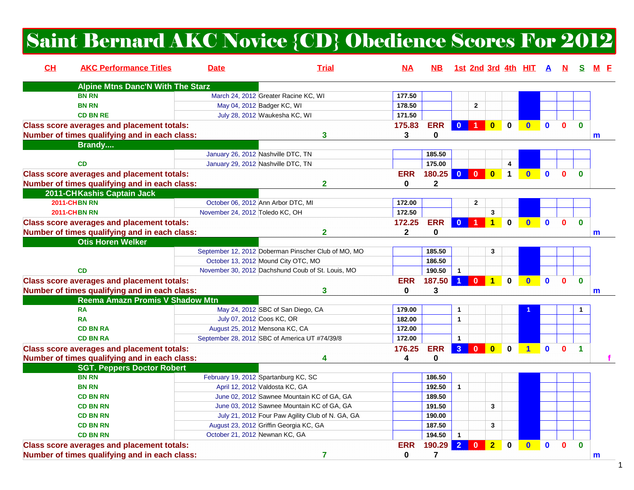# Saint Bernard AKC Novice {CD} Obedience Scores For 2012

| <b>Alpine Mtns Danc'N With The Starz</b><br><b>BN RN</b><br>March 24, 2012 Greater Racine KC, WI<br>177.50<br><b>BN RN</b><br>May 04, 2012 Badger KC, WI<br>178.50<br>$\mathbf 2$<br><b>CD BN RE</b><br>July 28, 2012 Waukesha KC, WI<br>171.50<br><b>Class score averages and placement totals:</b><br>175.83<br><b>ERR</b><br>$\mathbf{0}$<br>$\overline{0}$<br>$\bf{0}$<br>$\mathbf{0}$<br>$\mathbf{0}$<br>$\bf{0}$<br>$\Omega$<br>Number of times qualifying and in each class:<br>3<br>0<br>3<br>m<br>Brandy<br>January 26, 2012 Nashville DTC, TN<br>185.50<br>175.00<br>January 29, 2012 Nashville DTC, TN<br><b>CD</b><br>4<br>180.25<br>$\overline{\mathbf{0}}$<br>$\mathbf{0}$<br>$\overline{\mathbf{0}}$<br><b>Class score averages and placement totals:</b><br><b>ERR</b><br>$\blacktriangleleft$<br>n<br>$\mathbf{0}$<br>$\overline{2}$<br>Number of times qualifying and in each class:<br>$\bf{0}$<br>$\mathbf{2}$<br>2011-CHKashis Captain Jack<br><b>2011-CHBN RN</b><br>October 06, 2012 Ann Arbor DTC, MI<br>$\mathbf 2$<br>172.00<br>2011-CHBN RN<br>172.50<br>$\mathbf{3}$<br>November 24, 2012 Toledo KC, OH<br><b>Class score averages and placement totals:</b><br><b>ERR</b><br>172.25<br>$\bf{0}$<br>$\mathbf{0}$<br>$\mathbf 0$<br>$\mathbf{0}$<br>$\mathbf{0}$<br>n<br>Number of times qualifying and in each class:<br>$\overline{2}$<br>$\mathbf{2}$<br>0<br>m<br><b>Otis Horen Welker</b><br>September 12, 2012 Doberman Pinscher Club of MO, MO<br>185.50<br>3<br>October 13, 2012 Mound City OTC, MO<br>186.50<br>November 30, 2012 Dachshund Coub of St. Louis, MO<br>190.50<br>$\mathbf{1}$<br><b>CD</b><br>187.50 1 0 1<br><b>Class score averages and placement totals:</b><br><b>ERR</b><br>$\mathbf 0$<br>$\mathbf{0}$<br>$\bf{0}$<br>$\mathbf{0}$<br>Λ<br>Number of times qualifying and in each class:<br>3<br>3<br>0<br>m<br>Reema Amazn Promis V Shadow Mtn<br>May 24, 2012 SBC of San Diego, CA<br><b>RA</b><br>179.00<br>$\mathbf{1}$<br>$\overline{\mathbf{1}}$<br>July 07, 2012 Coos KC, OR<br>182.00<br><b>RA</b><br>$\mathbf{1}$<br>August 25, 2012 Mensona KC, CA<br>172.00<br><b>CD BN RA</b><br><b>CD BN RA</b><br>September 28, 2012 SBC of America UT #74/39/8<br>172.00<br>$\mathbf{1}$<br>$\overline{3}$<br><b>ERR</b><br>176.25<br>$\mathbf{0}$<br>$\overline{0}$<br>$\Omega$<br><b>Class score averages and placement totals:</b><br>$\mathbf{0}$<br>n<br>1<br>0<br>Number of times qualifying and in each class:<br>4<br>4<br><b>SGT. Peppers Doctor Robert</b><br>February 19, 2012 Spartanburg KC, SC<br><b>BN RN</b><br>186.50<br>April 12, 2012 Valdosta KC, GA<br>192.50<br><b>BN RN</b><br>$\mathbf{1}$<br>June 02, 2012 Sawnee Mountain KC of GA, GA<br>189.50<br><b>CD BN RN</b><br>June 03, 2012 Sawnee Mountain KC of GA, GA<br>191.50<br>3<br><b>CD BN RN</b><br>July 21, 2012 Four Paw Agility Club of N. GA, GA<br><b>CD BN RN</b><br>190.00<br>August 23, 2012 Griffin Georgia KC, GA<br>187.50<br><b>CD BN RN</b><br>3<br>October 21, 2012 Newnan KC, GA<br><b>CD BN RN</b><br>194.50<br>$\mathbf{1}$<br>$\overline{2}$<br><b>ERR</b><br>190.29<br>$\overline{2}$<br><b>Class score averages and placement totals:</b><br>$\Omega$<br>$\bf{0}$<br>$\mathbf{0}$<br>$\mathbf{0}$<br>$\bf{0}$<br>O | CH | <b>AKC Performance Titles</b> | <b>Date</b> | <b>Trial</b> | ΝA | NB. |  |  | 1st 2nd 3rd 4th HIT A | N. | S. |  |
|----------------------------------------------------------------------------------------------------------------------------------------------------------------------------------------------------------------------------------------------------------------------------------------------------------------------------------------------------------------------------------------------------------------------------------------------------------------------------------------------------------------------------------------------------------------------------------------------------------------------------------------------------------------------------------------------------------------------------------------------------------------------------------------------------------------------------------------------------------------------------------------------------------------------------------------------------------------------------------------------------------------------------------------------------------------------------------------------------------------------------------------------------------------------------------------------------------------------------------------------------------------------------------------------------------------------------------------------------------------------------------------------------------------------------------------------------------------------------------------------------------------------------------------------------------------------------------------------------------------------------------------------------------------------------------------------------------------------------------------------------------------------------------------------------------------------------------------------------------------------------------------------------------------------------------------------------------------------------------------------------------------------------------------------------------------------------------------------------------------------------------------------------------------------------------------------------------------------------------------------------------------------------------------------------------------------------------------------------------------------------------------------------------------------------------------------------------------------------------------------------------------------------------------------------------------------------------------------------------------------------------------------------------------------------------------------------------------------------------------------------------------------------------------------------------------------------------------------------------------------------------------------------------------------------------------------------------------------------------------------------------------------------------------------------------------------------------------------------------------------------------------------------------------------------------------------------------------------------------------------------------------------------|----|-------------------------------|-------------|--------------|----|-----|--|--|-----------------------|----|----|--|
|                                                                                                                                                                                                                                                                                                                                                                                                                                                                                                                                                                                                                                                                                                                                                                                                                                                                                                                                                                                                                                                                                                                                                                                                                                                                                                                                                                                                                                                                                                                                                                                                                                                                                                                                                                                                                                                                                                                                                                                                                                                                                                                                                                                                                                                                                                                                                                                                                                                                                                                                                                                                                                                                                                                                                                                                                                                                                                                                                                                                                                                                                                                                                                                                                                                                            |    |                               |             |              |    |     |  |  |                       |    |    |  |
|                                                                                                                                                                                                                                                                                                                                                                                                                                                                                                                                                                                                                                                                                                                                                                                                                                                                                                                                                                                                                                                                                                                                                                                                                                                                                                                                                                                                                                                                                                                                                                                                                                                                                                                                                                                                                                                                                                                                                                                                                                                                                                                                                                                                                                                                                                                                                                                                                                                                                                                                                                                                                                                                                                                                                                                                                                                                                                                                                                                                                                                                                                                                                                                                                                                                            |    |                               |             |              |    |     |  |  |                       |    |    |  |
|                                                                                                                                                                                                                                                                                                                                                                                                                                                                                                                                                                                                                                                                                                                                                                                                                                                                                                                                                                                                                                                                                                                                                                                                                                                                                                                                                                                                                                                                                                                                                                                                                                                                                                                                                                                                                                                                                                                                                                                                                                                                                                                                                                                                                                                                                                                                                                                                                                                                                                                                                                                                                                                                                                                                                                                                                                                                                                                                                                                                                                                                                                                                                                                                                                                                            |    |                               |             |              |    |     |  |  |                       |    |    |  |
|                                                                                                                                                                                                                                                                                                                                                                                                                                                                                                                                                                                                                                                                                                                                                                                                                                                                                                                                                                                                                                                                                                                                                                                                                                                                                                                                                                                                                                                                                                                                                                                                                                                                                                                                                                                                                                                                                                                                                                                                                                                                                                                                                                                                                                                                                                                                                                                                                                                                                                                                                                                                                                                                                                                                                                                                                                                                                                                                                                                                                                                                                                                                                                                                                                                                            |    |                               |             |              |    |     |  |  |                       |    |    |  |
|                                                                                                                                                                                                                                                                                                                                                                                                                                                                                                                                                                                                                                                                                                                                                                                                                                                                                                                                                                                                                                                                                                                                                                                                                                                                                                                                                                                                                                                                                                                                                                                                                                                                                                                                                                                                                                                                                                                                                                                                                                                                                                                                                                                                                                                                                                                                                                                                                                                                                                                                                                                                                                                                                                                                                                                                                                                                                                                                                                                                                                                                                                                                                                                                                                                                            |    |                               |             |              |    |     |  |  |                       |    |    |  |
|                                                                                                                                                                                                                                                                                                                                                                                                                                                                                                                                                                                                                                                                                                                                                                                                                                                                                                                                                                                                                                                                                                                                                                                                                                                                                                                                                                                                                                                                                                                                                                                                                                                                                                                                                                                                                                                                                                                                                                                                                                                                                                                                                                                                                                                                                                                                                                                                                                                                                                                                                                                                                                                                                                                                                                                                                                                                                                                                                                                                                                                                                                                                                                                                                                                                            |    |                               |             |              |    |     |  |  |                       |    |    |  |
|                                                                                                                                                                                                                                                                                                                                                                                                                                                                                                                                                                                                                                                                                                                                                                                                                                                                                                                                                                                                                                                                                                                                                                                                                                                                                                                                                                                                                                                                                                                                                                                                                                                                                                                                                                                                                                                                                                                                                                                                                                                                                                                                                                                                                                                                                                                                                                                                                                                                                                                                                                                                                                                                                                                                                                                                                                                                                                                                                                                                                                                                                                                                                                                                                                                                            |    |                               |             |              |    |     |  |  |                       |    |    |  |
|                                                                                                                                                                                                                                                                                                                                                                                                                                                                                                                                                                                                                                                                                                                                                                                                                                                                                                                                                                                                                                                                                                                                                                                                                                                                                                                                                                                                                                                                                                                                                                                                                                                                                                                                                                                                                                                                                                                                                                                                                                                                                                                                                                                                                                                                                                                                                                                                                                                                                                                                                                                                                                                                                                                                                                                                                                                                                                                                                                                                                                                                                                                                                                                                                                                                            |    |                               |             |              |    |     |  |  |                       |    |    |  |
|                                                                                                                                                                                                                                                                                                                                                                                                                                                                                                                                                                                                                                                                                                                                                                                                                                                                                                                                                                                                                                                                                                                                                                                                                                                                                                                                                                                                                                                                                                                                                                                                                                                                                                                                                                                                                                                                                                                                                                                                                                                                                                                                                                                                                                                                                                                                                                                                                                                                                                                                                                                                                                                                                                                                                                                                                                                                                                                                                                                                                                                                                                                                                                                                                                                                            |    |                               |             |              |    |     |  |  |                       |    |    |  |
|                                                                                                                                                                                                                                                                                                                                                                                                                                                                                                                                                                                                                                                                                                                                                                                                                                                                                                                                                                                                                                                                                                                                                                                                                                                                                                                                                                                                                                                                                                                                                                                                                                                                                                                                                                                                                                                                                                                                                                                                                                                                                                                                                                                                                                                                                                                                                                                                                                                                                                                                                                                                                                                                                                                                                                                                                                                                                                                                                                                                                                                                                                                                                                                                                                                                            |    |                               |             |              |    |     |  |  |                       |    |    |  |
|                                                                                                                                                                                                                                                                                                                                                                                                                                                                                                                                                                                                                                                                                                                                                                                                                                                                                                                                                                                                                                                                                                                                                                                                                                                                                                                                                                                                                                                                                                                                                                                                                                                                                                                                                                                                                                                                                                                                                                                                                                                                                                                                                                                                                                                                                                                                                                                                                                                                                                                                                                                                                                                                                                                                                                                                                                                                                                                                                                                                                                                                                                                                                                                                                                                                            |    |                               |             |              |    |     |  |  |                       |    |    |  |
|                                                                                                                                                                                                                                                                                                                                                                                                                                                                                                                                                                                                                                                                                                                                                                                                                                                                                                                                                                                                                                                                                                                                                                                                                                                                                                                                                                                                                                                                                                                                                                                                                                                                                                                                                                                                                                                                                                                                                                                                                                                                                                                                                                                                                                                                                                                                                                                                                                                                                                                                                                                                                                                                                                                                                                                                                                                                                                                                                                                                                                                                                                                                                                                                                                                                            |    |                               |             |              |    |     |  |  |                       |    |    |  |
|                                                                                                                                                                                                                                                                                                                                                                                                                                                                                                                                                                                                                                                                                                                                                                                                                                                                                                                                                                                                                                                                                                                                                                                                                                                                                                                                                                                                                                                                                                                                                                                                                                                                                                                                                                                                                                                                                                                                                                                                                                                                                                                                                                                                                                                                                                                                                                                                                                                                                                                                                                                                                                                                                                                                                                                                                                                                                                                                                                                                                                                                                                                                                                                                                                                                            |    |                               |             |              |    |     |  |  |                       |    |    |  |
|                                                                                                                                                                                                                                                                                                                                                                                                                                                                                                                                                                                                                                                                                                                                                                                                                                                                                                                                                                                                                                                                                                                                                                                                                                                                                                                                                                                                                                                                                                                                                                                                                                                                                                                                                                                                                                                                                                                                                                                                                                                                                                                                                                                                                                                                                                                                                                                                                                                                                                                                                                                                                                                                                                                                                                                                                                                                                                                                                                                                                                                                                                                                                                                                                                                                            |    |                               |             |              |    |     |  |  |                       |    |    |  |
|                                                                                                                                                                                                                                                                                                                                                                                                                                                                                                                                                                                                                                                                                                                                                                                                                                                                                                                                                                                                                                                                                                                                                                                                                                                                                                                                                                                                                                                                                                                                                                                                                                                                                                                                                                                                                                                                                                                                                                                                                                                                                                                                                                                                                                                                                                                                                                                                                                                                                                                                                                                                                                                                                                                                                                                                                                                                                                                                                                                                                                                                                                                                                                                                                                                                            |    |                               |             |              |    |     |  |  |                       |    |    |  |
|                                                                                                                                                                                                                                                                                                                                                                                                                                                                                                                                                                                                                                                                                                                                                                                                                                                                                                                                                                                                                                                                                                                                                                                                                                                                                                                                                                                                                                                                                                                                                                                                                                                                                                                                                                                                                                                                                                                                                                                                                                                                                                                                                                                                                                                                                                                                                                                                                                                                                                                                                                                                                                                                                                                                                                                                                                                                                                                                                                                                                                                                                                                                                                                                                                                                            |    |                               |             |              |    |     |  |  |                       |    |    |  |
|                                                                                                                                                                                                                                                                                                                                                                                                                                                                                                                                                                                                                                                                                                                                                                                                                                                                                                                                                                                                                                                                                                                                                                                                                                                                                                                                                                                                                                                                                                                                                                                                                                                                                                                                                                                                                                                                                                                                                                                                                                                                                                                                                                                                                                                                                                                                                                                                                                                                                                                                                                                                                                                                                                                                                                                                                                                                                                                                                                                                                                                                                                                                                                                                                                                                            |    |                               |             |              |    |     |  |  |                       |    |    |  |
|                                                                                                                                                                                                                                                                                                                                                                                                                                                                                                                                                                                                                                                                                                                                                                                                                                                                                                                                                                                                                                                                                                                                                                                                                                                                                                                                                                                                                                                                                                                                                                                                                                                                                                                                                                                                                                                                                                                                                                                                                                                                                                                                                                                                                                                                                                                                                                                                                                                                                                                                                                                                                                                                                                                                                                                                                                                                                                                                                                                                                                                                                                                                                                                                                                                                            |    |                               |             |              |    |     |  |  |                       |    |    |  |
|                                                                                                                                                                                                                                                                                                                                                                                                                                                                                                                                                                                                                                                                                                                                                                                                                                                                                                                                                                                                                                                                                                                                                                                                                                                                                                                                                                                                                                                                                                                                                                                                                                                                                                                                                                                                                                                                                                                                                                                                                                                                                                                                                                                                                                                                                                                                                                                                                                                                                                                                                                                                                                                                                                                                                                                                                                                                                                                                                                                                                                                                                                                                                                                                                                                                            |    |                               |             |              |    |     |  |  |                       |    |    |  |
|                                                                                                                                                                                                                                                                                                                                                                                                                                                                                                                                                                                                                                                                                                                                                                                                                                                                                                                                                                                                                                                                                                                                                                                                                                                                                                                                                                                                                                                                                                                                                                                                                                                                                                                                                                                                                                                                                                                                                                                                                                                                                                                                                                                                                                                                                                                                                                                                                                                                                                                                                                                                                                                                                                                                                                                                                                                                                                                                                                                                                                                                                                                                                                                                                                                                            |    |                               |             |              |    |     |  |  |                       |    |    |  |
|                                                                                                                                                                                                                                                                                                                                                                                                                                                                                                                                                                                                                                                                                                                                                                                                                                                                                                                                                                                                                                                                                                                                                                                                                                                                                                                                                                                                                                                                                                                                                                                                                                                                                                                                                                                                                                                                                                                                                                                                                                                                                                                                                                                                                                                                                                                                                                                                                                                                                                                                                                                                                                                                                                                                                                                                                                                                                                                                                                                                                                                                                                                                                                                                                                                                            |    |                               |             |              |    |     |  |  |                       |    |    |  |
|                                                                                                                                                                                                                                                                                                                                                                                                                                                                                                                                                                                                                                                                                                                                                                                                                                                                                                                                                                                                                                                                                                                                                                                                                                                                                                                                                                                                                                                                                                                                                                                                                                                                                                                                                                                                                                                                                                                                                                                                                                                                                                                                                                                                                                                                                                                                                                                                                                                                                                                                                                                                                                                                                                                                                                                                                                                                                                                                                                                                                                                                                                                                                                                                                                                                            |    |                               |             |              |    |     |  |  |                       |    |    |  |
|                                                                                                                                                                                                                                                                                                                                                                                                                                                                                                                                                                                                                                                                                                                                                                                                                                                                                                                                                                                                                                                                                                                                                                                                                                                                                                                                                                                                                                                                                                                                                                                                                                                                                                                                                                                                                                                                                                                                                                                                                                                                                                                                                                                                                                                                                                                                                                                                                                                                                                                                                                                                                                                                                                                                                                                                                                                                                                                                                                                                                                                                                                                                                                                                                                                                            |    |                               |             |              |    |     |  |  |                       |    |    |  |
|                                                                                                                                                                                                                                                                                                                                                                                                                                                                                                                                                                                                                                                                                                                                                                                                                                                                                                                                                                                                                                                                                                                                                                                                                                                                                                                                                                                                                                                                                                                                                                                                                                                                                                                                                                                                                                                                                                                                                                                                                                                                                                                                                                                                                                                                                                                                                                                                                                                                                                                                                                                                                                                                                                                                                                                                                                                                                                                                                                                                                                                                                                                                                                                                                                                                            |    |                               |             |              |    |     |  |  |                       |    |    |  |
|                                                                                                                                                                                                                                                                                                                                                                                                                                                                                                                                                                                                                                                                                                                                                                                                                                                                                                                                                                                                                                                                                                                                                                                                                                                                                                                                                                                                                                                                                                                                                                                                                                                                                                                                                                                                                                                                                                                                                                                                                                                                                                                                                                                                                                                                                                                                                                                                                                                                                                                                                                                                                                                                                                                                                                                                                                                                                                                                                                                                                                                                                                                                                                                                                                                                            |    |                               |             |              |    |     |  |  |                       |    |    |  |
|                                                                                                                                                                                                                                                                                                                                                                                                                                                                                                                                                                                                                                                                                                                                                                                                                                                                                                                                                                                                                                                                                                                                                                                                                                                                                                                                                                                                                                                                                                                                                                                                                                                                                                                                                                                                                                                                                                                                                                                                                                                                                                                                                                                                                                                                                                                                                                                                                                                                                                                                                                                                                                                                                                                                                                                                                                                                                                                                                                                                                                                                                                                                                                                                                                                                            |    |                               |             |              |    |     |  |  |                       |    |    |  |
|                                                                                                                                                                                                                                                                                                                                                                                                                                                                                                                                                                                                                                                                                                                                                                                                                                                                                                                                                                                                                                                                                                                                                                                                                                                                                                                                                                                                                                                                                                                                                                                                                                                                                                                                                                                                                                                                                                                                                                                                                                                                                                                                                                                                                                                                                                                                                                                                                                                                                                                                                                                                                                                                                                                                                                                                                                                                                                                                                                                                                                                                                                                                                                                                                                                                            |    |                               |             |              |    |     |  |  |                       |    |    |  |
|                                                                                                                                                                                                                                                                                                                                                                                                                                                                                                                                                                                                                                                                                                                                                                                                                                                                                                                                                                                                                                                                                                                                                                                                                                                                                                                                                                                                                                                                                                                                                                                                                                                                                                                                                                                                                                                                                                                                                                                                                                                                                                                                                                                                                                                                                                                                                                                                                                                                                                                                                                                                                                                                                                                                                                                                                                                                                                                                                                                                                                                                                                                                                                                                                                                                            |    |                               |             |              |    |     |  |  |                       |    |    |  |
|                                                                                                                                                                                                                                                                                                                                                                                                                                                                                                                                                                                                                                                                                                                                                                                                                                                                                                                                                                                                                                                                                                                                                                                                                                                                                                                                                                                                                                                                                                                                                                                                                                                                                                                                                                                                                                                                                                                                                                                                                                                                                                                                                                                                                                                                                                                                                                                                                                                                                                                                                                                                                                                                                                                                                                                                                                                                                                                                                                                                                                                                                                                                                                                                                                                                            |    |                               |             |              |    |     |  |  |                       |    |    |  |
|                                                                                                                                                                                                                                                                                                                                                                                                                                                                                                                                                                                                                                                                                                                                                                                                                                                                                                                                                                                                                                                                                                                                                                                                                                                                                                                                                                                                                                                                                                                                                                                                                                                                                                                                                                                                                                                                                                                                                                                                                                                                                                                                                                                                                                                                                                                                                                                                                                                                                                                                                                                                                                                                                                                                                                                                                                                                                                                                                                                                                                                                                                                                                                                                                                                                            |    |                               |             |              |    |     |  |  |                       |    |    |  |
|                                                                                                                                                                                                                                                                                                                                                                                                                                                                                                                                                                                                                                                                                                                                                                                                                                                                                                                                                                                                                                                                                                                                                                                                                                                                                                                                                                                                                                                                                                                                                                                                                                                                                                                                                                                                                                                                                                                                                                                                                                                                                                                                                                                                                                                                                                                                                                                                                                                                                                                                                                                                                                                                                                                                                                                                                                                                                                                                                                                                                                                                                                                                                                                                                                                                            |    |                               |             |              |    |     |  |  |                       |    |    |  |
|                                                                                                                                                                                                                                                                                                                                                                                                                                                                                                                                                                                                                                                                                                                                                                                                                                                                                                                                                                                                                                                                                                                                                                                                                                                                                                                                                                                                                                                                                                                                                                                                                                                                                                                                                                                                                                                                                                                                                                                                                                                                                                                                                                                                                                                                                                                                                                                                                                                                                                                                                                                                                                                                                                                                                                                                                                                                                                                                                                                                                                                                                                                                                                                                                                                                            |    |                               |             |              |    |     |  |  |                       |    |    |  |
|                                                                                                                                                                                                                                                                                                                                                                                                                                                                                                                                                                                                                                                                                                                                                                                                                                                                                                                                                                                                                                                                                                                                                                                                                                                                                                                                                                                                                                                                                                                                                                                                                                                                                                                                                                                                                                                                                                                                                                                                                                                                                                                                                                                                                                                                                                                                                                                                                                                                                                                                                                                                                                                                                                                                                                                                                                                                                                                                                                                                                                                                                                                                                                                                                                                                            |    |                               |             |              |    |     |  |  |                       |    |    |  |
|                                                                                                                                                                                                                                                                                                                                                                                                                                                                                                                                                                                                                                                                                                                                                                                                                                                                                                                                                                                                                                                                                                                                                                                                                                                                                                                                                                                                                                                                                                                                                                                                                                                                                                                                                                                                                                                                                                                                                                                                                                                                                                                                                                                                                                                                                                                                                                                                                                                                                                                                                                                                                                                                                                                                                                                                                                                                                                                                                                                                                                                                                                                                                                                                                                                                            |    |                               |             |              |    |     |  |  |                       |    |    |  |
|                                                                                                                                                                                                                                                                                                                                                                                                                                                                                                                                                                                                                                                                                                                                                                                                                                                                                                                                                                                                                                                                                                                                                                                                                                                                                                                                                                                                                                                                                                                                                                                                                                                                                                                                                                                                                                                                                                                                                                                                                                                                                                                                                                                                                                                                                                                                                                                                                                                                                                                                                                                                                                                                                                                                                                                                                                                                                                                                                                                                                                                                                                                                                                                                                                                                            |    |                               |             |              |    |     |  |  |                       |    |    |  |
|                                                                                                                                                                                                                                                                                                                                                                                                                                                                                                                                                                                                                                                                                                                                                                                                                                                                                                                                                                                                                                                                                                                                                                                                                                                                                                                                                                                                                                                                                                                                                                                                                                                                                                                                                                                                                                                                                                                                                                                                                                                                                                                                                                                                                                                                                                                                                                                                                                                                                                                                                                                                                                                                                                                                                                                                                                                                                                                                                                                                                                                                                                                                                                                                                                                                            |    |                               |             |              |    |     |  |  |                       |    |    |  |
|                                                                                                                                                                                                                                                                                                                                                                                                                                                                                                                                                                                                                                                                                                                                                                                                                                                                                                                                                                                                                                                                                                                                                                                                                                                                                                                                                                                                                                                                                                                                                                                                                                                                                                                                                                                                                                                                                                                                                                                                                                                                                                                                                                                                                                                                                                                                                                                                                                                                                                                                                                                                                                                                                                                                                                                                                                                                                                                                                                                                                                                                                                                                                                                                                                                                            |    |                               |             |              |    |     |  |  |                       |    |    |  |
|                                                                                                                                                                                                                                                                                                                                                                                                                                                                                                                                                                                                                                                                                                                                                                                                                                                                                                                                                                                                                                                                                                                                                                                                                                                                                                                                                                                                                                                                                                                                                                                                                                                                                                                                                                                                                                                                                                                                                                                                                                                                                                                                                                                                                                                                                                                                                                                                                                                                                                                                                                                                                                                                                                                                                                                                                                                                                                                                                                                                                                                                                                                                                                                                                                                                            |    |                               |             |              |    |     |  |  |                       |    |    |  |
| $\overline{\mathbf{r}}$<br>0<br>7<br>Number of times qualifying and in each class:<br>$\mathsf{m}$                                                                                                                                                                                                                                                                                                                                                                                                                                                                                                                                                                                                                                                                                                                                                                                                                                                                                                                                                                                                                                                                                                                                                                                                                                                                                                                                                                                                                                                                                                                                                                                                                                                                                                                                                                                                                                                                                                                                                                                                                                                                                                                                                                                                                                                                                                                                                                                                                                                                                                                                                                                                                                                                                                                                                                                                                                                                                                                                                                                                                                                                                                                                                                         |    |                               |             |              |    |     |  |  |                       |    |    |  |

1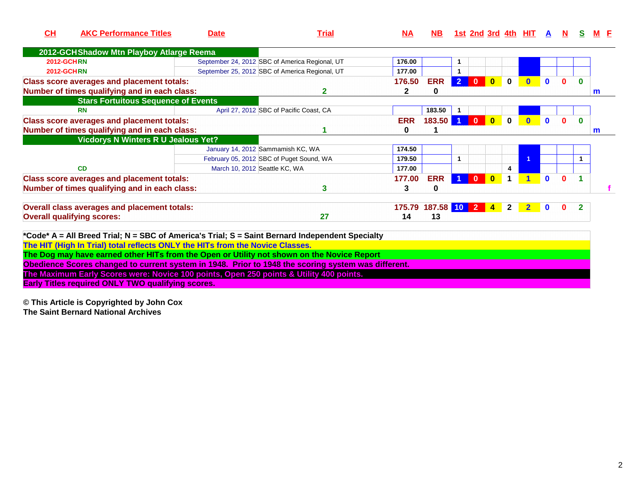| CH                | <b>AKC Performance Titles</b>                                                                      | <b>Date</b>                   | Trial                                                                                                                                                                                         | $\overline{\mathbf{NA}}$ | NB.             |                |                         |                         |              | <u>1st 2nd 3rd 4th HIT</u> | A            |              |              |              |
|-------------------|----------------------------------------------------------------------------------------------------|-------------------------------|-----------------------------------------------------------------------------------------------------------------------------------------------------------------------------------------------|--------------------------|-----------------|----------------|-------------------------|-------------------------|--------------|----------------------------|--------------|--------------|--------------|--------------|
|                   | 2012-GCHShadow Mtn Playboy Atlarge Reema                                                           |                               |                                                                                                                                                                                               |                          |                 |                |                         |                         |              |                            |              |              |              |              |
| <b>2012-GCHRN</b> |                                                                                                    |                               | September 24, 2012 SBC of America Regional, UT                                                                                                                                                | 176.00                   |                 | 1              |                         |                         |              |                            |              |              |              |              |
| <b>2012-GCHRN</b> |                                                                                                    |                               | September 25, 2012 SBC of America Regional, UT                                                                                                                                                | 177.00                   |                 | $\mathbf{1}$   |                         |                         |              |                            |              |              |              |              |
|                   | <b>Class score averages and placement totals:</b><br>Number of times qualifying and in each class: |                               | 2                                                                                                                                                                                             | 176.50<br>$\mathbf{2}$   | <b>ERR</b><br>0 | 2 <sup>1</sup> | $\overline{\mathbf{0}}$ | $\overline{\mathbf{0}}$ | $\mathbf 0$  | $\bf{0}$                   | $\mathbf{0}$ | $\Omega$     | $\mathbf{0}$ | m            |
|                   | <b>Stars Fortuitous Sequence of Events</b>                                                         |                               |                                                                                                                                                                                               |                          |                 |                |                         |                         |              |                            |              |              |              |              |
|                   | <b>RN</b>                                                                                          |                               | April 27, 2012 SBC of Pacific Coast, CA                                                                                                                                                       |                          | 183.50          |                |                         |                         |              |                            |              |              |              |              |
|                   | <b>Class score averages and placement totals:</b><br>Number of times qualifying and in each class: |                               |                                                                                                                                                                                               | <b>ERR</b><br>$\bf{0}$   | 183.50          |                | $\mathbf{0}$            | $\mathbf{0}$            | $\mathbf{0}$ |                            | $\mathbf{0}$ |              | $\bf{0}$     | $\mathsf{m}$ |
|                   | <b>Vicdorys N Winters R U Jealous Yet?</b>                                                         |                               |                                                                                                                                                                                               |                          |                 |                |                         |                         |              |                            |              |              |              |              |
|                   |                                                                                                    |                               | January 14, 2012 Sammamish KC, WA                                                                                                                                                             | 174.50                   |                 |                |                         |                         |              |                            |              |              |              |              |
|                   |                                                                                                    |                               | February 05, 2012 SBC of Puget Sound, WA                                                                                                                                                      | 179.50                   |                 | $\mathbf{1}$   |                         |                         |              |                            |              |              | 1            |              |
|                   | CD                                                                                                 | March 10, 2012 Seattle KC, WA |                                                                                                                                                                                               | 177.00                   |                 |                |                         |                         | 4            |                            |              |              |              |              |
|                   | <b>Class score averages and placement totals:</b><br>Number of times qualifying and in each class: |                               | 3                                                                                                                                                                                             | 177.00<br>3              | <b>ERR</b><br>0 |                | $\mathbf{0}$            | $\bf{0}$                |              |                            | $\mathbf{0}$ | <sup>0</sup> |              |              |
|                   | <b>Overall class averages and placement totals:</b>                                                |                               |                                                                                                                                                                                               | 175.79                   | 187.58 10 2     |                |                         | $\overline{4}$          | $\mathbf{2}$ | $\mathbf{2}$               | $\mathbf 0$  | 0            | $\mathbf{2}$ |              |
|                   | <b>Overall qualifying scores:</b>                                                                  |                               | 27                                                                                                                                                                                            | 14                       | 13              |                |                         |                         |              |                            |              |              |              |              |
|                   | The HIT (High In Trial) total reflects ONLY the HITs from the Novice Classes.                      |                               | *Code* A = All Breed Trial; N = SBC of America's Trial; S = Saint Bernard Independent Specialty<br>The Dog may have earned other HITs from the Open or Utility not shown on the Novice Report |                          |                 |                |                         |                         |              |                            |              |              |              |              |
|                   |                                                                                                    |                               | Obedience Scores changed to current system in 1948. Prior to 1948 the scoring system was different.                                                                                           |                          |                 |                |                         |                         |              |                            |              |              |              |              |
|                   | The Maximum Early Scores were: Novice 100 points, Open 250 points & Utility 400 points.            |                               |                                                                                                                                                                                               |                          |                 |                |                         |                         |              |                            |              |              |              |              |

**Early Titles required ONLY TWO qualifying scores.**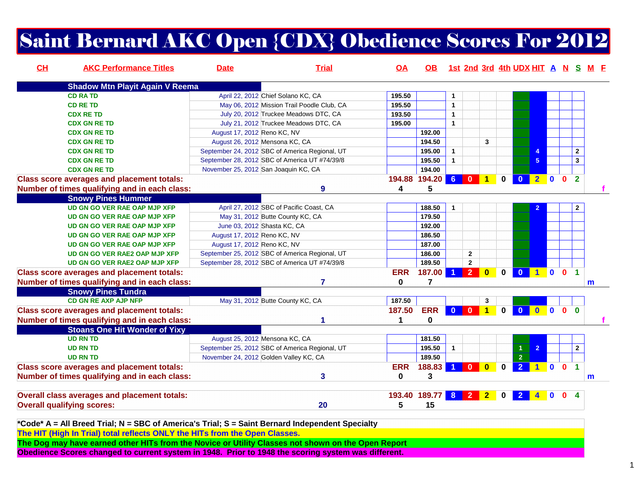# Saint Bernard AKC Open {CDX} Obedience Scores For 2012

| CL | <b>AKC Performance Titles</b>                       | <b>Date</b>                 | <b>Trial</b>                                   | OA         | OB.            |              |                |                |              |                         |                         |                         |                |                      | 1st 2nd 3rd 4th UDX HIT A N S M F |
|----|-----------------------------------------------------|-----------------------------|------------------------------------------------|------------|----------------|--------------|----------------|----------------|--------------|-------------------------|-------------------------|-------------------------|----------------|----------------------|-----------------------------------|
|    | <b>Shadow Mtn Playit Again V Reema</b>              |                             |                                                |            |                |              |                |                |              |                         |                         |                         |                |                      |                                   |
|    | <b>CD RATD</b>                                      |                             | April 22, 2012 Chief Solano KC, CA             | 195.50     |                | 1            |                |                |              |                         |                         |                         |                |                      |                                   |
|    | <b>CD RE TD</b>                                     |                             | May 06, 2012 Mission Trail Poodle Club, CA     | 195.50     |                | $\mathbf{1}$ |                |                |              |                         |                         |                         |                |                      |                                   |
|    | <b>CDX RE TD</b>                                    |                             | July 20, 2012 Truckee Meadows DTC, CA          | 193.50     |                | $\mathbf{1}$ |                |                |              |                         |                         |                         |                |                      |                                   |
|    | <b>CDX GN RE TD</b>                                 |                             | July 21, 2012 Truckee Meadows DTC, CA          | 195.00     |                | $\mathbf{1}$ |                |                |              |                         |                         |                         |                |                      |                                   |
|    | <b>CDX GN RE TD</b>                                 | August 17, 2012 Reno KC, NV |                                                |            | 192.00         |              |                |                |              |                         |                         |                         |                |                      |                                   |
|    | <b>CDX GN RE TD</b>                                 |                             | August 26, 2012 Mensona KC, CA                 |            | 194.50         |              |                | 3              |              |                         |                         |                         |                |                      |                                   |
|    | <b>CDX GN RE TD</b>                                 |                             | September 24, 2012 SBC of America Regional, UT |            | 195.00         | $\mathbf{1}$ |                |                |              |                         |                         |                         |                | $\mathbf{2}$         |                                   |
|    | <b>CDX GN RE TD</b>                                 |                             | September 28, 2012 SBC of America UT #74/39/8  |            | 195.50         | $\mathbf{1}$ |                |                |              |                         | 5                       |                         |                | $\mathbf{3}$         |                                   |
|    | <b>CDX GN RE TD</b>                                 |                             | November 25, 2012 San Joaquin KC, CA           |            | 194.00         |              |                |                |              |                         |                         |                         |                |                      |                                   |
|    | <b>Class score averages and placement totals:</b>   |                             |                                                |            | 194.88 194.20  | $6^{\circ}$  | $\bf{0}$       | 1              | $\bf{0}$     | $\mathbf{0}$            | $\overline{2}$          | $\mathbf{0}$            | $\mathbf{0}$   | $\overline{2}$       |                                   |
|    | Number of times qualifying and in each class:       |                             | 9                                              | 4          | 5              |              |                |                |              |                         |                         |                         |                |                      |                                   |
|    | <b>Snowy Pines Hummer</b>                           |                             |                                                |            |                |              |                |                |              |                         |                         |                         |                |                      |                                   |
|    | <b>UD GN GO VER RAE OAP MJP XFP</b>                 |                             | April 27, 2012 SBC of Pacific Coast, CA        |            | 188.50         | 1            |                |                |              |                         |                         |                         |                | $\overline{2}$       |                                   |
|    | <b>UD GN GO VER RAE OAP MJP XFP</b>                 |                             | May 31, 2012 Butte County KC, CA               |            | 179.50         |              |                |                |              |                         |                         |                         |                |                      |                                   |
|    | <b>UD GN GO VER RAE OAP MJP XFP</b>                 |                             | June 03, 2012 Shasta KC, CA                    |            | 192.00         |              |                |                |              |                         |                         |                         |                |                      |                                   |
|    | UD GN GO VER RAE OAP MJP XFP                        | August 17, 2012 Reno KC, NV |                                                |            | 186.50         |              |                |                |              |                         |                         |                         |                |                      |                                   |
|    | <b>UD GN GO VER RAE OAP MJP XFP</b>                 | August 17, 2012 Reno KC, NV |                                                |            | 187.00         |              |                |                |              |                         |                         |                         |                |                      |                                   |
|    | UD GN GO VER RAE2 OAP MJP XFP                       |                             | September 25, 2012 SBC of America Regional, UT |            | 186.00         |              | $\mathbf{2}$   |                |              |                         |                         |                         |                |                      |                                   |
|    | UD GN GO VER RAE2 OAP MJP XFP                       |                             | September 28, 2012 SBC of America UT #74/39/8  |            | 189.50         |              | $\overline{2}$ |                |              |                         |                         |                         |                |                      |                                   |
|    | <b>Class score averages and placement totals:</b>   |                             |                                                | <b>ERR</b> | 187.00         |              | $\overline{2}$ | $\bf{0}$       | $\mathbf{0}$ | $\overline{\mathbf{0}}$ | 100                     |                         |                | $\blacktriangleleft$ |                                   |
|    | Number of times qualifying and in each class:       |                             | $\overline{7}$                                 | $\bf{0}$   | $\overline{7}$ |              |                |                |              |                         |                         |                         |                |                      | m                                 |
|    | <b>Snowy Pines Tundra</b>                           |                             |                                                |            |                |              |                |                |              |                         |                         |                         |                |                      |                                   |
|    | CD GN RE AXP AJP NFP                                |                             | May 31, 2012 Butte County KC, CA               | 187.50     |                |              |                | 3              |              |                         |                         |                         |                |                      |                                   |
|    | <b>Class score averages and placement totals:</b>   |                             |                                                | 187.50     | <b>ERR</b>     | $\mathbf{0}$ | $\bf{0}$       |                | $\mathbf{0}$ | $\mathbf{0}$            | $\overline{\mathbf{0}}$ | $\overline{\mathbf{0}}$ | $\overline{0}$ | $\Omega$             |                                   |
|    | Number of times qualifying and in each class:       |                             |                                                | 1          | 0              |              |                |                |              |                         |                         |                         |                |                      |                                   |
|    | <b>Stoans One Hit Wonder of Yixy</b>                |                             |                                                |            |                |              |                |                |              |                         |                         |                         |                |                      |                                   |
|    | <b>UD RN TD</b>                                     |                             | August 25, 2012 Mensona KC, CA                 |            | 181.50         |              |                |                |              |                         |                         |                         |                |                      |                                   |
|    | <b>UD RN TD</b>                                     |                             | September 25, 2012 SBC of America Regional, UT |            | 195.50         | $\mathbf{1}$ |                |                |              |                         |                         |                         |                | $\mathbf{2}$         |                                   |
|    | <b>UD RN TD</b>                                     |                             | November 24, 2012 Golden Valley KC, CA         |            | 189.50         |              |                |                |              | $\overline{2}$          |                         |                         |                |                      |                                   |
|    | <b>Class score averages and placement totals:</b>   |                             |                                                | <b>ERR</b> | 188.83         |              | $\mathbf{0}$   | $\bf{0}$       | n.           | $\overline{2}$          | $1$ 0                   |                         | $\mathbf{0}$   | $\blacktriangleleft$ |                                   |
|    | Number of times qualifying and in each class:       |                             | 3                                              | 0          | 3              |              |                |                |              |                         |                         |                         |                |                      | m                                 |
|    | <b>Overall class averages and placement totals:</b> |                             |                                                | 193.40     | 189.77         |              | $8$ 2          | 2 <sub>1</sub> | $\bf{0}$     | $\overline{2}$          |                         | $\bf{0}$                | $\mathbf{0}$   |                      |                                   |
|    | <b>Overall qualifying scores:</b>                   |                             | 20                                             | 5          | 15             |              |                |                |              |                         |                         |                         |                |                      |                                   |

**\*Code\* A = All Breed Trial; N = SBC of America's Trial; S = Saint Bernard Independent SpecialtyThe HIT (High In Trial) total reflects ONLY the HITs from the Open Classes.**

**The Dog may have earned other HITs from the Novice or Utility Classes not shown on the Open Report**

**Obedience Scores changed to current system in 1948. Prior to 1948 the scoring system was different.**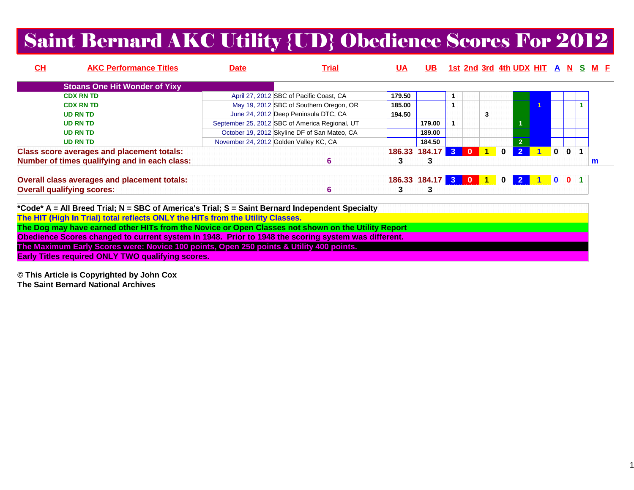# Saint Bernard AKC Utility {UD} Obedience Scores For 2012

| CH | <b>AKC Performance Titles</b>                                                                      | <b>Date</b> | Trial                                          | <b>UA</b> | UB.                 |           |              |              | <u>1st 2nd 3rd 4th UDX HIT A N</u> |              |                | <u>s</u> | M F |  |
|----|----------------------------------------------------------------------------------------------------|-------------|------------------------------------------------|-----------|---------------------|-----------|--------------|--------------|------------------------------------|--------------|----------------|----------|-----|--|
|    | <b>Stoans One Hit Wonder of Yixy</b>                                                               |             |                                                |           |                     |           |              |              |                                    |              |                |          |     |  |
|    | <b>CDX RN TD</b>                                                                                   |             | April 27, 2012 SBC of Pacific Coast, CA        | 179.50    |                     |           |              |              |                                    |              |                |          |     |  |
|    | <b>CDX RN TD</b>                                                                                   |             | May 19, 2012 SBC of Southern Oregon, OR        | 185.00    |                     |           |              |              |                                    |              |                |          |     |  |
|    | <b>UD RN TD</b>                                                                                    |             | June 24, 2012 Deep Peninsula DTC, CA           | 194.50    |                     |           | 3            |              |                                    |              |                |          |     |  |
|    | <b>UD RN TD</b>                                                                                    |             | September 25, 2012 SBC of America Regional, UT |           | 179.00              |           |              |              |                                    |              |                |          |     |  |
|    | <b>UD RN TD</b>                                                                                    |             | October 19, 2012 Skyline DF of San Mateo, CA   |           | 189.00              |           |              |              |                                    |              |                |          |     |  |
|    | <b>UD RN TD</b>                                                                                    |             | November 24, 2012 Golden Valley KC, CA         |           | 184.50              |           |              |              | 2 <sup>1</sup>                     |              |                |          |     |  |
|    | <b>Class score averages and placement totals:</b>                                                  |             |                                                |           | 186.33 184.17 3     | $\bullet$ | $\mathbf{1}$ | $\mathbf 0$  | $\mathbf{2}$                       | $\mathbf{0}$ | $\mathbf{0}$   |          |     |  |
|    | Number of times qualifying and in each class:                                                      |             | 6                                              | 3         | 3                   |           |              |              |                                    |              |                |          | m   |  |
|    | Overall class averages and placement totals:                                                       |             |                                                |           | 186.33 184.17 3 0 1 |           |              | $\mathbf{0}$ | $\overline{\mathbf{2}}$            | <b>O</b>     | 0 <sub>1</sub> |          |     |  |
|    | <b>Overall qualifying scores:</b>                                                                  |             | 6                                              | 3         | 3                   |           |              |              |                                    |              |                |          |     |  |
|    | *Code* A = All Breed Trial; N = SBC of America's Trial; S = Saint Bernard Independent Specialty    |             |                                                |           |                     |           |              |              |                                    |              |                |          |     |  |
|    | The HIT (High In Trial) total reflects ONLY the HITs from the Utility Classes.                     |             |                                                |           |                     |           |              |              |                                    |              |                |          |     |  |
|    | The Dog may have earned other HITs from the Novice or Open Classes not shown on the Utility Report |             |                                                |           |                     |           |              |              |                                    |              |                |          |     |  |
|    | Al a Paula Araba al concelto comente coton la 4040. Balante 4040 the capalance coton               |             |                                                |           |                     |           |              |              |                                    |              |                |          |     |  |

**Obedience Scores changed to current system in 1948. Prior to 1948 the scoring system was different.**

**The Maximum Early Scores were: Novice 100 points, Open 250 points & Utility 400 points.**

**Early Titles required ONLY TWO qualifying scores.**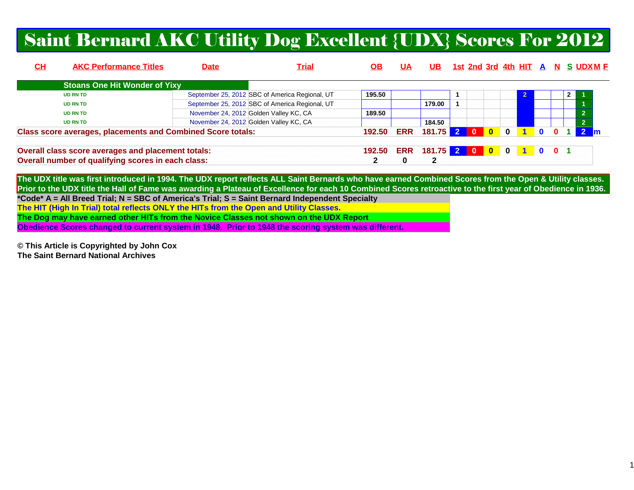### Saint Bernard AKC Utility Dog Excellent {UDX} Scores For 2012

| <u>СН</u> | <b>AKC Performance Titles</b>                                      | <b>Date</b> | <u>Trial</u>                                   | OВ     | UА         | UB.              |  |                                                   |                         |                |               |  | <u>1st 2nd 3rd 4th HIT A N S UDXM F</u> |
|-----------|--------------------------------------------------------------------|-------------|------------------------------------------------|--------|------------|------------------|--|---------------------------------------------------|-------------------------|----------------|---------------|--|-----------------------------------------|
|           | <b>Stoans One Hit Wonder of Yixy</b>                               |             |                                                |        |            |                  |  |                                                   |                         |                |               |  |                                         |
|           | <b>UD RN TD</b>                                                    |             | September 25, 2012 SBC of America Regional, UT | 195.50 |            |                  |  |                                                   |                         |                |               |  |                                         |
|           | <b>UD RN TD</b>                                                    |             | September 25, 2012 SBC of America Regional, UT |        |            | 179.00           |  |                                                   |                         |                |               |  |                                         |
|           | <b>UD RN TD</b>                                                    |             | November 24, 2012 Golden Valley KC, CA         | 189.50 |            |                  |  |                                                   |                         |                |               |  | ാ                                       |
|           | <b>UD RN TD</b>                                                    |             | November 24, 2012 Golden Valley KC, CA         |        |            | 184.50           |  |                                                   |                         |                |               |  | $\overline{2}$                          |
|           | <b>Class score averages, placements and Combined Score totals:</b> |             |                                                | 192.50 | <b>ERR</b> | 181.75 2 0       |  | $\overline{\phantom{0}}$ $\overline{\phantom{0}}$ | $\overline{\mathbf{0}}$ | $\blacksquare$ | $\mathbf{0}$  |  |                                         |
|           | Overall class score averages and placement totals:                 |             |                                                |        |            | 181.75 2 0 0 0 1 |  |                                                   |                         |                | $0 \t 0 \t 1$ |  |                                         |
|           | Overall number of qualifying scores in each class:                 |             |                                                |        |            | ົ                |  |                                                   |                         |                |               |  |                                         |

**The UDX title was first introduced in 1994. The UDX report reflects ALL Saint Bernards who have earned Combined Scores from the Open & Utility classes. Prior to the UDX title the Hall of Fame was awarding a Plateau of Excellence for each 10 Combined Scores retroactive to the first year of Obedience in 1936.\*Code\* A = All Breed Trial; N = SBC of America's Trial; S = Saint Bernard Independent SpecialtyThe HIT (High In Trial) total reflects ONLY the HITs from the Open and Utility Classes.**

**The Dog may have earned other HITs from the Novice Classes not shown on the UDX Report**

**Obedience Scores changed to current system in 1948. Prior to 1948 the scoring system was different.**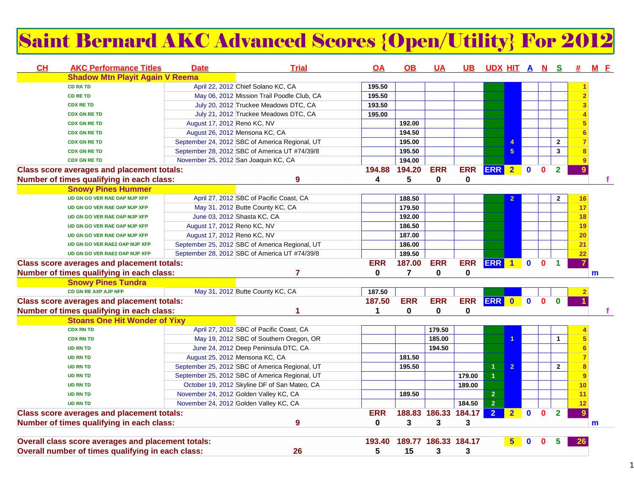# Saint Bernard AKC Advanced Scores {Open/Utility} For 2012

| <b>Shadow Mtn Playit Again V Reema</b><br>April 22, 2012 Chief Solano KC, CA<br>195.50<br><b>CD RA TD</b><br>May 06, 2012 Mission Trail Poodle Club, CA<br>195.50<br><b>CD RE TD</b><br>July 20, 2012 Truckee Meadows DTC, CA<br>193.50<br><b>CDX RE TD</b><br>July 21, 2012 Truckee Meadows DTC, CA<br>195.00<br><b>CDX GN RE TD</b><br>August 17, 2012 Reno KC, NV<br>192.00<br><b>CDX GN RE TD</b><br>194.50<br>August 26, 2012 Mensona KC, CA<br><b>CDX GN RE TD</b><br>September 24, 2012 SBC of America Regional, UT<br>195.00<br>$\mathbf 2$<br><b>CDX GN RE TD</b><br>4<br>September 28, 2012 SBC of America UT #74/39/8<br>195.50<br>$\overline{\mathbf{3}}$<br>5<br><b>CDX GN RE TD</b><br>194.00<br>November 25, 2012 San Joaquin KC, CA<br><b>CDX GN RE TD</b><br><b>ERR</b><br><b>ERR 2</b><br><b>ERR</b><br>$\overline{2}$<br>194.88<br>194.20<br>$\mathbf{0}$<br>$\mathbf{0}$<br><b>Class score averages and placement totals:</b><br>9<br>9<br>0<br>$\mathbf 0$<br>Number of times qualifying in each class:<br>4<br>5<br><b>Snowy Pines Hummer</b><br>April 27, 2012 SBC of Pacific Coast, CA<br>188.50<br>UD GN GO VER RAE OAP MJP XFP<br>$\mathbf{2}$<br>16<br>$\overline{2}$<br>179.50<br>17<br>May 31, 2012 Butte County KC, CA<br>UD GN GO VER RAE OAP MJP XFP<br>June 03, 2012 Shasta KC, CA<br>192.00<br>18<br>UD GN GO VER RAE OAP MJP XFP<br>186.50<br>August 17, 2012 Reno KC, NV<br>19<br>UD GN GO VER RAE OAP MJP XFP<br>August 17, 2012 Reno KC, NV<br>187.00<br>20<br>UD GN GO VER RAE OAP MJP XFP<br>September 25, 2012 SBC of America Regional, UT<br>186.00<br>21<br>UD GN GO VER RAE2 OAP MJP XFP<br>189.50<br>September 28, 2012 SBC of America UT #74/39/8<br>22<br>UD GN GO VER RAE2 OAP MJP XFP<br><b>ERR</b><br>187.00<br><b>ERR</b><br><b>ERR</b><br><b>ERR</b><br>$\mathbf{0}$<br>$\mathbf{0}$<br>$\blacktriangleleft$<br><b>Class score averages and placement totals:</b><br>$\blacksquare$<br>$\overline{7}$<br>Number of times qualifying in each class:<br>0<br>0<br>0<br>7<br>m<br><b>Snowy Pines Tundra</b><br>CD GN RE AXP AJP NFP<br>May 31, 2012 Butte County KC, CA<br>187.50<br><b>ERR</b><br><b>ERR</b><br>ERR ERR 0<br>$\bullet$<br>$\mathbf{0}$<br><b>Class score averages and placement totals:</b><br>187.50<br>$\mathbf{0}$<br>0<br>0<br>0<br>Number of times qualifying in each class:<br>$\mathbf 1$<br><b>Stoans One Hit Wonder of Yixy</b><br><b>CDX RN TD</b><br>April 27, 2012 SBC of Pacific Coast, CA<br>179.50<br>185.00<br>May 19, 2012 SBC of Southern Oregon, OR<br><b>CDX RN TD</b><br>1<br>$\mathbf{1}$<br>194.50<br>June 24, 2012 Deep Peninsula DTC, CA<br><b>UD RN TD</b><br>181.50<br>August 25, 2012 Mensona KC, CA<br><b>UD RN TD</b><br>September 25, 2012 SBC of America Regional, UT<br>195.50<br>$\mathbf{1}$<br>$\overline{2}$<br>$\mathbf{2}$<br><b>UD RN TD</b><br>$\overline{1}$<br>September 25, 2012 SBC of America Regional, UT<br>179.00<br><b>UD RN TD</b><br>9<br>October 19, 2012 Skyline DF of San Mateo, CA<br>189.00<br><b>UD RN TD</b><br>10<br>November 24, 2012 Golden Valley KC, CA<br>189.50<br>$\overline{2}$<br><b>UD RN TD</b><br>11<br>2 <sup>1</sup><br>November 24, 2012 Golden Valley KC, CA<br>184.50<br><b>UD RN TD</b><br>12<br><b>ERR</b><br>188.83 186.33 184.17<br>$\overline{2}$<br>$\overline{2}$<br><b>Class score averages and placement totals:</b><br>$\overline{2}$<br>$\mathbf{0}$<br>$\mathbf{0}$<br>9<br>$\mathbf 0$<br>3<br>3<br>3<br>Number of times qualifying in each class:<br>9<br>m<br>189.77 186.33 184.17<br>Overall class score averages and placement totals:<br>193.40<br>$5\phantom{1}$<br>n<br>5<br>Overall number of times qualifying in each class:<br>26<br>15<br>3<br>3 | CH | <b>AKC Performance Titles</b> | <b>Date</b> | <b>Trial</b> | OA | OB. | UA | UB. | <u>UDX HIT A N S</u> |  |  | <b>#</b> | $M$ $E$ |
|-------------------------------------------------------------------------------------------------------------------------------------------------------------------------------------------------------------------------------------------------------------------------------------------------------------------------------------------------------------------------------------------------------------------------------------------------------------------------------------------------------------------------------------------------------------------------------------------------------------------------------------------------------------------------------------------------------------------------------------------------------------------------------------------------------------------------------------------------------------------------------------------------------------------------------------------------------------------------------------------------------------------------------------------------------------------------------------------------------------------------------------------------------------------------------------------------------------------------------------------------------------------------------------------------------------------------------------------------------------------------------------------------------------------------------------------------------------------------------------------------------------------------------------------------------------------------------------------------------------------------------------------------------------------------------------------------------------------------------------------------------------------------------------------------------------------------------------------------------------------------------------------------------------------------------------------------------------------------------------------------------------------------------------------------------------------------------------------------------------------------------------------------------------------------------------------------------------------------------------------------------------------------------------------------------------------------------------------------------------------------------------------------------------------------------------------------------------------------------------------------------------------------------------------------------------------------------------------------------------------------------------------------------------------------------------------------------------------------------------------------------------------------------------------------------------------------------------------------------------------------------------------------------------------------------------------------------------------------------------------------------------------------------------------------------------------------------------------------------------------------------------------------------------------------------------------------------------------------------------------------------------------------------------------------------------------------------------------------------------------------------------------------------------------------------------------------------------------------------------------------------------------------------------------------------------------------------------------------------------------------------------------------------------------------------------------------------------------------|----|-------------------------------|-------------|--------------|----|-----|----|-----|----------------------|--|--|----------|---------|
|                                                                                                                                                                                                                                                                                                                                                                                                                                                                                                                                                                                                                                                                                                                                                                                                                                                                                                                                                                                                                                                                                                                                                                                                                                                                                                                                                                                                                                                                                                                                                                                                                                                                                                                                                                                                                                                                                                                                                                                                                                                                                                                                                                                                                                                                                                                                                                                                                                                                                                                                                                                                                                                                                                                                                                                                                                                                                                                                                                                                                                                                                                                                                                                                                                                                                                                                                                                                                                                                                                                                                                                                                                                                                                                         |    |                               |             |              |    |     |    |     |                      |  |  |          |         |
|                                                                                                                                                                                                                                                                                                                                                                                                                                                                                                                                                                                                                                                                                                                                                                                                                                                                                                                                                                                                                                                                                                                                                                                                                                                                                                                                                                                                                                                                                                                                                                                                                                                                                                                                                                                                                                                                                                                                                                                                                                                                                                                                                                                                                                                                                                                                                                                                                                                                                                                                                                                                                                                                                                                                                                                                                                                                                                                                                                                                                                                                                                                                                                                                                                                                                                                                                                                                                                                                                                                                                                                                                                                                                                                         |    |                               |             |              |    |     |    |     |                      |  |  |          |         |
|                                                                                                                                                                                                                                                                                                                                                                                                                                                                                                                                                                                                                                                                                                                                                                                                                                                                                                                                                                                                                                                                                                                                                                                                                                                                                                                                                                                                                                                                                                                                                                                                                                                                                                                                                                                                                                                                                                                                                                                                                                                                                                                                                                                                                                                                                                                                                                                                                                                                                                                                                                                                                                                                                                                                                                                                                                                                                                                                                                                                                                                                                                                                                                                                                                                                                                                                                                                                                                                                                                                                                                                                                                                                                                                         |    |                               |             |              |    |     |    |     |                      |  |  |          |         |
|                                                                                                                                                                                                                                                                                                                                                                                                                                                                                                                                                                                                                                                                                                                                                                                                                                                                                                                                                                                                                                                                                                                                                                                                                                                                                                                                                                                                                                                                                                                                                                                                                                                                                                                                                                                                                                                                                                                                                                                                                                                                                                                                                                                                                                                                                                                                                                                                                                                                                                                                                                                                                                                                                                                                                                                                                                                                                                                                                                                                                                                                                                                                                                                                                                                                                                                                                                                                                                                                                                                                                                                                                                                                                                                         |    |                               |             |              |    |     |    |     |                      |  |  |          |         |
|                                                                                                                                                                                                                                                                                                                                                                                                                                                                                                                                                                                                                                                                                                                                                                                                                                                                                                                                                                                                                                                                                                                                                                                                                                                                                                                                                                                                                                                                                                                                                                                                                                                                                                                                                                                                                                                                                                                                                                                                                                                                                                                                                                                                                                                                                                                                                                                                                                                                                                                                                                                                                                                                                                                                                                                                                                                                                                                                                                                                                                                                                                                                                                                                                                                                                                                                                                                                                                                                                                                                                                                                                                                                                                                         |    |                               |             |              |    |     |    |     |                      |  |  |          |         |
|                                                                                                                                                                                                                                                                                                                                                                                                                                                                                                                                                                                                                                                                                                                                                                                                                                                                                                                                                                                                                                                                                                                                                                                                                                                                                                                                                                                                                                                                                                                                                                                                                                                                                                                                                                                                                                                                                                                                                                                                                                                                                                                                                                                                                                                                                                                                                                                                                                                                                                                                                                                                                                                                                                                                                                                                                                                                                                                                                                                                                                                                                                                                                                                                                                                                                                                                                                                                                                                                                                                                                                                                                                                                                                                         |    |                               |             |              |    |     |    |     |                      |  |  |          |         |
|                                                                                                                                                                                                                                                                                                                                                                                                                                                                                                                                                                                                                                                                                                                                                                                                                                                                                                                                                                                                                                                                                                                                                                                                                                                                                                                                                                                                                                                                                                                                                                                                                                                                                                                                                                                                                                                                                                                                                                                                                                                                                                                                                                                                                                                                                                                                                                                                                                                                                                                                                                                                                                                                                                                                                                                                                                                                                                                                                                                                                                                                                                                                                                                                                                                                                                                                                                                                                                                                                                                                                                                                                                                                                                                         |    |                               |             |              |    |     |    |     |                      |  |  |          |         |
|                                                                                                                                                                                                                                                                                                                                                                                                                                                                                                                                                                                                                                                                                                                                                                                                                                                                                                                                                                                                                                                                                                                                                                                                                                                                                                                                                                                                                                                                                                                                                                                                                                                                                                                                                                                                                                                                                                                                                                                                                                                                                                                                                                                                                                                                                                                                                                                                                                                                                                                                                                                                                                                                                                                                                                                                                                                                                                                                                                                                                                                                                                                                                                                                                                                                                                                                                                                                                                                                                                                                                                                                                                                                                                                         |    |                               |             |              |    |     |    |     |                      |  |  |          |         |
|                                                                                                                                                                                                                                                                                                                                                                                                                                                                                                                                                                                                                                                                                                                                                                                                                                                                                                                                                                                                                                                                                                                                                                                                                                                                                                                                                                                                                                                                                                                                                                                                                                                                                                                                                                                                                                                                                                                                                                                                                                                                                                                                                                                                                                                                                                                                                                                                                                                                                                                                                                                                                                                                                                                                                                                                                                                                                                                                                                                                                                                                                                                                                                                                                                                                                                                                                                                                                                                                                                                                                                                                                                                                                                                         |    |                               |             |              |    |     |    |     |                      |  |  |          |         |
|                                                                                                                                                                                                                                                                                                                                                                                                                                                                                                                                                                                                                                                                                                                                                                                                                                                                                                                                                                                                                                                                                                                                                                                                                                                                                                                                                                                                                                                                                                                                                                                                                                                                                                                                                                                                                                                                                                                                                                                                                                                                                                                                                                                                                                                                                                                                                                                                                                                                                                                                                                                                                                                                                                                                                                                                                                                                                                                                                                                                                                                                                                                                                                                                                                                                                                                                                                                                                                                                                                                                                                                                                                                                                                                         |    |                               |             |              |    |     |    |     |                      |  |  |          |         |
|                                                                                                                                                                                                                                                                                                                                                                                                                                                                                                                                                                                                                                                                                                                                                                                                                                                                                                                                                                                                                                                                                                                                                                                                                                                                                                                                                                                                                                                                                                                                                                                                                                                                                                                                                                                                                                                                                                                                                                                                                                                                                                                                                                                                                                                                                                                                                                                                                                                                                                                                                                                                                                                                                                                                                                                                                                                                                                                                                                                                                                                                                                                                                                                                                                                                                                                                                                                                                                                                                                                                                                                                                                                                                                                         |    |                               |             |              |    |     |    |     |                      |  |  |          |         |
|                                                                                                                                                                                                                                                                                                                                                                                                                                                                                                                                                                                                                                                                                                                                                                                                                                                                                                                                                                                                                                                                                                                                                                                                                                                                                                                                                                                                                                                                                                                                                                                                                                                                                                                                                                                                                                                                                                                                                                                                                                                                                                                                                                                                                                                                                                                                                                                                                                                                                                                                                                                                                                                                                                                                                                                                                                                                                                                                                                                                                                                                                                                                                                                                                                                                                                                                                                                                                                                                                                                                                                                                                                                                                                                         |    |                               |             |              |    |     |    |     |                      |  |  |          |         |
|                                                                                                                                                                                                                                                                                                                                                                                                                                                                                                                                                                                                                                                                                                                                                                                                                                                                                                                                                                                                                                                                                                                                                                                                                                                                                                                                                                                                                                                                                                                                                                                                                                                                                                                                                                                                                                                                                                                                                                                                                                                                                                                                                                                                                                                                                                                                                                                                                                                                                                                                                                                                                                                                                                                                                                                                                                                                                                                                                                                                                                                                                                                                                                                                                                                                                                                                                                                                                                                                                                                                                                                                                                                                                                                         |    |                               |             |              |    |     |    |     |                      |  |  |          |         |
|                                                                                                                                                                                                                                                                                                                                                                                                                                                                                                                                                                                                                                                                                                                                                                                                                                                                                                                                                                                                                                                                                                                                                                                                                                                                                                                                                                                                                                                                                                                                                                                                                                                                                                                                                                                                                                                                                                                                                                                                                                                                                                                                                                                                                                                                                                                                                                                                                                                                                                                                                                                                                                                                                                                                                                                                                                                                                                                                                                                                                                                                                                                                                                                                                                                                                                                                                                                                                                                                                                                                                                                                                                                                                                                         |    |                               |             |              |    |     |    |     |                      |  |  |          |         |
|                                                                                                                                                                                                                                                                                                                                                                                                                                                                                                                                                                                                                                                                                                                                                                                                                                                                                                                                                                                                                                                                                                                                                                                                                                                                                                                                                                                                                                                                                                                                                                                                                                                                                                                                                                                                                                                                                                                                                                                                                                                                                                                                                                                                                                                                                                                                                                                                                                                                                                                                                                                                                                                                                                                                                                                                                                                                                                                                                                                                                                                                                                                                                                                                                                                                                                                                                                                                                                                                                                                                                                                                                                                                                                                         |    |                               |             |              |    |     |    |     |                      |  |  |          |         |
|                                                                                                                                                                                                                                                                                                                                                                                                                                                                                                                                                                                                                                                                                                                                                                                                                                                                                                                                                                                                                                                                                                                                                                                                                                                                                                                                                                                                                                                                                                                                                                                                                                                                                                                                                                                                                                                                                                                                                                                                                                                                                                                                                                                                                                                                                                                                                                                                                                                                                                                                                                                                                                                                                                                                                                                                                                                                                                                                                                                                                                                                                                                                                                                                                                                                                                                                                                                                                                                                                                                                                                                                                                                                                                                         |    |                               |             |              |    |     |    |     |                      |  |  |          |         |
|                                                                                                                                                                                                                                                                                                                                                                                                                                                                                                                                                                                                                                                                                                                                                                                                                                                                                                                                                                                                                                                                                                                                                                                                                                                                                                                                                                                                                                                                                                                                                                                                                                                                                                                                                                                                                                                                                                                                                                                                                                                                                                                                                                                                                                                                                                                                                                                                                                                                                                                                                                                                                                                                                                                                                                                                                                                                                                                                                                                                                                                                                                                                                                                                                                                                                                                                                                                                                                                                                                                                                                                                                                                                                                                         |    |                               |             |              |    |     |    |     |                      |  |  |          |         |
|                                                                                                                                                                                                                                                                                                                                                                                                                                                                                                                                                                                                                                                                                                                                                                                                                                                                                                                                                                                                                                                                                                                                                                                                                                                                                                                                                                                                                                                                                                                                                                                                                                                                                                                                                                                                                                                                                                                                                                                                                                                                                                                                                                                                                                                                                                                                                                                                                                                                                                                                                                                                                                                                                                                                                                                                                                                                                                                                                                                                                                                                                                                                                                                                                                                                                                                                                                                                                                                                                                                                                                                                                                                                                                                         |    |                               |             |              |    |     |    |     |                      |  |  |          |         |
|                                                                                                                                                                                                                                                                                                                                                                                                                                                                                                                                                                                                                                                                                                                                                                                                                                                                                                                                                                                                                                                                                                                                                                                                                                                                                                                                                                                                                                                                                                                                                                                                                                                                                                                                                                                                                                                                                                                                                                                                                                                                                                                                                                                                                                                                                                                                                                                                                                                                                                                                                                                                                                                                                                                                                                                                                                                                                                                                                                                                                                                                                                                                                                                                                                                                                                                                                                                                                                                                                                                                                                                                                                                                                                                         |    |                               |             |              |    |     |    |     |                      |  |  |          |         |
|                                                                                                                                                                                                                                                                                                                                                                                                                                                                                                                                                                                                                                                                                                                                                                                                                                                                                                                                                                                                                                                                                                                                                                                                                                                                                                                                                                                                                                                                                                                                                                                                                                                                                                                                                                                                                                                                                                                                                                                                                                                                                                                                                                                                                                                                                                                                                                                                                                                                                                                                                                                                                                                                                                                                                                                                                                                                                                                                                                                                                                                                                                                                                                                                                                                                                                                                                                                                                                                                                                                                                                                                                                                                                                                         |    |                               |             |              |    |     |    |     |                      |  |  |          |         |
|                                                                                                                                                                                                                                                                                                                                                                                                                                                                                                                                                                                                                                                                                                                                                                                                                                                                                                                                                                                                                                                                                                                                                                                                                                                                                                                                                                                                                                                                                                                                                                                                                                                                                                                                                                                                                                                                                                                                                                                                                                                                                                                                                                                                                                                                                                                                                                                                                                                                                                                                                                                                                                                                                                                                                                                                                                                                                                                                                                                                                                                                                                                                                                                                                                                                                                                                                                                                                                                                                                                                                                                                                                                                                                                         |    |                               |             |              |    |     |    |     |                      |  |  |          |         |
|                                                                                                                                                                                                                                                                                                                                                                                                                                                                                                                                                                                                                                                                                                                                                                                                                                                                                                                                                                                                                                                                                                                                                                                                                                                                                                                                                                                                                                                                                                                                                                                                                                                                                                                                                                                                                                                                                                                                                                                                                                                                                                                                                                                                                                                                                                                                                                                                                                                                                                                                                                                                                                                                                                                                                                                                                                                                                                                                                                                                                                                                                                                                                                                                                                                                                                                                                                                                                                                                                                                                                                                                                                                                                                                         |    |                               |             |              |    |     |    |     |                      |  |  |          |         |
|                                                                                                                                                                                                                                                                                                                                                                                                                                                                                                                                                                                                                                                                                                                                                                                                                                                                                                                                                                                                                                                                                                                                                                                                                                                                                                                                                                                                                                                                                                                                                                                                                                                                                                                                                                                                                                                                                                                                                                                                                                                                                                                                                                                                                                                                                                                                                                                                                                                                                                                                                                                                                                                                                                                                                                                                                                                                                                                                                                                                                                                                                                                                                                                                                                                                                                                                                                                                                                                                                                                                                                                                                                                                                                                         |    |                               |             |              |    |     |    |     |                      |  |  |          |         |
|                                                                                                                                                                                                                                                                                                                                                                                                                                                                                                                                                                                                                                                                                                                                                                                                                                                                                                                                                                                                                                                                                                                                                                                                                                                                                                                                                                                                                                                                                                                                                                                                                                                                                                                                                                                                                                                                                                                                                                                                                                                                                                                                                                                                                                                                                                                                                                                                                                                                                                                                                                                                                                                                                                                                                                                                                                                                                                                                                                                                                                                                                                                                                                                                                                                                                                                                                                                                                                                                                                                                                                                                                                                                                                                         |    |                               |             |              |    |     |    |     |                      |  |  |          |         |
|                                                                                                                                                                                                                                                                                                                                                                                                                                                                                                                                                                                                                                                                                                                                                                                                                                                                                                                                                                                                                                                                                                                                                                                                                                                                                                                                                                                                                                                                                                                                                                                                                                                                                                                                                                                                                                                                                                                                                                                                                                                                                                                                                                                                                                                                                                                                                                                                                                                                                                                                                                                                                                                                                                                                                                                                                                                                                                                                                                                                                                                                                                                                                                                                                                                                                                                                                                                                                                                                                                                                                                                                                                                                                                                         |    |                               |             |              |    |     |    |     |                      |  |  |          |         |
|                                                                                                                                                                                                                                                                                                                                                                                                                                                                                                                                                                                                                                                                                                                                                                                                                                                                                                                                                                                                                                                                                                                                                                                                                                                                                                                                                                                                                                                                                                                                                                                                                                                                                                                                                                                                                                                                                                                                                                                                                                                                                                                                                                                                                                                                                                                                                                                                                                                                                                                                                                                                                                                                                                                                                                                                                                                                                                                                                                                                                                                                                                                                                                                                                                                                                                                                                                                                                                                                                                                                                                                                                                                                                                                         |    |                               |             |              |    |     |    |     |                      |  |  |          |         |
|                                                                                                                                                                                                                                                                                                                                                                                                                                                                                                                                                                                                                                                                                                                                                                                                                                                                                                                                                                                                                                                                                                                                                                                                                                                                                                                                                                                                                                                                                                                                                                                                                                                                                                                                                                                                                                                                                                                                                                                                                                                                                                                                                                                                                                                                                                                                                                                                                                                                                                                                                                                                                                                                                                                                                                                                                                                                                                                                                                                                                                                                                                                                                                                                                                                                                                                                                                                                                                                                                                                                                                                                                                                                                                                         |    |                               |             |              |    |     |    |     |                      |  |  |          |         |
|                                                                                                                                                                                                                                                                                                                                                                                                                                                                                                                                                                                                                                                                                                                                                                                                                                                                                                                                                                                                                                                                                                                                                                                                                                                                                                                                                                                                                                                                                                                                                                                                                                                                                                                                                                                                                                                                                                                                                                                                                                                                                                                                                                                                                                                                                                                                                                                                                                                                                                                                                                                                                                                                                                                                                                                                                                                                                                                                                                                                                                                                                                                                                                                                                                                                                                                                                                                                                                                                                                                                                                                                                                                                                                                         |    |                               |             |              |    |     |    |     |                      |  |  |          |         |
|                                                                                                                                                                                                                                                                                                                                                                                                                                                                                                                                                                                                                                                                                                                                                                                                                                                                                                                                                                                                                                                                                                                                                                                                                                                                                                                                                                                                                                                                                                                                                                                                                                                                                                                                                                                                                                                                                                                                                                                                                                                                                                                                                                                                                                                                                                                                                                                                                                                                                                                                                                                                                                                                                                                                                                                                                                                                                                                                                                                                                                                                                                                                                                                                                                                                                                                                                                                                                                                                                                                                                                                                                                                                                                                         |    |                               |             |              |    |     |    |     |                      |  |  |          |         |
|                                                                                                                                                                                                                                                                                                                                                                                                                                                                                                                                                                                                                                                                                                                                                                                                                                                                                                                                                                                                                                                                                                                                                                                                                                                                                                                                                                                                                                                                                                                                                                                                                                                                                                                                                                                                                                                                                                                                                                                                                                                                                                                                                                                                                                                                                                                                                                                                                                                                                                                                                                                                                                                                                                                                                                                                                                                                                                                                                                                                                                                                                                                                                                                                                                                                                                                                                                                                                                                                                                                                                                                                                                                                                                                         |    |                               |             |              |    |     |    |     |                      |  |  |          |         |
|                                                                                                                                                                                                                                                                                                                                                                                                                                                                                                                                                                                                                                                                                                                                                                                                                                                                                                                                                                                                                                                                                                                                                                                                                                                                                                                                                                                                                                                                                                                                                                                                                                                                                                                                                                                                                                                                                                                                                                                                                                                                                                                                                                                                                                                                                                                                                                                                                                                                                                                                                                                                                                                                                                                                                                                                                                                                                                                                                                                                                                                                                                                                                                                                                                                                                                                                                                                                                                                                                                                                                                                                                                                                                                                         |    |                               |             |              |    |     |    |     |                      |  |  |          |         |
|                                                                                                                                                                                                                                                                                                                                                                                                                                                                                                                                                                                                                                                                                                                                                                                                                                                                                                                                                                                                                                                                                                                                                                                                                                                                                                                                                                                                                                                                                                                                                                                                                                                                                                                                                                                                                                                                                                                                                                                                                                                                                                                                                                                                                                                                                                                                                                                                                                                                                                                                                                                                                                                                                                                                                                                                                                                                                                                                                                                                                                                                                                                                                                                                                                                                                                                                                                                                                                                                                                                                                                                                                                                                                                                         |    |                               |             |              |    |     |    |     |                      |  |  |          |         |
|                                                                                                                                                                                                                                                                                                                                                                                                                                                                                                                                                                                                                                                                                                                                                                                                                                                                                                                                                                                                                                                                                                                                                                                                                                                                                                                                                                                                                                                                                                                                                                                                                                                                                                                                                                                                                                                                                                                                                                                                                                                                                                                                                                                                                                                                                                                                                                                                                                                                                                                                                                                                                                                                                                                                                                                                                                                                                                                                                                                                                                                                                                                                                                                                                                                                                                                                                                                                                                                                                                                                                                                                                                                                                                                         |    |                               |             |              |    |     |    |     |                      |  |  |          |         |
|                                                                                                                                                                                                                                                                                                                                                                                                                                                                                                                                                                                                                                                                                                                                                                                                                                                                                                                                                                                                                                                                                                                                                                                                                                                                                                                                                                                                                                                                                                                                                                                                                                                                                                                                                                                                                                                                                                                                                                                                                                                                                                                                                                                                                                                                                                                                                                                                                                                                                                                                                                                                                                                                                                                                                                                                                                                                                                                                                                                                                                                                                                                                                                                                                                                                                                                                                                                                                                                                                                                                                                                                                                                                                                                         |    |                               |             |              |    |     |    |     |                      |  |  |          |         |
|                                                                                                                                                                                                                                                                                                                                                                                                                                                                                                                                                                                                                                                                                                                                                                                                                                                                                                                                                                                                                                                                                                                                                                                                                                                                                                                                                                                                                                                                                                                                                                                                                                                                                                                                                                                                                                                                                                                                                                                                                                                                                                                                                                                                                                                                                                                                                                                                                                                                                                                                                                                                                                                                                                                                                                                                                                                                                                                                                                                                                                                                                                                                                                                                                                                                                                                                                                                                                                                                                                                                                                                                                                                                                                                         |    |                               |             |              |    |     |    |     |                      |  |  |          |         |
|                                                                                                                                                                                                                                                                                                                                                                                                                                                                                                                                                                                                                                                                                                                                                                                                                                                                                                                                                                                                                                                                                                                                                                                                                                                                                                                                                                                                                                                                                                                                                                                                                                                                                                                                                                                                                                                                                                                                                                                                                                                                                                                                                                                                                                                                                                                                                                                                                                                                                                                                                                                                                                                                                                                                                                                                                                                                                                                                                                                                                                                                                                                                                                                                                                                                                                                                                                                                                                                                                                                                                                                                                                                                                                                         |    |                               |             |              |    |     |    |     |                      |  |  |          |         |
|                                                                                                                                                                                                                                                                                                                                                                                                                                                                                                                                                                                                                                                                                                                                                                                                                                                                                                                                                                                                                                                                                                                                                                                                                                                                                                                                                                                                                                                                                                                                                                                                                                                                                                                                                                                                                                                                                                                                                                                                                                                                                                                                                                                                                                                                                                                                                                                                                                                                                                                                                                                                                                                                                                                                                                                                                                                                                                                                                                                                                                                                                                                                                                                                                                                                                                                                                                                                                                                                                                                                                                                                                                                                                                                         |    |                               |             |              |    |     |    |     |                      |  |  |          |         |
|                                                                                                                                                                                                                                                                                                                                                                                                                                                                                                                                                                                                                                                                                                                                                                                                                                                                                                                                                                                                                                                                                                                                                                                                                                                                                                                                                                                                                                                                                                                                                                                                                                                                                                                                                                                                                                                                                                                                                                                                                                                                                                                                                                                                                                                                                                                                                                                                                                                                                                                                                                                                                                                                                                                                                                                                                                                                                                                                                                                                                                                                                                                                                                                                                                                                                                                                                                                                                                                                                                                                                                                                                                                                                                                         |    |                               |             |              |    |     |    |     |                      |  |  |          |         |
|                                                                                                                                                                                                                                                                                                                                                                                                                                                                                                                                                                                                                                                                                                                                                                                                                                                                                                                                                                                                                                                                                                                                                                                                                                                                                                                                                                                                                                                                                                                                                                                                                                                                                                                                                                                                                                                                                                                                                                                                                                                                                                                                                                                                                                                                                                                                                                                                                                                                                                                                                                                                                                                                                                                                                                                                                                                                                                                                                                                                                                                                                                                                                                                                                                                                                                                                                                                                                                                                                                                                                                                                                                                                                                                         |    |                               |             |              |    |     |    |     |                      |  |  |          |         |
|                                                                                                                                                                                                                                                                                                                                                                                                                                                                                                                                                                                                                                                                                                                                                                                                                                                                                                                                                                                                                                                                                                                                                                                                                                                                                                                                                                                                                                                                                                                                                                                                                                                                                                                                                                                                                                                                                                                                                                                                                                                                                                                                                                                                                                                                                                                                                                                                                                                                                                                                                                                                                                                                                                                                                                                                                                                                                                                                                                                                                                                                                                                                                                                                                                                                                                                                                                                                                                                                                                                                                                                                                                                                                                                         |    |                               |             |              |    |     |    |     |                      |  |  |          |         |
|                                                                                                                                                                                                                                                                                                                                                                                                                                                                                                                                                                                                                                                                                                                                                                                                                                                                                                                                                                                                                                                                                                                                                                                                                                                                                                                                                                                                                                                                                                                                                                                                                                                                                                                                                                                                                                                                                                                                                                                                                                                                                                                                                                                                                                                                                                                                                                                                                                                                                                                                                                                                                                                                                                                                                                                                                                                                                                                                                                                                                                                                                                                                                                                                                                                                                                                                                                                                                                                                                                                                                                                                                                                                                                                         |    |                               |             |              |    |     |    |     |                      |  |  |          |         |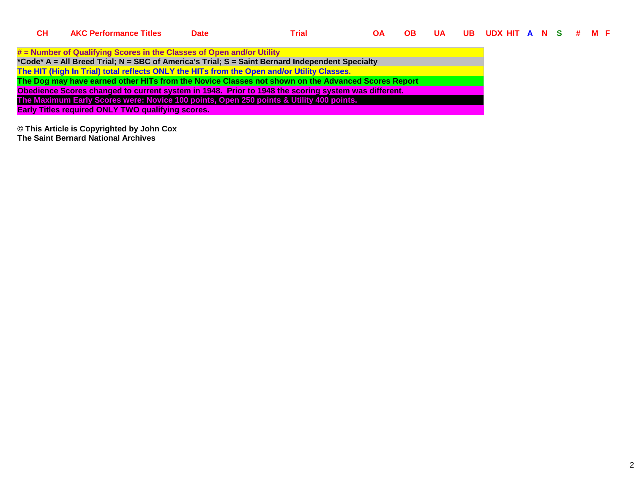| <b>AKC Performance Titles</b> | <b>Date</b> | <u>Trial</u>                                             | ΟA                                                                                                                                                                  | <b>OB</b>                                                                                                                                                                                  | <b>UA</b>                                                                                                                                                                                                 |  |  |  |                        |
|-------------------------------|-------------|----------------------------------------------------------|---------------------------------------------------------------------------------------------------------------------------------------------------------------------|--------------------------------------------------------------------------------------------------------------------------------------------------------------------------------------------|-----------------------------------------------------------------------------------------------------------------------------------------------------------------------------------------------------------|--|--|--|------------------------|
|                               |             |                                                          |                                                                                                                                                                     |                                                                                                                                                                                            |                                                                                                                                                                                                           |  |  |  |                        |
|                               |             |                                                          |                                                                                                                                                                     |                                                                                                                                                                                            |                                                                                                                                                                                                           |  |  |  |                        |
|                               |             |                                                          |                                                                                                                                                                     |                                                                                                                                                                                            |                                                                                                                                                                                                           |  |  |  |                        |
|                               |             |                                                          |                                                                                                                                                                     |                                                                                                                                                                                            |                                                                                                                                                                                                           |  |  |  |                        |
|                               |             |                                                          |                                                                                                                                                                     |                                                                                                                                                                                            |                                                                                                                                                                                                           |  |  |  |                        |
|                               |             |                                                          |                                                                                                                                                                     |                                                                                                                                                                                            |                                                                                                                                                                                                           |  |  |  |                        |
|                               |             |                                                          |                                                                                                                                                                     |                                                                                                                                                                                            |                                                                                                                                                                                                           |  |  |  |                        |
|                               |             |                                                          |                                                                                                                                                                     |                                                                                                                                                                                            |                                                                                                                                                                                                           |  |  |  |                        |
|                               |             | <b>Early Titles required ONLY TWO qualifying scores.</b> | # = Number of Qualifying Scores in the Classes of Open and/or Utility<br>The HIT (High In Trial) total reflects ONLY the HITs from the Open and/or Utility Classes. | *Code* A = All Breed Trial; N = SBC of America's Trial; S = Saint Bernard Independent Specialty<br>The Maximum Early Scores were: Novice 100 points, Open 250 points & Utility 400 points. | The Dog may have earned other HITs from the Novice Classes not shown on the Advanced Scores Report<br>Obedience Scores changed to current system in 1948. Prior to 1948 the scoring system was different. |  |  |  | <u>UBUDXHITAN S#ME</u> |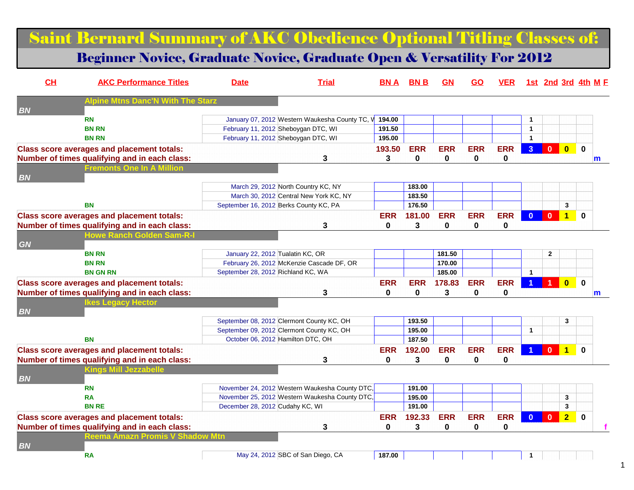### Saint Bernard Summary of AKC Obedience Optional Titling Classes of:

### Beginner Novice, Graduate Novice, Graduate Open & Versatility For 2012

| CL        | <b>AKC Performance Titles</b>                     | <b>Date</b>                        | <b>Trial</b>                                   | BN A         | <b>BNB</b>  | GN           | GO           | <b>VER</b> |                |                |                         | <u>1st 2nd 3rd 4th M F</u> |  |
|-----------|---------------------------------------------------|------------------------------------|------------------------------------------------|--------------|-------------|--------------|--------------|------------|----------------|----------------|-------------------------|----------------------------|--|
| <b>BN</b> | Alpine Mtns Danc'N                                |                                    |                                                |              |             |              |              |            |                |                |                         |                            |  |
|           | <b>RN</b>                                         |                                    | January 07, 2012 Western Waukesha County TC, V | 194.00       |             |              |              |            | $\mathbf{1}$   |                |                         |                            |  |
|           | <b>BN RN</b>                                      |                                    | February 11, 2012 Sheboygan DTC, WI            | 191.50       |             |              |              |            | $\mathbf{1}$   |                |                         |                            |  |
|           | <b>BN RN</b>                                      |                                    | February 11, 2012 Sheboygan DTC, WI            | 195.00       |             |              |              |            | $\mathbf{1}$   |                |                         |                            |  |
|           | <b>Class score averages and placement totals:</b> |                                    |                                                | 193.50       | <b>ERR</b>  | <b>ERR</b>   | <b>ERR</b>   | <b>ERR</b> | 3 <sup>2</sup> | $\bf{0}$       | $\overline{\mathbf{0}}$ | $\bf{0}$                   |  |
|           | Number of times qualifying and in each class:     |                                    | 3                                              | 3            | 0           | $\mathbf 0$  | 0            | 0          |                |                |                         | m                          |  |
|           | <b>Fremonts One In A Million</b>                  |                                    |                                                |              |             |              |              |            |                |                |                         |                            |  |
| <b>BN</b> |                                                   |                                    |                                                |              |             |              |              |            |                |                |                         |                            |  |
|           |                                                   |                                    | March 29, 2012 North Country KC, NY            |              | 183.00      |              |              |            |                |                |                         |                            |  |
|           |                                                   |                                    | March 30, 2012 Central New York KC, NY         |              | 183.50      |              |              |            |                |                |                         |                            |  |
|           | <b>BN</b>                                         |                                    | September 16, 2012 Berks County KC, PA         |              | 176.50      |              |              |            |                |                | 3                       |                            |  |
|           | <b>Class score averages and placement totals:</b> |                                    |                                                | <b>ERR</b>   | 181.00      | <b>ERR</b>   | <b>ERR</b>   | <b>ERR</b> | $\mathbf{0}$   | $\mathbf{0}$   | $\overline{1}$          | $\mathbf{0}$               |  |
|           | Number of times qualifying and in each class:     |                                    | 3                                              | $\mathbf{0}$ | 3           | $\mathbf{0}$ | 0            | 0          |                |                |                         |                            |  |
|           | <u> Howe Ranch Golden Sam-R-l</u>                 |                                    |                                                |              |             |              |              |            |                |                |                         |                            |  |
| GN        |                                                   |                                    |                                                |              |             |              |              |            |                |                |                         |                            |  |
|           | <b>BN RN</b>                                      | January 22, 2012 Tualatin KC, OR   |                                                |              |             | 181.50       |              |            |                | $\overline{2}$ |                         |                            |  |
|           | <b>BN RN</b>                                      |                                    | February 26, 2012 McKenzie Cascade DF, OR      |              |             | 170.00       |              |            |                |                |                         |                            |  |
|           | <b>BN GN RN</b>                                   | September 28, 2012 Richland KC, WA |                                                |              |             | 185.00       |              |            | $\overline{1}$ |                |                         |                            |  |
|           | <b>Class score averages and placement totals:</b> |                                    |                                                | <b>ERR</b>   | <b>ERR</b>  | 178.83       | <b>ERR</b>   | <b>ERR</b> |                |                | $\overline{\mathbf{0}}$ | $\mathbf 0$                |  |
|           | Number of times qualifying and in each class:     |                                    | 3                                              | 0            | $\mathbf 0$ | 3            | 0            | 0          |                |                |                         | $\mathsf{m}$               |  |
|           | <b>kes Legacy Hector</b>                          |                                    |                                                |              |             |              |              |            |                |                |                         |                            |  |
| <b>BN</b> |                                                   |                                    |                                                |              |             |              |              |            |                |                |                         |                            |  |
|           |                                                   |                                    | September 08, 2012 Clermont County KC, OH      |              | 193.50      |              |              |            |                |                | 3                       |                            |  |
|           |                                                   |                                    | September 09, 2012 Clermont County KC, OH      |              | 195.00      |              |              |            | $\mathbf{1}$   |                |                         |                            |  |
|           | <b>BN</b>                                         |                                    | October 06, 2012 Hamilton DTC, OH              |              | 187.50      |              |              |            |                |                |                         |                            |  |
|           | <b>Class score averages and placement totals:</b> |                                    |                                                | <b>ERR</b>   | 192.00      | <b>ERR</b>   | <b>ERR</b>   | <b>ERR</b> |                | $\overline{0}$ | $\overline{1}$          | $\bf{0}$                   |  |
|           | Number of times qualifying and in each class:     |                                    | 3                                              | $\mathbf{0}$ | 3           | $\mathbf{0}$ | $\mathbf{0}$ | 0          |                |                |                         |                            |  |
|           | <b>Kings Mill Jezzabelle</b>                      |                                    |                                                |              |             |              |              |            |                |                |                         |                            |  |
| <b>BN</b> |                                                   |                                    |                                                |              |             |              |              |            |                |                |                         |                            |  |
|           | <b>RN</b>                                         |                                    | November 24, 2012 Western Waukesha County DTC, |              | 191.00      |              |              |            |                |                |                         |                            |  |
|           | <b>RA</b>                                         |                                    | November 25, 2012 Western Waukesha County DTC, |              | 195.00      |              |              |            |                |                | 3                       |                            |  |
|           | <b>BN RE</b>                                      | December 28, 2012 Cudahy KC, WI    |                                                |              | 191.00      |              |              |            |                |                | 3                       |                            |  |
|           | <b>Class score averages and placement totals:</b> |                                    |                                                | <b>ERR</b>   | 192.33      | <b>ERR</b>   | <b>ERR</b>   | <b>ERR</b> | $\mathbf{0}$   | $\overline{0}$ | $\overline{2}$          | $\mathbf 0$                |  |
|           | Number of times qualifying and in each class:     |                                    | 3                                              | 0            | 3           | $\bf{0}$     | 0            | 0          |                |                |                         |                            |  |
|           | <b>Reema Amazn Promis V Shadow Mtn</b>            |                                    |                                                |              |             |              |              |            |                |                |                         |                            |  |
| <b>BN</b> |                                                   |                                    |                                                |              |             |              |              |            |                |                |                         |                            |  |
|           | <b>RA</b>                                         |                                    | May 24, 2012 SBC of San Diego, CA              | 187.00       |             |              |              |            |                |                |                         |                            |  |
|           |                                                   |                                    |                                                |              |             |              |              |            |                |                |                         |                            |  |

1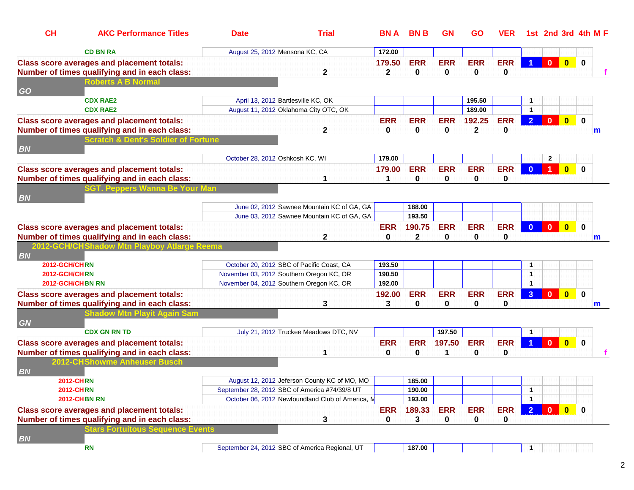| CL                                   | <b>AKC Performance Titles</b>                                                          | <b>Date</b>                                                                                       |                                            | <b>Trial</b> | BN A         | <b>BNB</b>       | <b>GN</b>  | <b>GO</b>    | <b>VER</b> |                      | <u>1st 2nd 3rd 4th M F</u> |                                                                    |              |   |
|--------------------------------------|----------------------------------------------------------------------------------------|---------------------------------------------------------------------------------------------------|--------------------------------------------|--------------|--------------|------------------|------------|--------------|------------|----------------------|----------------------------|--------------------------------------------------------------------|--------------|---|
|                                      | <b>CD BN RA</b>                                                                        | August 25, 2012 Mensona KC, CA                                                                    |                                            |              | 172.00       |                  |            |              |            |                      |                            |                                                                    |              |   |
|                                      | <b>Class score averages and placement totals:</b>                                      |                                                                                                   |                                            |              | 179.50       | <b>ERR</b>       | <b>ERR</b> | <b>ERR</b>   | <b>ERR</b> | $\blacktriangleleft$ |                            | $\begin{array}{ c c c c c }\n\hline\n0&\mathbf{0}\n\end{array}$    | $\bf{0}$     |   |
|                                      | Number of times qualifying and in each class:                                          |                                                                                                   |                                            | 2            | $\mathbf{2}$ | 0                | 0          | 0            | 0          |                      |                            |                                                                    |              |   |
|                                      | <b>Roberts A B Normal</b>                                                              |                                                                                                   |                                            |              |              |                  |            |              |            |                      |                            |                                                                    |              |   |
| <b>GO</b>                            |                                                                                        |                                                                                                   |                                            |              |              |                  |            |              |            |                      |                            |                                                                    |              |   |
|                                      | <b>CDX RAE2</b>                                                                        |                                                                                                   | April 13, 2012 Bartlesville KC, OK         |              |              |                  |            | 195.50       |            | 1                    |                            |                                                                    |              |   |
|                                      | <b>CDX RAE2</b>                                                                        | August 11, 2012 Oklahoma City OTC, OK                                                             |                                            |              |              |                  |            | 189.00       |            | $\blacktriangleleft$ |                            |                                                                    |              |   |
|                                      | <b>Class score averages and placement totals:</b>                                      |                                                                                                   |                                            |              | <b>ERR</b>   | <b>ERR</b>       | <b>ERR</b> | 192.25       | <b>ERR</b> | $\overline{2}$       | $\mathbf{0}$               | $\overline{0}$                                                     | $\mathbf{0}$ |   |
|                                      | Number of times qualifying and in each class:                                          |                                                                                                   |                                            | $\mathbf{2}$ | 0            | 0                | 0          | $\mathbf{2}$ | 0          |                      |                            |                                                                    |              | m |
|                                      | <b>Scratch &amp; Dent's Soldier of Fortune</b>                                         |                                                                                                   |                                            |              |              |                  |            |              |            |                      |                            |                                                                    |              |   |
| <b>BN</b>                            |                                                                                        |                                                                                                   |                                            |              |              |                  |            |              |            |                      |                            |                                                                    |              |   |
|                                      |                                                                                        | October 28, 2012 Oshkosh KC, WI                                                                   |                                            |              | 179.00       |                  |            |              |            |                      | $\mathbf{2}$               |                                                                    |              |   |
|                                      | <b>Class score averages and placement totals:</b>                                      |                                                                                                   |                                            |              | 179.00       | <b>ERR</b>       | <b>ERR</b> | <b>ERR</b>   | <b>ERR</b> | $\Omega$             |                            | $\Omega$                                                           | $\bf{0}$     |   |
|                                      | Number of times qualifying and in each class:                                          |                                                                                                   |                                            |              |              | 0                | 0          | 0            | 0          |                      |                            |                                                                    |              |   |
|                                      | GT. Peppers Wanna Be Your Man                                                          |                                                                                                   |                                            |              |              |                  |            |              |            |                      |                            |                                                                    |              |   |
| <b>BN</b>                            |                                                                                        |                                                                                                   |                                            |              |              |                  |            |              |            |                      |                            |                                                                    |              |   |
|                                      |                                                                                        |                                                                                                   | June 02, 2012 Sawnee Mountain KC of GA, GA |              |              | 188.00           |            |              |            |                      |                            |                                                                    |              |   |
|                                      |                                                                                        |                                                                                                   | June 03, 2012 Sawnee Mountain KC of GA, GA |              |              | 193.50           |            |              |            |                      |                            |                                                                    |              |   |
|                                      | <b>Class score averages and placement totals:</b>                                      |                                                                                                   |                                            |              | <b>ERR</b>   | 190.75           | <b>ERR</b> | <b>ERR</b>   | <b>ERR</b> | $\Omega$             | $\mathbf{0}$               | $\overline{0}$                                                     | $\bf{0}$     |   |
|                                      | Number of times qualifying and in each class:                                          |                                                                                                   |                                            | 2            | 0            | $\mathbf{2}$     | 0          | 0            | 0          |                      |                            |                                                                    |              | m |
|                                      | 2012-GCH/CHShadow Mtn Playboy Atlarge Reema                                            |                                                                                                   |                                            |              |              |                  |            |              |            |                      |                            |                                                                    |              |   |
| <b>BN</b>                            |                                                                                        |                                                                                                   |                                            |              |              |                  |            |              |            |                      |                            |                                                                    |              |   |
| 2012-GCH/CHRN                        |                                                                                        | October 20, 2012 SBC of Pacific Coast, CA                                                         |                                            |              | 193.50       |                  |            |              |            | -1                   |                            |                                                                    |              |   |
| 2012-GCH/CHRN                        |                                                                                        | November 03, 2012 Southern Oregon KC, OR                                                          |                                            |              | 190.50       |                  |            |              |            | $\mathbf{1}$         |                            |                                                                    |              |   |
| 2012-GCH/CHBN RN                     |                                                                                        | November 04, 2012 Southern Oregon KC, OR                                                          |                                            |              | 192.00       |                  |            |              |            | $\blacktriangleleft$ |                            |                                                                    |              |   |
|                                      | <b>Class score averages and placement totals:</b>                                      |                                                                                                   |                                            |              | 192.00       | <b>ERR</b>       | <b>ERR</b> | <b>ERR</b>   | <b>ERR</b> | 3                    | $\mathbf{0}$               | $\mathbf{0}$                                                       | $\mathbf{0}$ |   |
|                                      | Number of times qualifying and in each class:                                          |                                                                                                   |                                            | 3            | 3            | 0                | 0          | 0            | 0          |                      |                            |                                                                    |              | m |
|                                      | hadow Mtn Playit Again Sam                                                             |                                                                                                   |                                            |              |              |                  |            |              |            |                      |                            |                                                                    |              |   |
| <b>GN</b>                            |                                                                                        |                                                                                                   |                                            |              |              |                  |            |              |            |                      |                            |                                                                    |              |   |
|                                      | <b>CDX GN RN TD</b>                                                                    |                                                                                                   | July 21, 2012 Truckee Meadows DTC, NV      |              |              |                  | 197.50     |              |            | $\mathbf{1}$         |                            |                                                                    |              |   |
|                                      | <b>Class score averages and placement totals:</b>                                      |                                                                                                   |                                            |              | <b>ERR</b>   | <b>ERR</b>       | 197.50     | <b>ERR</b>   | <b>ERR</b> |                      | $\mathbf{0}$               | $\mathbf{0}$                                                       | $\mathbf{0}$ |   |
|                                      | Number of times qualifying and in each class:                                          |                                                                                                   |                                            |              | 0            | 0                | 1          | 0            | 0          |                      |                            |                                                                    |              |   |
|                                      | 2012-CHShowme Anheuser Busch                                                           |                                                                                                   |                                            |              |              |                  |            |              |            |                      |                            |                                                                    |              |   |
| <b>BN</b>                            |                                                                                        |                                                                                                   |                                            |              |              |                  |            |              |            |                      |                            |                                                                    |              |   |
| <b>2012-CHRN</b><br><b>2012-CHRN</b> |                                                                                        | August 12, 2012 Jeferson County KC of MO, MO                                                      |                                            |              |              | 185.00           |            |              |            |                      |                            |                                                                    |              |   |
|                                      | <b>2012-CHBN RN</b>                                                                    | September 28, 2012 SBC of America #74/39/8 UT<br>October 06, 2012 Newfoundland Club of America, M |                                            |              |              | 190.00<br>193.00 |            |              |            | 1<br>$\overline{1}$  |                            |                                                                    |              |   |
|                                      |                                                                                        |                                                                                                   |                                            |              |              |                  |            |              |            |                      |                            |                                                                    |              |   |
|                                      | <b>Class score averages and placement totals:</b>                                      |                                                                                                   |                                            |              | <b>ERR</b>   | 189.33           | <b>ERR</b> | <b>ERR</b>   | <b>ERR</b> | $\overline{2}$       |                            | $\begin{array}{ c c c c c }\n\hline\n0 & 0 \\ \hline\n\end{array}$ | $\mathbf{0}$ |   |
|                                      | Number of times qualifying and in each class:<br><b>ars Fortuitous Sequence Events</b> |                                                                                                   |                                            | 3            | 0            | 3                | 0          | 0            | 0          |                      |                            |                                                                    |              |   |
|                                      |                                                                                        |                                                                                                   |                                            |              |              |                  |            |              |            |                      |                            |                                                                    |              |   |
| <b>BN</b>                            | <b>RN</b>                                                                              | September 24, 2012 SBC of America Regional, UT                                                    |                                            |              |              | 187.00           |            |              |            | -1                   |                            |                                                                    |              |   |
|                                      |                                                                                        |                                                                                                   |                                            |              |              |                  |            |              |            |                      |                            |                                                                    |              |   |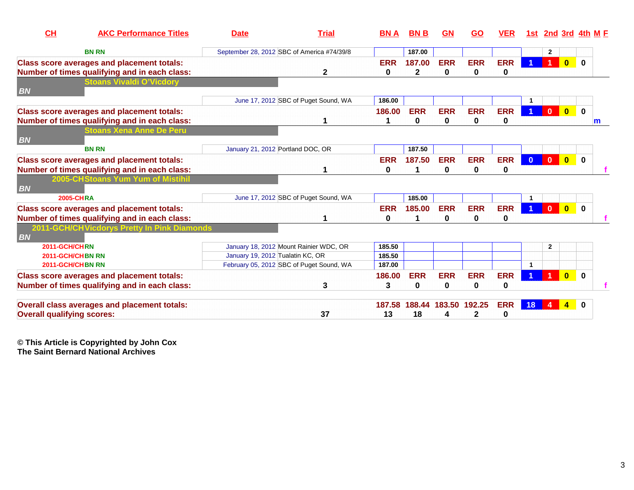| <b>Date</b> |                                             |                                                                             | <b>BNA</b>                                                                                                                                                                                                                       | <b>BNB</b>      | <b>GN</b>                            | <b>GO</b>                  | <b>VER</b>                                  |                        |                |                         |                             |
|-------------|---------------------------------------------|-----------------------------------------------------------------------------|----------------------------------------------------------------------------------------------------------------------------------------------------------------------------------------------------------------------------------|-----------------|--------------------------------------|----------------------------|---------------------------------------------|------------------------|----------------|-------------------------|-----------------------------|
|             |                                             |                                                                             |                                                                                                                                                                                                                                  | 187.00          |                                      |                            |                                             |                        | $\overline{2}$ |                         |                             |
|             | $\mathbf{2}$                                |                                                                             | <b>ERR</b><br>0                                                                                                                                                                                                                  | 187.00<br>2     | <b>ERR</b><br>0                      | <b>ERR</b><br><sup>0</sup> | <b>ERR</b><br>0                             |                        |                | $\bf{0}$                | $\bf{0}$                    |
|             |                                             |                                                                             |                                                                                                                                                                                                                                  |                 |                                      |                            |                                             |                        |                |                         |                             |
|             |                                             |                                                                             | 186.00                                                                                                                                                                                                                           |                 |                                      |                            |                                             |                        |                |                         |                             |
|             |                                             |                                                                             | 186.00                                                                                                                                                                                                                           | <b>ERR</b><br>0 | <b>ERR</b><br>0                      | <b>ERR</b><br>0            | <b>ERR</b><br>0                             |                        | $\overline{0}$ | $\bf{0}$                | $\bf{0}$<br>$\mathsf{m}$    |
|             |                                             |                                                                             |                                                                                                                                                                                                                                  |                 |                                      |                            |                                             |                        |                |                         |                             |
|             |                                             |                                                                             |                                                                                                                                                                                                                                  | 187.50          |                                      |                            |                                             |                        |                |                         |                             |
|             |                                             |                                                                             | <b>ERR</b><br>0                                                                                                                                                                                                                  | 187.50          | <b>ERR</b><br>0                      | <b>ERR</b><br>0            | <b>ERR</b><br>0                             | $\overline{0}$         | $\mathbf{0}$   | $\overline{\mathbf{0}}$ | $\mathbf 0$                 |
|             |                                             |                                                                             |                                                                                                                                                                                                                                  |                 |                                      |                            |                                             |                        |                |                         |                             |
|             |                                             |                                                                             |                                                                                                                                                                                                                                  | 185.00          |                                      |                            |                                             |                        |                |                         |                             |
|             |                                             |                                                                             | <b>ERR</b><br>0                                                                                                                                                                                                                  | 185.00<br>1     | <b>ERR</b><br>0                      | <b>ERR</b><br>0            | <b>ERR</b><br>0                             |                        | $\bf{0}$       | $\bf{0}$                | $\bf{0}$                    |
|             |                                             |                                                                             |                                                                                                                                                                                                                                  |                 |                                      |                            |                                             |                        |                |                         |                             |
|             |                                             |                                                                             | 185.50                                                                                                                                                                                                                           |                 |                                      |                            |                                             |                        | $\mathbf{2}$   |                         |                             |
|             |                                             |                                                                             | 185.50                                                                                                                                                                                                                           |                 |                                      |                            |                                             |                        |                |                         |                             |
|             |                                             |                                                                             |                                                                                                                                                                                                                                  |                 |                                      |                            |                                             |                        |                |                         |                             |
|             | 3                                           |                                                                             | 3                                                                                                                                                                                                                                | 0               | 0                                    | 0                          | 0                                           |                        |                |                         | $\bf{0}$                    |
|             |                                             |                                                                             |                                                                                                                                                                                                                                  | 188.44          |                                      |                            | <b>ERR</b>                                  | 18                     |                |                         |                             |
|             | 2011-GCH/CHVicdorys Pretty In Pink Diamonds | January 21, 2012 Portland DOC, OR<br>January 19, 2012 Tualatin KC, OR<br>37 | <b>Trial</b><br>September 28, 2012 SBC of America #74/39/8<br>June 17, 2012 SBC of Puget Sound, WA<br>June 17, 2012 SBC of Puget Sound, WA<br>January 18, 2012 Mount Rainier WDC, OR<br>February 05, 2012 SBC of Puget Sound, WA | 187.00<br>13    | <b>ERR</b><br>186.00<br>187.58<br>18 | <b>ERR</b><br>4            | <b>ERR</b><br>183.50 192.25<br>$\mathbf{2}$ | <b>ERR</b><br>$\bf{0}$ | 1st.<br>1      |                         | 2nd 3rd 4th M F<br>$\bf{0}$ |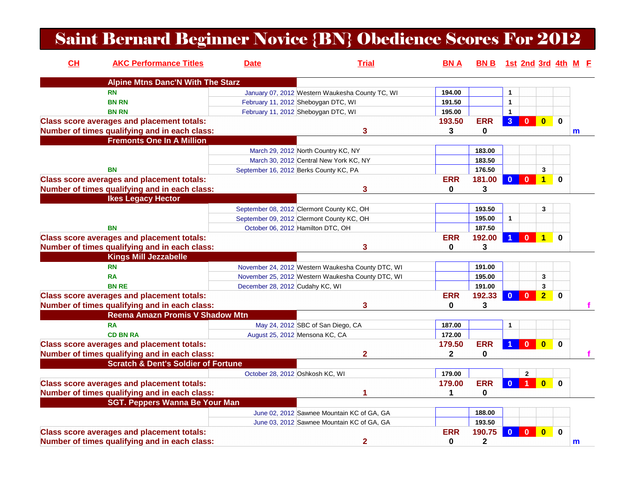### Saint Bernard Beginner Novice {BN} Obedience Scores For 2012

| CH | <b>AKC Performance Titles</b>                     | <b>Date</b>                            | <b>Trial</b>                                      | <b>BNA</b>   | BN B 1st 2nd 3rd 4th M F |                |             |                |             |              |
|----|---------------------------------------------------|----------------------------------------|---------------------------------------------------|--------------|--------------------------|----------------|-------------|----------------|-------------|--------------|
|    | <b>Alpine Mtns Danc'N With The Starz</b>          |                                        |                                                   |              |                          |                |             |                |             |              |
|    | <b>RN</b>                                         |                                        | January 07, 2012 Western Waukesha County TC, WI   | 194.00       |                          | 1              |             |                |             |              |
|    | <b>BN RN</b>                                      |                                        | February 11, 2012 Sheboygan DTC, WI               | 191.50       |                          | 1              |             |                |             |              |
|    | <b>BN RN</b>                                      |                                        | February 11, 2012 Sheboygan DTC, WI               | 195.00       |                          | $\mathbf{1}$   |             |                |             |              |
|    | <b>Class score averages and placement totals:</b> |                                        |                                                   | 193.50       | <b>ERR</b>               | 3 <sup>1</sup> | $\bf{0}$    | $\mathbf{0}$   | $\mathbf 0$ |              |
|    | Number of times qualifying and in each class:     |                                        | 3                                                 | 3            | 0                        |                |             |                |             | $\mathsf{m}$ |
|    | <b>Fremonts One In A Million</b>                  |                                        |                                                   |              |                          |                |             |                |             |              |
|    |                                                   |                                        | March 29, 2012 North Country KC, NY               |              | 183.00                   |                |             |                |             |              |
|    |                                                   |                                        | March 30, 2012 Central New York KC, NY            |              | 183.50                   |                |             |                |             |              |
|    | BN                                                | September 16, 2012 Berks County KC, PA |                                                   |              | 176.50                   |                |             | $\mathbf{3}$   |             |              |
|    | <b>Class score averages and placement totals:</b> |                                        |                                                   | <b>ERR</b>   | 181.00                   | $\Omega$       | $\Omega$    | 1              | $\bf{0}$    |              |
|    | Number of times qualifying and in each class:     |                                        | 3                                                 | $\mathbf{0}$ | 3                        |                |             |                |             |              |
|    | <b>Ikes Legacy Hector</b>                         |                                        |                                                   |              |                          |                |             |                |             |              |
|    |                                                   |                                        | September 08, 2012 Clermont County KC, OH         |              | 193.50                   |                |             | 3              |             |              |
|    |                                                   |                                        | September 09, 2012 Clermont County KC, OH         |              | 195.00                   | $\mathbf{1}$   |             |                |             |              |
|    | <b>BN</b>                                         | October 06, 2012 Hamilton DTC, OH      |                                                   |              | 187.50                   |                |             |                |             |              |
|    | <b>Class score averages and placement totals:</b> |                                        |                                                   | <b>ERR</b>   | 192.00                   |                | O           | 1              | $\bf{0}$    |              |
|    | Number of times qualifying and in each class:     |                                        | 3                                                 | 0            | 3                        |                |             |                |             |              |
|    | <b>Kings Mill Jezzabelle</b>                      |                                        |                                                   |              |                          |                |             |                |             |              |
|    | <b>RN</b>                                         |                                        | November 24, 2012 Western Waukesha County DTC, WI |              | 191.00                   |                |             |                |             |              |
|    | <b>RA</b>                                         |                                        | November 25, 2012 Western Waukesha County DTC, WI |              | 195.00                   |                |             | 3              |             |              |
|    | <b>BN RE</b>                                      | December 28, 2012 Cudahy KC, WI        |                                                   |              | 191.00                   |                |             | 3              |             |              |
|    | <b>Class score averages and placement totals:</b> |                                        |                                                   | <b>ERR</b>   | 192.33                   | $\Omega$       | ŋ           | $\overline{2}$ | $\bf{0}$    |              |
|    | Number of times qualifying and in each class:     |                                        | 3                                                 | 0            | 3                        |                |             |                |             |              |
|    | <b>Reema Amazn Promis V Shadow Mtn</b>            |                                        |                                                   |              |                          |                |             |                |             |              |
|    | <b>RA</b>                                         |                                        | May 24, 2012 SBC of San Diego, CA                 | 187.00       |                          | 1              |             |                |             |              |
|    | <b>CD BN RA</b>                                   | August 25, 2012 Mensona KC, CA         |                                                   | 172.00       |                          |                |             |                |             |              |
|    | <b>Class score averages and placement totals:</b> |                                        |                                                   | 179.50       | <b>ERR</b>               |                | $\bf{0}$    | $\mathbf{0}$   | $\mathbf 0$ |              |
|    | Number of times qualifying and in each class:     |                                        | $\mathbf{2}$                                      | $\mathbf{2}$ | 0                        |                |             |                |             |              |
|    | <b>Scratch &amp; Dent's Soldier of Fortune</b>    |                                        |                                                   |              |                          |                |             |                |             |              |
|    |                                                   | October 28, 2012 Oshkosh KC, WI        |                                                   | 179.00       |                          |                | $\mathbf 2$ |                |             |              |
|    | <b>Class score averages and placement totals:</b> |                                        |                                                   | 179.00       | <b>ERR</b>               | $\Omega$       |             | $\mathbf{0}$   | $\bf{0}$    |              |
|    | Number of times qualifying and in each class:     |                                        |                                                   | $\mathbf 1$  | 0                        |                |             |                |             |              |
|    | <b>SGT. Peppers Wanna Be Your Man</b>             |                                        |                                                   |              |                          |                |             |                |             |              |
|    |                                                   |                                        | June 02, 2012 Sawnee Mountain KC of GA, GA        |              | 188.00                   |                |             |                |             |              |
|    |                                                   |                                        |                                                   |              |                          |                |             |                |             |              |
|    |                                                   |                                        | June 03, 2012 Sawnee Mountain KC of GA, GA        | <b>ERR</b>   | 193.50                   |                |             |                |             |              |
|    | <b>Class score averages and placement totals:</b> |                                        |                                                   |              | 190.75                   | $\Omega$       | 0           | 0              | $\bf{0}$    |              |
|    | Number of times qualifying and in each class:     |                                        | $\overline{2}$                                    | 0            | $\mathbf 2$              |                |             |                |             | m            |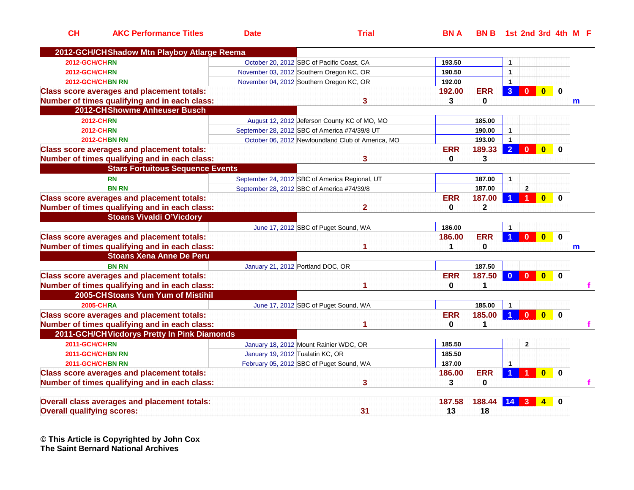| CH                                | <b>AKC Performance Titles</b>                       | <b>Date</b>                       | <b>Trial</b>                                      | <b>BNA</b>  | <b>BNB</b>  |                |                |                |             | 1st 2nd 3rd 4th M E |
|-----------------------------------|-----------------------------------------------------|-----------------------------------|---------------------------------------------------|-------------|-------------|----------------|----------------|----------------|-------------|---------------------|
|                                   | 2012-GCH/CH Shadow Mtn Playboy Atlarge Reema        |                                   |                                                   |             |             |                |                |                |             |                     |
| 2012-GCH/CHRN                     |                                                     |                                   | October 20, 2012 SBC of Pacific Coast, CA         | 193.50      |             | $\mathbf{1}$   |                |                |             |                     |
| 2012-GCH/CHRN                     |                                                     |                                   | November 03, 2012 Southern Oregon KC, OR          | 190.50      |             | $\mathbf{1}$   |                |                |             |                     |
|                                   | 2012-GCH/CHBN RN                                    |                                   | November 04, 2012 Southern Oregon KC, OR          | 192.00      |             | $\mathbf{1}$   |                |                |             |                     |
|                                   | <b>Class score averages and placement totals:</b>   |                                   |                                                   | 192.00      | <b>ERR</b>  | 3 <sup>1</sup> | $\bf{0}$       | $\bf{0}$       | 0           |                     |
|                                   | Number of times qualifying and in each class:       |                                   | 3                                                 | 3           | 0           |                |                |                |             | m                   |
|                                   | 2012-CHShowme Anheuser Busch                        |                                   |                                                   |             |             |                |                |                |             |                     |
|                                   | <b>2012-CHRN</b>                                    |                                   | August 12, 2012 Jeferson County KC of MO, MO      |             | 185.00      |                |                |                |             |                     |
|                                   | <b>2012-CHRN</b>                                    |                                   | September 28, 2012 SBC of America #74/39/8 UT     |             | 190.00      | $\mathbf{1}$   |                |                |             |                     |
|                                   | <b>2012-CHBN RN</b>                                 |                                   | October 06, 2012 Newfoundland Club of America, MO |             | 193.00      | $\mathbf{1}$   |                |                |             |                     |
|                                   | <b>Class score averages and placement totals:</b>   |                                   |                                                   | <b>ERR</b>  | 189.33      | 2 <sup>7</sup> | $\mathbf{0}$   | $\mathbf{0}$   | $\bf{0}$    |                     |
|                                   | Number of times qualifying and in each class:       |                                   | 3                                                 | 0           | 3           |                |                |                |             |                     |
|                                   | <b>Stars Fortuitous Sequence Events</b>             |                                   |                                                   |             |             |                |                |                |             |                     |
|                                   | <b>RN</b>                                           |                                   | September 24, 2012 SBC of America Regional, UT    |             | 187.00      | $\mathbf{1}$   |                |                |             |                     |
|                                   | <b>BN RN</b>                                        |                                   | September 28, 2012 SBC of America #74/39/8        |             | 187.00      |                | $\overline{2}$ |                |             |                     |
|                                   | <b>Class score averages and placement totals:</b>   |                                   |                                                   | <b>ERR</b>  | 187.00      |                |                | $\overline{0}$ | $\bf{0}$    |                     |
|                                   | Number of times qualifying and in each class:       |                                   | $\mathbf{2}$                                      | $\mathbf 0$ | $\mathbf 2$ |                |                |                |             |                     |
|                                   | <b>Stoans Vivaldi O'Vicdory</b>                     |                                   |                                                   |             |             |                |                |                |             |                     |
|                                   |                                                     |                                   | June 17, 2012 SBC of Puget Sound, WA              | 186.00      |             | $\mathbf{1}$   |                |                |             |                     |
|                                   | <b>Class score averages and placement totals:</b>   |                                   |                                                   | 186.00      | <b>ERR</b>  |                | $\mathbf{0}$   | $\bf{0}$       | 0           |                     |
|                                   | Number of times qualifying and in each class:       |                                   | 1                                                 | 1           | 0           |                |                |                |             | m                   |
|                                   | <b>Stoans Xena Anne De Peru</b>                     |                                   |                                                   |             |             |                |                |                |             |                     |
|                                   | <b>BN RN</b>                                        | January 21, 2012 Portland DOC, OR |                                                   |             | 187.50      |                |                |                |             |                     |
|                                   | <b>Class score averages and placement totals:</b>   |                                   |                                                   | <b>ERR</b>  | 187.50      | $\mathbf{0}$   | $\mathbf{0}$   | $\overline{0}$ | $\mathbf 0$ |                     |
|                                   | Number of times qualifying and in each class:       |                                   | 1                                                 | $\mathbf 0$ | 1           |                |                |                |             |                     |
|                                   | 2005-CHStoans Yum Yum of Mistihil                   |                                   |                                                   |             |             |                |                |                |             |                     |
|                                   | <b>2005-CHRA</b>                                    |                                   | June 17, 2012 SBC of Puget Sound, WA              |             | 185.00      | -1             |                |                |             |                     |
|                                   | <b>Class score averages and placement totals:</b>   |                                   |                                                   | <b>ERR</b>  | 185.00      |                | $\mathbf{0}$   | $\mathbf{0}$   | $\bf{0}$    |                     |
|                                   | Number of times qualifying and in each class:       |                                   |                                                   | 0           | 1           |                |                |                |             |                     |
|                                   | 2011-GCH/CH Vicdorys Pretty In Pink Diamonds        |                                   |                                                   |             |             |                |                |                |             |                     |
| 2011-GCH/CHRN                     |                                                     |                                   | January 18, 2012 Mount Rainier WDC, OR            | 185.50      |             |                | $\mathbf{2}$   |                |             |                     |
|                                   | 2011-GCH/CHBN RN                                    | January 19, 2012 Tualatin KC, OR  |                                                   | 185.50      |             |                |                |                |             |                     |
|                                   | 2011-GCH/CHBN RN                                    |                                   | February 05, 2012 SBC of Puget Sound, WA          | 187.00      |             | $\mathbf{1}$   |                |                |             |                     |
|                                   | <b>Class score averages and placement totals:</b>   |                                   |                                                   | 186.00      | <b>ERR</b>  |                |                | $\bf{0}$       | $\bf{0}$    |                     |
|                                   | Number of times qualifying and in each class:       |                                   | 3                                                 | 3           | 0           |                |                |                |             |                     |
|                                   | <b>Overall class averages and placement totals:</b> |                                   |                                                   | 187.58      | 188.44      | 14             |                |                | 0           |                     |
| <b>Overall qualifying scores:</b> |                                                     |                                   | 31                                                | 13          | 18          |                |                |                |             |                     |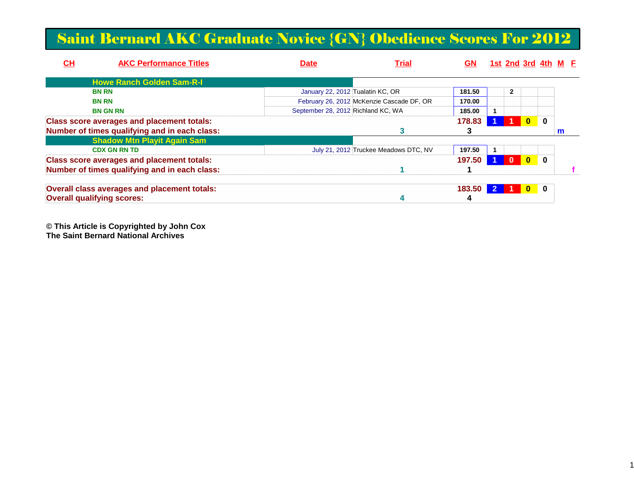### Saint Bernard AKC Graduate Novice {GN} Obedience Scores For 2012

| $CH$ | <b>AKC Performance Titles</b>                     | <b>Date</b>                        | <b>Trial</b>                              | GΝ     |              | 1st 2nd 3rd 4th M E |          |   |  |
|------|---------------------------------------------------|------------------------------------|-------------------------------------------|--------|--------------|---------------------|----------|---|--|
|      | <b>Howe Ranch Golden Sam-R-I</b>                  |                                    |                                           |        |              |                     |          |   |  |
|      | <b>BN RN</b>                                      | January 22, 2012 Tualatin KC, OR   |                                           | 181.50 | $\mathbf{2}$ |                     |          |   |  |
|      | <b>BN RN</b>                                      |                                    | February 26, 2012 McKenzie Cascade DF, OR | 170.00 |              |                     |          |   |  |
|      | <b>BN GN RN</b>                                   | September 28, 2012 Richland KC, WA |                                           | 185.00 |              |                     |          |   |  |
|      | <b>Class score averages and placement totals:</b> |                                    |                                           | 178.83 |              | $\bf{0}$            | $\bf{0}$ |   |  |
|      | Number of times qualifying and in each class:     |                                    |                                           |        |              |                     |          | m |  |
|      | <b>Shadow Mtn Playit Again Sam</b>                |                                    |                                           |        |              |                     |          |   |  |
|      | <b>CDX GN RN TD</b>                               |                                    | July 21, 2012 Truckee Meadows DTC, NV     | 197.50 |              |                     |          |   |  |
|      | <b>Class score averages and placement totals:</b> |                                    |                                           | 197.50 | $\mathbf{0}$ | $\mathbf{0}$        | $\bf{0}$ |   |  |
|      | Number of times qualifying and in each class:     |                                    |                                           |        |              |                     |          |   |  |
|      | Overall class averages and placement totals:      |                                    |                                           | 183.50 |              | $\bf{0}$            | 0        |   |  |
|      | <b>Overall qualifying scores:</b>                 |                                    |                                           |        |              |                     |          |   |  |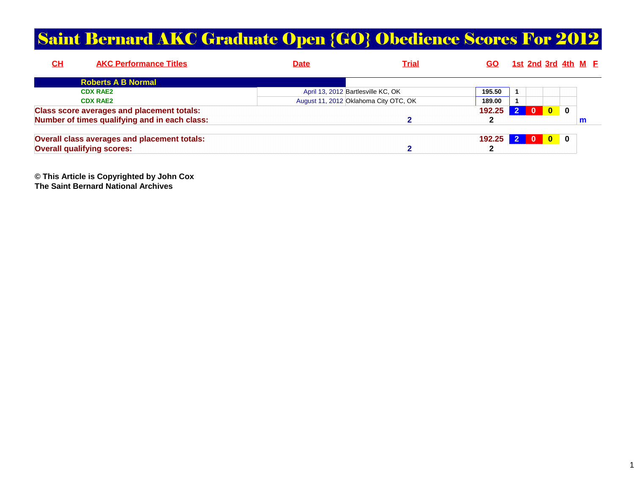### Saint Bernard AKC Graduate Open {GO} Obedience Scores For 2012

| <u>СН</u><br><b>AKC Performance Titles</b>          | Date | <u>Trial</u>                          | GO.    |            | <u>1st 2nd 3rd 4th M F</u> |          |          |   |  |
|-----------------------------------------------------|------|---------------------------------------|--------|------------|----------------------------|----------|----------|---|--|
| <b>Roberts A B Normal</b>                           |      |                                       |        |            |                            |          |          |   |  |
| <b>CDX RAE2</b>                                     |      | April 13, 2012 Bartlesville KC, OK    | 195.50 |            |                            |          |          |   |  |
| <b>CDX RAE2</b>                                     |      | August 11, 2012 Oklahoma City OTC, OK | 189.00 |            |                            |          |          |   |  |
| <b>Class score averages and placement totals:</b>   |      |                                       | 192.25 |            | $\Omega$                   | $\bf{0}$ | $\bf{0}$ |   |  |
| Number of times qualifying and in each class:       |      |                                       |        |            |                            |          |          | m |  |
| <b>Overall class averages and placement totals:</b> |      |                                       | 192.25 | $\sqrt{2}$ | - റ                        | l 0      | 0        |   |  |
| <b>Overall qualifying scores:</b>                   |      |                                       |        |            |                            |          |          |   |  |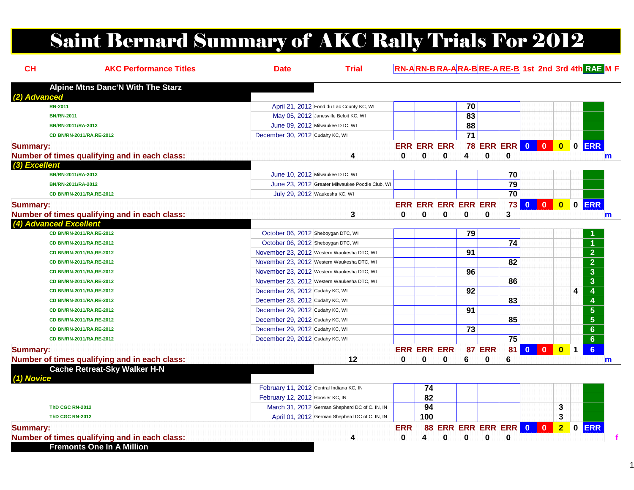# Saint Bernard Summary of AKC Rally Trials For 2012

| CH                     | <b>AKC Performance Titles</b>                 | <b>Date</b>                              | <b>Trial</b>                                    |                            |     |                           |                 |                         |                 |                         |              |                         | RN-ARN-BRA-ARA-BRE-ARE-B 1st 2nd 3rd 4th RAE M F |
|------------------------|-----------------------------------------------|------------------------------------------|-------------------------------------------------|----------------------------|-----|---------------------------|-----------------|-------------------------|-----------------|-------------------------|--------------|-------------------------|--------------------------------------------------|
|                        | <b>Alpine Mtns Danc'N With The Starz</b>      |                                          |                                                 |                            |     |                           |                 |                         |                 |                         |              |                         |                                                  |
| (2) Advanced           |                                               |                                          |                                                 |                            |     |                           |                 |                         |                 |                         |              |                         |                                                  |
| <b>RN-2011</b>         |                                               |                                          | April 21, 2012 Fond du Lac County KC, WI        |                            |     |                           | 70              |                         |                 |                         |              |                         |                                                  |
| <b>BN/RN-2011</b>      |                                               |                                          | May 05, 2012 Janesville Beloit KC, WI           |                            |     |                           | 83              |                         |                 |                         |              |                         |                                                  |
|                        | BN/RN-2011/RA-2012                            |                                          | June 09, 2012 Milwaukee DTC, WI                 |                            |     |                           | 88              |                         |                 |                         |              |                         |                                                  |
|                        | CD BN/RN-2011/RA,RE-2012                      | December 30, 2012 Cudahy KC, WI          |                                                 |                            |     |                           | $\overline{71}$ |                         |                 |                         |              |                         |                                                  |
| <b>Summary:</b>        |                                               |                                          |                                                 | <b>ERR ERR ERR</b>         |     |                           |                 | <b>78 ERR ERR 0 0 0</b> |                 |                         |              | $\overline{\mathbf{0}}$ | $0$ ERR                                          |
|                        | Number of times qualifying and in each class: |                                          | 4                                               | 0                          | 0   | 0                         | 4               | $\mathbf 0$             | $\mathbf 0$     |                         |              |                         |                                                  |
| (3) Excellent          |                                               |                                          |                                                 |                            |     |                           |                 |                         |                 |                         |              |                         |                                                  |
|                        | BN/RN-2011/RA-2012                            |                                          | June 10, 2012 Milwaukee DTC, WI                 |                            |     |                           |                 |                         | 70              |                         |              |                         |                                                  |
|                        | BN/RN-2011/RA-2012                            |                                          | June 23, 2012 Greater Milwaukee Poodle Club, WI |                            |     |                           |                 |                         | 79              |                         |              |                         |                                                  |
|                        | CD BN/RN-2011/RA,RE-2012                      |                                          | July 29, 2012 Waukesha KC, WI                   |                            |     |                           |                 |                         | $\overline{70}$ |                         |              |                         |                                                  |
| <b>Summary:</b>        |                                               |                                          |                                                 | <b>ERR ERR ERR ERR ERR</b> |     |                           |                 |                         | 73              | $\mathbf{0}$            | $\mathbf{0}$ | $\bullet$               | 0 ERR                                            |
|                        | Number of times qualifying and in each class: |                                          | 3                                               | 0                          | 0   | 0                         | 0               | $\bf{0}$                | 3               |                         |              |                         |                                                  |
| (4) Advanced Excellent |                                               |                                          |                                                 |                            |     |                           |                 |                         |                 |                         |              |                         |                                                  |
|                        | CD BN/RN-2011/RA,RE-2012                      | October 06, 2012 Sheboygan DTC, WI       |                                                 |                            |     |                           | 79              |                         |                 |                         |              |                         |                                                  |
|                        | CD BN/RN-2011/RA,RE-2012                      | October 06, 2012 Sheboygan DTC, WI       |                                                 |                            |     |                           |                 |                         | 74              |                         |              |                         | $\blacktriangleleft$                             |
|                        | CD BN/RN-2011/RA,RE-2012                      |                                          | November 23, 2012 Western Waukesha DTC, WI      |                            |     |                           | 91              |                         |                 |                         |              |                         | $\overline{2}$                                   |
|                        | CD BN/RN-2011/RA, RE-2012                     |                                          | November 23, 2012 Western Waukesha DTC, WI      |                            |     |                           |                 |                         | 82              |                         |              |                         | $\overline{2}$                                   |
|                        | CD BN/RN-2011/RA,RE-2012                      |                                          | November 23, 2012 Western Waukesha DTC, WI      |                            |     |                           | 96              |                         |                 |                         |              |                         | $\mathbf{3}$                                     |
|                        | CD BN/RN-2011/RA,RE-2012                      |                                          | November 23, 2012 Western Waukesha DTC, WI      |                            |     |                           |                 |                         | 86              |                         |              |                         | $\overline{\mathbf{3}}$                          |
|                        | CD BN/RN-2011/RA,RE-2012                      | December 28, 2012 Cudahy KC, WI          |                                                 |                            |     |                           | 92              |                         |                 |                         |              |                         | 4<br>4                                           |
|                        | CD BN/RN-2011/RA,RE-2012                      | December 28, 2012 Cudahy KC, WI          |                                                 |                            |     |                           |                 |                         | 83              |                         |              |                         | $\overline{4}$                                   |
|                        | CD BN/RN-2011/RA,RE-2012                      | December 29, 2012 Cudahy KC, WI          |                                                 |                            |     |                           | 91              |                         |                 |                         |              |                         | $\overline{\mathbf{5}}$                          |
|                        | CD BN/RN-2011/RA,RE-2012                      | December 29, 2012 Cudahy KC, WI          |                                                 |                            |     |                           |                 |                         | 85              |                         |              |                         | $\overline{\mathbf{5}}$                          |
|                        | CD BN/RN-2011/RA,RE-2012                      | December 29, 2012 Cudahy KC, WI          |                                                 |                            |     |                           | 73              |                         |                 |                         |              |                         | $6\phantom{a}$                                   |
|                        | CD BN/RN-2011/RA,RE-2012                      | December 29, 2012 Cudahy KC, WI          |                                                 |                            |     |                           |                 |                         | $\overline{75}$ |                         |              |                         | $6\phantom{a}$                                   |
| <b>Summary:</b>        |                                               |                                          |                                                 | <b>ERR ERR ERR</b>         |     |                           |                 | <b>87 ERR</b>           | 81              | $\overline{\mathbf{0}}$ | $\mathbf{0}$ | $\bullet$               | 6 <sup>1</sup><br>$\overline{1}$                 |
|                        | Number of times qualifying and in each class: |                                          | 12                                              | $\mathbf{0}$               | 0   | 0                         | 6               | 0                       | 6               |                         |              |                         |                                                  |
|                        | <b>Cache Retreat-Sky Walker H-N</b>           |                                          |                                                 |                            |     |                           |                 |                         |                 |                         |              |                         |                                                  |
| (1) Novice             |                                               |                                          |                                                 |                            |     |                           |                 |                         |                 |                         |              |                         |                                                  |
|                        |                                               | February 11, 2012 Central Indiana KC, IN |                                                 |                            | 74  |                           |                 |                         |                 |                         |              |                         |                                                  |
|                        |                                               | February 12, 2012 Hoosier KC, IN         |                                                 |                            | 82  |                           |                 |                         |                 |                         |              |                         |                                                  |
|                        | <b>ThD CGC RN-2012</b>                        |                                          | March 31, 2012 German Shepherd DC of C. IN, IN  |                            | 94  |                           |                 |                         |                 |                         |              | 3                       |                                                  |
|                        | <b>ThD CGC RN-2012</b>                        |                                          | April 01, 2012 German Shepherd DC of C. IN, IN  |                            | 100 |                           |                 |                         |                 |                         |              | 3                       |                                                  |
| <b>Summary:</b>        |                                               |                                          |                                                 | <b>ERR</b>                 |     | <b>88 ERR ERR ERR ERR</b> |                 |                         |                 | $\bullet$               | $\mathbf{0}$ | $\overline{2}$          | $0$ ERR                                          |
|                        | Number of times qualifying and in each class: |                                          | 4                                               | 0                          | 4   | 0                         | 0               | 0                       | $\bf{0}$        |                         |              |                         |                                                  |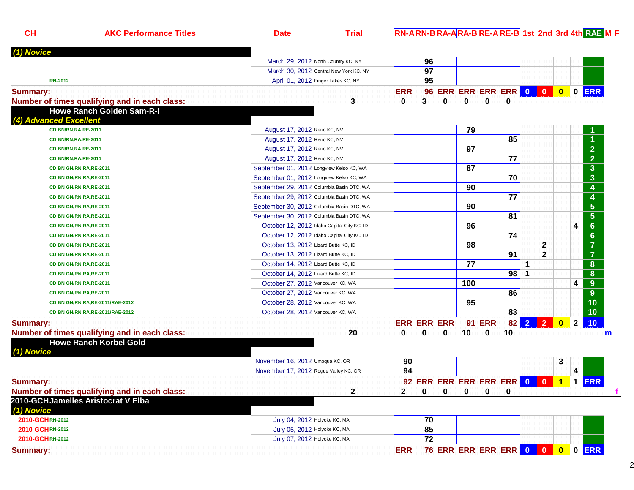| CL                     | <b>AKC Performance Titles</b>                 | <b>Date</b>                                | <b>Trial</b>                               |              |                    |   |     |               |                          |   |                |                | RN-ARN-BRA-ARA-BRE-ARE-B 1st 2nd 3rd 4th RAE M E |   |
|------------------------|-----------------------------------------------|--------------------------------------------|--------------------------------------------|--------------|--------------------|---|-----|---------------|--------------------------|---|----------------|----------------|--------------------------------------------------|---|
| (1) Novice             |                                               |                                            |                                            |              |                    |   |     |               |                          |   |                |                |                                                  |   |
|                        |                                               | March 29, 2012 North Country KC, NY        |                                            |              | 96                 |   |     |               |                          |   |                |                |                                                  |   |
|                        |                                               |                                            | March 30, 2012 Central New York KC, NY     |              | 97                 |   |     |               |                          |   |                |                |                                                  |   |
| <b>RN-2012</b>         |                                               |                                            | April 01, 2012 Finger Lakes KC, NY         |              | 95                 |   |     |               |                          |   |                |                |                                                  |   |
| <b>Summary:</b>        |                                               |                                            |                                            | <b>ERR</b>   |                    |   |     |               | 96 ERR ERR ERR ERR 0 0   |   |                | $\bullet$      | 0 ERR                                            |   |
|                        | Number of times qualifying and in each class: |                                            | 3                                          | 0            | 3                  | 0 | 0   | 0             | 0                        |   |                |                |                                                  |   |
|                        | <b>Howe Ranch Golden Sam-R-I</b>              |                                            |                                            |              |                    |   |     |               |                          |   |                |                |                                                  |   |
| (4) Advanced Excellent |                                               |                                            |                                            |              |                    |   |     |               |                          |   |                |                |                                                  |   |
|                        | CD BN/RN, RA, RE-2011                         | August 17, 2012 Reno KC, NV                |                                            |              |                    |   | 79  |               |                          |   |                |                |                                                  |   |
|                        | CD BN/RN, RA, RE-2011                         | August 17, 2012 Reno KC, NV                |                                            |              |                    |   |     |               | 85                       |   |                |                |                                                  |   |
|                        | CD BN/RN, RA, RE-2011                         | August 17, 2012 Reno KC, NV                |                                            |              |                    |   | 97  |               |                          |   |                |                | $\overline{2}$                                   |   |
|                        | CD BN/RN, RA, RE-2011                         | August 17, 2012 Reno KC, NV                |                                            |              |                    |   |     |               | 77                       |   |                |                | $\frac{1}{2}$ $\frac{3}{3}$                      |   |
|                        | CD BN GN/RN, RA, RE-2011                      | September 01, 2012 Longview Kelso KC, WA   |                                            |              |                    |   | 87  |               |                          |   |                |                |                                                  |   |
|                        | CD BN GN/RN, RA, RE-2011                      | September 01, 2012 Longview Kelso KC, WA   |                                            |              |                    |   |     |               | 70                       |   |                |                |                                                  |   |
|                        | CD BN GN/RN, RA, RE-2011                      | September 29, 2012 Columbia Basin DTC, WA  |                                            |              |                    |   | 90  |               |                          |   |                |                | $\overline{4}$                                   |   |
|                        | CD BN GN/RN, RA, RE-2011                      | September 29, 2012 Columbia Basin DTC, WA  |                                            |              |                    |   |     |               | 77                       |   |                |                | $\frac{4}{5}$                                    |   |
|                        | CD BN GN/RN, RA, RE-2011                      | September 30, 2012 Columbia Basin DTC, WA  |                                            |              |                    |   | 90  |               |                          |   |                |                |                                                  |   |
|                        | CD BN GN/RN, RA, RE-2011                      | September 30, 2012 Columbia Basin DTC, WA  |                                            |              |                    |   |     |               | 81                       |   |                |                | $\overline{\overline{\mathbf{5}}}$               |   |
|                        | CD BN GN/RN, RA, RE-2011                      |                                            | October 12, 2012 Idaho Capital City KC, ID |              |                    |   | 96  |               |                          |   |                |                | $\overline{6}$<br>4                              |   |
|                        | CD BN GN/RN, RA, RE-2011                      | October 12, 2012 Idaho Capital City KC, ID |                                            |              |                    |   |     |               | 74                       |   |                |                | $\overline{6}$                                   |   |
|                        | CD BN GN/RN, RA, RE-2011                      | October 13, 2012 Lizard Butte KC, ID       |                                            |              |                    |   | 98  |               |                          |   | $\mathbf{2}$   |                | $\overline{7}$                                   |   |
|                        | CD BN GN/RN, RA, RE-2011                      | October 13, 2012 Lizard Butte KC, ID       |                                            |              |                    |   |     |               | 91                       |   | $\mathbf{2}$   |                | $\overline{7}$                                   |   |
|                        | CD BN GN/RN, RA, RE-2011                      | October 14, 2012 Lizard Butte KC, ID       |                                            |              |                    |   | 77  |               |                          | 1 |                |                | $\overline{\mathbf{8}}$                          |   |
|                        | CD BN GN/RN, RA, RE-2011                      | October 14, 2012 Lizard Butte KC, ID       |                                            |              |                    |   |     |               | 98                       | 1 |                |                | $\overline{\mathbf{8}}$                          |   |
|                        | CD BN GN/RN, RA, RE-2011                      | October 27, 2012 Vancouver KC, WA          |                                            |              |                    |   | 100 |               |                          |   |                |                | 9 <sup>°</sup><br>4                              |   |
|                        | CD BN GN/RN, RA, RE-2011                      | October 27, 2012 Vancouver KC, WA          |                                            |              |                    |   |     |               | 86                       |   |                |                | $\overline{9}$                                   |   |
|                        | CD BN GN/RN, RA, RE-2011/RAE-2012             | October 28, 2012 Vancouver KC, WA          |                                            |              |                    |   | 95  |               |                          |   |                |                | $\overline{10}$                                  |   |
|                        | CD BN GN/RN, RA, RE-2011/RAE-2012             | October 28, 2012 Vancouver KC, WA          |                                            |              |                    |   |     |               | 83                       |   |                |                | $\overline{10}$                                  |   |
| <b>Summary:</b>        |                                               |                                            |                                            |              | <b>ERR ERR ERR</b> |   |     | <b>91 ERR</b> | 82                       |   | $2$ 2          | $\bullet$      | 10<br>$\overline{2}$                             |   |
|                        | Number of times qualifying and in each class: |                                            | 20                                         | 0            | 0                  | 0 | 10  | 0             | 10                       |   |                |                |                                                  | m |
| (1) Novice             | <b>Howe Ranch Korbel Gold</b>                 |                                            |                                            |              |                    |   |     |               |                          |   |                |                |                                                  |   |
|                        |                                               | November 16, 2012 Umpqua KC, OR            |                                            | 90           |                    |   |     |               |                          |   |                | 3              |                                                  |   |
|                        |                                               | November 17, 2012 Rogue Valley KC, OR      |                                            | 94           |                    |   |     |               |                          |   |                |                | 4                                                |   |
| <b>Summary:</b>        |                                               |                                            |                                            |              |                    |   |     |               | 92 ERR ERR ERR ERR ERR 0 |   | $\blacksquare$ | $\overline{1}$ | 1 ERR                                            |   |
|                        | Number of times qualifying and in each class: |                                            | $\mathbf{2}$                               | $\mathbf{2}$ | $\mathbf 0$        | 0 | 0   | 0             | $\mathbf 0$              |   |                |                |                                                  |   |
| (1) Novice             | 2010-GCHJamelles Aristocrat V Elba            |                                            |                                            |              |                    |   |     |               |                          |   |                |                |                                                  |   |
| 2010-GCHRN-2012        |                                               | July 04, 2012 Holyoke KC, MA               |                                            |              | 70                 |   |     |               |                          |   |                |                |                                                  |   |
| 2010-GCHRN-2012        |                                               | July 05, 2012 Holyoke KC, MA               |                                            |              | 85                 |   |     |               |                          |   |                |                |                                                  |   |
| 2010-GCHRN-2012        |                                               | July 07, 2012 Holyoke KC, MA               |                                            |              | 72                 |   |     |               |                          |   |                |                |                                                  |   |
| <b>Summary:</b>        |                                               |                                            |                                            | <b>ERR</b>   |                    |   |     |               |                          |   |                |                | 76 ERR ERR ERR ERR 0 0 0 0 ERR                   |   |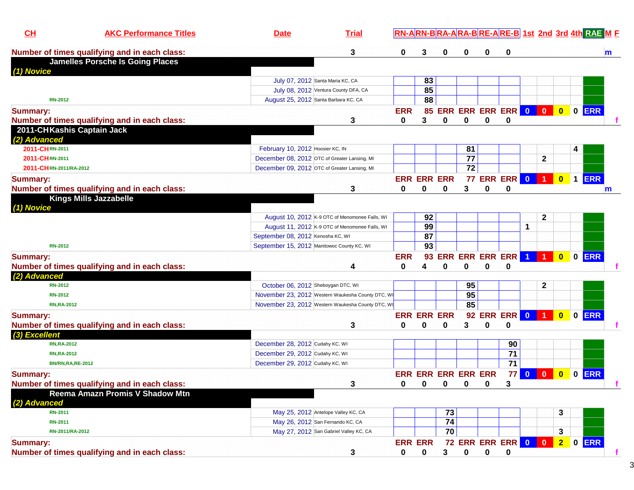| CH                     | <b>AKC Performance Titles</b>                                               | <b>Date</b>                                | <b>Trial</b>                                      |                    |             |                                 |             |             |                            |                |              |                         |              | RN-ARN-BRA-ARA-BRE-ARE-B 1st 2nd 3rd 4th RAE M E |              |
|------------------------|-----------------------------------------------------------------------------|--------------------------------------------|---------------------------------------------------|--------------------|-------------|---------------------------------|-------------|-------------|----------------------------|----------------|--------------|-------------------------|--------------|--------------------------------------------------|--------------|
|                        | Number of times qualifying and in each class:                               |                                            | 3                                                 | 0                  | 3           | 0                               |             | 0           | 0                          |                |              |                         |              |                                                  | m            |
|                        | <b>Jamelles Porsche Is Going Places</b>                                     |                                            |                                                   |                    |             |                                 |             |             |                            |                |              |                         |              |                                                  |              |
| (1) Novice             |                                                                             |                                            | July 07, 2012 Santa Maria KC, CA                  |                    |             |                                 |             |             |                            |                |              |                         |              |                                                  |              |
|                        |                                                                             |                                            |                                                   |                    | 83<br>85    |                                 |             |             |                            |                |              |                         |              |                                                  |              |
| <b>RN-2012</b>         |                                                                             |                                            | July 08, 2012 Ventura County DFA, CA              |                    | 88          |                                 |             |             |                            |                |              |                         |              |                                                  |              |
|                        |                                                                             | August 25, 2012 Santa Barbara KC, CA       |                                                   |                    |             |                                 |             |             |                            |                |              |                         |              |                                                  |              |
| <b>Summary:</b>        |                                                                             |                                            |                                                   | <b>ERR</b>         |             |                                 |             |             | 85 ERR ERR ERR ERR 0 0     |                |              | $\overline{\mathbf{0}}$ |              | 0 ERR                                            |              |
| (2) Advanced           | Number of times qualifying and in each class:<br>2011-CHKashis Captain Jack |                                            | 3                                                 | 0                  | 3           | 0                               | 0           | 0           | 0                          |                |              |                         |              |                                                  |              |
| 2011-CHRN-2011         |                                                                             | February 10, 2012 Hoosier KC, IN           |                                                   |                    |             |                                 | 81          |             |                            |                |              |                         | 4            |                                                  |              |
| 2011-CHRN-2011         |                                                                             |                                            | December 08, 2012 OTC of Greater Lansing, MI      |                    |             |                                 | 77          |             |                            |                | $\mathbf 2$  |                         |              |                                                  |              |
| 2011-CHRN-2011/RA-2012 |                                                                             |                                            | December 09, 2012 OTC of Greater Lansing, MI      |                    |             |                                 | 72          |             |                            |                |              |                         |              |                                                  |              |
| <b>Summary:</b>        |                                                                             |                                            |                                                   | <b>ERR ERR ERR</b> |             |                                 |             |             | <b>77 ERR ERR 0 1</b>      |                |              | $\bullet$               |              | 1 ERR                                            |              |
|                        | Number of times qualifying and in each class:                               |                                            | 3                                                 | 0                  | 0           | 0                               | 3           | 0           | 0                          |                |              |                         |              |                                                  |              |
|                        | <b>Kings Mills Jazzabelle</b>                                               |                                            |                                                   |                    |             |                                 |             |             |                            |                |              |                         |              |                                                  | $\mathsf{m}$ |
| (1) Novice             |                                                                             |                                            |                                                   |                    |             |                                 |             |             |                            |                |              |                         |              |                                                  |              |
|                        |                                                                             |                                            | August 10, 2012 K-9 OTC of Menomonee Falls, WI    |                    | 92          |                                 |             |             |                            |                | $\mathbf{2}$ |                         |              |                                                  |              |
|                        |                                                                             |                                            | August 11, 2012 K-9 OTC of Menomonee Falls, WI    |                    | 99          |                                 |             |             |                            | 1              |              |                         |              |                                                  |              |
|                        |                                                                             | September 08, 2012 Kenosha KC, WI          |                                                   |                    | 87          |                                 |             |             |                            |                |              |                         |              |                                                  |              |
| <b>RN-2012</b>         |                                                                             | September 15, 2012 Manitowoc County KC, WI |                                                   |                    | 93          |                                 |             |             |                            |                |              |                         |              |                                                  |              |
| <b>Summary:</b>        |                                                                             |                                            |                                                   | <b>ERR</b>         | 93          |                                 |             |             | <b>ERR ERR ERR ERR</b>     | $\overline{1}$ |              | $\mathbf{0}$            | $\mathbf 0$  | <b>ERR</b>                                       |              |
|                        | Number of times qualifying and in each class:                               |                                            | 4                                                 | 0                  | 4           | $\bf{0}$                        | 0           | 0           | $\bf{0}$                   |                |              |                         |              |                                                  |              |
| (2) Advanced           |                                                                             |                                            |                                                   |                    |             |                                 |             |             |                            |                |              |                         |              |                                                  |              |
| <b>RN-2012</b>         |                                                                             | October 06, 2012 Sheboygan DTC, WI         |                                                   |                    |             |                                 | 95          |             |                            |                | $\mathbf{2}$ |                         |              |                                                  |              |
| <b>RN-2012</b>         |                                                                             |                                            | November 23, 2012 Western Waukesha County DTC, WI |                    |             |                                 | 95          |             |                            |                |              |                         |              |                                                  |              |
| <b>RN,RA-2012</b>      |                                                                             |                                            | November 23, 2012 Western Waukesha County DTC, WI |                    |             |                                 | 85          |             |                            |                |              |                         |              |                                                  |              |
| <b>Summary:</b>        |                                                                             |                                            |                                                   | <b>ERR ERR ERR</b> |             |                                 |             |             | <b>92 ERR ERR 0</b>        |                |              | $\bf{0}$                | $\mathbf{0}$ | <b>ERR</b>                                       |              |
|                        | Number of times qualifying and in each class:                               |                                            | 3                                                 | 0                  | $\bf{0}$    | $\bf{0}$                        | 3           | $\bf{0}$    | $\bf{0}$                   |                |              |                         |              |                                                  |              |
| (3) Excellent          |                                                                             |                                            |                                                   |                    |             |                                 |             |             |                            |                |              |                         |              |                                                  |              |
| <b>RN,RA-2012</b>      |                                                                             | December 28, 2012 Cudahy KC, WI            |                                                   |                    |             |                                 |             |             | 90                         |                |              |                         |              |                                                  |              |
| <b>RN,RA-2012</b>      |                                                                             | December 29, 2012 Cudahy KC, WI            |                                                   |                    |             |                                 |             |             | 71                         |                |              |                         |              |                                                  |              |
|                        | <b>BN/RN,RA,RE-2012</b>                                                     | December 29, 2012 Cudahy KC, WI            |                                                   |                    |             |                                 |             |             | 71                         |                |              |                         |              |                                                  |              |
| <b>Summary:</b>        |                                                                             |                                            |                                                   |                    |             | <b>ERR ERR ERR ERR ERR</b>      |             |             |                            | $77$ 0         | $\mathbf{0}$ | $\overline{\mathbf{0}}$ | $\mathbf 0$  | <b>ERR</b>                                       |              |
|                        | Number of times qualifying and in each class:                               |                                            | 3                                                 | 0                  | $\mathbf 0$ | $\begin{matrix}0&0\end{matrix}$ |             | $\mathbf 0$ | 3                          |                |              |                         |              |                                                  |              |
|                        | Reema Amazn Promis V Shadow Mtn                                             |                                            |                                                   |                    |             |                                 |             |             |                            |                |              |                         |              |                                                  |              |
| (2) Advanced           |                                                                             |                                            |                                                   |                    |             |                                 |             |             |                            |                |              |                         |              |                                                  |              |
| <b>RN-2011</b>         |                                                                             |                                            | May 25, 2012 Antelope Valley KC, CA               |                    |             | 73                              |             |             |                            |                |              | 3                       |              |                                                  |              |
| <b>RN-2011</b>         |                                                                             |                                            | May 26, 2012 San Fernando KC, CA                  |                    |             | 74                              |             |             |                            |                |              |                         |              |                                                  |              |
| RN-2011/RA-2012        |                                                                             |                                            | May 27, 2012 San Gabriel Valley KC, CA            |                    |             | $\overline{70}$                 |             |             |                            |                |              | 3                       |              |                                                  |              |
| <b>Summary:</b>        |                                                                             |                                            |                                                   | <b>ERR ERR</b>     |             |                                 |             |             | 72 ERR ERR ERR 0 0 2 0 ERR |                |              |                         |              |                                                  |              |
|                        | Number of times qualifying and in each class:                               |                                            | 3                                                 | 0                  | 0           | 3                               | $\mathbf 0$ | $\mathbf 0$ | 0                          |                |              |                         |              |                                                  |              |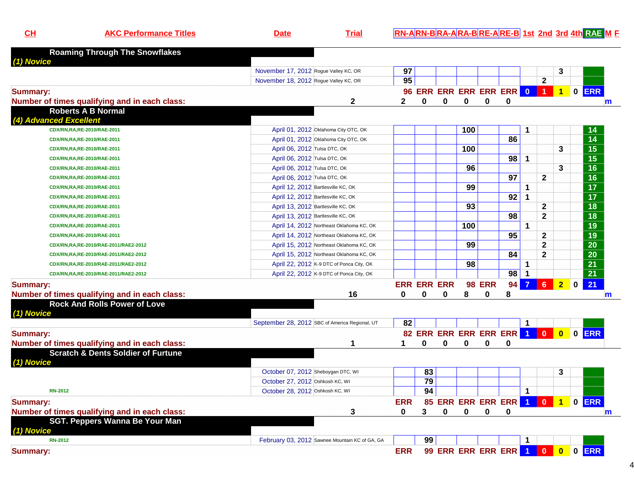| <b>Roaming Through The Snowflakes</b><br>(1) Novice<br>97<br>3<br>November 17, 2012 Rogue Valley KC, OR<br>95<br>$\overline{\mathbf{2}}$<br>November 18, 2012 Rogue Valley KC, OR<br>96 ERR ERR ERR ERR ERR 0 1<br>0 ERR<br>$\overline{1}$<br><b>Summary:</b><br>Number of times qualifying and in each class:<br>2<br>0<br>0<br>0<br>0<br>2<br>0<br>$\mathbf m$<br><b>Roberts A B Normal</b><br>(4) Advanced Excellent<br>April 01, 2012 Oklahoma City OTC, OK<br>100<br>CDX/RN,RA,RE-2010/RAE-2011<br>14<br>$\overline{14}$<br>86<br>April 01, 2012 Oklahoma City OTC, OK<br>CDX/RN,RA,RE-2010/RAE-2011<br>$\overline{15}$<br>100<br>3<br>April 06, 2012 Tulsa DTC, OK<br>CDX/RN,RA,RE-2010/RAE-2011<br>$\overline{15}$<br>98<br>$\mathbf 1$<br>April 06, 2012 Tulsa DTC, OK<br>CDX/RN,RA,RE-2010/RAE-2011<br>$\overline{16}$<br>96<br>3<br>April 06, 2012 Tulsa DTC, OK<br>CDX/RN,RA,RE-2010/RAE-2011<br>$\overline{16}$<br>97<br>$\overline{2}$<br>April 06, 2012 Tulsa DTC, OK<br>CDX/RN,RA,RE-2010/RAE-2011<br>$\overline{17}$<br>99<br>April 12, 2012 Bartlesville KC, OK<br>1<br>CDX/RN,RA,RE-2010/RAE-2011<br>$\overline{17}$<br>92<br>1<br>April 12, 2012 Bartlesville KC, OK<br>CDX/RN,RA,RE-2010/RAE-2011<br>$\overline{18}$<br>$\mathbf{2}$<br>93<br>April 13, 2012 Bartlesville KC, OK<br>CDX/RN,RA,RE-2010/RAE-2011<br>$\overline{18}$<br>$\mathbf{2}$<br>98<br>April 13, 2012 Bartlesville KC, OK<br>CDX/RN,RA,RE-2010/RAE-2011<br>$\overline{19}$<br>100<br>1<br>April 14, 2012 Northeast Oklahoma KC, OK<br>CDX/RN,RA,RE-2010/RAE-2011<br>19<br>95<br>2<br>April 14, 2012 Northeast Oklahoma KC, OK<br>CDX/RN, RA, RE-2010/RAE-2011<br>$\overline{20}$<br>$\mathbf 2$<br>99<br>April 15, 2012 Northeast Oklahoma KC, OK<br>CDX/RN,RA,RE-2010/RAE-2011/RAE2-2012<br>$\overline{20}$<br>84<br>$\mathbf{2}$<br>April 15, 2012 Northeast Oklahoma KC, OK<br>CDX/RN,RA,RE-2010/RAE-2011/RAE2-2012<br>$\overline{21}$<br>98<br>1<br>April 22, 2012 K-9 DTC of Ponca City, OK<br>CDX/RN,RA,RE-2010/RAE-2011/RAE2-2012<br>$\overline{21}$<br>98<br>April 22, 2012 K-9 DTC of Ponca City, OK<br>$\mathbf 1$<br>CDX/RN,RA,RE-2010/RAE-2011/RAE2-2012<br>$\overline{7}$<br>21<br><b>ERR ERR ERR</b><br>6 <sup>1</sup><br>$\overline{2}$<br><b>98 ERR</b><br>94<br>$\blacksquare$ 0<br><b>Summary:</b><br>Number of times qualifying and in each class:<br>0<br>16<br>0<br>0<br>$\bf{0}$<br>8<br>8<br>$\mathsf{m}$<br><b>Rock And Rolls Power of Love</b><br>(1) Novice<br>82<br>September 28, 2012 SBC of America Regional, UT<br>1<br>82 ERR ERR ERR ERR ERR 1 0 0 0 ERR<br><b>Summary:</b><br>$\bf{0}$<br>$\bf{0}$<br>Number of times qualifying and in each class:<br>0<br>0<br>0<br>1<br>1<br><b>Scratch &amp; Dents Soldier of Furtune</b><br>(1) Novice<br>3<br>October 07, 2012 Sheboygan DTC, WI<br>83<br>79<br>October 27, 2012 Oshkosh KC, WI<br>94<br>October 28, 2012 Oshkosh KC, WI<br>1<br><b>RN-2012</b><br>85 ERR ERR ERR ERR 1 0 1 0 ERR<br><b>ERR</b><br><b>Summary:</b><br>Number of times qualifying and in each class:<br>3<br>0<br>3<br>0<br>0<br>0<br>$\mathbf 0$<br>$\mathsf{m}$<br>SGT. Peppers Wanna Be Your Man<br>(1) Novice<br><b>RN-2012</b><br>February 03, 2012 Sawnee Mountain KC of GA, GA<br>99<br>1<br>99 ERR ERR ERR ERR 1<br>0 0 0 ERR<br><b>Summary:</b> | CL | <b>AKC Performance Titles</b> | <b>Date</b> | <b>Trial</b> |            |  |  |  |  | RN-ARN-BRA-ARA-BRE-ARE-B 1st 2nd 3rd 4th RAE M E |
|--------------------------------------------------------------------------------------------------------------------------------------------------------------------------------------------------------------------------------------------------------------------------------------------------------------------------------------------------------------------------------------------------------------------------------------------------------------------------------------------------------------------------------------------------------------------------------------------------------------------------------------------------------------------------------------------------------------------------------------------------------------------------------------------------------------------------------------------------------------------------------------------------------------------------------------------------------------------------------------------------------------------------------------------------------------------------------------------------------------------------------------------------------------------------------------------------------------------------------------------------------------------------------------------------------------------------------------------------------------------------------------------------------------------------------------------------------------------------------------------------------------------------------------------------------------------------------------------------------------------------------------------------------------------------------------------------------------------------------------------------------------------------------------------------------------------------------------------------------------------------------------------------------------------------------------------------------------------------------------------------------------------------------------------------------------------------------------------------------------------------------------------------------------------------------------------------------------------------------------------------------------------------------------------------------------------------------------------------------------------------------------------------------------------------------------------------------------------------------------------------------------------------------------------------------------------------------------------------------------------------------------------------------------------------------------------------------------------------------------------------------------------------------------------------------------------------------------------------------------------------------------------------------------------------------------------------------------------------------------------------------------------------------------------------------------------------------------------------------------------------------------------------------------------------------------------------------------------------------------------------------------------------------------------------------|----|-------------------------------|-------------|--------------|------------|--|--|--|--|--------------------------------------------------|
|                                                                                                                                                                                                                                                                                                                                                                                                                                                                                                                                                                                                                                                                                                                                                                                                                                                                                                                                                                                                                                                                                                                                                                                                                                                                                                                                                                                                                                                                                                                                                                                                                                                                                                                                                                                                                                                                                                                                                                                                                                                                                                                                                                                                                                                                                                                                                                                                                                                                                                                                                                                                                                                                                                                                                                                                                                                                                                                                                                                                                                                                                                                                                                                                                                                                                                        |    |                               |             |              |            |  |  |  |  |                                                  |
|                                                                                                                                                                                                                                                                                                                                                                                                                                                                                                                                                                                                                                                                                                                                                                                                                                                                                                                                                                                                                                                                                                                                                                                                                                                                                                                                                                                                                                                                                                                                                                                                                                                                                                                                                                                                                                                                                                                                                                                                                                                                                                                                                                                                                                                                                                                                                                                                                                                                                                                                                                                                                                                                                                                                                                                                                                                                                                                                                                                                                                                                                                                                                                                                                                                                                                        |    |                               |             |              |            |  |  |  |  |                                                  |
|                                                                                                                                                                                                                                                                                                                                                                                                                                                                                                                                                                                                                                                                                                                                                                                                                                                                                                                                                                                                                                                                                                                                                                                                                                                                                                                                                                                                                                                                                                                                                                                                                                                                                                                                                                                                                                                                                                                                                                                                                                                                                                                                                                                                                                                                                                                                                                                                                                                                                                                                                                                                                                                                                                                                                                                                                                                                                                                                                                                                                                                                                                                                                                                                                                                                                                        |    |                               |             |              |            |  |  |  |  |                                                  |
|                                                                                                                                                                                                                                                                                                                                                                                                                                                                                                                                                                                                                                                                                                                                                                                                                                                                                                                                                                                                                                                                                                                                                                                                                                                                                                                                                                                                                                                                                                                                                                                                                                                                                                                                                                                                                                                                                                                                                                                                                                                                                                                                                                                                                                                                                                                                                                                                                                                                                                                                                                                                                                                                                                                                                                                                                                                                                                                                                                                                                                                                                                                                                                                                                                                                                                        |    |                               |             |              |            |  |  |  |  |                                                  |
|                                                                                                                                                                                                                                                                                                                                                                                                                                                                                                                                                                                                                                                                                                                                                                                                                                                                                                                                                                                                                                                                                                                                                                                                                                                                                                                                                                                                                                                                                                                                                                                                                                                                                                                                                                                                                                                                                                                                                                                                                                                                                                                                                                                                                                                                                                                                                                                                                                                                                                                                                                                                                                                                                                                                                                                                                                                                                                                                                                                                                                                                                                                                                                                                                                                                                                        |    |                               |             |              |            |  |  |  |  |                                                  |
|                                                                                                                                                                                                                                                                                                                                                                                                                                                                                                                                                                                                                                                                                                                                                                                                                                                                                                                                                                                                                                                                                                                                                                                                                                                                                                                                                                                                                                                                                                                                                                                                                                                                                                                                                                                                                                                                                                                                                                                                                                                                                                                                                                                                                                                                                                                                                                                                                                                                                                                                                                                                                                                                                                                                                                                                                                                                                                                                                                                                                                                                                                                                                                                                                                                                                                        |    |                               |             |              |            |  |  |  |  |                                                  |
|                                                                                                                                                                                                                                                                                                                                                                                                                                                                                                                                                                                                                                                                                                                                                                                                                                                                                                                                                                                                                                                                                                                                                                                                                                                                                                                                                                                                                                                                                                                                                                                                                                                                                                                                                                                                                                                                                                                                                                                                                                                                                                                                                                                                                                                                                                                                                                                                                                                                                                                                                                                                                                                                                                                                                                                                                                                                                                                                                                                                                                                                                                                                                                                                                                                                                                        |    |                               |             |              |            |  |  |  |  |                                                  |
|                                                                                                                                                                                                                                                                                                                                                                                                                                                                                                                                                                                                                                                                                                                                                                                                                                                                                                                                                                                                                                                                                                                                                                                                                                                                                                                                                                                                                                                                                                                                                                                                                                                                                                                                                                                                                                                                                                                                                                                                                                                                                                                                                                                                                                                                                                                                                                                                                                                                                                                                                                                                                                                                                                                                                                                                                                                                                                                                                                                                                                                                                                                                                                                                                                                                                                        |    |                               |             |              |            |  |  |  |  |                                                  |
|                                                                                                                                                                                                                                                                                                                                                                                                                                                                                                                                                                                                                                                                                                                                                                                                                                                                                                                                                                                                                                                                                                                                                                                                                                                                                                                                                                                                                                                                                                                                                                                                                                                                                                                                                                                                                                                                                                                                                                                                                                                                                                                                                                                                                                                                                                                                                                                                                                                                                                                                                                                                                                                                                                                                                                                                                                                                                                                                                                                                                                                                                                                                                                                                                                                                                                        |    |                               |             |              |            |  |  |  |  |                                                  |
|                                                                                                                                                                                                                                                                                                                                                                                                                                                                                                                                                                                                                                                                                                                                                                                                                                                                                                                                                                                                                                                                                                                                                                                                                                                                                                                                                                                                                                                                                                                                                                                                                                                                                                                                                                                                                                                                                                                                                                                                                                                                                                                                                                                                                                                                                                                                                                                                                                                                                                                                                                                                                                                                                                                                                                                                                                                                                                                                                                                                                                                                                                                                                                                                                                                                                                        |    |                               |             |              |            |  |  |  |  |                                                  |
|                                                                                                                                                                                                                                                                                                                                                                                                                                                                                                                                                                                                                                                                                                                                                                                                                                                                                                                                                                                                                                                                                                                                                                                                                                                                                                                                                                                                                                                                                                                                                                                                                                                                                                                                                                                                                                                                                                                                                                                                                                                                                                                                                                                                                                                                                                                                                                                                                                                                                                                                                                                                                                                                                                                                                                                                                                                                                                                                                                                                                                                                                                                                                                                                                                                                                                        |    |                               |             |              |            |  |  |  |  |                                                  |
|                                                                                                                                                                                                                                                                                                                                                                                                                                                                                                                                                                                                                                                                                                                                                                                                                                                                                                                                                                                                                                                                                                                                                                                                                                                                                                                                                                                                                                                                                                                                                                                                                                                                                                                                                                                                                                                                                                                                                                                                                                                                                                                                                                                                                                                                                                                                                                                                                                                                                                                                                                                                                                                                                                                                                                                                                                                                                                                                                                                                                                                                                                                                                                                                                                                                                                        |    |                               |             |              |            |  |  |  |  |                                                  |
|                                                                                                                                                                                                                                                                                                                                                                                                                                                                                                                                                                                                                                                                                                                                                                                                                                                                                                                                                                                                                                                                                                                                                                                                                                                                                                                                                                                                                                                                                                                                                                                                                                                                                                                                                                                                                                                                                                                                                                                                                                                                                                                                                                                                                                                                                                                                                                                                                                                                                                                                                                                                                                                                                                                                                                                                                                                                                                                                                                                                                                                                                                                                                                                                                                                                                                        |    |                               |             |              |            |  |  |  |  |                                                  |
|                                                                                                                                                                                                                                                                                                                                                                                                                                                                                                                                                                                                                                                                                                                                                                                                                                                                                                                                                                                                                                                                                                                                                                                                                                                                                                                                                                                                                                                                                                                                                                                                                                                                                                                                                                                                                                                                                                                                                                                                                                                                                                                                                                                                                                                                                                                                                                                                                                                                                                                                                                                                                                                                                                                                                                                                                                                                                                                                                                                                                                                                                                                                                                                                                                                                                                        |    |                               |             |              |            |  |  |  |  |                                                  |
|                                                                                                                                                                                                                                                                                                                                                                                                                                                                                                                                                                                                                                                                                                                                                                                                                                                                                                                                                                                                                                                                                                                                                                                                                                                                                                                                                                                                                                                                                                                                                                                                                                                                                                                                                                                                                                                                                                                                                                                                                                                                                                                                                                                                                                                                                                                                                                                                                                                                                                                                                                                                                                                                                                                                                                                                                                                                                                                                                                                                                                                                                                                                                                                                                                                                                                        |    |                               |             |              |            |  |  |  |  |                                                  |
|                                                                                                                                                                                                                                                                                                                                                                                                                                                                                                                                                                                                                                                                                                                                                                                                                                                                                                                                                                                                                                                                                                                                                                                                                                                                                                                                                                                                                                                                                                                                                                                                                                                                                                                                                                                                                                                                                                                                                                                                                                                                                                                                                                                                                                                                                                                                                                                                                                                                                                                                                                                                                                                                                                                                                                                                                                                                                                                                                                                                                                                                                                                                                                                                                                                                                                        |    |                               |             |              |            |  |  |  |  |                                                  |
|                                                                                                                                                                                                                                                                                                                                                                                                                                                                                                                                                                                                                                                                                                                                                                                                                                                                                                                                                                                                                                                                                                                                                                                                                                                                                                                                                                                                                                                                                                                                                                                                                                                                                                                                                                                                                                                                                                                                                                                                                                                                                                                                                                                                                                                                                                                                                                                                                                                                                                                                                                                                                                                                                                                                                                                                                                                                                                                                                                                                                                                                                                                                                                                                                                                                                                        |    |                               |             |              |            |  |  |  |  |                                                  |
|                                                                                                                                                                                                                                                                                                                                                                                                                                                                                                                                                                                                                                                                                                                                                                                                                                                                                                                                                                                                                                                                                                                                                                                                                                                                                                                                                                                                                                                                                                                                                                                                                                                                                                                                                                                                                                                                                                                                                                                                                                                                                                                                                                                                                                                                                                                                                                                                                                                                                                                                                                                                                                                                                                                                                                                                                                                                                                                                                                                                                                                                                                                                                                                                                                                                                                        |    |                               |             |              |            |  |  |  |  |                                                  |
|                                                                                                                                                                                                                                                                                                                                                                                                                                                                                                                                                                                                                                                                                                                                                                                                                                                                                                                                                                                                                                                                                                                                                                                                                                                                                                                                                                                                                                                                                                                                                                                                                                                                                                                                                                                                                                                                                                                                                                                                                                                                                                                                                                                                                                                                                                                                                                                                                                                                                                                                                                                                                                                                                                                                                                                                                                                                                                                                                                                                                                                                                                                                                                                                                                                                                                        |    |                               |             |              |            |  |  |  |  |                                                  |
|                                                                                                                                                                                                                                                                                                                                                                                                                                                                                                                                                                                                                                                                                                                                                                                                                                                                                                                                                                                                                                                                                                                                                                                                                                                                                                                                                                                                                                                                                                                                                                                                                                                                                                                                                                                                                                                                                                                                                                                                                                                                                                                                                                                                                                                                                                                                                                                                                                                                                                                                                                                                                                                                                                                                                                                                                                                                                                                                                                                                                                                                                                                                                                                                                                                                                                        |    |                               |             |              |            |  |  |  |  |                                                  |
|                                                                                                                                                                                                                                                                                                                                                                                                                                                                                                                                                                                                                                                                                                                                                                                                                                                                                                                                                                                                                                                                                                                                                                                                                                                                                                                                                                                                                                                                                                                                                                                                                                                                                                                                                                                                                                                                                                                                                                                                                                                                                                                                                                                                                                                                                                                                                                                                                                                                                                                                                                                                                                                                                                                                                                                                                                                                                                                                                                                                                                                                                                                                                                                                                                                                                                        |    |                               |             |              |            |  |  |  |  |                                                  |
|                                                                                                                                                                                                                                                                                                                                                                                                                                                                                                                                                                                                                                                                                                                                                                                                                                                                                                                                                                                                                                                                                                                                                                                                                                                                                                                                                                                                                                                                                                                                                                                                                                                                                                                                                                                                                                                                                                                                                                                                                                                                                                                                                                                                                                                                                                                                                                                                                                                                                                                                                                                                                                                                                                                                                                                                                                                                                                                                                                                                                                                                                                                                                                                                                                                                                                        |    |                               |             |              |            |  |  |  |  |                                                  |
|                                                                                                                                                                                                                                                                                                                                                                                                                                                                                                                                                                                                                                                                                                                                                                                                                                                                                                                                                                                                                                                                                                                                                                                                                                                                                                                                                                                                                                                                                                                                                                                                                                                                                                                                                                                                                                                                                                                                                                                                                                                                                                                                                                                                                                                                                                                                                                                                                                                                                                                                                                                                                                                                                                                                                                                                                                                                                                                                                                                                                                                                                                                                                                                                                                                                                                        |    |                               |             |              |            |  |  |  |  |                                                  |
|                                                                                                                                                                                                                                                                                                                                                                                                                                                                                                                                                                                                                                                                                                                                                                                                                                                                                                                                                                                                                                                                                                                                                                                                                                                                                                                                                                                                                                                                                                                                                                                                                                                                                                                                                                                                                                                                                                                                                                                                                                                                                                                                                                                                                                                                                                                                                                                                                                                                                                                                                                                                                                                                                                                                                                                                                                                                                                                                                                                                                                                                                                                                                                                                                                                                                                        |    |                               |             |              |            |  |  |  |  |                                                  |
|                                                                                                                                                                                                                                                                                                                                                                                                                                                                                                                                                                                                                                                                                                                                                                                                                                                                                                                                                                                                                                                                                                                                                                                                                                                                                                                                                                                                                                                                                                                                                                                                                                                                                                                                                                                                                                                                                                                                                                                                                                                                                                                                                                                                                                                                                                                                                                                                                                                                                                                                                                                                                                                                                                                                                                                                                                                                                                                                                                                                                                                                                                                                                                                                                                                                                                        |    |                               |             |              |            |  |  |  |  |                                                  |
|                                                                                                                                                                                                                                                                                                                                                                                                                                                                                                                                                                                                                                                                                                                                                                                                                                                                                                                                                                                                                                                                                                                                                                                                                                                                                                                                                                                                                                                                                                                                                                                                                                                                                                                                                                                                                                                                                                                                                                                                                                                                                                                                                                                                                                                                                                                                                                                                                                                                                                                                                                                                                                                                                                                                                                                                                                                                                                                                                                                                                                                                                                                                                                                                                                                                                                        |    |                               |             |              |            |  |  |  |  |                                                  |
|                                                                                                                                                                                                                                                                                                                                                                                                                                                                                                                                                                                                                                                                                                                                                                                                                                                                                                                                                                                                                                                                                                                                                                                                                                                                                                                                                                                                                                                                                                                                                                                                                                                                                                                                                                                                                                                                                                                                                                                                                                                                                                                                                                                                                                                                                                                                                                                                                                                                                                                                                                                                                                                                                                                                                                                                                                                                                                                                                                                                                                                                                                                                                                                                                                                                                                        |    |                               |             |              |            |  |  |  |  |                                                  |
|                                                                                                                                                                                                                                                                                                                                                                                                                                                                                                                                                                                                                                                                                                                                                                                                                                                                                                                                                                                                                                                                                                                                                                                                                                                                                                                                                                                                                                                                                                                                                                                                                                                                                                                                                                                                                                                                                                                                                                                                                                                                                                                                                                                                                                                                                                                                                                                                                                                                                                                                                                                                                                                                                                                                                                                                                                                                                                                                                                                                                                                                                                                                                                                                                                                                                                        |    |                               |             |              |            |  |  |  |  |                                                  |
|                                                                                                                                                                                                                                                                                                                                                                                                                                                                                                                                                                                                                                                                                                                                                                                                                                                                                                                                                                                                                                                                                                                                                                                                                                                                                                                                                                                                                                                                                                                                                                                                                                                                                                                                                                                                                                                                                                                                                                                                                                                                                                                                                                                                                                                                                                                                                                                                                                                                                                                                                                                                                                                                                                                                                                                                                                                                                                                                                                                                                                                                                                                                                                                                                                                                                                        |    |                               |             |              |            |  |  |  |  |                                                  |
|                                                                                                                                                                                                                                                                                                                                                                                                                                                                                                                                                                                                                                                                                                                                                                                                                                                                                                                                                                                                                                                                                                                                                                                                                                                                                                                                                                                                                                                                                                                                                                                                                                                                                                                                                                                                                                                                                                                                                                                                                                                                                                                                                                                                                                                                                                                                                                                                                                                                                                                                                                                                                                                                                                                                                                                                                                                                                                                                                                                                                                                                                                                                                                                                                                                                                                        |    |                               |             |              |            |  |  |  |  |                                                  |
|                                                                                                                                                                                                                                                                                                                                                                                                                                                                                                                                                                                                                                                                                                                                                                                                                                                                                                                                                                                                                                                                                                                                                                                                                                                                                                                                                                                                                                                                                                                                                                                                                                                                                                                                                                                                                                                                                                                                                                                                                                                                                                                                                                                                                                                                                                                                                                                                                                                                                                                                                                                                                                                                                                                                                                                                                                                                                                                                                                                                                                                                                                                                                                                                                                                                                                        |    |                               |             |              |            |  |  |  |  |                                                  |
|                                                                                                                                                                                                                                                                                                                                                                                                                                                                                                                                                                                                                                                                                                                                                                                                                                                                                                                                                                                                                                                                                                                                                                                                                                                                                                                                                                                                                                                                                                                                                                                                                                                                                                                                                                                                                                                                                                                                                                                                                                                                                                                                                                                                                                                                                                                                                                                                                                                                                                                                                                                                                                                                                                                                                                                                                                                                                                                                                                                                                                                                                                                                                                                                                                                                                                        |    |                               |             |              |            |  |  |  |  |                                                  |
|                                                                                                                                                                                                                                                                                                                                                                                                                                                                                                                                                                                                                                                                                                                                                                                                                                                                                                                                                                                                                                                                                                                                                                                                                                                                                                                                                                                                                                                                                                                                                                                                                                                                                                                                                                                                                                                                                                                                                                                                                                                                                                                                                                                                                                                                                                                                                                                                                                                                                                                                                                                                                                                                                                                                                                                                                                                                                                                                                                                                                                                                                                                                                                                                                                                                                                        |    |                               |             |              |            |  |  |  |  |                                                  |
|                                                                                                                                                                                                                                                                                                                                                                                                                                                                                                                                                                                                                                                                                                                                                                                                                                                                                                                                                                                                                                                                                                                                                                                                                                                                                                                                                                                                                                                                                                                                                                                                                                                                                                                                                                                                                                                                                                                                                                                                                                                                                                                                                                                                                                                                                                                                                                                                                                                                                                                                                                                                                                                                                                                                                                                                                                                                                                                                                                                                                                                                                                                                                                                                                                                                                                        |    |                               |             |              |            |  |  |  |  |                                                  |
|                                                                                                                                                                                                                                                                                                                                                                                                                                                                                                                                                                                                                                                                                                                                                                                                                                                                                                                                                                                                                                                                                                                                                                                                                                                                                                                                                                                                                                                                                                                                                                                                                                                                                                                                                                                                                                                                                                                                                                                                                                                                                                                                                                                                                                                                                                                                                                                                                                                                                                                                                                                                                                                                                                                                                                                                                                                                                                                                                                                                                                                                                                                                                                                                                                                                                                        |    |                               |             |              |            |  |  |  |  |                                                  |
|                                                                                                                                                                                                                                                                                                                                                                                                                                                                                                                                                                                                                                                                                                                                                                                                                                                                                                                                                                                                                                                                                                                                                                                                                                                                                                                                                                                                                                                                                                                                                                                                                                                                                                                                                                                                                                                                                                                                                                                                                                                                                                                                                                                                                                                                                                                                                                                                                                                                                                                                                                                                                                                                                                                                                                                                                                                                                                                                                                                                                                                                                                                                                                                                                                                                                                        |    |                               |             |              |            |  |  |  |  |                                                  |
|                                                                                                                                                                                                                                                                                                                                                                                                                                                                                                                                                                                                                                                                                                                                                                                                                                                                                                                                                                                                                                                                                                                                                                                                                                                                                                                                                                                                                                                                                                                                                                                                                                                                                                                                                                                                                                                                                                                                                                                                                                                                                                                                                                                                                                                                                                                                                                                                                                                                                                                                                                                                                                                                                                                                                                                                                                                                                                                                                                                                                                                                                                                                                                                                                                                                                                        |    |                               |             |              |            |  |  |  |  |                                                  |
|                                                                                                                                                                                                                                                                                                                                                                                                                                                                                                                                                                                                                                                                                                                                                                                                                                                                                                                                                                                                                                                                                                                                                                                                                                                                                                                                                                                                                                                                                                                                                                                                                                                                                                                                                                                                                                                                                                                                                                                                                                                                                                                                                                                                                                                                                                                                                                                                                                                                                                                                                                                                                                                                                                                                                                                                                                                                                                                                                                                                                                                                                                                                                                                                                                                                                                        |    |                               |             |              |            |  |  |  |  |                                                  |
|                                                                                                                                                                                                                                                                                                                                                                                                                                                                                                                                                                                                                                                                                                                                                                                                                                                                                                                                                                                                                                                                                                                                                                                                                                                                                                                                                                                                                                                                                                                                                                                                                                                                                                                                                                                                                                                                                                                                                                                                                                                                                                                                                                                                                                                                                                                                                                                                                                                                                                                                                                                                                                                                                                                                                                                                                                                                                                                                                                                                                                                                                                                                                                                                                                                                                                        |    |                               |             |              |            |  |  |  |  |                                                  |
|                                                                                                                                                                                                                                                                                                                                                                                                                                                                                                                                                                                                                                                                                                                                                                                                                                                                                                                                                                                                                                                                                                                                                                                                                                                                                                                                                                                                                                                                                                                                                                                                                                                                                                                                                                                                                                                                                                                                                                                                                                                                                                                                                                                                                                                                                                                                                                                                                                                                                                                                                                                                                                                                                                                                                                                                                                                                                                                                                                                                                                                                                                                                                                                                                                                                                                        |    |                               |             |              |            |  |  |  |  |                                                  |
|                                                                                                                                                                                                                                                                                                                                                                                                                                                                                                                                                                                                                                                                                                                                                                                                                                                                                                                                                                                                                                                                                                                                                                                                                                                                                                                                                                                                                                                                                                                                                                                                                                                                                                                                                                                                                                                                                                                                                                                                                                                                                                                                                                                                                                                                                                                                                                                                                                                                                                                                                                                                                                                                                                                                                                                                                                                                                                                                                                                                                                                                                                                                                                                                                                                                                                        |    |                               |             |              | <b>ERR</b> |  |  |  |  |                                                  |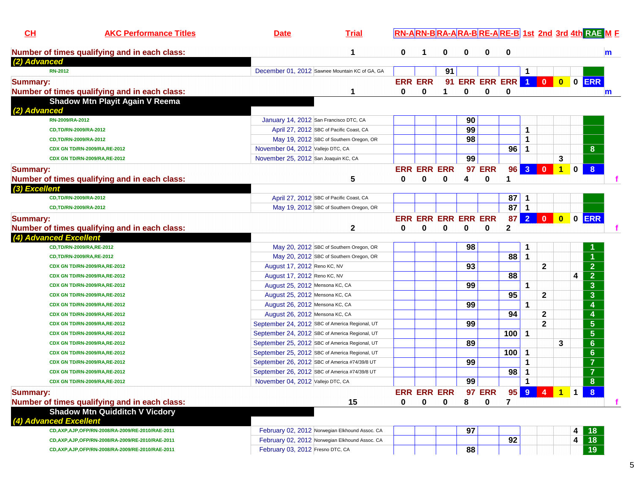| CL                     | <b>AKC Performance Titles</b>                      | <b>Date</b>                                    | <b>Trial</b> |                |                    |    |                            | RN-ARN-BRA-ARA-BRE-ARE-B 1st 2nd 3rd 4th RAE M F |     |                      |              |           |             |                                                |
|------------------------|----------------------------------------------------|------------------------------------------------|--------------|----------------|--------------------|----|----------------------------|--------------------------------------------------|-----|----------------------|--------------|-----------|-------------|------------------------------------------------|
|                        | Number of times qualifying and in each class:      |                                                | 1            | 0              | 1                  | 0  | 0                          | 0                                                | 0   |                      |              |           |             | m                                              |
| (2) Advanced           |                                                    |                                                |              |                |                    |    |                            |                                                  |     |                      |              |           |             |                                                |
| <b>RN-2012</b>         |                                                    | December 01, 2012 Sawnee Mountain KC of GA, GA |              |                |                    | 91 |                            |                                                  |     |                      |              |           |             |                                                |
| <b>Summary:</b>        |                                                    |                                                |              | <b>ERR ERR</b> |                    |    |                            | 91 ERR ERR ERR 1 0                               |     |                      |              |           |             | 0 0 ERR                                        |
|                        | Number of times qualifying and in each class:      |                                                | 1            | 0              | 0                  | 1  | 0                          | 0                                                | 0   |                      |              |           |             | $\mathsf{m}$                                   |
|                        | <b>Shadow Mtn Playit Again V Reema</b>             |                                                |              |                |                    |    |                            |                                                  |     |                      |              |           |             |                                                |
| (2) Advanced           |                                                    |                                                |              |                |                    |    |                            |                                                  |     |                      |              |           |             |                                                |
|                        | RN-2009/RA-2012                                    | January 14, 2012 San Francisco DTC, CA         |              |                |                    |    | 90                         |                                                  |     |                      |              |           |             |                                                |
|                        | CD,TD/RN-2009/RA-2012                              | April 27, 2012 SBC of Pacific Coast, CA        |              |                |                    |    | 99                         |                                                  |     | 1                    |              |           |             |                                                |
|                        | CD,TD/RN-2009/RA-2012                              | May 19, 2012 SBC of Southern Oregon, OR        |              |                |                    |    | 98                         |                                                  |     | 1                    |              |           |             |                                                |
|                        | CDX GN TD/RN-2009/RA,RE-2012                       | November 04, 2012 Vallejo DTC, CA              |              |                |                    |    |                            |                                                  | 96  | 1                    |              |           |             | 8                                              |
|                        | CDX GN TD/RN-2009/RA,RE-2012                       | November 25, 2012 San Joaquin KC, CA           |              |                |                    |    | 99                         |                                                  |     |                      |              | 3         |             |                                                |
| <b>Summary:</b>        |                                                    |                                                |              |                | <b>ERR ERR ERR</b> |    |                            | <b>97 ERR</b>                                    | 96  | 3 0                  |              | $\vert$ 1 | $\mathbf 0$ | $\boldsymbol{8}$                               |
|                        | Number of times qualifying and in each class:      |                                                | 5            | 0              | 0                  | 0  | 4                          | 0                                                | 1   |                      |              |           |             |                                                |
| (3) Excellent          |                                                    |                                                |              |                |                    |    |                            |                                                  |     |                      |              |           |             |                                                |
|                        | CD,TD/RN-2009/RA-2012                              | April 27, 2012 SBC of Pacific Coast, CA        |              |                |                    |    |                            |                                                  | 87  | 1                    |              |           |             |                                                |
|                        | CD,TD/RN-2009/RA-2012                              | May 19, 2012 SBC of Southern Oregon, OR        |              |                |                    |    |                            |                                                  | 87  | $\mathbf{1}$         |              |           |             |                                                |
| <b>Summary:</b>        |                                                    |                                                |              |                |                    |    | <b>ERR ERR ERR ERR ERR</b> |                                                  | 87  | 2 0                  |              | $\bullet$ |             | $0$ ERR                                        |
|                        | Number of times qualifying and in each class:      |                                                | $\mathbf{2}$ | 0              | 0                  | 0  | 0                          | 0                                                | 2   |                      |              |           |             |                                                |
| (4) Advanced Excellent |                                                    |                                                |              |                |                    |    |                            |                                                  |     |                      |              |           |             |                                                |
|                        | CD,TD/RN-2009/RA,RE-2012                           | May 20, 2012 SBC of Southern Oregon, OR        |              |                |                    |    | 98                         |                                                  |     | 1                    |              |           |             |                                                |
|                        | CD,TD/RN-2009/RA,RE-2012                           | May 20, 2012 SBC of Southern Oregon, OR        |              |                |                    |    |                            |                                                  | 88  | 1                    |              |           |             | $\blacktriangleleft$                           |
|                        | CDX GN TD/RN-2009/RA,RE-2012                       | August 17, 2012 Reno KC, NV                    |              |                |                    |    | 93                         |                                                  |     |                      | $\mathbf{2}$ |           |             |                                                |
|                        | CDX GN TD/RN-2009/RA,RE-2012                       | August 17, 2012 Reno KC, NV                    |              |                |                    |    |                            |                                                  | 88  |                      |              |           | 4           | $\frac{2}{2}$                                  |
|                        | CDX GN TD/RN-2009/RA,RE-2012                       | August 25, 2012 Mensona KC, CA                 |              |                |                    |    | 99                         |                                                  |     | 1                    |              |           |             | $\overline{\mathbf{3}}$                        |
|                        | CDX GN TD/RN-2009/RA,RE-2012                       | August 25, 2012 Mensona KC, CA                 |              |                |                    |    |                            |                                                  | 95  |                      | $\mathbf{2}$ |           |             | $\overline{\overline{3}}$                      |
|                        | CDX GN TD/RN-2009/RA,RE-2012                       | August 26, 2012 Mensona KC, CA                 |              |                |                    |    | 99                         |                                                  |     | 1                    |              |           |             | $\overline{\mathbf{4}}$                        |
|                        | CDX GN TD/RN-2009/RA,RE-2012                       | August 26, 2012 Mensona KC, CA                 |              |                |                    |    |                            |                                                  | 94  |                      | $\mathbf{2}$ |           |             | $\overline{\mathbf{4}}$                        |
|                        | CDX GN TD/RN-2009/RA,RE-2012                       | September 24, 2012 SBC of America Regional, UT |              |                |                    |    | 99                         |                                                  |     |                      | $\mathbf{2}$ |           |             | $\overline{\overline{\mathbf{5}}}$             |
|                        | CDX GN TD/RN-2009/RA,RE-2012                       | September 24, 2012 SBC of America Regional, UT |              |                |                    |    |                            |                                                  | 100 | 1                    |              |           |             | $\overline{\overline{\overline{\overline{5}}}$ |
|                        | CDX GN TD/RN-2009/RA,RE-2012                       | September 25, 2012 SBC of America Regional, UT |              |                |                    |    | 89                         |                                                  |     |                      |              | 3         |             | $\overline{6}$                                 |
|                        | CDX GN TD/RN-2009/RA,RE-2012                       | September 25, 2012 SBC of America Regional, UT |              |                |                    |    |                            |                                                  | 100 | 1                    |              |           |             | $\overline{6}$                                 |
|                        | CDX GN TD/RN-2009/RA,RE-2012                       | September 26, 2012 SBC of America #74/39/8 UT  |              |                |                    |    | 99                         |                                                  |     | 1                    |              |           |             | $\overline{7}$                                 |
|                        | CDX GN TD/RN-2009/RA,RE-2012                       | September 26, 2012 SBC of America #74/39/8 UT  |              |                |                    |    |                            |                                                  | 98  | 1                    |              |           |             | $\overline{7}$                                 |
|                        | CDX GN TD/RN-2009/RA,RE-2012                       | November 04, 2012 Vallejo DTC, CA              |              |                |                    |    | 99                         |                                                  |     | $\blacktriangleleft$ |              |           |             | $\overline{8}$                                 |
| <b>Summary:</b>        |                                                    |                                                |              |                | <b>ERR ERR ERR</b> |    |                            | <b>97 ERR</b>                                    |     |                      | 95 9 4 1     |           |             |                                                |
|                        | Number of times qualifying and in each class:      |                                                | 15           | 0              | 0                  | 0  | 8                          | $\mathbf 0$                                      | 7   |                      |              |           |             |                                                |
|                        | <b>Shadow Mtn Quidditch V Vicdory</b>              |                                                |              |                |                    |    |                            |                                                  |     |                      |              |           |             |                                                |
| (4) Advanced Excellent |                                                    |                                                |              |                |                    |    |                            |                                                  |     |                      |              |           |             |                                                |
|                        | CD, AXP, AJP, OFP/RN-2008/RA-2009/RE-2010/RAE-2011 | February 02, 2012 Norwegian Elkhound Assoc. CA |              |                |                    |    | 97                         |                                                  |     |                      |              |           | 4           | 18                                             |
|                        | CD, AXP, AJP, OFP/RN-2008/RA-2009/RE-2010/RAE-2011 | February 02, 2012 Norwegian Elkhound Assoc. CA |              |                |                    |    |                            |                                                  | 92  |                      |              |           | 4           | 18                                             |
|                        | CD, AXP, AJP, OFP/RN-2008/RA-2009/RE-2010/RAE-2011 | February 03, 2012 Fresno DTC, CA               |              |                |                    |    | 88                         |                                                  |     |                      |              |           |             | 19                                             |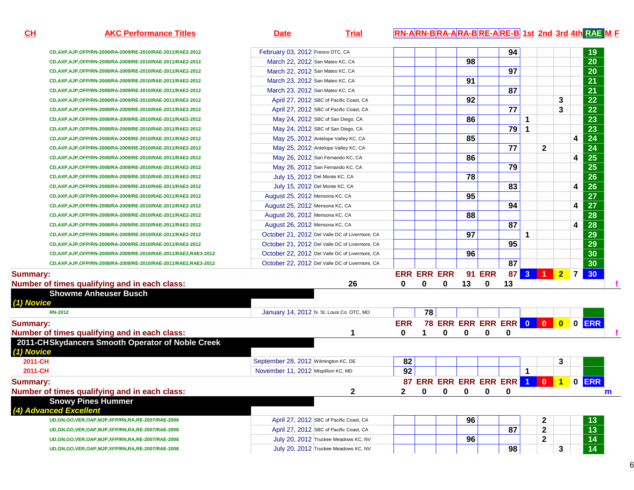**CH**

**AKC Performance Titles Date Trial RN-ARN-B RA-ARA-B RE-A RE-B 1st 2nd 3rd 4th RAE <sup>M</sup> <sup>F</sup>**

| CD, AXP, AJP, OFP/RN-2008/RA-2009/RE-2010/RAE-2011/RAE2-2012       | February 03, 2012 Fresno DTC, CA               |                    |                      |             |              |               | 94                                 |              |              |   |                         | 19              |
|--------------------------------------------------------------------|------------------------------------------------|--------------------|----------------------|-------------|--------------|---------------|------------------------------------|--------------|--------------|---|-------------------------|-----------------|
| CD, AXP, AJP, OFP/RN-2008/RA-2009/RE-2010/RAE-2011/RAE2-2012       | March 22, 2012 San Mateo KC, CA                |                    |                      |             | 98           |               |                                    |              |              |   |                         | 20              |
| CD, AXP, AJP, OFP/RN-2008/RA-2009/RE-2010/RAE-2011/RAE2-2012       | March 22, 2012 San Mateo KC, CA                |                    |                      |             |              |               | 97                                 |              |              |   |                         | $\overline{20}$ |
| CD, AXP, AJP, OFP/RN-2008/RA-2009/RE-2010/RAE-2011/RAE2-2012       | March 23, 2012 San Mateo KC, CA                |                    |                      |             | 91           |               |                                    |              |              |   |                         | $\overline{21}$ |
| CD, AXP, AJP, OFP/RN-2008/RA-2009/RE-2010/RAE-2011/RAE2-2012       | March 23, 2012 San Mateo KC, CA                |                    |                      |             |              |               | 87                                 |              |              |   |                         | $\overline{21}$ |
| CD, AXP, AJP, OFP/RN-2008/RA-2009/RE-2010/RAE-2011/RAE2-2012       | April 27, 2012 SBC of Pacific Coast, CA        |                    |                      |             | 92           |               |                                    |              |              | 3 |                         | $\overline{22}$ |
| CD, AXP, AJP, OFP/RN-2008/RA-2009/RE-2010/RAE-2011/RAE2-2012       | April 27, 2012 SBC of Pacific Coast, CA        |                    |                      |             |              |               | 77                                 |              |              | 3 |                         | $\overline{22}$ |
| CD, AXP, AJP, OFP/RN-2008/RA-2009/RE-2010/RAE-2011/RAE2-2012       | May 24, 2012 SBC of San Diego, CA              |                    |                      |             | 86           |               |                                    | 1            |              |   |                         | $\overline{23}$ |
| CD, AXP, AJP, OFP/RN-2008/RA-2009/RE-2010/RAE-2011/RAE2-2012       | May 24, 2012 SBC of San Diego, CA              |                    |                      |             |              |               | 79                                 | 1            |              |   |                         | $\overline{23}$ |
| CD, AXP, AJP, OFP/RN-2008/RA-2009/RE-2010/RAE-2011/RAE2-2012       | May 25, 2012 Antelope Valley KC, CA            |                    |                      |             | 85           |               |                                    |              |              |   | $\overline{\mathbf{4}}$ | $\overline{24}$ |
| CD, AXP, AJP, OFP/RN-2008/RA-2009/RE-2010/RAE-2011/RAE2-2012       | May 25, 2012 Antelope Valley KC, CA            |                    |                      |             |              |               | $\overline{77}$                    |              | $\mathbf{2}$ |   |                         | $\overline{24}$ |
| CD, AXP, AJP, OFP/RN-2008/RA-2009/RE-2010/RAE-2011/RAE2-2012       | May 26, 2012 San Fernando KC, CA               |                    |                      |             | 86           |               |                                    |              |              |   | $\overline{\mathbf{4}}$ | $\overline{25}$ |
| CD, AXP, AJP, OFP/RN-2008/RA-2009/RE-2010/RAE-2011/RAE2-2012       | May 26, 2012 San Fernando KC, CA               |                    |                      |             |              |               | 79                                 |              |              |   |                         | $\overline{25}$ |
| CD, AXP, AJP, OFP/RN-2008/RA-2009/RE-2010/RAE-2011/RAE2-2012       | July 15, 2012 Del Monte KC, CA                 |                    |                      |             | 78           |               |                                    |              |              |   |                         | $\overline{26}$ |
| CD, AXP, AJP, OFP/RN-2008/RA-2009/RE-2010/RAE-2011/RAE2-2012       | July 15, 2012 Del Monte KC, CA                 |                    |                      |             |              |               | 83                                 |              |              |   | 4                       | $\overline{26}$ |
| CD, AXP, AJP, OFP/RN-2008/RA-2009/RE-2010/RAE-2011/RAE2-2012       | August 25, 2012 Mensona KC, CA                 |                    |                      |             | 95           |               |                                    |              |              |   |                         | $\overline{27}$ |
| CD, AXP, AJP, OFP/RN-2008/RA-2009/RE-2010/RAE-2011/RAE2-2012       | August 25, 2012 Mensona KC, CA                 |                    |                      |             |              |               | 94                                 |              |              |   | 4                       | $\overline{27}$ |
| CD, AXP, AJP, OFP/RN-2008/RA-2009/RE-2010/RAE-2011/RAE2-2012       | August 26, 2012 Mensona KC, CA                 |                    |                      |             | 88           |               |                                    |              |              |   |                         | $\overline{28}$ |
| CD, AXP, AJP, OFP/RN-2008/RA-2009/RE-2010/RAE-2011/RAE2-2012       | August 26, 2012 Mensona KC, CA                 |                    |                      |             |              |               | 87                                 |              |              |   | 4                       | $\overline{28}$ |
| CD, AXP, AJP, OFP/RN-2008/RA-2009/RE-2010/RAE-2011/RAE2-2012       | October 21, 2012 Del Valle DC of Livermore, CA |                    |                      |             | 97           |               |                                    | 1            |              |   |                         | 29              |
| CD, AXP, AJP, OFP/RN-2008/RA-2009/RE-2010/RAE-2011/RAE2-2012       | October 21, 2012 Del Valle DC of Livermore, CA |                    |                      |             |              |               | 95                                 |              |              |   |                         | $\overline{29}$ |
| CD, AXP, AJP, OFP/RN-2008/RA-2009/RE-2010/RAE-2011/RAE2, RAE3-2012 | October 22, 2012 Del Valle DC of Livermore, CA |                    |                      |             | 96           |               |                                    |              |              |   |                         | 30              |
| CD, AXP, AJP, OFP/RN-2008/RA-2009/RE-2010/RAE-2011/RAE2, RAE3-2012 | October 22, 2012 Del Valle DC of Livermore, CA |                    |                      |             |              |               | 87                                 |              |              |   |                         | $\overline{30}$ |
| <b>Summary:</b>                                                    |                                                | <b>ERR ERR ERR</b> |                      |             |              | <b>91 ERR</b> |                                    |              | 87 3 1 2 7   |   |                         | 30              |
| Number of times qualifying and in each class:                      | 26                                             | 0                  | $\mathbf 0$          | $\mathbf 0$ | 13           | $\mathbf 0$   | 13                                 |              |              |   |                         |                 |
| <b>Showme Anheuser Busch</b>                                       |                                                |                    |                      |             |              |               |                                    |              |              |   |                         |                 |
| (1) Novice                                                         |                                                |                    |                      |             |              |               |                                    |              |              |   |                         |                 |
| <b>RN-2012</b>                                                     | January 14, 2012 N. St. Louis Co. OTC, MO      |                    | 78                   |             |              |               |                                    |              |              |   |                         |                 |
| Summary:                                                           |                                                | <b>ERR</b>         |                      |             |              |               | 78 ERR ERR ERR ERR 0 0 0 0 ERR     |              |              |   |                         |                 |
| Number of times qualifying and in each class:                      | 1                                              | $\mathbf{0}$       | $\blacktriangleleft$ | $\bf{0}$    | $\mathbf{0}$ | $\mathbf{0}$  | 0                                  |              |              |   |                         |                 |
| 2011-CHSkydancers Smooth Operator of Noble Creek                   |                                                |                    |                      |             |              |               |                                    |              |              |   |                         |                 |
| (1) Novice                                                         |                                                |                    |                      |             |              |               |                                    |              |              |   |                         |                 |
| 2011-CH                                                            | September 28, 2012 Wilmington KC, DE           | 82                 |                      |             |              |               |                                    |              |              | 3 |                         |                 |
| 2011-CH                                                            | November 11, 2012 Mispillion KC, MD            | 92                 |                      |             |              |               |                                    | $\mathbf{1}$ |              |   |                         |                 |
| <b>Summary:</b>                                                    |                                                |                    |                      |             |              |               | 87 ERR ERR ERR ERR ERR 1 0 1 0 ERR |              |              |   |                         |                 |
|                                                                    |                                                |                    |                      |             | $\mathbf 0$  |               |                                    |              |              |   |                         |                 |
| Number of times qualifying and in each class:                      | 2                                              | $\mathbf{2}$       | $\mathbf 0$          | 0           |              | 0             | 0                                  |              |              |   |                         |                 |
| <b>Snowy Pines Hummer</b><br>(4) Advanced Excellent                |                                                |                    |                      |             |              |               |                                    |              |              |   |                         |                 |
|                                                                    |                                                |                    |                      |             |              |               |                                    |              |              |   |                         |                 |
| UD, GN, GO, VER, OAP, MJP, XFP/RN, RA, RE-2007/RAE-2008            | April 27, 2012 SBC of Pacific Coast, CA        |                    |                      |             | 96           |               |                                    |              | $\mathbf 2$  |   |                         | 13              |
| UD, GN, GO, VER, OAP, MJP, XFP/RN, RA, RE-2007/RAE-2008            | April 27, 2012 SBC of Pacific Coast, CA        |                    |                      |             |              |               | 87                                 |              | $\mathbf{2}$ |   |                         | 13              |
| UD, GN, GO, VER, OAP, MJP, XFP/RN, RA, RE-2007/RAE-2008            | July 20, 2012 Truckee Meadows KC, NV           |                    |                      |             | 96           |               |                                    |              | $\mathbf{2}$ |   |                         | 14              |
| UD, GN, GO, VER, OAP, MJP, XFP/RN, RA, RE-2007/RAE-2008            | July 20, 2012 Truckee Meadows KC, NV           |                    |                      |             |              |               | 98                                 |              |              | 3 |                         | $\overline{14}$ |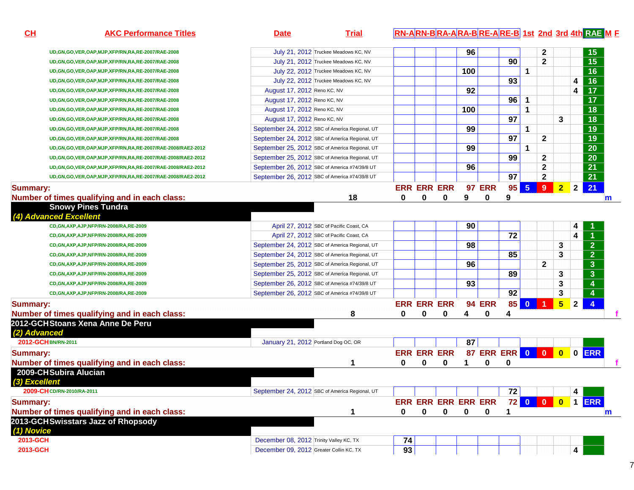| <u>СН</u>       | <b>AKC Performance Titles</b>                                                     | <b>Date</b>                             | <b>Trial</b>                                   |    |   |                            |     |               |                        |                |              |                 |                | <u>RN-ARN-BRA-ARA-BRE-ARE-B 1st_2nd_3rd 4th RAE M F</u> |
|-----------------|-----------------------------------------------------------------------------------|-----------------------------------------|------------------------------------------------|----|---|----------------------------|-----|---------------|------------------------|----------------|--------------|-----------------|----------------|---------------------------------------------------------|
|                 |                                                                                   |                                         |                                                |    |   |                            |     |               |                        |                |              |                 |                |                                                         |
|                 | UD, GN, GO, VER, OAP, MJP, XFP/RN, RA, RE-2007/RAE-2008                           |                                         | July 21, 2012 Truckee Meadows KC, NV           |    |   |                            | 96  |               |                        |                | $\mathbf{2}$ |                 |                | 15                                                      |
|                 | UD, GN, GO, VER, OAP, MJP, XFP/RN, RA, RE-2007/RAE-2008                           |                                         | July 21, 2012 Truckee Meadows KC, NV           |    |   |                            |     |               | 90                     |                | 2            |                 |                | 15                                                      |
|                 | UD, GN, GO, VER, OAP, MJP, XFP/RN, RA, RE-2007/RAE-2008                           |                                         | July 22, 2012 Truckee Meadows KC, NV           |    |   |                            | 100 |               |                        | 1              |              |                 |                | 16                                                      |
|                 | UD, GN, GO, VER, OAP, MJP, XFP/RN, RA, RE-2007/RAE-2008                           |                                         | July 22, 2012 Truckee Meadows KC, NV           |    |   |                            |     |               | 93                     |                |              |                 | 4              | 16                                                      |
|                 | UD, GN, GO, VER, OAP, MJP, XFP/RN, RA, RE-2007/RAE-2008                           | August 17, 2012 Reno KC, NV             |                                                |    |   |                            | 92  |               |                        |                |              |                 | 4              | 17                                                      |
|                 | UD, GN, GO, VER, OAP, MJP, XFP/RN, RA, RE-2007/RAE-2008                           | August 17, 2012 Reno KC, NV             |                                                |    |   |                            |     |               | 96                     | 1              |              |                 |                | 17                                                      |
|                 | UD, GN, GO, VER, OAP, MJP, XFP/RN, RA, RE-2007/RAE-2008                           | August 17, 2012 Reno KC, NV             |                                                |    |   |                            | 100 |               |                        | 1              |              |                 |                | 18                                                      |
|                 | UD, GN, GO, VER, OAP, MJP, XFP/RN, RA, RE-2007/RAE-2008                           | August 17, 2012 Reno KC, NV             |                                                |    |   |                            |     |               | 97                     |                |              | 3               |                | 18                                                      |
|                 | UD, GN, GO, VER, OAP, MJP, XFP/RN, RA, RE-2007/RAE-2008                           |                                         | September 24, 2012 SBC of America Regional, UT |    |   |                            | 99  |               |                        | 1              |              |                 |                | 19                                                      |
|                 | UD, GN, GO, VER, OAP, MJP, XFP/RN, RA, RE-2007/RAE-2008                           |                                         | September 24, 2012 SBC of America Regional, UT |    |   |                            |     |               | 97                     |                | $\mathbf{2}$ |                 |                | 19                                                      |
|                 | UD,GN,GO,VER,OAP,MJP,XFP/RN,RA,RE-2007/RAE-2008/RAE2-2012                         |                                         | September 25, 2012 SBC of America Regional, UT |    |   |                            | 99  |               |                        | 1              |              |                 |                | 20                                                      |
|                 | UD,GN,GO,VER,OAP,MJP,XFP/RN,RA,RE-2007/RAE-2008/RAE2-2012                         |                                         | September 25, 2012 SBC of America Regional, UT |    |   |                            |     |               | 99                     |                | $\mathbf{2}$ |                 |                | 20                                                      |
|                 | UD,GN,GO,VER,OAP,MJP,XFP/RN,RA,RE-2007/RAE-2008/RAE2-2012                         |                                         | September 26, 2012 SBC of America #74/39/8 UT  |    |   |                            | 96  |               |                        |                | $\mathbf 2$  |                 |                | 21                                                      |
|                 | UD,GN,GO,VER,OAP,MJP,XFP/RN,RA,RE-2007/RAE-2008/RAE2-2012                         |                                         | September 26, 2012 SBC of America #74/39/8 UT  |    |   |                            |     |               | 97                     |                | $\mathbf 2$  |                 |                | 21                                                      |
| <b>Summary:</b> |                                                                                   |                                         |                                                |    |   | <b>ERR ERR ERR</b>         |     | <b>97 ERR</b> | 95                     | $5\phantom{1}$ | 9            | 2 <sub>2</sub>  | $\overline{2}$ | 21                                                      |
|                 | Number of times qualifying and in each class:                                     |                                         | 18                                             | 0  | 0 | 0                          | 9   | 0             | 9                      |                |              |                 |                | $\mathsf{m}$                                            |
|                 | <b>Snowy Pines Tundra</b>                                                         |                                         |                                                |    |   |                            |     |               |                        |                |              |                 |                |                                                         |
|                 | (4) Advanced Excellent                                                            |                                         |                                                |    |   |                            |     |               |                        |                |              |                 |                |                                                         |
|                 | CD, GN, AXP, AJP, NFP/RN-2008/RA, RE-2009                                         |                                         | April 27, 2012 SBC of Pacific Coast, CA        |    |   |                            | 90  |               |                        |                |              |                 | 4              |                                                         |
|                 | CD,GN,AXP,AJP,NFP/RN-2008/RA,RE-2009                                              |                                         | April 27, 2012 SBC of Pacific Coast, CA        |    |   |                            |     |               | 72                     |                |              |                 | 4              |                                                         |
|                 | CD,GN,AXP,AJP,NFP/RN-2008/RA,RE-2009                                              |                                         | September 24, 2012 SBC of America Regional, UT |    |   |                            | 98  |               |                        |                |              | 3               |                | 2 <sup>1</sup>                                          |
|                 | CD,GN,AXP,AJP,NFP/RN-2008/RA,RE-2009                                              |                                         | September 24, 2012 SBC of America Regional, UT |    |   |                            |     |               | 85                     |                |              | 3               |                | $\overline{2}$                                          |
|                 | CD,GN,AXP,AJP,NFP/RN-2008/RA,RE-2009                                              |                                         | September 25, 2012 SBC of America Regional, UT |    |   |                            | 96  |               |                        |                | $\mathbf{2}$ |                 |                | $\overline{\mathbf{3}}$                                 |
|                 | CD,GN,AXP,AJP,NFP/RN-2008/RA,RE-2009                                              |                                         | September 25, 2012 SBC of America Regional, UT |    |   |                            |     |               | 89                     |                |              | 3               |                | $\overline{\mathbf{3}}$                                 |
|                 | CD,GN,AXP,AJP,NFP/RN-2008/RA,RE-2009                                              |                                         | September 26, 2012 SBC of America #74/39/8 UT  |    |   |                            | 93  |               |                        |                |              | 3               |                | 4                                                       |
|                 | CD,GN,AXP,AJP,NFP/RN-2008/RA,RE-2009                                              |                                         | September 26, 2012 SBC of America #74/39/8 UT  |    |   |                            |     |               | 92                     |                |              | 3               |                |                                                         |
|                 |                                                                                   |                                         |                                                |    |   | <b>ERR ERR ERR</b>         |     | <b>94 ERR</b> | 85                     | $\bf{0}$       |              | $5\overline{)}$ | $\overline{2}$ | $\overline{4}$                                          |
| <b>Summary:</b> |                                                                                   |                                         |                                                | 0  | 0 | 0                          | 4   | 0             |                        |                |              |                 |                |                                                         |
|                 | Number of times qualifying and in each class:<br>2012-GCHStoans Xena Anne De Peru |                                         | 8                                              |    |   |                            |     |               | 4                      |                |              |                 |                |                                                         |
| (2) Advanced    |                                                                                   |                                         |                                                |    |   |                            |     |               |                        |                |              |                 |                |                                                         |
|                 | 2012-GCH BN/RN-2011                                                               | January 21, 2012 Portland Dog OC, OR    |                                                |    |   |                            | 87  |               |                        |                |              |                 |                |                                                         |
|                 |                                                                                   |                                         |                                                |    |   |                            |     |               |                        |                |              |                 |                |                                                         |
| <b>Summary:</b> |                                                                                   |                                         |                                                |    |   | <b>ERR ERR ERR</b>         |     |               | 87 ERR ERR 0 0 0 0 ERR |                |              |                 |                |                                                         |
|                 | Number of times qualifying and in each class:                                     |                                         | 1                                              | 0  | 0 | 0                          | 1   | 0             | 0                      |                |              |                 |                |                                                         |
|                 | 2009-CHSubira Alucian                                                             |                                         |                                                |    |   |                            |     |               |                        |                |              |                 |                |                                                         |
| (3) Excellent   |                                                                                   |                                         |                                                |    |   |                            |     |               |                        |                |              |                 |                |                                                         |
|                 | 2009-CH CD/RN-2010/RA-2011                                                        |                                         | September 24, 2012 SBC of America Regional, UT |    |   |                            |     |               | $\overline{72}$        |                |              |                 | 4              |                                                         |
| <b>Summary:</b> |                                                                                   |                                         |                                                |    |   | <b>ERR ERR ERR ERR ERR</b> |     |               |                        |                | 72 0 0       | $\bullet$       |                | 1 ERR                                                   |
|                 | Number of times qualifying and in each class:                                     |                                         | 1                                              | 0  | 0 | 0                          | 0   | 0             | 1                      |                |              |                 |                | $\mathsf{m}$                                            |
|                 | 2013-GCHSwisstars Jazz of Rhopsody                                                |                                         |                                                |    |   |                            |     |               |                        |                |              |                 |                |                                                         |
| (1) Novice      |                                                                                   |                                         |                                                |    |   |                            |     |               |                        |                |              |                 |                |                                                         |
| 2013-GCH        |                                                                                   | December 08, 2012 Trinity Valley KC, TX |                                                | 74 |   |                            |     |               |                        |                |              |                 |                |                                                         |
| 2013-GCH        |                                                                                   | December 09, 2012 Greater Collin KC, TX |                                                | 93 |   |                            |     |               |                        |                |              |                 | 4              |                                                         |
|                 |                                                                                   |                                         |                                                |    |   |                            |     |               |                        |                |              |                 |                |                                                         |

7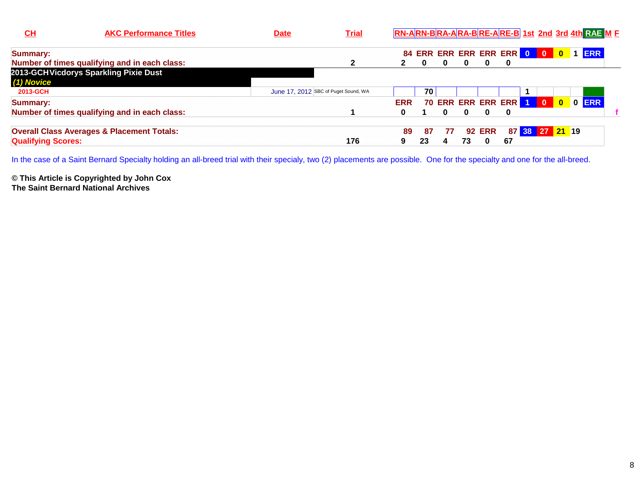| $CH$                      | <b>AKC Performance Titles</b>                         | <b>Date</b>                          | <b>Trial</b> | RN-ARN-BRA-ARA-BRE-ARE-B 1st 2nd 3rd 4th RAE M E |          |    |    |               |                            |  |                         |            |  |
|---------------------------|-------------------------------------------------------|--------------------------------------|--------------|--------------------------------------------------|----------|----|----|---------------|----------------------------|--|-------------------------|------------|--|
| <b>Summary:</b>           |                                                       |                                      |              |                                                  |          |    |    |               | 84 ERR ERR ERR ERR ERR 0 0 |  | $\overline{\mathbf{0}}$ | <b>ERR</b> |  |
|                           | Number of times qualifying and in each class:         |                                      |              | $\mathbf{2}$                                     | $\bf{0}$ | 0  | 0  | 0             | 0                          |  |                         |            |  |
| (1) Novice                | 2013-GCHVicdorys Sparkling Pixie Dust                 |                                      |              |                                                  |          |    |    |               |                            |  |                         |            |  |
| 2013-GCH                  |                                                       | June 17, 2012 SBC of Puget Sound, WA |              |                                                  | 70.      |    |    |               |                            |  |                         |            |  |
| <b>Summary:</b>           |                                                       |                                      |              | <b>ERR</b>                                       |          |    |    |               | 70 ERR ERR ERR ERR 1 0     |  |                         | 0 0 ERR    |  |
|                           | Number of times qualifying and in each class:         |                                      |              | 0                                                |          | 0  | 0  | $\mathbf{0}$  | $\bf{0}$                   |  |                         |            |  |
|                           | <b>Overall Class Averages &amp; Placement Totals:</b> |                                      |              | 89                                               | 87       | 77 |    | <b>92 ERR</b> |                            |  | 87 38 27 21 19          |            |  |
| <b>Qualifying Scores:</b> |                                                       |                                      | 176          | 9                                                | 23       | 4  | 73 | $\bf{0}$      | 67                         |  |                         |            |  |

In the case of a Saint Bernard Specialty holding an all-breed trial with their specialy, two (2) placements are possible. One for the specialty and one for the all-breed.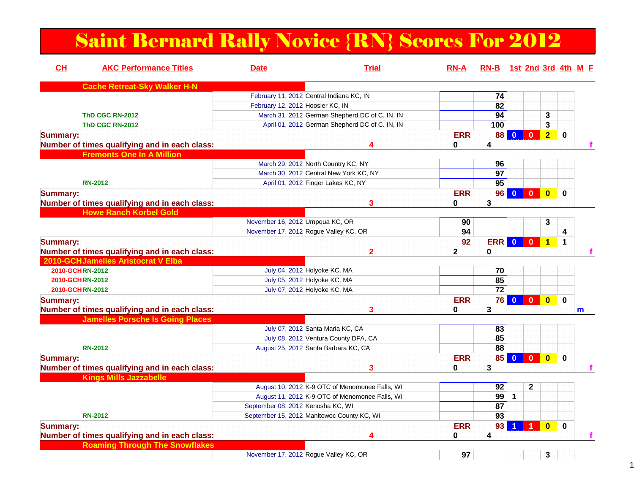### Saint Bernard Rally Novice {RN} Scores For 2012

| CH<br><b>AKC Performance Titles</b>                                                    | <b>Date</b>                       | <b>Trial</b>                                   | <b>RN-A</b> | RN-B 1st 2nd 3rd 4th M F |              |                |                                        |             |
|----------------------------------------------------------------------------------------|-----------------------------------|------------------------------------------------|-------------|--------------------------|--------------|----------------|----------------------------------------|-------------|
| <b>Cache Retreat-Sky Walker H-N</b>                                                    |                                   |                                                |             |                          |              |                |                                        |             |
|                                                                                        |                                   | February 11, 2012 Central Indiana KC, IN       |             | 74                       |              |                |                                        |             |
|                                                                                        | February 12, 2012 Hoosier KC, IN  |                                                |             | $\overline{82}$          |              |                |                                        |             |
| <b>ThD CGC RN-2012</b>                                                                 |                                   | March 31, 2012 German Shepherd DC of C. IN, IN |             | 94                       |              |                | 3                                      |             |
| <b>ThD CGC RN-2012</b>                                                                 |                                   | April 01, 2012 German Shepherd DC of C. IN, IN |             | 100                      |              |                | 3                                      |             |
| <b>Summary:</b>                                                                        |                                   |                                                | <b>ERR</b>  | 88                       |              | 0              | 2 <sub>2</sub><br>$\mathbf 0$          |             |
| Number of times qualifying and in each class:                                          |                                   |                                                | 0           | 4                        |              |                |                                        |             |
| <b>Fremonts One In A Million</b>                                                       |                                   |                                                |             |                          |              |                |                                        |             |
|                                                                                        |                                   | March 29, 2012 North Country KC, NY            |             | 96                       |              |                |                                        |             |
|                                                                                        |                                   | March 30, 2012 Central New York KC, NY         |             | 97                       |              |                |                                        |             |
| <b>RN-2012</b>                                                                         |                                   | April 01, 2012 Finger Lakes KC, NY             |             | $\overline{95}$          |              |                |                                        |             |
| <b>Summary:</b>                                                                        |                                   |                                                | <b>ERR</b>  | 96                       | $\Omega$     | $\mathbf{0}$   | $\overline{0}$                         | $\bf{0}$    |
| Number of times qualifying and in each class:                                          |                                   | 3                                              | 0           | 3                        |              |                |                                        |             |
| <b>Howe Ranch Korbel Gold</b>                                                          |                                   |                                                |             |                          |              |                |                                        |             |
|                                                                                        | November 16, 2012 Umpqua KC, OR   |                                                | 90          |                          |              |                | 3                                      |             |
|                                                                                        |                                   | November 17, 2012 Rogue Valley KC, OR          | 94          |                          |              |                |                                        | 4           |
| <b>Summary:</b>                                                                        |                                   |                                                | 92          | ERR 0                    |              | $\mathbf{0}$   | 1                                      | $\mathbf 1$ |
| Number of times qualifying and in each class:                                          |                                   | $\overline{2}$                                 | 2           | $\bf{0}$                 |              |                |                                        |             |
| 2010-GCHJamelles Aristocrat V Elba                                                     |                                   |                                                |             |                          |              |                |                                        |             |
| 2010-GCHRN-2012                                                                        |                                   | July 04, 2012 Holyoke KC, MA                   |             | 70                       |              |                |                                        |             |
| 2010-GCHRN-2012                                                                        |                                   | July 05, 2012 Holyoke KC, MA                   |             | 85                       |              |                |                                        |             |
| 2010-GCHRN-2012                                                                        |                                   | July 07, 2012 Holyoke KC, MA                   |             | $\overline{72}$          |              |                |                                        |             |
| <b>Summary:</b>                                                                        |                                   |                                                | <b>ERR</b>  | 76                       | $\mathbf{0}$ | $\mathbf{0}$   | $\overline{\mathbf{0}}$<br>$\mathbf 0$ |             |
| Number of times qualifying and in each class:                                          |                                   | 3                                              | 0           | 3                        |              |                |                                        | m           |
| <b>Jamelles Porsche Is Going Places</b>                                                |                                   |                                                |             |                          |              |                |                                        |             |
|                                                                                        |                                   | July 07, 2012 Santa Maria KC, CA               |             | 83                       |              |                |                                        |             |
|                                                                                        |                                   | July 08, 2012 Ventura County DFA, CA           |             | 85                       |              |                |                                        |             |
| <b>RN-2012</b>                                                                         |                                   | August 25, 2012 Santa Barbara KC, CA           |             | 88                       |              |                |                                        |             |
| <b>Summary:</b>                                                                        |                                   |                                                | <b>ERR</b>  | 85 <sup>1</sup>          | $\mathbf{0}$ | $\overline{0}$ | $\bullet$                              | $\mathbf 0$ |
| Number of times qualifying and in each class:                                          |                                   | 3                                              | 0           | 3                        |              |                |                                        |             |
| <b>Kings Mills Jazzabelle</b>                                                          |                                   |                                                |             |                          |              |                |                                        |             |
|                                                                                        |                                   | August 10, 2012 K-9 OTC of Menomonee Falls, WI |             | 92                       |              | $\mathbf{2}$   |                                        |             |
|                                                                                        |                                   | August 11, 2012 K-9 OTC of Menomonee Falls, WI |             | 99                       | $\mathbf{1}$ |                |                                        |             |
|                                                                                        | September 08, 2012 Kenosha KC, WI |                                                |             | 87                       |              |                |                                        |             |
| <b>RN-2012</b>                                                                         |                                   | September 15, 2012 Manitowoc County KC, WI     |             | 93                       |              |                |                                        |             |
| <b>Summary:</b>                                                                        |                                   |                                                | <b>ERR</b>  | 93                       |              |                | $\overline{\mathbf{0}}$<br>$\mathbf 0$ |             |
|                                                                                        |                                   |                                                | 0           | 4                        |              |                |                                        |             |
| Number of times qualifying and in each class:<br><b>Roaming Through The Snowflakes</b> |                                   |                                                |             |                          |              |                |                                        |             |
|                                                                                        |                                   | November 17, 2012 Rogue Valley KC, OR          | 97          |                          |              |                | 3                                      |             |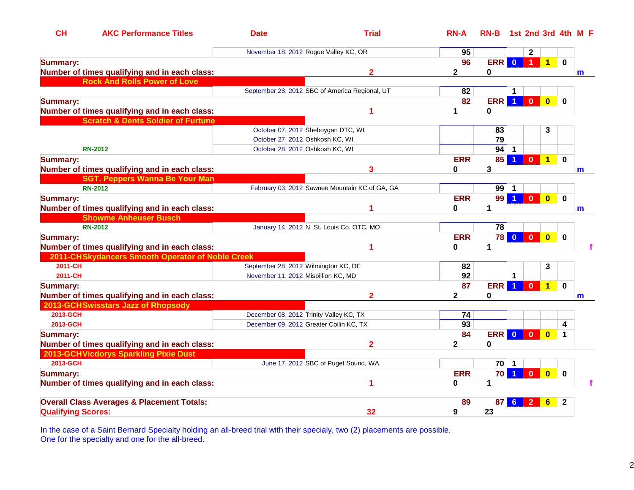| <b>AKC Performance Titles</b><br>CH                   | <b>Date</b>                             | <b>Trial</b>                                   | $RN-A$       | RN-B 1st 2nd 3rd 4th M F |                      |                      |                         |              |              |
|-------------------------------------------------------|-----------------------------------------|------------------------------------------------|--------------|--------------------------|----------------------|----------------------|-------------------------|--------------|--------------|
|                                                       |                                         | November 18, 2012 Rogue Valley KC, OR          | 95           |                          |                      | $\mathbf{2}$         |                         |              |              |
| <b>Summary:</b>                                       |                                         |                                                | 96           | <b>ERR</b>               | $\overline{0}$       | $\blacktriangleleft$ | $\blacksquare$ 1        | $\mathbf 0$  |              |
| Number of times qualifying and in each class:         |                                         | $\overline{2}$                                 | 2            | 0                        |                      |                      |                         |              | m            |
| <b>Rock And Rolls Power of Love</b>                   |                                         |                                                |              |                          |                      |                      |                         |              |              |
|                                                       |                                         | September 28, 2012 SBC of America Regional, UT | 82           |                          | 1                    |                      |                         |              |              |
| <b>Summary:</b>                                       |                                         |                                                | 82           | ERR                      | $\blacktriangleleft$ | $\mathbf{0}$         | $\overline{\mathbf{0}}$ | $\bf{0}$     |              |
| Number of times qualifying and in each class:         |                                         | 1                                              | 1            | $\mathbf 0$              |                      |                      |                         |              |              |
| <b>Scratch &amp; Dents Soldier of Furtune</b>         |                                         |                                                |              |                          |                      |                      |                         |              |              |
|                                                       |                                         | October 07, 2012 Sheboygan DTC, WI             |              | 83                       |                      |                      | 3                       |              |              |
|                                                       | October 27, 2012 Oshkosh KC, WI         |                                                |              | 79                       |                      |                      |                         |              |              |
| <b>RN-2012</b>                                        | October 28, 2012 Oshkosh KC, WI         |                                                |              | $94$ 1                   |                      |                      |                         |              |              |
| <b>Summary:</b>                                       |                                         |                                                | <b>ERR</b>   | 85                       |                      | $\mathbf{0}$         | $\mathbf{1}$            | $\bf{0}$     |              |
| Number of times qualifying and in each class:         |                                         | 3                                              | 0            | 3                        |                      |                      |                         |              | m            |
| <b>SGT. Peppers Wanna Be Your Man</b>                 |                                         |                                                |              |                          |                      |                      |                         |              |              |
| <b>RN-2012</b>                                        |                                         | February 03, 2012 Sawnee Mountain KC of GA, GA |              | $99$ 1                   |                      |                      |                         |              |              |
| <b>Summary:</b>                                       |                                         |                                                | <b>ERR</b>   | 99                       |                      | $\mathbf{0}$         | $\overline{\mathbf{0}}$ | $\mathbf 0$  |              |
| Number of times qualifying and in each class:         |                                         |                                                | 0            | 1                        |                      |                      |                         |              | m            |
| <b>Showme Anheuser Busch</b>                          |                                         |                                                |              |                          |                      |                      |                         |              |              |
| <b>RN-2012</b>                                        |                                         | January 14, 2012 N. St. Louis Co. OTC, MO      |              | 78                       |                      |                      |                         |              |              |
| <b>Summary:</b>                                       |                                         |                                                | <b>ERR</b>   | 78                       | $\overline{0}$       | $\bullet$            | $\overline{\mathbf{0}}$ | $\mathbf 0$  |              |
| Number of times qualifying and in each class:         |                                         | 1                                              | 0            | $\mathbf 1$              |                      |                      |                         |              |              |
| 2011-CHSkydancers Smooth Operator of Noble Creek      |                                         |                                                |              |                          |                      |                      |                         |              |              |
| 2011-CH                                               | September 28, 2012 Wilmington KC, DE    |                                                | 82           |                          |                      |                      | 3                       |              |              |
| 2011-CH                                               | November 11, 2012 Mispillion KC, MD     |                                                | 92           |                          | 1                    |                      |                         |              |              |
| <b>Summary:</b>                                       |                                         |                                                | 87           | <b>ERR</b>               | $\blacktriangleleft$ | $\mathbf{0}$         | 1 <sup>1</sup>          | $\mathbf 0$  |              |
| Number of times qualifying and in each class:         |                                         | $\overline{2}$                                 | 2            | 0                        |                      |                      |                         |              | $\mathsf{m}$ |
| 2013-GCHSwisstars Jazz of Rhopsody                    |                                         |                                                |              |                          |                      |                      |                         |              |              |
| 2013-GCH                                              | December 08, 2012 Trinity Valley KC, TX |                                                | 74           |                          |                      |                      |                         |              |              |
| 2013-GCH                                              |                                         | December 09, 2012 Greater Collin KC, TX        | 93           |                          |                      |                      |                         | 4            |              |
| <b>Summary:</b>                                       |                                         |                                                | 84           | <b>ERR</b>               | $\overline{0}$       | $\overline{0}$       | $\mathbf{0}$            | $\mathbf 1$  |              |
| Number of times qualifying and in each class:         |                                         | $\overline{2}$                                 | $\mathbf{2}$ | $\bf{0}$                 |                      |                      |                         |              |              |
| 2013-GCHVicdorys Sparkling Pixie Dust                 |                                         |                                                |              |                          |                      |                      |                         |              |              |
| 2013-GCH                                              |                                         | June 17, 2012 SBC of Puget Sound, WA           |              | $70$   1                 |                      |                      |                         |              |              |
| <b>Summary:</b>                                       |                                         |                                                | <b>ERR</b>   | 70                       | $\blacktriangleleft$ | $\mathbf{0}$         | $\overline{\mathbf{0}}$ | $\bf{0}$     |              |
| Number of times qualifying and in each class:         |                                         | 1                                              | 0            | 1                        |                      |                      |                         |              |              |
| <b>Overall Class Averages &amp; Placement Totals:</b> |                                         |                                                | 89           | 87                       | 6                    | $\mathbf{2}$         | $6\phantom{1}6$         | $\mathbf{2}$ |              |
| <b>Qualifying Scores:</b>                             |                                         | 32                                             | 9            | 23                       |                      |                      |                         |              |              |

In the case of a Saint Bernard Specialty holding an all-breed trial with their specialy, two (2) placements are possible. One for the specialty and one for the all-breed.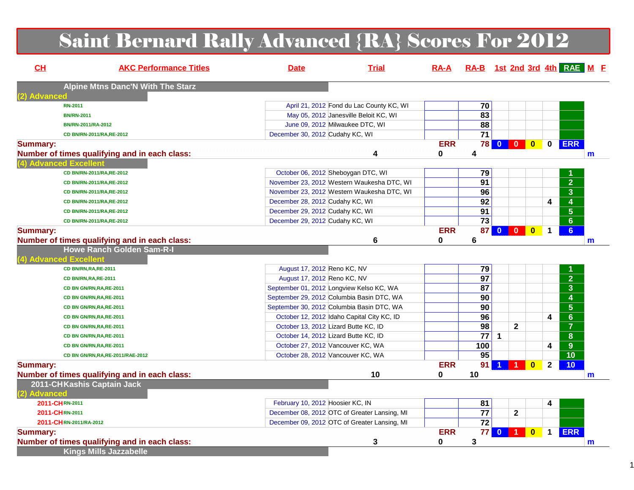# Saint Bernard Rally Advanced {RA} Scores For 2012

| CL              | <b>AKC Performance Titles</b>                                           | <b>Date</b>                      | <b>Trial</b>                                 | $RA-A$     | RA-B 1st 2nd 3rd 4th RAE M F |              |                         |                         |                                             |   |
|-----------------|-------------------------------------------------------------------------|----------------------------------|----------------------------------------------|------------|------------------------------|--------------|-------------------------|-------------------------|---------------------------------------------|---|
|                 | <b>Alpine Mtns Danc'N With The Starz</b>                                |                                  |                                              |            |                              |              |                         |                         |                                             |   |
| (2) Advanced    | <b>RN-2011</b>                                                          |                                  | April 21, 2012 Fond du Lac County KC, WI     |            | 70                           |              |                         |                         |                                             |   |
|                 | <b>BN/RN-2011</b>                                                       |                                  | May 05, 2012 Janesville Beloit KC, WI        |            | $\overline{83}$              |              |                         |                         |                                             |   |
|                 | BN/RN-2011/RA-2012                                                      |                                  | June 09, 2012 Milwaukee DTC, WI              |            | 88                           |              |                         |                         |                                             |   |
|                 | CD BN/RN-2011/RA, RE-2012                                               | December 30, 2012 Cudahy KC, WI  |                                              |            | $\overline{71}$              |              |                         |                         |                                             |   |
|                 |                                                                         |                                  |                                              | <b>ERR</b> |                              | 78 0 0       | $\overline{\mathbf{0}}$ | $\mathbf 0$             | <b>ERR</b>                                  |   |
| <b>Summary:</b> |                                                                         |                                  |                                              | $\bf{0}$   |                              |              |                         |                         |                                             |   |
|                 | Number of times qualifying and in each class:<br>(4) Advanced Excellent |                                  | 4                                            |            | 4                            |              |                         |                         |                                             | m |
|                 | CD BN/RN-2011/RA,RE-2012                                                |                                  |                                              |            | 79                           |              |                         |                         |                                             |   |
|                 |                                                                         |                                  | October 06, 2012 Sheboygan DTC, WI           |            | 91                           |              |                         |                         | $\overline{2}$                              |   |
|                 | CD BN/RN-2011/RA,RE-2012                                                |                                  | November 23, 2012 Western Waukesha DTC, WI   |            | 96                           |              |                         |                         | $\overline{\overline{3}}$                   |   |
|                 | CD BN/RN-2011/RA,RE-2012                                                |                                  | November 23, 2012 Western Waukesha DTC, WI   |            | $\overline{92}$              |              |                         | 4                       | $\overline{4}$                              |   |
|                 | CD BN/RN-2011/RA,RE-2012                                                | December 28, 2012 Cudahy KC, WI  |                                              |            | 91                           |              |                         |                         | $\overline{5}$                              |   |
|                 | CD BN/RN-2011/RA,RE-2012                                                | December 29, 2012 Cudahy KC, WI  |                                              |            | $\overline{73}$              |              |                         |                         |                                             |   |
|                 | CD BN/RN-2011/RA,RE-2012                                                | December 29, 2012 Cudahy KC, WI  |                                              |            |                              |              |                         |                         | $\overline{6}$                              |   |
| <b>Summary:</b> |                                                                         |                                  |                                              | <b>ERR</b> | 87 <sup>°</sup>              |              | $\bf{0}$                | $\mathbf 1$             | 6 <sup>1</sup>                              |   |
|                 | Number of times qualifying and in each class:                           |                                  | 6                                            | 0          | 6                            |              |                         |                         |                                             | m |
|                 | <b>Howe Ranch Golden Sam-R-I</b>                                        |                                  |                                              |            |                              |              |                         |                         |                                             |   |
|                 | (4) Advanced Excellent<br>CD BN/RN, RA, RE-2011                         |                                  |                                              |            |                              |              |                         |                         |                                             |   |
|                 |                                                                         | August 17, 2012 Reno KC, NV      |                                              |            | 79<br>$\overline{97}$        |              |                         |                         | 1                                           |   |
|                 | CD BN/RN, RA, RE-2011                                                   | August 17, 2012 Reno KC, NV      |                                              |            |                              |              |                         |                         | $\overline{2}$                              |   |
|                 | CD BN GN/RN, RA, RE-2011                                                |                                  | September 01, 2012 Longview Kelso KC, WA     |            | 87<br>90                     |              |                         |                         | $\overline{\overline{3}}$<br>$\overline{4}$ |   |
|                 | CD BN GN/RN, RA, RE-2011                                                |                                  | September 29, 2012 Columbia Basin DTC, WA    |            |                              |              |                         |                         |                                             |   |
|                 | CD BN GN/RN, RA, RE-2011                                                |                                  | September 30, 2012 Columbia Basin DTC, WA    |            | 90                           |              |                         |                         | $\overline{5}$                              |   |
|                 | CD BN GN/RN, RA, RE-2011                                                |                                  | October 12, 2012 Idaho Capital City KC, ID   |            | 96                           |              |                         | $\overline{\mathbf{4}}$ | $\overline{6}$                              |   |
|                 | CD BN GN/RN, RA, RE-2011                                                |                                  | October 13, 2012 Lizard Butte KC, ID         |            | $\overline{98}$              | $\mathbf{2}$ |                         |                         | $\overline{\mathbf{7}}$                     |   |
|                 | CD BN GN/RN, RA, RE-2011                                                |                                  | October 14, 2012 Lizard Butte KC, ID         |            | $\overline{77}$              | 1            |                         |                         | $\overline{\mathbf{8}}$                     |   |
|                 | CD BN GN/RN, RA, RE-2011                                                |                                  | October 27, 2012 Vancouver KC, WA            |            | 100                          |              |                         | 4                       | $\overline{9}$                              |   |
|                 | CD BN GN/RN, RA, RE-2011/RAE-2012                                       |                                  | October 28, 2012 Vancouver KC, WA            |            | 95                           |              |                         |                         | $\overline{10}$                             |   |
| <b>Summary:</b> |                                                                         |                                  |                                              | <b>ERR</b> | 91                           | 1            | $\bf{0}$                | $\mathbf{2}$            | 10                                          |   |
|                 | Number of times qualifying and in each class:                           |                                  | 10                                           | 0          | 10                           |              |                         |                         |                                             | m |
|                 | 2011-CHKashis Captain Jack                                              |                                  |                                              |            |                              |              |                         |                         |                                             |   |
| (2) Advanced    |                                                                         |                                  |                                              |            |                              |              |                         |                         |                                             |   |
|                 | 2011-CHRN-2011                                                          | February 10, 2012 Hoosier KC, IN |                                              |            | 81                           |              |                         | 4                       |                                             |   |
|                 | 2011-CHRN-2011                                                          |                                  | December 08, 2012 OTC of Greater Lansing, MI |            | 77                           | $\mathbf{2}$ |                         |                         |                                             |   |
|                 | 2011-CHRN-2011/RA-2012                                                  |                                  | December 09, 2012 OTC of Greater Lansing, MI |            | $\overline{72}$              |              |                         |                         |                                             |   |
| <b>Summary:</b> |                                                                         |                                  |                                              | <b>ERR</b> | 77                           | $0$ 1        | $\bf{0}$                | $\mathbf 1$             | <b>ERR</b>                                  |   |
|                 | Number of times qualifying and in each class:                           |                                  | 3                                            | 0          | 3                            |              |                         |                         |                                             | m |
|                 | <b>Kings Mills Jazzabelle</b>                                           |                                  |                                              |            |                              |              |                         |                         |                                             |   |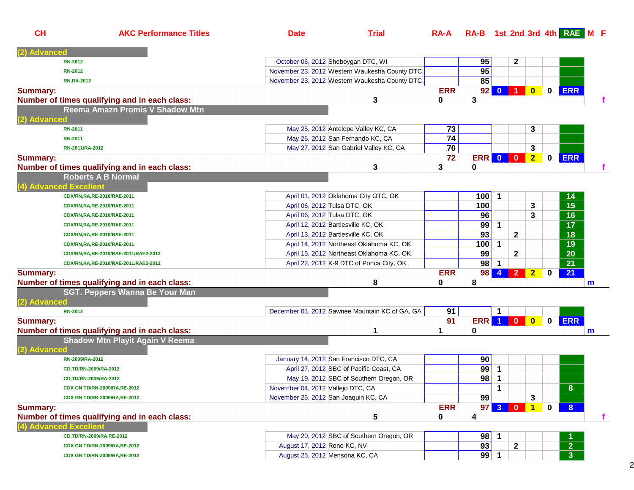| CH              | <b>AKC Performance Titles</b>                                              | <b>Date</b>                       | <b>Trial</b>                                   | $RA-A$     |                  |                      |                  |                         |             | RA-B 1st 2nd 3rd 4th RAE M F |    |
|-----------------|----------------------------------------------------------------------------|-----------------------------------|------------------------------------------------|------------|------------------|----------------------|------------------|-------------------------|-------------|------------------------------|----|
| <b>Advanced</b> |                                                                            |                                   |                                                |            |                  |                      |                  |                         |             |                              |    |
|                 | <b>RN-2012</b>                                                             |                                   | October 06, 2012 Sheboygan DTC, WI             |            | 95               |                      | $\mathbf{2}$     |                         |             |                              |    |
|                 | <b>RN-2012</b>                                                             |                                   | November 23, 2012 Western Waukesha County DTC, |            | 95               |                      |                  |                         |             |                              |    |
|                 | <b>RN, RA-2012</b>                                                         |                                   | November 23, 2012 Western Waukesha County DTC, |            | 85               |                      |                  |                         |             |                              |    |
| <b>Summary:</b> |                                                                            |                                   |                                                | <b>ERR</b> |                  | $92$ 0               | $\blacksquare$   | $\overline{\mathbf{0}}$ | $\mathbf 0$ | <b>ERR</b>                   |    |
|                 | Number of times qualifying and in each class:                              |                                   | 3                                              | 0          | 3                |                      |                  |                         |             |                              |    |
|                 | Reema Amazn Promis V Shadow Mtn                                            |                                   |                                                |            |                  |                      |                  |                         |             |                              |    |
| 2) Advanced     |                                                                            |                                   |                                                |            |                  |                      |                  |                         |             |                              |    |
|                 | <b>RN-2011</b>                                                             |                                   | May 25, 2012 Antelope Valley KC, CA            | 73         |                  |                      |                  | 3                       |             |                              |    |
|                 | <b>RN-2011</b>                                                             |                                   | May 26, 2012 San Fernando KC, CA               | 74         |                  |                      |                  |                         |             |                              |    |
|                 | RN-2011/RA-2012                                                            |                                   | May 27, 2012 San Gabriel Valley KC, CA         | 70         |                  |                      |                  | 3                       |             |                              |    |
| <b>Summary:</b> |                                                                            |                                   |                                                | 72         | <b>ERR 0 0 0</b> |                      |                  | $\overline{2}$          | $\mathbf 0$ | <b>ERR</b>                   |    |
|                 | Number of times qualifying and in each class:<br><b>Roberts A B Normal</b> |                                   | 3                                              | 3          | 0                |                      |                  |                         |             |                              |    |
|                 | 4) Advanced Excellent                                                      |                                   |                                                |            |                  |                      |                  |                         |             |                              |    |
|                 | CDX/RN,RA,RE-2010/RAE-2011                                                 |                                   | April 01, 2012 Oklahoma City OTC, OK           |            | 100              | $\mathbf 1$          |                  |                         |             | 14                           |    |
|                 | CDX/RN,RA,RE-2010/RAE-2011                                                 |                                   | April 06, 2012 Tulsa DTC, OK                   |            | 100              |                      |                  | 3                       |             | $\overline{15}$              |    |
|                 | CDX/RN,RA,RE-2010/RAE-2011                                                 |                                   | April 06, 2012 Tulsa DTC, OK                   |            | 96               |                      |                  | 3                       |             | 16                           |    |
|                 | CDX/RN,RA,RE-2010/RAE-2011                                                 |                                   | April 12, 2012 Bartlesville KC, OK             |            | 99               | $\mathbf 1$          |                  |                         |             | 17                           |    |
|                 | CDX/RN,RA,RE-2010/RAE-2011                                                 |                                   | April 13, 2012 Bartlesville KC, OK             |            | 93               |                      | $\mathbf{2}$     |                         |             | 18                           |    |
|                 | CDX/RN,RA,RE-2010/RAE-2011                                                 |                                   | April 14, 2012 Northeast Oklahoma KC, OK       |            | 100              | $\mathbf 1$          |                  |                         |             | 19                           |    |
|                 | CDX/RN,RA,RE-2010/RAE-2011/RAE2-2012                                       |                                   | April 15, 2012 Northeast Oklahoma KC, OK       |            | 99               |                      | $\mathbf{2}$     |                         |             | 20                           |    |
|                 | CDX/RN,RA,RE-2010/RAE-2011/RAE2-2012                                       |                                   | April 22, 2012 K-9 DTC of Ponca City, OK       |            | 98               | $\overline{1}$       |                  |                         |             | 21                           |    |
| <b>Summary:</b> |                                                                            |                                   |                                                | <b>ERR</b> | 98               | $\blacktriangleleft$ | $\vert$ 2        | $\overline{2}$          | 0           | 21                           |    |
|                 | Number of times qualifying and in each class:                              |                                   | 8                                              | 0          | 8                |                      |                  |                         |             |                              | m  |
|                 | <b>SGT. Peppers Wanna Be Your Man</b>                                      |                                   |                                                |            |                  |                      |                  |                         |             |                              |    |
| (2) Advanced    |                                                                            |                                   |                                                |            |                  |                      |                  |                         |             |                              |    |
|                 | <b>RN-2012</b>                                                             |                                   | December 01, 2012 Sawnee Mountain KC of GA, GA | 91         |                  | 1                    |                  |                         |             |                              |    |
| <b>Summary:</b> |                                                                            |                                   |                                                | 91         |                  |                      | <b>ERR 1 0 0</b> |                         | $\mathbf 0$ | <b>ERR</b>                   |    |
|                 | Number of times qualifying and in each class:                              |                                   | 1                                              | 1          | 0                |                      |                  |                         |             |                              | m  |
|                 | <b>Shadow Mtn Playit Again V Reema</b>                                     |                                   |                                                |            |                  |                      |                  |                         |             |                              |    |
| 2) Advance      |                                                                            |                                   |                                                |            |                  |                      |                  |                         |             |                              |    |
|                 | RN-2009/RA-2012                                                            |                                   | January 14, 2012 San Francisco DTC, CA         |            | 90               |                      |                  |                         |             |                              |    |
|                 | CD,TD/RN-2009/RA-2012                                                      |                                   | April 27, 2012 SBC of Pacific Coast, CA        |            | 99               | $\mathbf 1$          |                  |                         |             |                              |    |
|                 | CD,TD/RN-2009/RA-2012                                                      |                                   | May 19, 2012 SBC of Southern Oregon, OR        |            | 98               | $\mathbf 1$          |                  |                         |             |                              |    |
|                 | CDX GN TD/RN-2009/RA,RE-2012                                               | November 04, 2012 Vallejo DTC, CA |                                                |            |                  | 1                    |                  |                         |             | 8.                           |    |
|                 | CDX GN TD/RN-2009/RA,RE-2012                                               |                                   | November 25, 2012 San Joaquin KC, CA           |            | 99               |                      |                  | 3                       |             |                              |    |
| <b>Summary:</b> |                                                                            |                                   |                                                | <b>ERR</b> |                  | 97 3 0               |                  | $\blacksquare$ 1        | 0           | 8 <sup>1</sup>               |    |
|                 | Number of times qualifying and in each class:                              |                                   | 5                                              | 0          | 4                |                      |                  |                         |             |                              | Ť. |
|                 | <b>Advanced Excellent</b>                                                  |                                   |                                                |            |                  |                      |                  |                         |             |                              |    |
|                 | CD,TD/RN-2009/RA,RE-2012                                                   |                                   | May 20, 2012 SBC of Southern Oregon, OR        |            | 98               | 1                    |                  |                         |             |                              |    |
|                 | CDX GN TD/RN-2009/RA,RE-2012                                               | August 17, 2012 Reno KC, NV       |                                                |            | 93               |                      | $\mathbf{2}$     |                         |             | 2 <sup>1</sup>               |    |
|                 | CDX GN TD/RN-2009/RA,RE-2012                                               |                                   | August 25, 2012 Mensona KC, CA                 |            | 99               | 1                    |                  |                         |             | 3 <sup>1</sup>               |    |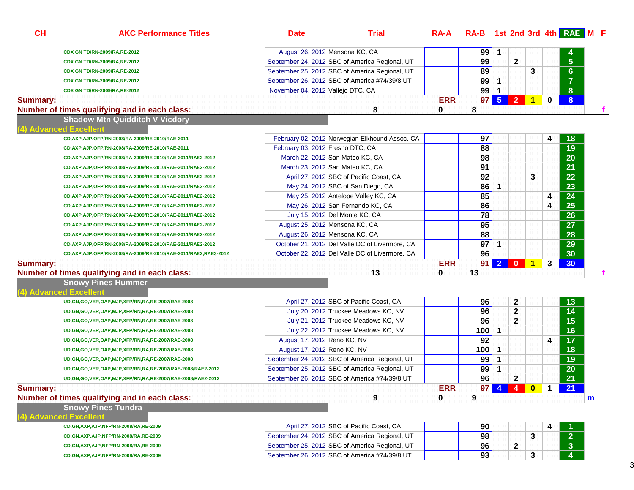| CH              | <b>AKC Performance Titles</b>                                      | <b>Date</b>                       | <b>Trial</b>                                   | <u>RA-A</u> | RA-B 1st 2nd 3rd 4th RAE M E |                |              |   |                |                 |   |
|-----------------|--------------------------------------------------------------------|-----------------------------------|------------------------------------------------|-------------|------------------------------|----------------|--------------|---|----------------|-----------------|---|
|                 | CDX GN TD/RN-2009/RA, RE-2012                                      | August 26, 2012 Mensona KC, CA    |                                                |             | 99                           | $\mathbf 1$    |              |   |                |                 |   |
|                 | CDX GN TD/RN-2009/RA,RE-2012                                       |                                   | September 24, 2012 SBC of America Regional, UT |             | 99                           |                | $\mathbf{2}$ |   |                | $5\phantom{.}$  |   |
|                 | CDX GN TD/RN-2009/RA,RE-2012                                       |                                   | September 25, 2012 SBC of America Regional, UT |             | 89                           |                |              | 3 |                | 6 <sup>°</sup>  |   |
|                 | CDX GN TD/RN-2009/RA,RE-2012                                       |                                   | September 26, 2012 SBC of America #74/39/8 UT  |             | 99                           | $\overline{1}$ |              |   |                | $\overline{7}$  |   |
|                 | CDX GN TD/RN-2009/RA,RE-2012                                       | November 04, 2012 Vallejo DTC, CA |                                                |             | 99                           | -1             |              |   |                | 8 <sup>°</sup>  |   |
| <b>Summary:</b> |                                                                    |                                   |                                                | <b>ERR</b>  | 97 <sup>1</sup>              | $5^{\circ}$    | $2 \mid 1$   |   | $\mathbf 0$    | 8               |   |
|                 | Number of times qualifying and in each class:                      |                                   | 8                                              | 0           | 8                            |                |              |   |                |                 |   |
|                 | <b>Shadow Mtn Quidditch V Vicdory</b>                              |                                   |                                                |             |                              |                |              |   |                |                 |   |
|                 | (4) Advanced Excellent                                             |                                   |                                                |             |                              |                |              |   |                |                 |   |
|                 | CD, AXP, AJP, OFP/RN-2008/RA-2009/RE-2010/RAE-2011                 |                                   | February 02, 2012 Norwegian Elkhound Assoc. CA |             | 97                           |                |              |   | 4              | 18              |   |
|                 | CD, AXP, AJP, OFP/RN-2008/RA-2009/RE-2010/RAE-2011                 | February 03, 2012 Fresno DTC, CA  |                                                |             | 88                           |                |              |   |                | 19              |   |
|                 | CD, AXP, AJP, OFP/RN-2008/RA-2009/RE-2010/RAE-2011/RAE2-2012       | March 22, 2012 San Mateo KC, CA   |                                                |             | 98                           |                |              |   |                | 20              |   |
|                 | CD, AXP, AJP, OFP/RN-2008/RA-2009/RE-2010/RAE-2011/RAE2-2012       | March 23, 2012 San Mateo KC, CA   |                                                |             | 91                           |                |              |   |                | 21              |   |
|                 | CD, AXP, AJP, OFP/RN-2008/RA-2009/RE-2010/RAE-2011/RAE2-2012       |                                   | April 27, 2012 SBC of Pacific Coast, CA        |             | 92                           |                |              | 3 |                | 22              |   |
|                 | CD, AXP, AJP, OFP/RN-2008/RA-2009/RE-2010/RAE-2011/RAE2-2012       |                                   | May 24, 2012 SBC of San Diego, CA              |             | 86                           | $\mathbf 1$    |              |   |                | 23              |   |
|                 | CD, AXP, AJP, OFP/RN-2008/RA-2009/RE-2010/RAE-2011/RAE2-2012       |                                   | May 25, 2012 Antelope Valley KC, CA            |             | 85                           |                |              |   | 4              | 24              |   |
|                 | CD, AXP, AJP, OFP/RN-2008/RA-2009/RE-2010/RAE-2011/RAE2-2012       |                                   | May 26, 2012 San Fernando KC, CA               |             | 86                           |                |              |   | 4              | $\overline{25}$ |   |
|                 | CD, AXP, AJP, OFP/RN-2008/RA-2009/RE-2010/RAE-2011/RAE2-2012       | July 15, 2012 Del Monte KC, CA    |                                                |             | $\overline{78}$              |                |              |   |                | 26              |   |
|                 | CD, AXP, AJP, OFP/RN-2008/RA-2009/RE-2010/RAE-2011/RAE2-2012       | August 25, 2012 Mensona KC, CA    |                                                |             | 95                           |                |              |   |                | 27              |   |
|                 | CD, AXP, AJP, OFP/RN-2008/RA-2009/RE-2010/RAE-2011/RAE2-2012       | August 26, 2012 Mensona KC, CA    |                                                |             | 88                           |                |              |   |                | 28              |   |
|                 | CD, AXP, AJP, OFP/RN-2008/RA-2009/RE-2010/RAE-2011/RAE2-2012       |                                   | October 21, 2012 Del Valle DC of Livermore, CA |             | 97                           | $\mathbf{1}$   |              |   |                | 29              |   |
|                 | CD, AXP, AJP, OFP/RN-2008/RA-2009/RE-2010/RAE-2011/RAE2, RAE3-2012 |                                   | October 22, 2012 Del Valle DC of Livermore, CA |             | 96                           |                |              |   |                | 30              |   |
| <b>Summary:</b> |                                                                    |                                   |                                                | <b>ERR</b>  | 91                           |                | $2 0 1$      |   | 3              | 30 <sub>o</sub> |   |
|                 | Number of times qualifying and in each class:                      |                                   | 13                                             | 0           | 13                           |                |              |   |                |                 |   |
|                 | <b>Snowy Pines Hummer</b>                                          |                                   |                                                |             |                              |                |              |   |                |                 |   |
|                 | 4) Advanced Excellent                                              |                                   |                                                |             |                              |                |              |   |                |                 |   |
|                 | UD, GN, GO, VER, OAP, MJP, XFP/RN, RA, RE-2007/RAE-2008            |                                   | April 27, 2012 SBC of Pacific Coast, CA        |             | 96                           |                | $\mathbf{2}$ |   |                | 13              |   |
|                 | UD, GN, GO, VER, OAP, MJP, XFP/RN, RA, RE-2007/RAE-2008            |                                   | July 20, 2012 Truckee Meadows KC, NV           |             | 96                           |                | $\mathbf{2}$ |   |                | 14              |   |
|                 | UD, GN, GO, VER, OAP, MJP, XFP/RN, RA, RE-2007/RAE-2008            |                                   | July 21, 2012 Truckee Meadows KC, NV           |             | 96                           |                | $\mathbf{2}$ |   |                | 15              |   |
|                 | UD, GN, GO, VER, OAP, MJP, XFP/RN, RA, RE-2007/RAE-2008            |                                   | July 22, 2012 Truckee Meadows KC, NV           |             | 100                          | $\mathbf 1$    |              |   |                | 16              |   |
|                 | UD, GN, GO, VER, OAP, MJP, XFP/RN, RA, RE-2007/RAE-2008            | August 17, 2012 Reno KC, NV       |                                                |             | 92                           |                |              |   | 4              | 17              |   |
|                 | UD, GN, GO, VER, OAP, MJP, XFP/RN, RA, RE-2007/RAE-2008            | August 17, 2012 Reno KC, NV       |                                                |             | 100                          | $\mathbf{1}$   |              |   |                | 18              |   |
|                 | UD, GN, GO, VER, OAP, MJP, XFP/RN, RA, RE-2007/RAE-2008            |                                   | September 24, 2012 SBC of America Regional, UT |             | 99                           | $\mathbf 1$    |              |   |                | 19              |   |
|                 | UD, GN, GO, VER, OAP, MJP, XFP/RN, RA, RE-2007/RAE-2008/RAE2-2012  |                                   | September 25, 2012 SBC of America Regional, UT |             | 99                           | 1              |              |   |                | 20              |   |
|                 | UD, GN, GO, VER, OAP, MJP, XFP/RN, RA, RE-2007/RAE-2008/RAE2-2012  |                                   | September 26, 2012 SBC of America #74/39/8 UT  |             | $\overline{96}$              |                | $\mathbf{2}$ |   |                | 21              |   |
| <b>Summary:</b> |                                                                    |                                   |                                                | <b>ERR</b>  |                              |                | 97 4 4 0     |   | $\blacksquare$ | 21              |   |
|                 | Number of times qualifying and in each class:                      |                                   | 9                                              | 0           | 9                            |                |              |   |                |                 | m |
|                 |                                                                    |                                   |                                                |             |                              |                |              |   |                |                 |   |
|                 |                                                                    |                                   |                                                |             |                              |                |              |   |                |                 |   |
|                 | <b>Snowy Pines Tundra</b><br>(4) Advanced Excellent                |                                   |                                                |             |                              |                |              |   |                |                 |   |
|                 | CD, GN, AXP, AJP, NFP/RN-2008/RA, RE-2009                          |                                   | April 27, 2012 SBC of Pacific Coast, CA        |             | 90                           |                |              |   | 4              |                 |   |
|                 | CD, GN, AXP, AJP, NFP/RN-2008/RA, RE-2009                          |                                   | September 24, 2012 SBC of America Regional, UT |             | 98                           |                |              | 3 |                | $\overline{2}$  |   |
|                 | CD, GN, AXP, AJP, NFP/RN-2008/RA, RE-2009                          |                                   | September 25, 2012 SBC of America Regional, UT |             | 96                           |                | $\mathbf{2}$ |   |                | $\mathbf{3}$    |   |

3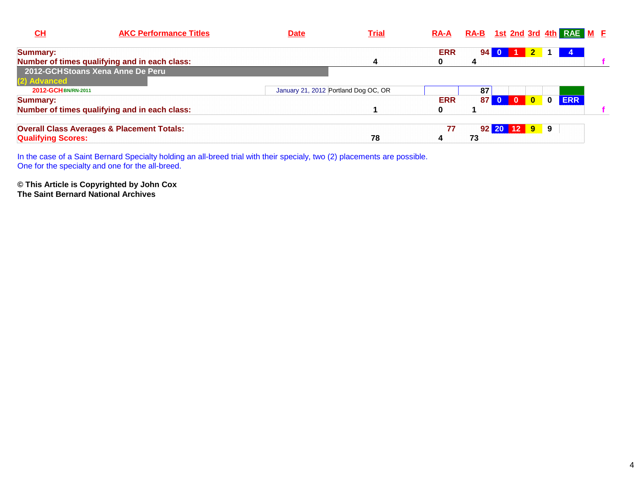| CH                        | <b>AKC Performance Titles</b>                         | <b>Date</b> | <b>Trial</b>                         | $RA-A$     |                 |          |              |          | RA-B 1st 2nd 3rd 4th RAE M E |  |
|---------------------------|-------------------------------------------------------|-------------|--------------------------------------|------------|-----------------|----------|--------------|----------|------------------------------|--|
| <b>Summary:</b>           |                                                       |             |                                      | <b>ERR</b> | 94 <sub>1</sub> | $\bf{0}$ |              |          |                              |  |
|                           | Number of times qualifying and in each class:         |             | 4                                    |            |                 |          |              |          |                              |  |
|                           | 2012-GCHStoans Xena Anne De Peru                      |             |                                      |            |                 |          |              |          |                              |  |
| (2) Advanced              |                                                       |             |                                      |            |                 |          |              |          |                              |  |
| 2012-GCH BN/RN-2011       |                                                       |             | January 21, 2012 Portland Dog OC, OR |            | 87              |          |              |          |                              |  |
| Summary:                  |                                                       |             |                                      | <b>ERR</b> | 87              | $\Omega$ | -0           | $\Omega$ | <b>ERR</b>                   |  |
|                           | Number of times qualifying and in each class:         |             |                                      |            |                 |          |              |          |                              |  |
|                           | <b>Overall Class Averages &amp; Placement Totals:</b> |             |                                      | 77         |                 |          | 92 20 12 9 9 |          |                              |  |
| <b>Qualifying Scores:</b> |                                                       |             | 78                                   |            | 73              |          |              |          |                              |  |

In the case of a Saint Bernard Specialty holding an all-breed trial with their specialy, two (2) placements are possible. One for the specialty and one for the all-breed.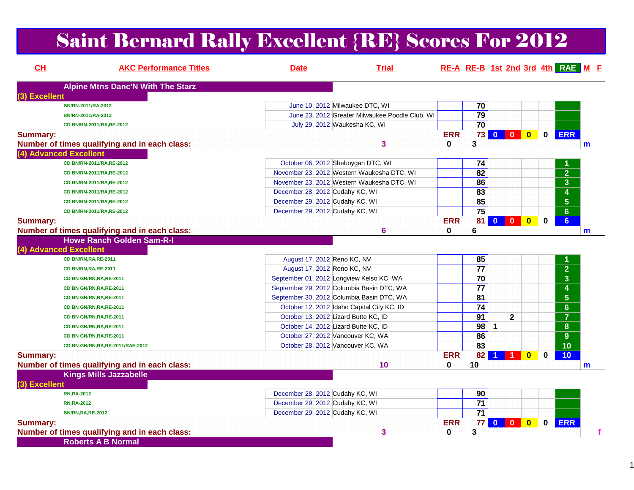# Saint Bernard Rally Excellent {RE} Scores For 2012

| CH              | <b>AKC Performance Titles</b>                 | <b>Date</b>                                | <b>Trial</b>                                    |            |                 |                         |                         |                         |              | RE-A RE-B 1st 2nd 3rd 4th RAE M F    |             |
|-----------------|-----------------------------------------------|--------------------------------------------|-------------------------------------------------|------------|-----------------|-------------------------|-------------------------|-------------------------|--------------|--------------------------------------|-------------|
|                 | <b>Alpine Mtns Danc'N With The Starz</b>      |                                            |                                                 |            |                 |                         |                         |                         |              |                                      |             |
| (3) Excellent   |                                               |                                            |                                                 |            |                 |                         |                         |                         |              |                                      |             |
|                 | BN/RN-2011/RA-2012                            | June 10, 2012 Milwaukee DTC, WI            |                                                 |            | 70              |                         |                         |                         |              |                                      |             |
|                 | BN/RN-2011/RA-2012                            |                                            | June 23, 2012 Greater Milwaukee Poodle Club, WI |            | $\overline{79}$ |                         |                         |                         |              |                                      |             |
|                 | CD BN/RN-2011/RA,RE-2012                      | July 29, 2012 Waukesha KC, WI              |                                                 |            | $\overline{70}$ |                         |                         |                         |              |                                      |             |
| <b>Summary:</b> |                                               |                                            |                                                 | <b>ERR</b> | 73 <sub>1</sub> | $\overline{\mathbf{0}}$ | $\mathbf{0}$            | $\bullet$               | $\mathbf{0}$ | <b>ERR</b>                           |             |
|                 | Number of times qualifying and in each class: |                                            | 3                                               | 0          | 3               |                         |                         |                         |              |                                      | $\mathbf m$ |
|                 | (4) Advanced Excellent                        |                                            |                                                 |            |                 |                         |                         |                         |              |                                      |             |
|                 | CD BN/RN-2011/RA,RE-2012                      | October 06, 2012 Sheboygan DTC, WI         |                                                 |            | 74              |                         |                         |                         |              |                                      |             |
|                 | CD BN/RN-2011/RA,RE-2012                      | November 23, 2012 Western Waukesha DTC, WI |                                                 |            | $\overline{82}$ |                         |                         |                         |              | $\overline{2}$                       |             |
|                 | CD BN/RN-2011/RA,RE-2012                      | November 23, 2012 Western Waukesha DTC, WI |                                                 |            | 86              |                         |                         |                         |              | 3                                    |             |
|                 | CD BN/RN-2011/RA,RE-2012                      | December 28, 2012 Cudahy KC, WI            |                                                 |            | 83              |                         |                         |                         |              | 4                                    |             |
|                 | CD BN/RN-2011/RA,RE-2012                      | December 29, 2012 Cudahy KC, WI            |                                                 |            | 85              |                         |                         |                         |              | $5\phantom{.0}$                      |             |
|                 | CD BN/RN-2011/RA,RE-2012                      | December 29, 2012 Cudahy KC, WI            |                                                 |            | $\overline{75}$ |                         |                         |                         |              | $6\phantom{a}$                       |             |
| <b>Summary:</b> |                                               |                                            |                                                 | <b>ERR</b> | 81              | $\bullet$               | $\overline{\mathbf{0}}$ | $\bullet$               | $\mathbf 0$  | 6 <sup>1</sup>                       |             |
|                 | Number of times qualifying and in each class: |                                            | 6                                               | 0          | 6               |                         |                         |                         |              |                                      | m           |
|                 | <b>Howe Ranch Golden Sam-R-I</b>              |                                            |                                                 |            |                 |                         |                         |                         |              |                                      |             |
|                 | (4) Advanced Excellent                        |                                            |                                                 |            |                 |                         |                         |                         |              |                                      |             |
|                 | CD BN/RN, RA, RE-2011                         | August 17, 2012 Reno KC, NV                |                                                 |            | 85              |                         |                         |                         |              |                                      |             |
|                 | CD BN/RN, RA, RE-2011                         | August 17, 2012 Reno KC, NV                |                                                 |            | 77              |                         |                         |                         |              | 2 <sup>1</sup>                       |             |
|                 | CD BN GN/RN, RA, RE-2011                      | September 01, 2012 Longview Kelso KC, WA   |                                                 |            | 70              |                         |                         |                         |              | $\mathbf{3}$                         |             |
|                 | CD BN GN/RN, RA, RE-2011                      | September 29, 2012 Columbia Basin DTC, WA  |                                                 |            | 77              |                         |                         |                         |              | 4                                    |             |
|                 | CD BN GN/RN, RA, RE-2011                      | September 30, 2012 Columbia Basin DTC, WA  |                                                 |            | $\overline{81}$ |                         |                         |                         |              | $\overline{\overline{\overline{5}}}$ |             |
|                 | CD BN GN/RN, RA, RE-2011                      | October 12, 2012 Idaho Capital City KC, ID |                                                 |            | $\overline{74}$ |                         |                         |                         |              | $\overline{6}$                       |             |
|                 | CD BN GN/RN, RA, RE-2011                      | October 13, 2012 Lizard Butte KC, ID       |                                                 |            | $\overline{91}$ |                         | $\mathbf{2}$            |                         |              | $\overline{7}$                       |             |
|                 | CD BN GN/RN, RA, RE-2011                      | October 14, 2012 Lizard Butte KC, ID       |                                                 |            | 98              | 1                       |                         |                         |              | 8                                    |             |
|                 | CD BN GN/RN, RA, RE-2011                      | October 27, 2012 Vancouver KC, WA          |                                                 |            | 86              |                         |                         |                         |              | 9 <sup>°</sup>                       |             |
|                 | CD BN GN/RN, RA, RE-2011/RAE-2012             | October 28, 2012 Vancouver KC, WA          |                                                 |            | 83              |                         |                         |                         |              | $\overline{10}$                      |             |
| <b>Summary:</b> |                                               |                                            |                                                 | <b>ERR</b> | 82              | $\blacktriangleleft$    | $\blacktriangleleft$    | $\mathbf{0}$            | 0            | 10                                   |             |
|                 | Number of times qualifying and in each class: |                                            | 10                                              | 0          | 10              |                         |                         |                         |              |                                      | m           |
|                 | <b>Kings Mills Jazzabelle</b>                 |                                            |                                                 |            |                 |                         |                         |                         |              |                                      |             |
| (3) Excellent   |                                               |                                            |                                                 |            |                 |                         |                         |                         |              |                                      |             |
|                 | <b>RN,RA-2012</b>                             | December 28, 2012 Cudahy KC, WI            |                                                 |            | 90              |                         |                         |                         |              |                                      |             |
|                 | <b>RN, RA-2012</b>                            | December 29, 2012 Cudahy KC, WI            |                                                 |            | 71              |                         |                         |                         |              |                                      |             |
|                 | <b>BN/RN, RA, RE-2012</b>                     | December 29, 2012 Cudahy KC, WI            |                                                 |            | 71              |                         |                         |                         |              |                                      |             |
| <b>Summary:</b> |                                               |                                            |                                                 | <b>ERR</b> | 77              |                         |                         | $\overline{\mathbf{0}}$ | 0            | <b>ERR</b>                           |             |
|                 | Number of times qualifying and in each class: |                                            | 3                                               | 0          | 3               |                         |                         |                         |              |                                      |             |
|                 | <b>Roberts A B Normal</b>                     |                                            |                                                 |            |                 |                         |                         |                         |              |                                      |             |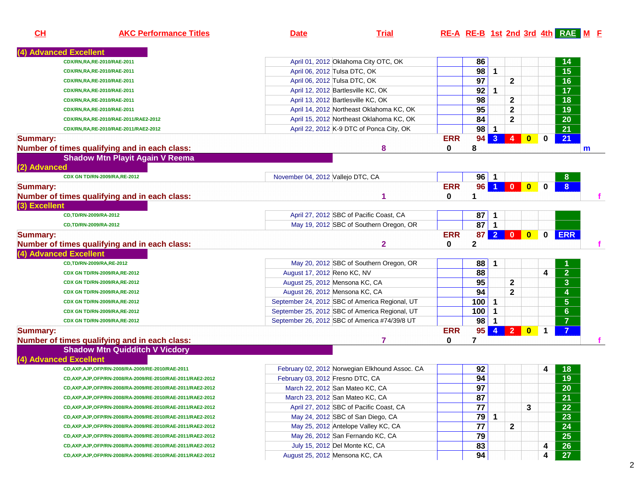| CH              | <b>AKC Performance Titles</b>                                | <b>Date</b>                       | <b>Trial</b>                                   |            |                 |                |                |                         |          | RE-A RE-B 1st 2nd 3rd 4th RAE M E |              |
|-----------------|--------------------------------------------------------------|-----------------------------------|------------------------------------------------|------------|-----------------|----------------|----------------|-------------------------|----------|-----------------------------------|--------------|
|                 | <b>Advanced Excellent</b>                                    |                                   |                                                |            |                 |                |                |                         |          |                                   |              |
|                 | CDX/RN,RA,RE-2010/RAE-2011                                   |                                   | April 01, 2012 Oklahoma City OTC, OK           |            | 86              |                |                |                         |          | 14                                |              |
|                 | CDX/RN,RA,RE-2010/RAE-2011                                   |                                   | April 06, 2012 Tulsa DTC, OK                   |            | 98              | $\mathbf{1}$   |                |                         |          | $\overline{15}$                   |              |
|                 | CDX/RN,RA,RE-2010/RAE-2011                                   |                                   | April 06, 2012 Tulsa DTC, OK                   |            | 97              |                | $\mathbf{2}$   |                         |          | 16                                |              |
|                 | CDX/RN,RA,RE-2010/RAE-2011                                   |                                   | April 12, 2012 Bartlesville KC, OK             |            | 92              | 1              |                |                         |          | 17                                |              |
|                 | CDX/RN,RA,RE-2010/RAE-2011                                   |                                   | April 13, 2012 Bartlesville KC, OK             |            | 98              |                | $\mathbf{2}$   |                         |          | 18                                |              |
|                 | CDX/RN,RA,RE-2010/RAE-2011                                   |                                   | April 14, 2012 Northeast Oklahoma KC, OK       |            | 95              |                | $\mathbf{2}$   |                         |          | 19                                |              |
|                 | CDX/RN,RA,RE-2010/RAE-2011/RAE2-2012                         |                                   | April 15, 2012 Northeast Oklahoma KC, OK       |            | 84              |                | $\mathbf{2}$   |                         |          | 20                                |              |
|                 | CDX/RN,RA,RE-2010/RAE-2011/RAE2-2012                         |                                   | April 22, 2012 K-9 DTC of Ponca City, OK       |            | 98              | $\mathbf 1$    |                |                         |          | 21                                |              |
| <b>Summary:</b> |                                                              |                                   |                                                | <b>ERR</b> | 94              | 3 <sup>2</sup> | 4              | $\bf{0}$                | 0        | 21                                |              |
|                 | Number of times qualifying and in each class:                |                                   | 8                                              | 0          | 8               |                |                |                         |          |                                   | $\mathsf{m}$ |
|                 | <b>Shadow Mtn Playit Again V Reema</b>                       |                                   |                                                |            |                 |                |                |                         |          |                                   |              |
| (2) Advanced    |                                                              |                                   |                                                |            |                 |                |                |                         |          |                                   |              |
|                 | CDX GN TD/RN-2009/RA,RE-2012                                 | November 04, 2012 Vallejo DTC, CA |                                                |            | $96$   1        |                |                |                         |          | 8                                 |              |
| <b>Summary:</b> |                                                              |                                   |                                                | <b>ERR</b> | 96              |                | $\mathbf{0}$   | $\overline{\mathbf{0}}$ | $\bf{0}$ | $\overline{8}$                    |              |
|                 | Number of times qualifying and in each class:                |                                   |                                                | 0          | 1               |                |                |                         |          |                                   | f            |
| (3) Excellent   |                                                              |                                   |                                                |            |                 |                |                |                         |          |                                   |              |
|                 | CD,TD/RN-2009/RA-2012                                        |                                   | April 27, 2012 SBC of Pacific Coast, CA        |            | 87              | -1             |                |                         |          |                                   |              |
|                 | CD,TD/RN-2009/RA-2012                                        |                                   | May 19, 2012 SBC of Southern Oregon, OR        |            | 87              | $\mathbf{1}$   |                |                         |          |                                   |              |
| <b>Summary:</b> |                                                              |                                   |                                                | <b>ERR</b> | 87              | 2 <sup>1</sup> | $\mathbf{0}$   | $\mathbf{0}$            | 0        | <b>ERR</b>                        |              |
|                 | Number of times qualifying and in each class:                |                                   | $\mathbf{2}$                                   | 0          | 2               |                |                |                         |          |                                   | f.           |
|                 | (4) Advanced Excellent                                       |                                   |                                                |            |                 |                |                |                         |          |                                   |              |
|                 | CD,TD/RN-2009/RA,RE-2012                                     |                                   | May 20, 2012 SBC of Southern Oregon, OR        |            | 88              |                |                |                         |          |                                   |              |
|                 | CDX GN TD/RN-2009/RA,RE-2012                                 | August 17, 2012 Reno KC, NV       |                                                |            | 88              |                |                |                         | 4        | $\overline{2}$                    |              |
|                 | CDX GN TD/RN-2009/RA,RE-2012                                 | August 25, 2012 Mensona KC, CA    |                                                |            | 95              |                | $\mathbf{2}$   |                         |          | $\overline{\mathbf{3}}$           |              |
|                 | CDX GN TD/RN-2009/RA,RE-2012                                 | August 26, 2012 Mensona KC, CA    |                                                |            | 94              |                | $\mathbf{2}$   |                         |          | $\overline{\mathbf{4}}$           |              |
|                 | CDX GN TD/RN-2009/RA,RE-2012                                 |                                   | September 24, 2012 SBC of America Regional, UT |            | 100             | 1              |                |                         |          | $\overline{\mathbf{5}}$           |              |
|                 | CDX GN TD/RN-2009/RA,RE-2012                                 |                                   | September 25, 2012 SBC of America Regional, UT |            | 100             | 1              |                |                         |          | $6\phantom{a}$                    |              |
|                 | CDX GN TD/RN-2009/RA,RE-2012                                 |                                   | September 26, 2012 SBC of America #74/39/8 UT  |            | 98              | $\mathbf 1$    |                |                         |          | $\overline{7}$                    |              |
| <b>Summary:</b> |                                                              |                                   |                                                | <b>ERR</b> | 95              | $\overline{4}$ | $\overline{2}$ | $\bf{0}$                | 1        | $\overline{7}$                    |              |
|                 | Number of times qualifying and in each class:                |                                   | 7                                              | 0          | 7               |                |                |                         |          |                                   |              |
|                 | <b>Shadow Mtn Quidditch V Vicdory</b>                        |                                   |                                                |            |                 |                |                |                         |          |                                   |              |
|                 | (4) Advanced Excellent                                       |                                   |                                                |            |                 |                |                |                         |          |                                   |              |
|                 | CD, AXP, AJP, OFP/RN-2008/RA-2009/RE-2010/RAE-2011           |                                   | February 02, 2012 Norwegian Elkhound Assoc. CA |            | 92              |                |                |                         | 4        | 18                                |              |
|                 | CD, AXP, AJP, OFP/RN-2008/RA-2009/RE-2010/RAE-2011/RAE2-2012 | February 03, 2012 Fresno DTC, CA  |                                                |            | 94              |                |                |                         |          | 19                                |              |
|                 | CD, AXP, AJP, OFP/RN-2008/RA-2009/RE-2010/RAE-2011/RAE2-2012 |                                   | March 22, 2012 San Mateo KC, CA                |            | $\overline{97}$ |                |                |                         |          | $\overline{20}$                   |              |
|                 | CD, AXP, AJP, OFP/RN-2008/RA-2009/RE-2010/RAE-2011/RAE2-2012 |                                   | March 23, 2012 San Mateo KC, CA                |            | 87              |                |                |                         |          | 21                                |              |
|                 | CD, AXP, AJP, OFP/RN-2008/RA-2009/RE-2010/RAE-2011/RAE2-2012 |                                   | April 27, 2012 SBC of Pacific Coast, CA        |            | 77              |                |                | 3                       |          | 22                                |              |
|                 | CD, AXP, AJP, OFP/RN-2008/RA-2009/RE-2010/RAE-2011/RAE2-2012 |                                   | May 24, 2012 SBC of San Diego, CA              |            | 79              | 1              |                |                         |          | 23                                |              |
|                 | CD, AXP, AJP, OFP/RN-2008/RA-2009/RE-2010/RAE-2011/RAE2-2012 |                                   | May 25, 2012 Antelope Valley KC, CA            |            | 77              |                | $\mathbf{2}$   |                         |          | 24                                |              |
|                 | CD, AXP, AJP, OFP/RN-2008/RA-2009/RE-2010/RAE-2011/RAE2-2012 |                                   | May 26, 2012 San Fernando KC, CA               |            | 79              |                |                |                         |          | 25                                |              |
|                 | CD, AXP, AJP, OFP/RN-2008/RA-2009/RE-2010/RAE-2011/RAE2-2012 |                                   | July 15, 2012 Del Monte KC, CA                 |            | 83              |                |                |                         | 4        | 26                                |              |
|                 | CD, AXP, AJP, OFP/RN-2008/RA-2009/RE-2010/RAE-2011/RAE2-2012 |                                   | August 25, 2012 Mensona KC, CA                 |            | 94              |                |                |                         | 4        | 27                                |              |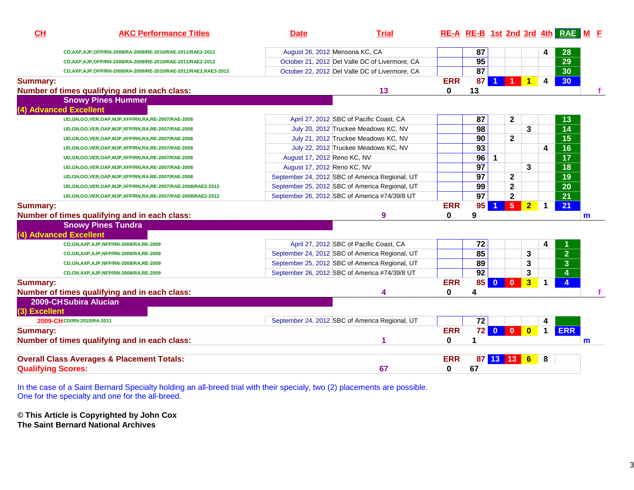| CH              | <b>AKC Performance Titles</b>                                      | <b>Date</b>                    | <b>Trial</b>                                   |                        |                 |           |                         |                |              | RE-A RE-B 1st 2nd 3rd 4th RAE M F |   |  |
|-----------------|--------------------------------------------------------------------|--------------------------------|------------------------------------------------|------------------------|-----------------|-----------|-------------------------|----------------|--------------|-----------------------------------|---|--|
|                 | CD, AXP, AJP, OFP/RN-2008/RA-2009/RE-2010/RAE-2011/RAE2-2012       | August 26, 2012 Mensona KC, CA |                                                |                        | 87              |           |                         |                | 4            | 28                                |   |  |
|                 | CD, AXP, AJP, OFP/RN-2008/RA-2009/RE-2010/RAE-2011/RAE2-2012       |                                | October 21, 2012 Del Valle DC of Livermore, CA |                        | 95              |           |                         |                |              | 29                                |   |  |
|                 | CD, AXP, AJP, OFP/RN-2008/RA-2009/RE-2010/RAE-2011/RAE2, RAE3-2012 |                                | October 22, 2012 Del Valle DC of Livermore, CA |                        | $\overline{87}$ |           |                         |                |              | $\overline{30}$                   |   |  |
| <b>Summary:</b> | Number of times qualifying and in each class:                      |                                | 13                                             | <b>ERR</b><br>$\bf{0}$ | 87<br>13        |           |                         | $\mathbf{1}$   | 4            | 30 <sub>o</sub>                   |   |  |
|                 | <b>Snowy Pines Hummer</b>                                          |                                |                                                |                        |                 |           |                         |                |              |                                   |   |  |
|                 | (4) Advanced Excellent                                             |                                |                                                |                        |                 |           |                         |                |              |                                   |   |  |
|                 | UD, GN, GO, VER, OAP, MJP, XFP/RN, RA, RE-2007/RAE-2008            |                                | April 27, 2012 SBC of Pacific Coast, CA        |                        | 87              |           | 2                       |                |              | 13                                |   |  |
|                 | UD, GN, GO, VER, OAP, MJP, XFP/RN, RA, RE-2007/RAE-2008            |                                | July 20, 2012 Truckee Meadows KC, NV           |                        | 98              |           |                         | 3              |              | 14                                |   |  |
|                 | UD, GN, GO, VER, OAP, MJP, XFP/RN, RA, RE-2007/RAE-2008            |                                | July 21, 2012 Truckee Meadows KC, NV           |                        | 90              |           | $\mathbf{2}$            |                |              | 15                                |   |  |
|                 | UD, GN, GO, VER, OAP, MJP, XFP/RN, RA, RE-2007/RAE-2008            |                                | July 22, 2012 Truckee Meadows KC, NV           |                        | 93              |           |                         |                | 4            | 16                                |   |  |
|                 | UD, GN, GO, VER, OAP, MJP, XFP/RN, RA, RE-2007/RAE-2008            | August 17, 2012 Reno KC, NV    |                                                |                        | 96              | 1         |                         |                |              | $\overline{17}$                   |   |  |
|                 | UD, GN, GO, VER, OAP, MJP, XFP/RN, RA, RE-2007/RAE-2008            | August 17, 2012 Reno KC, NV    |                                                |                        | 97              |           |                         | 3              |              | 18                                |   |  |
|                 | UD, GN, GO, VER, OAP, MJP, XFP/RN, RA, RE-2007/RAE-2008            |                                | September 24, 2012 SBC of America Regional, UT |                        | 97              |           | $\mathbf{2}$            |                |              | 19                                |   |  |
|                 | UD, GN, GO, VER, OAP, MJP, XFP/RN, RA, RE-2007/RAE-2008/RAE2-2012  |                                | September 25, 2012 SBC of America Regional, UT |                        | 99              |           | $\mathbf 2$             |                |              | 20                                |   |  |
|                 | UD, GN, GO, VER, OAP, MJP, XFP/RN, RA, RE-2007/RAE-2008/RAE2-2012  |                                | September 26, 2012 SBC of America #74/39/8 UT  |                        | $\overline{97}$ |           | $\mathbf 2$             |                |              | 21                                |   |  |
| <b>Summary:</b> | Number of times qualifying and in each class:                      |                                | 9                                              | <b>ERR</b><br>0        | 95<br>9         |           | 5 <sup>1</sup>          | 2 <sub>2</sub> | $\mathbf{1}$ | 21                                | m |  |
|                 | <b>Snowy Pines Tundra</b>                                          |                                |                                                |                        |                 |           |                         |                |              |                                   |   |  |
|                 | (4) Advanced Excellent                                             |                                |                                                |                        |                 |           |                         |                |              |                                   |   |  |
|                 | CD, GN, AXP, AJP, NFP/RN-2008/RA, RE-2009                          |                                | April 27, 2012 SBC of Pacific Coast, CA        |                        | 72              |           |                         |                | 4            |                                   |   |  |
|                 | CD, GN, AXP, AJP, NFP/RN-2008/RA, RE-2009                          |                                | September 24, 2012 SBC of America Regional, UT |                        | 85              |           |                         | 3              |              | $\overline{2}$                    |   |  |
|                 | CD, GN, AXP, AJP, NFP/RN-2008/RA, RE-2009                          |                                | September 25, 2012 SBC of America Regional, UT |                        | 89              |           |                         | 3              |              | $\overline{3}$                    |   |  |
|                 | CD, GN, AXP, AJP, NFP/RN-2008/RA, RE-2009                          |                                | September 26, 2012 SBC of America #74/39/8 UT  |                        | $\overline{92}$ |           |                         | 3              |              | $\overline{4}$                    |   |  |
| <b>Summary:</b> |                                                                    |                                |                                                | <b>ERR</b>             | 85 <sup>1</sup> | $\bullet$ | $\overline{\mathbf{0}}$ | 3 <sup>1</sup> | 1            | $\overline{\mathbf{4}}$           |   |  |
|                 | Number of times qualifying and in each class:                      |                                | 4                                              | $\Omega$               | 4               |           |                         |                |              |                                   |   |  |
|                 | 2009-CH Subira Alucian                                             |                                |                                                |                        |                 |           |                         |                |              |                                   |   |  |
| (3) Excellent   |                                                                    |                                |                                                |                        |                 |           |                         |                |              |                                   |   |  |
|                 | 2009-CH CD/RN-2010/RA-2011                                         |                                | September 24, 2012 SBC of America Regional, UT |                        | 72              |           |                         |                | 4            |                                   |   |  |
| <b>Summary:</b> |                                                                    |                                |                                                | <b>ERR</b>             |                 |           | 72 0 0 0                |                | $\mathbf 1$  | <b>ERR</b>                        |   |  |
|                 | Number of times qualifying and in each class:                      |                                | 1                                              | $\bf{0}$               | 1               |           |                         |                |              |                                   | m |  |
|                 | <b>Overall Class Averages &amp; Placement Totals:</b>              |                                |                                                | <b>ERR</b>             |                 |           | 87 13 13 6              |                | 8            |                                   |   |  |
|                 | <b>Qualifying Scores:</b>                                          |                                | 67                                             | 0                      | 67              |           |                         |                |              |                                   |   |  |

In the case of a Saint Bernard Specialty holding an all-breed trial with their specialy, two (2) placements are possible. One for the specialty and one for the all-breed.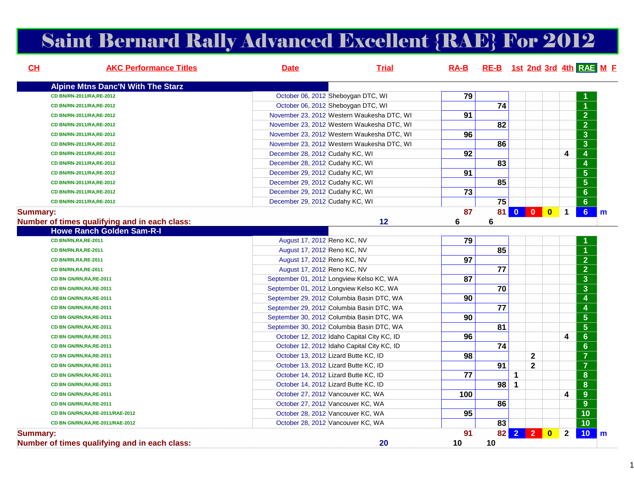## Saint Bernard Rally Advanced Excellent {RAE} For 2012

| CH              | <b>AKC Performance Titles</b>                 | <b>Date</b>                          | <b>Trial</b>                               |                 | RA-B RE-B 1st 2nd 3rd 4th RAE M F |              |              |           |              |                                    |
|-----------------|-----------------------------------------------|--------------------------------------|--------------------------------------------|-----------------|-----------------------------------|--------------|--------------|-----------|--------------|------------------------------------|
|                 | <b>Alpine Mtns Danc'N With The Starz</b>      |                                      |                                            |                 |                                   |              |              |           |              |                                    |
|                 | CD BN/RN-2011/RA,RE-2012                      |                                      | October 06, 2012 Sheboygan DTC, WI         | 79              |                                   |              |              |           |              |                                    |
|                 | CD BN/RN-2011/RA,RE-2012                      |                                      | October 06, 2012 Sheboygan DTC, WI         |                 | 74                                |              |              |           |              | $\overline{1}$                     |
|                 | CD BN/RN-2011/RA,RE-2012                      |                                      | November 23, 2012 Western Waukesha DTC, WI | 91              |                                   |              |              |           |              | $\overline{2}$                     |
|                 | CD BN/RN-2011/RA,RE-2012                      |                                      | November 23, 2012 Western Waukesha DTC, WI |                 | 82                                |              |              |           |              | $\overline{2}$                     |
|                 | CD BN/RN-2011/RA, RE-2012                     |                                      | November 23, 2012 Western Waukesha DTC, WI | 96              |                                   |              |              |           |              | $\overline{\mathbf{3}}$            |
|                 | CD BN/RN-2011/RA,RE-2012                      |                                      | November 23, 2012 Western Waukesha DTC, WI |                 | 86                                |              |              |           |              | $\overline{\mathbf{3}}$            |
|                 | CD BN/RN-2011/RA,RE-2012                      | December 28, 2012 Cudahy KC, WI      |                                            | 92              |                                   |              |              |           | 4            | 4                                  |
|                 | CD BN/RN-2011/RA,RE-2012                      | December 28, 2012 Cudahy KC, WI      |                                            |                 | 83                                |              |              |           |              | $\overline{\mathbf{4}}$            |
|                 | CD BN/RN-2011/RA,RE-2012                      | December 29, 2012 Cudahy KC, WI      |                                            | 91              |                                   |              |              |           |              | $\overline{5}$                     |
|                 | CD BN/RN-2011/RA,RE-2012                      | December 29, 2012 Cudahy KC, WI      |                                            |                 | 85                                |              |              |           |              | $\overline{5}$                     |
|                 | CD BN/RN-2011/RA, RE-2012                     | December 29, 2012 Cudahy KC, WI      |                                            | 73              |                                   |              |              |           |              | 6 <sup>1</sup>                     |
|                 | CD BN/RN-2011/RA,RE-2012                      | December 29, 2012 Cudahy KC, WI      |                                            |                 | 75                                |              |              |           |              | $\overline{6}$                     |
| <b>Summary:</b> |                                               |                                      |                                            | 87              | 81                                |              |              | $\bullet$ | $\mathbf 1$  | 6 <sup>1</sup>                     |
|                 | Number of times qualifying and in each class: |                                      | 12                                         | 6               | 6                                 |              |              |           |              |                                    |
|                 | <b>Howe Ranch Golden Sam-R-I</b>              |                                      |                                            |                 |                                   |              |              |           |              |                                    |
|                 | CD BN/RN, RA, RE-2011                         | August 17, 2012 Reno KC, NV          |                                            | 79              |                                   |              |              |           |              |                                    |
|                 | CD BN/RN, RA, RE-2011                         | August 17, 2012 Reno KC, NV          |                                            |                 | 85                                |              |              |           |              |                                    |
|                 | CD BN/RN, RA, RE-2011                         | August 17, 2012 Reno KC, NV          |                                            | 97              |                                   |              |              |           |              | $\overline{2}$                     |
|                 | CD BN/RN, RA, RE-2011                         | August 17, 2012 Reno KC, NV          |                                            |                 | 77                                |              |              |           |              | $\overline{2}$                     |
|                 | CD BN GN/RN, RA, RE-2011                      |                                      | September 01, 2012 Longview Kelso KC, WA   | 87              |                                   |              |              |           |              | $\overline{\mathbf{3}}$            |
|                 | CD BN GN/RN, RA, RE-2011                      |                                      | September 01, 2012 Longview Kelso KC, WA   |                 | 70                                |              |              |           |              | $\overline{\mathbf{3}}$            |
|                 | CD BN GN/RN, RA, RE-2011                      |                                      | September 29, 2012 Columbia Basin DTC, WA  | 90              |                                   |              |              |           |              | $\overline{4}$                     |
|                 | CD BN GN/RN, RA, RE-2011                      |                                      | September 29, 2012 Columbia Basin DTC, WA  |                 | 77                                |              |              |           |              | 4                                  |
|                 | CD BN GN/RN, RA, RE-2011                      |                                      | September 30, 2012 Columbia Basin DTC, WA  | 90              |                                   |              |              |           |              | $\overline{\overline{\mathbf{5}}}$ |
|                 | CD BN GN/RN, RA, RE-2011                      |                                      | September 30, 2012 Columbia Basin DTC, WA  |                 | 81                                |              |              |           |              | $\overline{5}$                     |
|                 | CD BN GN/RN, RA, RE-2011                      |                                      | October 12, 2012 Idaho Capital City KC, ID | 96              |                                   |              |              |           | 4            | $6\phantom{a}$                     |
|                 | CD BN GN/RN, RA, RE-2011                      |                                      | October 12, 2012 Idaho Capital City KC, ID |                 | 74                                |              |              |           |              | $\overline{6}$                     |
|                 | CD BN GN/RN, RA, RE-2011                      | October 13, 2012 Lizard Butte KC, ID |                                            | 98              |                                   |              | $\mathbf{2}$ |           |              | $\overline{7}$                     |
|                 | CD BN GN/RN, RA, RE-2011                      | October 13, 2012 Lizard Butte KC, ID |                                            |                 | 91                                |              | $\mathbf 2$  |           |              | $\overline{7}$                     |
|                 | CD BN GN/RN, RA, RE-2011                      | October 14, 2012 Lizard Butte KC, ID |                                            | $\overline{77}$ |                                   | $\mathbf{1}$ |              |           |              | $\overline{\mathbf{8}}$            |
|                 | CD BN GN/RN, RA, RE-2011                      | October 14, 2012 Lizard Butte KC, ID |                                            |                 | 98                                | $\mathbf 1$  |              |           |              | $\overline{\mathbf{8}}$            |
|                 | CD BN GN/RN, RA, RE-2011                      | October 27, 2012 Vancouver KC, WA    |                                            | 100             |                                   |              |              |           | 4            | $\overline{9}$                     |
|                 | CD BN GN/RN, RA, RE-2011                      | October 27, 2012 Vancouver KC, WA    |                                            |                 | 86                                |              |              |           |              | $\overline{9}$                     |
|                 | CD BN GN/RN, RA, RE-2011/RAE-2012             | October 28, 2012 Vancouver KC, WA    |                                            | 95              |                                   |              |              |           |              | $\overline{10}$                    |
|                 | CD BN GN/RN, RA, RE-2011/RAE-2012             | October 28, 2012 Vancouver KC, WA    |                                            |                 | 83                                |              |              |           |              | $\overline{10}$                    |
| <b>Summary:</b> | Number of times qualifying and in each class: |                                      | 20                                         | 91<br>10        | 10                                |              | 82 2 2 0     |           | $\mathbf{2}$ | 10 <sub>1</sub>                    |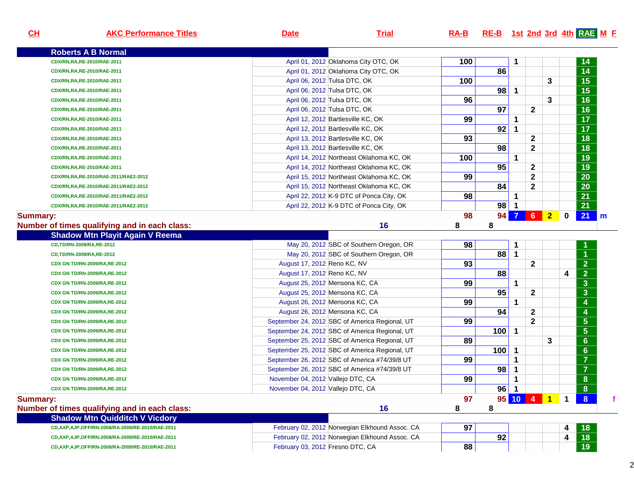| CL              | <b>AKC Performance Titles</b>                      | <b>Date</b>                       | <b>Trial</b>                                   | $RA-B$ |     |                |                |                |             | RE-B 1st 2nd 3rd 4th RAE M E |
|-----------------|----------------------------------------------------|-----------------------------------|------------------------------------------------|--------|-----|----------------|----------------|----------------|-------------|------------------------------|
|                 | <b>Roberts A B Normal</b>                          |                                   |                                                |        |     |                |                |                |             |                              |
|                 | CDX/RN,RA,RE-2010/RAE-2011                         |                                   | April 01, 2012 Oklahoma City OTC, OK           | 100    |     | 1              |                |                |             | 14                           |
|                 | CDX/RN,RA,RE-2010/RAE-2011                         |                                   | April 01, 2012 Oklahoma City OTC, OK           |        | 86  |                |                |                |             | 14                           |
|                 | CDX/RN,RA,RE-2010/RAE-2011                         |                                   | April 06, 2012 Tulsa DTC, OK                   | 100    |     |                |                | 3              |             | 15                           |
|                 | CDX/RN,RA,RE-2010/RAE-2011                         |                                   | April 06, 2012 Tulsa DTC, OK                   |        | 98  | $\mathbf{1}$   |                |                |             | 15                           |
|                 | CDX/RN,RA,RE-2010/RAE-2011                         |                                   | April 06, 2012 Tulsa DTC, OK                   | 96     |     |                |                | 3              |             | 16                           |
|                 | CDX/RN,RA,RE-2010/RAE-2011                         |                                   | April 06, 2012 Tulsa DTC, OK                   |        | 97  |                | $\mathbf{2}$   |                |             | 16                           |
|                 | CDX/RN,RA,RE-2010/RAE-2011                         |                                   | April 12, 2012 Bartlesville KC, OK             | 99     |     | 1              |                |                |             | 17                           |
|                 | CDX/RN,RA,RE-2010/RAE-2011                         |                                   | April 12, 2012 Bartlesville KC, OK             |        | 92  | $\mathbf 1$    |                |                |             | 17                           |
|                 | CDX/RN,RA,RE-2010/RAE-2011                         |                                   | April 13, 2012 Bartlesville KC, OK             | 93     |     |                | $\mathbf 2$    |                |             | 18                           |
|                 | CDX/RN,RA,RE-2010/RAE-2011                         |                                   | April 13, 2012 Bartlesville KC, OK             |        | 98  |                | $\mathbf{2}$   |                |             | 18                           |
|                 | CDX/RN,RA,RE-2010/RAE-2011                         |                                   | April 14, 2012 Northeast Oklahoma KC, OK       | 100    |     | $\mathbf 1$    |                |                |             | 19                           |
|                 | CDX/RN,RA,RE-2010/RAE-2011                         |                                   | April 14, 2012 Northeast Oklahoma KC, OK       |        | 95  |                | $\mathbf 2$    |                |             | 19                           |
|                 | CDX/RN,RA,RE-2010/RAE-2011/RAE2-2012               |                                   | April 15, 2012 Northeast Oklahoma KC, OK       | 99     |     |                | $\mathbf{2}$   |                |             | 20                           |
|                 | CDX/RN,RA,RE-2010/RAE-2011/RAE2-2012               |                                   | April 15, 2012 Northeast Oklahoma KC, OK       |        | 84  |                | $\mathbf{2}$   |                |             | 20                           |
|                 | CDX/RN,RA,RE-2010/RAE-2011/RAE2-2012               |                                   | April 22, 2012 K-9 DTC of Ponca City, OK       | 98     |     | 1              |                |                |             | 21                           |
|                 | CDX/RN,RA,RE-2010/RAE-2011/RAE2-2012               |                                   | April 22, 2012 K-9 DTC of Ponca City, OK       |        | 98  | $\mathbf{1}$   |                |                |             | 21                           |
| <b>Summary:</b> |                                                    |                                   |                                                | 98     | 94  | $\overline{7}$ | $6\phantom{1}$ | 2 <sub>2</sub> | $\mathbf 0$ | 21<br>$\mathsf{m}$           |
|                 | Number of times qualifying and in each class:      |                                   | 16                                             | 8      | 8   |                |                |                |             |                              |
|                 | <b>Shadow Mtn Playit Again V Reema</b>             |                                   |                                                |        |     |                |                |                |             |                              |
|                 | CD,TD/RN-2009/RA,RE-2012                           |                                   | May 20, 2012 SBC of Southern Oregon, OR        | 98     |     | 1              |                |                |             |                              |
|                 | CD,TD/RN-2009/RA,RE-2012                           |                                   | May 20, 2012 SBC of Southern Oregon, OR        |        | 88  | $\mathbf{1}$   |                |                |             | $\overline{\mathbf{1}}$      |
|                 | CDX GN TD/RN-2009/RA, RE-2012                      | August 17, 2012 Reno KC, NV       |                                                | 93     |     |                | $\mathbf{2}$   |                |             | $\overline{2}$               |
|                 | CDX GN TD/RN-2009/RA, RE-2012                      | August 17, 2012 Reno KC, NV       |                                                |        | 88  |                |                |                | 4           | $\overline{2}$               |
|                 | CDX GN TD/RN-2009/RA, RE-2012                      |                                   | August 25, 2012 Mensona KC, CA                 | 99     |     | $\mathbf{1}$   |                |                |             | $\overline{\mathbf{3}}$      |
|                 | CDX GN TD/RN-2009/RA, RE-2012                      |                                   | August 25, 2012 Mensona KC, CA                 |        | 95  |                | $\mathbf{2}$   |                |             | $\mathbf{3}$                 |
|                 | CDX GN TD/RN-2009/RA, RE-2012                      |                                   | August 26, 2012 Mensona KC, CA                 | 99     |     | $\mathbf{1}$   |                |                |             | 4                            |
|                 | CDX GN TD/RN-2009/RA, RE-2012                      |                                   | August 26, 2012 Mensona KC, CA                 |        | 94  |                | $\mathbf 2$    |                |             | 4                            |
|                 | CDX GN TD/RN-2009/RA, RE-2012                      |                                   | September 24, 2012 SBC of America Regional, UT | 99     |     |                | $\mathbf{2}$   |                |             | $\overline{\mathbf{5}}$      |
|                 | CDX GN TD/RN-2009/RA, RE-2012                      |                                   | September 24, 2012 SBC of America Regional, UT |        | 100 | $\mathbf 1$    |                |                |             | $\overline{\mathbf{5}}$      |
|                 | CDX GN TD/RN-2009/RA, RE-2012                      |                                   | September 25, 2012 SBC of America Regional, UT | 89     |     |                |                | 3              |             | $6\phantom{a}$               |
|                 | CDX GN TD/RN-2009/RA, RE-2012                      |                                   | September 25, 2012 SBC of America Regional, UT |        | 100 | 1              |                |                |             | $6\phantom{a}$               |
|                 | CDX GN TD/RN-2009/RA, RE-2012                      |                                   | September 26, 2012 SBC of America #74/39/8 UT  | 99     |     | 1              |                |                |             | $\overline{7}$               |
|                 | CDX GN TD/RN-2009/RA, RE-2012                      |                                   | September 26, 2012 SBC of America #74/39/8 UT  |        | 98  | 1              |                |                |             | $\overline{7}$               |
|                 | CDX GN TD/RN-2009/RA, RE-2012                      | November 04, 2012 Vallejo DTC, CA |                                                | 99     |     | 1              |                |                |             | 8                            |
|                 | CDX GN TD/RN-2009/RA, RE-2012                      | November 04, 2012 Vallejo DTC, CA |                                                |        |     | $96$   1       |                |                |             | 8                            |
| <b>Summary:</b> |                                                    |                                   |                                                | 97     |     |                | 95 10 4 1      |                | $\mathbf 1$ |                              |
|                 | Number of times qualifying and in each class:      |                                   | 16                                             | 8      | 8   |                |                |                |             |                              |
|                 | <b>Shadow Mtn Quidditch V Vicdory</b>              |                                   |                                                |        |     |                |                |                |             |                              |
|                 | CD, AXP, AJP, OFP/RN-2008/RA-2009/RE-2010/RAE-2011 |                                   | February 02, 2012 Norwegian Elkhound Assoc. CA | 97     |     |                |                |                | 4           | 18                           |
|                 | CD, AXP, AJP, OFP/RN-2008/RA-2009/RE-2010/RAE-2011 |                                   | February 02, 2012 Norwegian Elkhound Assoc. CA |        | 92  |                |                |                | 4           | $\overline{18}$              |
|                 | CD, AXP, AJP, OFP/RN-2008/RA-2009/RE-2010/RAE-2011 | February 03, 2012 Fresno DTC, CA  |                                                | 88     |     |                |                |                |             | $\overline{19}$              |

2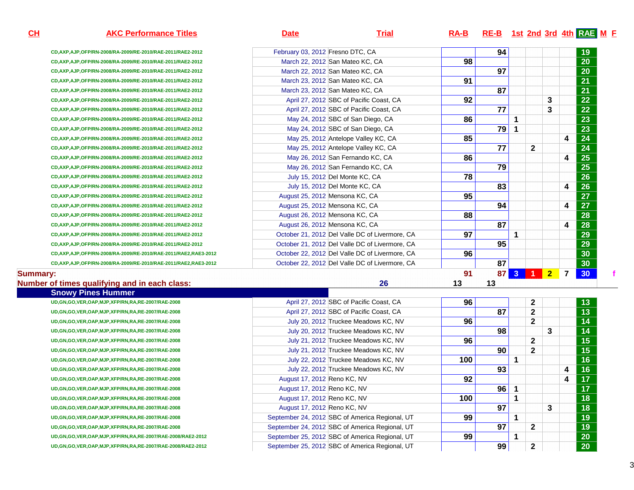| <u>н</u> | <b>AKC Performance Titles</b>                                      | <b>Date</b>                      | <b>Trial</b>                                   | $RA-B$ | RE-B 1st 2nd 3rd 4th RAE M F |              |             |                |                         |                 |  |
|----------|--------------------------------------------------------------------|----------------------------------|------------------------------------------------|--------|------------------------------|--------------|-------------|----------------|-------------------------|-----------------|--|
|          | CD, AXP, AJP, OFP/RN-2008/RA-2009/RE-2010/RAE-2011/RAE2-2012       | February 03, 2012 Fresno DTC, CA |                                                |        | 94                           |              |             |                |                         | 19              |  |
|          | CD, AXP, AJP, OFP/RN-2008/RA-2009/RE-2010/RAE-2011/RAE2-2012       |                                  | March 22, 2012 San Mateo KC, CA                | 98     |                              |              |             |                |                         | $\overline{20}$ |  |
|          | CD, AXP, AJP, OFP/RN-2008/RA-2009/RE-2010/RAE-2011/RAE2-2012       |                                  | March 22, 2012 San Mateo KC, CA                |        | 97                           |              |             |                |                         | 20              |  |
|          | CD, AXP, AJP, OFP/RN-2008/RA-2009/RE-2010/RAE-2011/RAE2-2012       |                                  | March 23, 2012 San Mateo KC, CA                | 91     |                              |              |             |                |                         | 21              |  |
|          | CD, AXP, AJP, OFP/RN-2008/RA-2009/RE-2010/RAE-2011/RAE2-2012       |                                  | March 23, 2012 San Mateo KC, CA                |        | 87                           |              |             |                |                         | 21              |  |
|          | CD, AXP, AJP, OFP/RN-2008/RA-2009/RE-2010/RAE-2011/RAE2-2012       |                                  | April 27, 2012 SBC of Pacific Coast, CA        | 92     |                              |              |             | 3              |                         | 22              |  |
|          | CD, AXP, AJP, OFP/RN-2008/RA-2009/RE-2010/RAE-2011/RAE2-2012       |                                  | April 27, 2012 SBC of Pacific Coast, CA        |        | $\overline{77}$              |              |             | 3              |                         | 22              |  |
|          | CD, AXP, AJP, OFP/RN-2008/RA-2009/RE-2010/RAE-2011/RAE2-2012       |                                  | May 24, 2012 SBC of San Diego, CA              | 86     |                              | 1            |             |                |                         | 23              |  |
|          | CD, AXP, AJP, OFP/RN-2008/RA-2009/RE-2010/RAE-2011/RAE2-2012       |                                  | May 24, 2012 SBC of San Diego, CA              |        | 79                           |              |             |                |                         | $\overline{23}$ |  |
|          | CD, AXP, AJP, OFP/RN-2008/RA-2009/RE-2010/RAE-2011/RAE2-2012       |                                  | May 25, 2012 Antelope Valley KC, CA            | 85     |                              |              |             |                | $\boldsymbol{4}$        | 24              |  |
|          | CD, AXP, AJP, OFP/RN-2008/RA-2009/RE-2010/RAE-2011/RAE2-2012       |                                  | May 25, 2012 Antelope Valley KC, CA            |        | 77                           |              | $\mathbf 2$ |                |                         | 24              |  |
|          | CD, AXP, AJP, OFP/RN-2008/RA-2009/RE-2010/RAE-2011/RAE2-2012       |                                  | May 26, 2012 San Fernando KC, CA               | 86     |                              |              |             |                | $\boldsymbol{4}$        | 25              |  |
|          | CD, AXP, AJP, OFP/RN-2008/RA-2009/RE-2010/RAE-2011/RAE2-2012       |                                  | May 26, 2012 San Fernando KC, CA               |        | 79                           |              |             |                |                         | 25              |  |
|          | CD, AXP, AJP, OFP/RN-2008/RA-2009/RE-2010/RAE-2011/RAE2-2012       |                                  | July 15, 2012 Del Monte KC, CA                 | 78     |                              |              |             |                |                         | 26              |  |
|          | CD, AXP, AJP, OFP/RN-2008/RA-2009/RE-2010/RAE-2011/RAE2-2012       |                                  | July 15, 2012 Del Monte KC, CA                 |        | 83                           |              |             |                | 4                       | 26              |  |
|          | CD, AXP, AJP, OFP/RN-2008/RA-2009/RE-2010/RAE-2011/RAE2-2012       |                                  | August 25, 2012 Mensona KC, CA                 | 95     |                              |              |             |                |                         | 27              |  |
|          | CD, AXP, AJP, OFP/RN-2008/RA-2009/RE-2010/RAE-2011/RAE2-2012       |                                  | August 25, 2012 Mensona KC, CA                 |        | 94                           |              |             |                | $\boldsymbol{4}$        | $\overline{27}$ |  |
|          | CD, AXP, AJP, OFP/RN-2008/RA-2009/RE-2010/RAE-2011/RAE2-2012       |                                  | August 26, 2012 Mensona KC, CA                 | 88     |                              |              |             |                |                         | 28              |  |
|          | CD, AXP, AJP, OFP/RN-2008/RA-2009/RE-2010/RAE-2011/RAE2-2012       |                                  | August 26, 2012 Mensona KC, CA                 |        | 87                           |              |             |                | $\overline{\mathbf{4}}$ | 28              |  |
|          | CD, AXP, AJP, OFP/RN-2008/RA-2009/RE-2010/RAE-2011/RAE2-2012       |                                  | October 21, 2012 Del Valle DC of Livermore, CA | 97     |                              | 1            |             |                |                         | 29              |  |
|          | CD, AXP, AJP, OFP/RN-2008/RA-2009/RE-2010/RAE-2011/RAE2-2012       |                                  | October 21, 2012 Del Valle DC of Livermore, CA |        | 95                           |              |             |                |                         | 29              |  |
|          | CD, AXP, AJP, OFP/RN-2008/RA-2009/RE-2010/RAE-2011/RAE2, RAE3-2012 |                                  | October 22, 2012 Del Valle DC of Livermore, CA | 96     |                              |              |             |                |                         | 30              |  |
|          | CD, AXP, AJP, OFP/RN-2008/RA-2009/RE-2010/RAE-2011/RAE2, RAE3-2012 |                                  | October 22, 2012 Del Valle DC of Livermore, CA |        | 87                           |              |             |                |                         | 30              |  |
| mary:    |                                                                    |                                  |                                                | 91     | 87                           | $\mathbf{3}$ | -1          | $\overline{2}$ | $\overline{7}$          | 30              |  |

#### **Summary:**

#### **Number of times qualifying and in each class:**

| of times qualifying and in each class:                            | 26<br>13                                             | 13 |              |   |   |                 |
|-------------------------------------------------------------------|------------------------------------------------------|----|--------------|---|---|-----------------|
| <b>Snowy Pines Hummer</b>                                         |                                                      |    |              |   |   |                 |
| UD, GN, GO, VER, OAP, MJP, XFP/RN, RA, RE-2007/RAE-2008           | 96<br>April 27, 2012 SBC of Pacific Coast, CA        |    | 2            |   |   | 13 <sub>1</sub> |
| UD, GN, GO, VER, OAP, MJP, XFP/RN, RA, RE-2007/RAE-2008           | April 27, 2012 SBC of Pacific Coast, CA              | 87 | $\mathbf{2}$ |   |   | 13              |
| UD, GN, GO, VER, OAP, MJP, XFP/RN, RA, RE-2007/RAE-2008           | 96<br>July 20, 2012 Truckee Meadows KC, NV           |    | 2            |   |   | 14              |
| UD, GN, GO, VER, OAP, MJP, XFP/RN, RA, RE-2007/RAE-2008           | July 20, 2012 Truckee Meadows KC, NV                 | 98 |              | 3 |   | 14              |
| UD, GN, GO, VER, OAP, MJP, XFP/RN, RA, RE-2007/RAE-2008           | 96<br>July 21, 2012 Truckee Meadows KC, NV           |    | $\mathbf{2}$ |   |   | 15 <sub>1</sub> |
| UD, GN, GO, VER, OAP, MJP, XFP/RN, RA, RE-2007/RAE-2008           | July 21, 2012 Truckee Meadows KC, NV                 | 90 | $\mathbf{2}$ |   |   | 15              |
| UD, GN, GO, VER, OAP, MJP, XFP/RN, RA, RE-2007/RAE-2008           | 100<br>July 22, 2012 Truckee Meadows KC, NV          |    |              |   |   | 16              |
| UD, GN, GO, VER, OAP, MJP, XFP/RN, RA, RE-2007/RAE-2008           | July 22, 2012 Truckee Meadows KC, NV                 | 93 |              |   | 4 | 16              |
| UD, GN, GO, VER, OAP, MJP, XFP/RN, RA, RE-2007/RAE-2008           | 92<br>August 17, 2012 Reno KC, NV                    |    |              |   | 4 | 17 <sub>2</sub> |
| UD, GN, GO, VER, OAP, MJP, XFP/RN, RA, RE-2007/RAE-2008           | August 17, 2012 Reno KC, NV                          | 96 |              |   |   | 17 <sub>2</sub> |
| UD, GN, GO, VER, OAP, MJP, XFP/RN, RA, RE-2007/RAE-2008           | 100<br>August 17, 2012 Reno KC, NV                   |    |              |   |   | 18              |
| UD, GN, GO, VER, OAP, MJP, XFP/RN, RA, RE-2007/RAE-2008           | August 17, 2012 Reno KC, NV                          | 97 |              | 3 |   | 18              |
| UD, GN, GO, VER, OAP, MJP, XFP/RN, RA, RE-2007/RAE-2008           | 99<br>September 24, 2012 SBC of America Regional, UT |    |              |   |   | 19              |
| UD, GN, GO, VER, OAP, MJP, XFP/RN, RA, RE-2007/RAE-2008           | September 24, 2012 SBC of America Regional, UT       | 97 | 2            |   |   | 19              |
| UD, GN, GO, VER, OAP, MJP, XFP/RN, RA, RE-2007/RAE-2008/RAE2-2012 | 99<br>September 25, 2012 SBC of America Regional, UT |    |              |   |   | 20              |
| UD, GN, GO, VER, OAP, MJP, XFP/RN, RA, RE-2007/RAE-2008/RAE2-2012 | September 25, 2012 SBC of America Regional, UT       | 99 | $\mathbf{2}$ |   |   | 20 <sub>2</sub> |

**CH**

**<sup>F</sup>**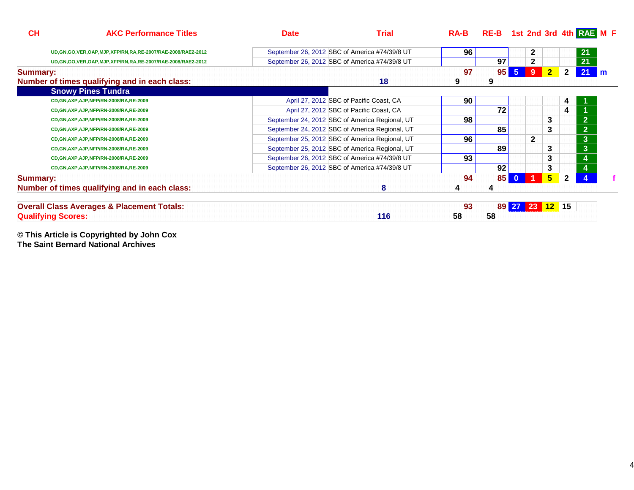| CL              | <b>AKC Performance Titles</b>                                     | <b>Date</b> | <b>Trial</b>                                   | <b>RA-B</b>     |    |                |                |                |                | <b>RE-B</b> 1st 2nd 3rd 4th RAE M E |   |
|-----------------|-------------------------------------------------------------------|-------------|------------------------------------------------|-----------------|----|----------------|----------------|----------------|----------------|-------------------------------------|---|
|                 | UD, GN, GO, VER, OAP, MJP, XFP/RN, RA, RE-2007/RAE-2008/RAE2-2012 |             | September 26, 2012 SBC of America #74/39/8 UT  | 96 <sub>1</sub> |    |                | $\mathbf{2}$   |                |                | 21                                  |   |
|                 | UD, GN, GO, VER, OAP, MJP, XFP/RN, RA, RE-2007/RAE-2008/RAE2-2012 |             | September 26, 2012 SBC of America #74/39/8 UT  |                 | 97 |                | $\mathbf{2}$   |                |                | 21                                  |   |
| <b>Summary:</b> |                                                                   |             |                                                | 97              | 95 | 5 <sub>5</sub> | 9              | $\overline{2}$ | $\mathbf{2}$   | 21                                  | m |
|                 | Number of times qualifying and in each class:                     |             | 18                                             | 9               | 9  |                |                |                |                |                                     |   |
|                 | <b>Snowy Pines Tundra</b>                                         |             |                                                |                 |    |                |                |                |                |                                     |   |
|                 | CD, GN, AXP, AJP, NFP/RN-2008/RA, RE-2009                         |             | April 27, 2012 SBC of Pacific Coast, CA        | 90              |    |                |                |                | 4              |                                     |   |
|                 | CD, GN, AXP, AJP, NFP/RN-2008/RA, RE-2009                         |             | April 27, 2012 SBC of Pacific Coast, CA        |                 | 72 |                |                |                | 4              |                                     |   |
|                 | CD, GN, AXP, AJP, NFP/RN-2008/RA, RE-2009                         |             | September 24, 2012 SBC of America Regional, UT | 98              |    |                |                | 3              |                | 2 <sup>1</sup>                      |   |
|                 | CD, GN, AXP, AJP, NFP/RN-2008/RA, RE-2009                         |             | September 24, 2012 SBC of America Regional, UT |                 | 85 |                |                | 3              |                | 2 <sub>1</sub>                      |   |
|                 | CD, GN, AXP, AJP, NFP/RN-2008/RA, RE-2009                         |             | September 25, 2012 SBC of America Regional, UT | 96              |    |                | $\mathbf{2}$   |                |                | $\mathbf{3}$                        |   |
|                 | CD, GN, AXP, AJP, NFP/RN-2008/RA, RE-2009                         |             | September 25, 2012 SBC of America Regional, UT |                 | 89 |                |                | 3              |                | $\mathbf{3}$                        |   |
|                 | CD, GN, AXP, AJP, NFP/RN-2008/RA, RE-2009                         |             | September 26, 2012 SBC of America #74/39/8 UT  | 93              |    |                |                | 3              |                | 4                                   |   |
|                 | CD, GN, AXP, AJP, NFP/RN-2008/RA, RE-2009                         |             | September 26, 2012 SBC of America #74/39/8 UT  |                 | 92 |                |                | 3              |                | 4                                   |   |
| <b>Summary:</b> |                                                                   |             |                                                | 94              | 85 | $\bf{0}$       |                | 5 <sup>5</sup> | $\overline{2}$ |                                     |   |
|                 | Number of times qualifying and in each class:                     |             | 8                                              |                 |    |                |                |                |                |                                     |   |
|                 | <b>Overall Class Averages &amp; Placement Totals:</b>             |             |                                                | 93              |    |                | 89 27 23 12 15 |                |                |                                     |   |
|                 | <b>Qualifying Scores:</b>                                         |             | 116                                            | 58              | 58 |                |                |                |                |                                     |   |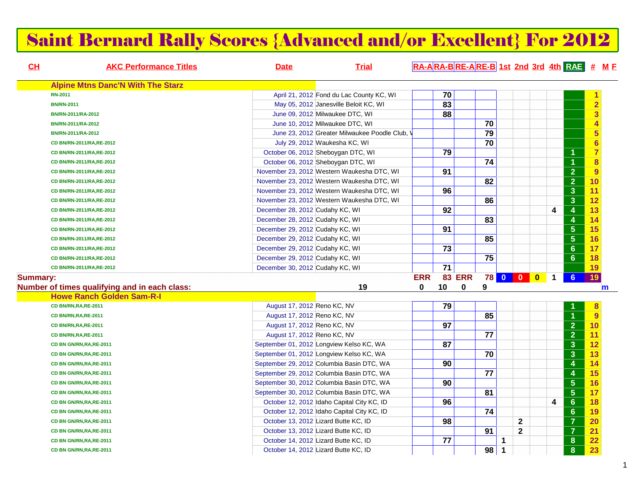### Saint Bernard Rally Scores {Advanced and/or Excellent} For 2012

| CL              | <b>AKC Performance Titles</b>                 | <b>Date</b>                     | <b>Trial</b>                                 | RA-ARA-BRE-ARE-B 1st 2nd 3rd 4th RAE # ME |                 |               |                 |   |                 |           |              |                         |                                    |             |
|-----------------|-----------------------------------------------|---------------------------------|----------------------------------------------|-------------------------------------------|-----------------|---------------|-----------------|---|-----------------|-----------|--------------|-------------------------|------------------------------------|-------------|
|                 | <b>Alpine Mtns Danc'N With The Starz</b>      |                                 |                                              |                                           |                 |               |                 |   |                 |           |              |                         |                                    |             |
|                 | <b>RN-2011</b>                                |                                 | April 21, 2012 Fond du Lac County KC, WI     |                                           | $\overline{70}$ |               |                 |   |                 |           |              |                         | 1                                  |             |
|                 | <b>BN/RN-2011</b>                             |                                 | May 05, 2012 Janesville Beloit KC, WI        |                                           | 83              |               |                 |   |                 |           |              |                         | $\overline{2}$                     |             |
|                 | BN/RN-2011/RA-2012                            |                                 | June 09, 2012 Milwaukee DTC, WI              |                                           | 88              |               |                 |   |                 |           |              |                         | $\overline{\overline{\mathbf{3}}}$ |             |
|                 | BN/RN-2011/RA-2012                            |                                 | June 10, 2012 Milwaukee DTC, WI              |                                           |                 |               | 70              |   |                 |           |              |                         | $\overline{\mathbf{4}}$            |             |
|                 | BN/RN-2011/RA-2012                            |                                 | June 23, 2012 Greater Milwaukee Poodle Club, |                                           |                 |               | 79              |   |                 |           |              |                         | $\overline{\mathbf{5}}$            |             |
|                 | CD BN/RN-2011/RA,RE-2012                      |                                 | July 29, 2012 Waukesha KC, WI                |                                           |                 |               | $\overline{70}$ |   |                 |           |              |                         | $6\phantom{a}$                     |             |
|                 | CD BN/RN-2011/RA,RE-2012                      |                                 | October 06, 2012 Sheboygan DTC, WI           |                                           | 79              |               |                 |   |                 |           |              | $\overline{1}$          | $\overline{7}$                     |             |
|                 | CD BN/RN-2011/RA,RE-2012                      |                                 | October 06, 2012 Sheboygan DTC, WI           |                                           |                 |               | $\overline{74}$ |   |                 |           |              | $\overline{1}$          | $\overline{\mathbf{8}}$            |             |
|                 | CD BN/RN-2011/RA,RE-2012                      |                                 | November 23, 2012 Western Waukesha DTC, WI   |                                           | 91              |               |                 |   |                 |           |              | $\overline{2}$          | 9                                  |             |
|                 | CD BN/RN-2011/RA,RE-2012                      |                                 | November 23, 2012 Western Waukesha DTC, WI   |                                           |                 |               | $\overline{82}$ |   |                 |           |              | $\overline{2}$          | 10                                 |             |
|                 | CD BN/RN-2011/RA,RE-2012                      |                                 | November 23, 2012 Western Waukesha DTC, WI   |                                           | 96              |               |                 |   |                 |           |              | 3                       | 11                                 |             |
|                 | CD BN/RN-2011/RA,RE-2012                      |                                 | November 23, 2012 Western Waukesha DTC, WI   |                                           |                 |               | 86              |   |                 |           |              | $\mathbf{3}$            | 12                                 |             |
|                 | CD BN/RN-2011/RA,RE-2012                      | December 28, 2012 Cudahy KC, WI |                                              |                                           | 92              |               |                 |   |                 |           | 4            | $\boldsymbol{4}$        | 13                                 |             |
|                 | CD BN/RN-2011/RA,RE-2012                      | December 28, 2012 Cudahy KC, WI |                                              |                                           |                 |               | 83              |   |                 |           |              | $\overline{4}$          | 14                                 |             |
|                 | CD BN/RN-2011/RA,RE-2012                      | December 29, 2012 Cudahy KC, WI |                                              |                                           | 91              |               |                 |   |                 |           |              | $\overline{5}$          | 15                                 |             |
|                 | CD BN/RN-2011/RA,RE-2012                      | December 29, 2012 Cudahy KC, WI |                                              |                                           |                 |               | 85              |   |                 |           |              | $5\phantom{a}$          | 16                                 |             |
|                 | CD BN/RN-2011/RA,RE-2012                      | December 29, 2012 Cudahy KC, WI |                                              |                                           | $\overline{73}$ |               |                 |   |                 |           |              | $6\phantom{1}$          | 17                                 |             |
|                 | CD BN/RN-2011/RA,RE-2012                      | December 29, 2012 Cudahy KC, WI |                                              |                                           |                 |               | 75              |   |                 |           |              | $6\phantom{1}$          | 18                                 |             |
|                 | CD BN/RN-2011/RA,RE-2012                      | December 30, 2012 Cudahy KC, WI |                                              |                                           | 71              |               |                 |   |                 |           |              |                         | 19                                 |             |
| <b>Summary:</b> |                                               |                                 |                                              | <b>ERR</b>                                |                 | <b>83 ERR</b> |                 |   | <b>78 0 0 0</b> | $\bullet$ | $\mathbf{1}$ | 6 <sup>°</sup>          | 19                                 |             |
|                 | Number of times qualifying and in each class: |                                 | 19                                           | $\mathbf{0}$                              | 10              | $\mathbf 0$   | 9               |   |                 |           |              |                         |                                    | $\mathbf m$ |
|                 | <b>Howe Ranch Golden Sam-R-I</b>              |                                 |                                              |                                           |                 |               |                 |   |                 |           |              |                         |                                    |             |
|                 | CD BN/RN, RA, RE-2011                         | August 17, 2012 Reno KC, NV     |                                              |                                           | 79              |               |                 |   |                 |           |              |                         | 8                                  |             |
|                 | CD BN/RN, RA, RE-2011                         | August 17, 2012 Reno KC, NV     |                                              |                                           |                 |               | 85              |   |                 |           |              | $\overline{1}$          | 9                                  |             |
|                 | CD BN/RN, RA, RE-2011                         | August 17, 2012 Reno KC, NV     |                                              |                                           | 97              |               |                 |   |                 |           |              | $\overline{2}$          | 10                                 |             |
|                 | CD BN/RN, RA, RE-2011                         | August 17, 2012 Reno KC, NV     |                                              |                                           |                 |               | 77              |   |                 |           |              | $\overline{2}$          | 11                                 |             |
|                 | CD BN GN/RN, RA, RE-2011                      |                                 | September 01, 2012 Longview Kelso KC, WA     |                                           | 87              |               |                 |   |                 |           |              | $\mathbf{3}$            | 12                                 |             |
|                 | CD BN GN/RN, RA, RE-2011                      |                                 | September 01, 2012 Longview Kelso KC, WA     |                                           |                 |               | 70              |   |                 |           |              | $\mathbf{3}$            | 13                                 |             |
|                 | CD BN GN/RN, RA, RE-2011                      |                                 | September 29, 2012 Columbia Basin DTC, WA    |                                           | 90              |               |                 |   |                 |           |              | $\overline{4}$          | 14                                 |             |
|                 | CD BN GN/RN, RA, RE-2011                      |                                 | September 29, 2012 Columbia Basin DTC, WA    |                                           |                 |               | 77              |   |                 |           |              | $\overline{4}$          | 15                                 |             |
|                 | CD BN GN/RN, RA, RE-2011                      |                                 | September 30, 2012 Columbia Basin DTC, WA    |                                           | 90              |               |                 |   |                 |           |              | $\overline{\mathbf{5}}$ | 16                                 |             |
|                 | CD BN GN/RN, RA, RE-2011                      |                                 | September 30, 2012 Columbia Basin DTC, WA    |                                           |                 |               | $\overline{81}$ |   |                 |           |              | $\overline{\mathbf{5}}$ | 17                                 |             |
|                 | CD BN GN/RN, RA, RE-2011                      |                                 | October 12, 2012 Idaho Capital City KC, ID   |                                           | 96              |               |                 |   |                 |           | 4            | $6\phantom{1}$          | 18                                 |             |
|                 | CD BN GN/RN, RA, RE-2011                      |                                 | October 12, 2012 Idaho Capital City KC, ID   |                                           |                 |               | 74              |   |                 |           |              | $6\phantom{1}$          | 19                                 |             |
|                 | CD BN GN/RN, RA, RE-2011                      |                                 | October 13, 2012 Lizard Butte KC, ID         |                                           | 98              |               |                 |   | $\mathbf 2$     |           |              | $\overline{7}$          | 20                                 |             |
|                 | CD BN GN/RN, RA, RE-2011                      |                                 | October 13, 2012 Lizard Butte KC, ID         |                                           |                 |               | 91              |   | $\mathbf{2}$    |           |              | $\overline{7}$          | 21                                 |             |
|                 | CD BN GN/RN, RA, RE-2011                      |                                 | October 14, 2012 Lizard Butte KC, ID         |                                           | 77              |               |                 | 1 |                 |           |              | $\boldsymbol{8}$        | $\overline{22}$                    |             |
|                 | CD BN GN/RN, RA, RE-2011                      |                                 | October 14, 2012 Lizard Butte KC, ID         |                                           |                 |               | $98$ 1          |   |                 |           |              | 8                       | 23                                 |             |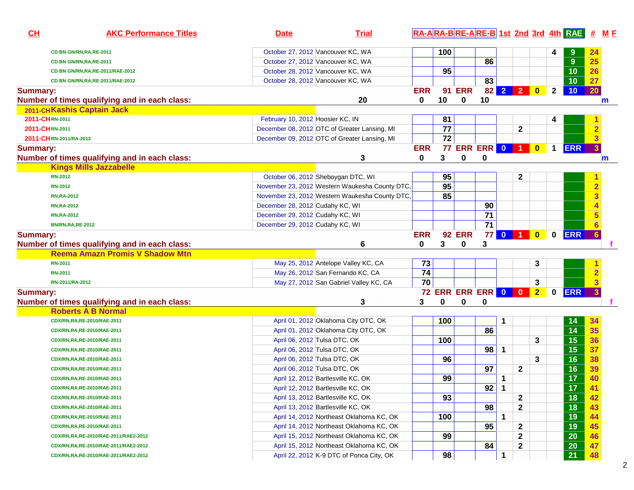| CH<br><b>AKC Performance Titles</b>           | <b>Date</b>                      | <b>Trial</b>                                   |            |                 |               |                           |             |              |                |              |                 | RA-ARA-BRE-ARE-B 1st 2nd 3rd 4th RAE # M F |
|-----------------------------------------------|----------------------------------|------------------------------------------------|------------|-----------------|---------------|---------------------------|-------------|--------------|----------------|--------------|-----------------|--------------------------------------------|
| CD BN GN/RN, RA, RE-2011                      |                                  | October 27, 2012 Vancouver KC, WA              |            | 100             |               |                           |             |              |                | 4            |                 | 24                                         |
| CD BN GN/RN, RA, RE-2011                      |                                  | October 27, 2012 Vancouver KC, WA              |            |                 |               | 86                        |             |              |                |              | 9               | 25                                         |
| CD BN GN/RN, RA, RE-2011/RAE-2012             |                                  | October 28, 2012 Vancouver KC, WA              |            | 95              |               |                           |             |              |                |              | 10              | 26                                         |
| CD BN GN/RN, RA, RE-2011/RAE-2012             |                                  | October 28, 2012 Vancouver KC, WA              |            |                 |               | 83                        |             |              |                |              | 10              | 27                                         |
| <b>Summary:</b>                               |                                  |                                                | <b>ERR</b> |                 | <b>91 ERR</b> |                           |             | 82 2 2 0     |                | $\mathbf{2}$ | 10              | 20                                         |
| Number of times qualifying and in each class: |                                  | 20                                             | 0          | 10              | 0             | 10                        |             |              |                |              |                 | $\mathbf m$                                |
| 2011-CHKashis Captain Jack                    |                                  |                                                |            |                 |               |                           |             |              |                |              |                 |                                            |
| 2011-CHRN-2011                                | February 10, 2012 Hoosier KC, IN |                                                |            | 81              |               |                           |             |              |                | 4            |                 |                                            |
| 2011-CHRN-2011                                |                                  | December 08, 2012 OTC of Greater Lansing, MI   |            | 77              |               |                           |             | $\mathbf{2}$ |                |              |                 | $\overline{\mathbf{2}}$                    |
| 2011-CHRN-2011/RA-2012                        |                                  | December 09, 2012 OTC of Greater Lansing, MI   |            | $\overline{72}$ |               |                           |             |              |                |              |                 | $\overline{\mathbf{3}}$                    |
| <b>Summary:</b>                               |                                  |                                                | <b>ERR</b> |                 |               | <b>77 ERR ERR 0 1 0</b>   |             |              |                | $\mathbf{1}$ | <b>ERR</b>      | 3 <sup>1</sup>                             |
| Number of times qualifying and in each class: |                                  | 3                                              | 0          | 3               | 0             | 0                         |             |              |                |              |                 | m                                          |
| <b>Kings Mills Jazzabelle</b>                 |                                  |                                                |            |                 |               |                           |             |              |                |              |                 |                                            |
| <b>RN-2012</b>                                |                                  | October 06, 2012 Sheboygan DTC, WI             |            | 95              |               |                           |             | 2            |                |              |                 |                                            |
| <b>RN-2012</b>                                |                                  | November 23, 2012 Western Waukesha County DTC, |            | 95              |               |                           |             |              |                |              |                 | $\overline{\mathbf{2}}$                    |
| <b>RN, RA-2012</b>                            |                                  | November 23, 2012 Western Waukesha County DTC, |            | 85              |               |                           |             |              |                |              |                 | $\overline{\mathbf{3}}$                    |
| <b>RN, RA-2012</b>                            | December 28, 2012 Cudahy KC, WI  |                                                |            |                 |               | 90                        |             |              |                |              |                 |                                            |
| <b>RN, RA-2012</b>                            | December 29, 2012 Cudahy KC, WI  |                                                |            |                 |               | $\overline{71}$           |             |              |                |              |                 | 5                                          |
| <b>BN/RN,RA,RE-2012</b>                       | December 29, 2012 Cudahy KC, WI  |                                                |            |                 |               | $\overline{71}$           |             |              |                |              |                 |                                            |
| <b>Summary:</b>                               |                                  |                                                | <b>ERR</b> |                 | <b>92 ERR</b> |                           |             | 77 0 1 0     |                | $\mathbf 0$  | <b>ERR</b>      | 6 <sup>1</sup>                             |
| Number of times qualifying and in each class: |                                  | 6                                              | 0          | 3               | 0             | 3                         |             |              |                |              |                 |                                            |
| <b>Reema Amazn Promis V Shadow Mtn</b>        |                                  |                                                |            |                 |               |                           |             |              |                |              |                 |                                            |
| <b>RN-2011</b>                                |                                  | May 25, 2012 Antelope Valley KC, CA            | 73         |                 |               |                           |             |              | 3              |              |                 |                                            |
| <b>RN-2011</b>                                |                                  | May 26, 2012 San Fernando KC, CA               | 74         |                 |               |                           |             |              |                |              |                 | $\overline{\mathbf{2}}$                    |
| RN-2011/RA-2012                               |                                  | May 27, 2012 San Gabriel Valley KC, CA         | 70         |                 |               |                           |             |              | 3              |              |                 | $\overline{\mathbf{3}}$                    |
| <b>Summary:</b>                               |                                  |                                                |            |                 |               | <b>72 ERR ERR ERR 0 0</b> |             |              | 2 <sub>2</sub> | $\mathbf 0$  | <b>ERR</b>      |                                            |
| Number of times qualifying and in each class: |                                  | 3                                              | 3          | 0               | 0             | 0                         |             |              |                |              |                 |                                            |
| <b>Roberts A B Normal</b>                     |                                  |                                                |            |                 |               |                           |             |              |                |              |                 |                                            |
| CDX/RN,RA,RE-2010/RAE-2011                    |                                  | April 01, 2012 Oklahoma City OTC, OK           |            | 100             |               |                           | 1           |              |                |              | 14              | 34                                         |
| CDX/RN,RA,RE-2010/RAE-2011                    |                                  | April 01, 2012 Oklahoma City OTC, OK           |            |                 |               | 86                        |             |              |                |              | $\overline{14}$ | 35                                         |
| CDX/RN,RA,RE-2010/RAE-2011                    |                                  | April 06, 2012 Tulsa DTC, OK                   |            | 100             |               |                           |             |              | 3              |              | 15              | 36                                         |
| CDX/RN,RA,RE-2010/RAE-2011                    |                                  | April 06, 2012 Tulsa DTC, OK                   |            |                 |               | 98                        | $\mathbf 1$ |              |                |              | 15              | 37                                         |
| CDX/RN,RA,RE-2010/RAE-2011                    |                                  | April 06, 2012 Tulsa DTC, OK                   |            | 96              |               |                           |             |              | 3              |              | 16              | 38                                         |
| CDX/RN,RA,RE-2010/RAE-2011                    |                                  | April 06, 2012 Tulsa DTC, OK                   |            |                 |               | 97                        |             | $\mathbf{2}$ |                |              | 16              | 39                                         |
| CDX/RN,RA,RE-2010/RAE-2011                    |                                  | April 12, 2012 Bartlesville KC, OK             |            | 99              |               |                           | 1           |              |                |              | $\overline{17}$ | 40                                         |
| CDX/RN,RA,RE-2010/RAE-2011                    |                                  | April 12, 2012 Bartlesville KC, OK             |            |                 |               | $92 \mid$                 | $\mathbf 1$ |              |                |              | 17              | 41                                         |
| CDX/RN,RA,RE-2010/RAE-2011                    |                                  | April 13, 2012 Bartlesville KC, OK             |            | 93              |               |                           |             | $\mathbf{2}$ |                |              | 18              | 42                                         |
| CDX/RN,RA,RE-2010/RAE-2011                    |                                  | April 13, 2012 Bartlesville KC, OK             |            |                 |               | 98                        |             | $\mathbf{2}$ |                |              | 18              | 43                                         |
| CDX/RN,RA,RE-2010/RAE-2011                    |                                  | April 14, 2012 Northeast Oklahoma KC, OK       |            | 100             |               |                           | 1           |              |                |              | 19              | 44                                         |
| CDX/RN,RA,RE-2010/RAE-2011                    |                                  | April 14, 2012 Northeast Oklahoma KC, OK       |            |                 |               | 95                        |             | $\mathbf{2}$ |                |              | 19              | 45                                         |
| CDX/RN,RA,RE-2010/RAE-2011/RAE2-2012          |                                  | April 15, 2012 Northeast Oklahoma KC, OK       |            | 99              |               |                           |             | $\mathbf 2$  |                |              | 20              | 46                                         |
| CDX/RN,RA,RE-2010/RAE-2011/RAE2-2012          |                                  | April 15, 2012 Northeast Oklahoma KC, OK       |            |                 |               | 84                        |             | $\mathbf{2}$ |                |              | 20              | 47                                         |
| CDX/RN,RA,RE-2010/RAE-2011/RAE2-2012          |                                  | April 22, 2012 K-9 DTC of Ponca City, OK       |            | 98              |               |                           | 1           |              |                |              | 21              | 48                                         |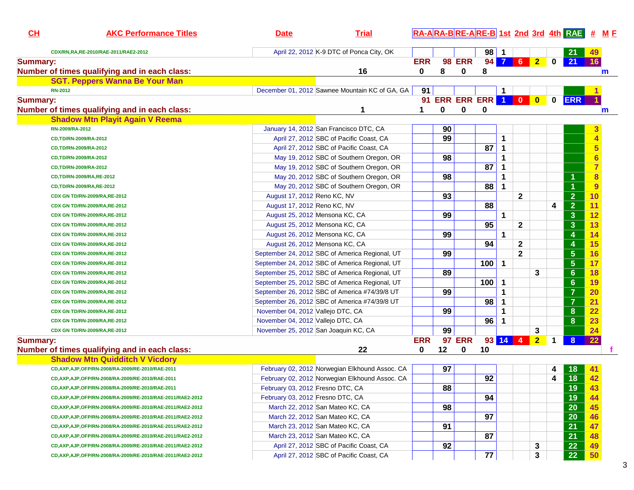| CL              | <b>AKC Performance Titles</b>                                | <b>Date</b>                       | <b>Trial</b>                                   |            |    |                      |          |                      |                |                |             | RA-ARA-BRE-ARE-B 1st 2nd 3rd 4th RAE # ME |                         |  |
|-----------------|--------------------------------------------------------------|-----------------------------------|------------------------------------------------|------------|----|----------------------|----------|----------------------|----------------|----------------|-------------|-------------------------------------------|-------------------------|--|
|                 | CDX/RN,RA,RE-2010/RAE-2011/RAE2-2012                         |                                   | April 22, 2012 K-9 DTC of Ponca City, OK       |            |    |                      | $98$   1 |                      |                |                |             | 21                                        | 49.                     |  |
| <b>Summary:</b> |                                                              |                                   |                                                | <b>ERR</b> |    | <b>98 ERR</b>        |          |                      | 94 7 6 2       |                | $\mathbf 0$ | 21                                        | 16                      |  |
|                 | Number of times qualifying and in each class:                |                                   | 16                                             | 0          | 8  | 0                    | 8        |                      |                |                |             |                                           | $\mathbf m$             |  |
|                 | <b>SGT. Peppers Wanna Be Your Man</b>                        |                                   |                                                |            |    |                      |          |                      |                |                |             |                                           |                         |  |
|                 | <b>RN-2012</b>                                               |                                   | December 01, 2012 Sawnee Mountain KC of GA, GA | 91         |    |                      |          | 1                    |                |                |             |                                           |                         |  |
| <b>Summary:</b> |                                                              |                                   |                                                |            |    | 91 ERR ERR ERR 1 0 0 |          |                      |                |                | $\mathbf 0$ | <b>ERR</b>                                |                         |  |
|                 | Number of times qualifying and in each class:                |                                   | 1                                              | 1          | 0  | 0                    | 0        |                      |                |                |             |                                           | $\mathbf m$             |  |
|                 | <b>Shadow Mtn Playit Again V Reema</b>                       |                                   |                                                |            |    |                      |          |                      |                |                |             |                                           |                         |  |
|                 | RN-2009/RA-2012                                              |                                   | January 14, 2012 San Francisco DTC, CA         |            | 90 |                      |          |                      |                |                |             |                                           | 3                       |  |
|                 | CD,TD/RN-2009/RA-2012                                        |                                   | April 27, 2012 SBC of Pacific Coast, CA        |            | 99 |                      |          | 1                    |                |                |             |                                           | 4                       |  |
|                 | CD,TD/RN-2009/RA-2012                                        |                                   | April 27, 2012 SBC of Pacific Coast, CA        |            |    |                      | 87       | 1                    |                |                |             |                                           | $\overline{\mathbf{5}}$ |  |
|                 | CD,TD/RN-2009/RA-2012                                        |                                   | May 19, 2012 SBC of Southern Oregon, OR        |            | 98 |                      |          | 1                    |                |                |             |                                           | $6 \,$                  |  |
|                 | CD,TD/RN-2009/RA-2012                                        |                                   | May 19, 2012 SBC of Southern Oregon, OR        |            |    |                      | 87       | 1                    |                |                |             |                                           | $\overline{7}$          |  |
|                 | CD,TD/RN-2009/RA,RE-2012                                     |                                   | May 20, 2012 SBC of Southern Oregon, OR        |            | 98 |                      |          | $\blacktriangleleft$ |                |                |             | 1                                         | $\overline{\mathbf{8}}$ |  |
|                 | CD,TD/RN-2009/RA,RE-2012                                     |                                   | May 20, 2012 SBC of Southern Oregon, OR        |            |    |                      | 88       | 1                    |                |                |             | 1                                         | $\overline{9}$          |  |
|                 | CDX GN TD/RN-2009/RA, RE-2012                                | August 17, 2012 Reno KC, NV       |                                                |            | 93 |                      |          |                      | $\mathbf 2$    |                |             | $\overline{2}$                            | 10                      |  |
|                 | CDX GN TD/RN-2009/RA,RE-2012                                 | August 17, 2012 Reno KC, NV       |                                                |            |    |                      | 88       |                      |                |                | 4           | $\overline{2}$                            | 11                      |  |
|                 | CDX GN TD/RN-2009/RA, RE-2012                                |                                   | August 25, 2012 Mensona KC, CA                 |            | 99 |                      |          | $\mathbf{1}$         |                |                |             | $\mathbf{3}$                              | 12                      |  |
|                 | CDX GN TD/RN-2009/RA, RE-2012                                |                                   | August 25, 2012 Mensona KC, CA                 |            |    |                      | 95       |                      | $\mathbf{2}$   |                |             | $\mathbf{3}$                              | 13                      |  |
|                 | CDX GN TD/RN-2009/RA, RE-2012                                |                                   | August 26, 2012 Mensona KC, CA                 |            | 99 |                      |          | 1                    |                |                |             | 4                                         | 14                      |  |
|                 | CDX GN TD/RN-2009/RA, RE-2012                                |                                   | August 26, 2012 Mensona KC, CA                 |            |    |                      | 94       |                      | $\mathbf{2}$   |                |             | $\boldsymbol{4}$                          | 15                      |  |
|                 | CDX GN TD/RN-2009/RA, RE-2012                                |                                   | September 24, 2012 SBC of America Regional, UT |            | 99 |                      |          |                      | $\overline{2}$ |                |             | $\overline{\mathbf{5}}$                   | 16                      |  |
|                 | CDX GN TD/RN-2009/RA, RE-2012                                |                                   | September 24, 2012 SBC of America Regional, UT |            |    |                      | 100      | $\mathbf 1$          |                |                |             | $\overline{\mathbf{5}}$                   | 17                      |  |
|                 | CDX GN TD/RN-2009/RA, RE-2012                                |                                   | September 25, 2012 SBC of America Regional, UT |            | 89 |                      |          |                      |                | 3              |             | $6\phantom{1}$                            | 18                      |  |
|                 | CDX GN TD/RN-2009/RA, RE-2012                                |                                   | September 25, 2012 SBC of America Regional, UT |            |    |                      | 100      | $\mathbf 1$          |                |                |             | $6\phantom{1}$                            | 19                      |  |
|                 | CDX GN TD/RN-2009/RA, RE-2012                                |                                   | September 26, 2012 SBC of America #74/39/8 UT  |            | 99 |                      |          | 1                    |                |                |             | $\overline{7}$                            | 20                      |  |
|                 | CDX GN TD/RN-2009/RA, RE-2012                                |                                   | September 26, 2012 SBC of America #74/39/8 UT  |            |    |                      | 98       | 1                    |                |                |             | $\overline{7}$                            | 21                      |  |
|                 | CDX GN TD/RN-2009/RA, RE-2012                                | November 04, 2012 Vallejo DTC, CA |                                                |            | 99 |                      |          | 1                    |                |                |             | 8                                         | 22                      |  |
|                 |                                                              | November 04, 2012 Vallejo DTC, CA |                                                |            |    |                      | 96       | 1                    |                |                |             | 8                                         | 23                      |  |
|                 | CDX GN TD/RN-2009/RA, RE-2012                                |                                   | November 25, 2012 San Joaquin KC, CA           |            | 99 |                      |          |                      |                | 3              |             |                                           | 24                      |  |
| <b>Summary:</b> | CDX GN TD/RN-2009/RA, RE-2012                                |                                   |                                                | <b>ERR</b> |    | <b>97 ERR</b>        |          |                      | $93$ 14 4      | 2 <sub>2</sub> | $\mathbf 1$ | 8                                         | 22                      |  |
|                 | Number of times qualifying and in each class:                |                                   | 22                                             | 0          | 12 | 0                    | 10       |                      |                |                |             |                                           |                         |  |
|                 | <b>Shadow Mtn Quidditch V Vicdory</b>                        |                                   |                                                |            |    |                      |          |                      |                |                |             |                                           |                         |  |
|                 |                                                              |                                   | February 02, 2012 Norwegian Elkhound Assoc. CA |            | 97 |                      |          |                      |                |                |             |                                           |                         |  |
|                 | CD, AXP, AJP, OFP/RN-2008/RA-2009/RE-2010/RAE-2011           |                                   | February 02, 2012 Norwegian Elkhound Assoc. CA |            |    |                      | 92       |                      |                |                | 4<br>4      | 18<br>$\overline{18}$                     | 42                      |  |
|                 | CD, AXP, AJP, OFP/RN-2008/RA-2009/RE-2010/RAE-2011           | February 03, 2012 Fresno DTC, CA  |                                                |            | 88 |                      |          |                      |                |                |             | $\overline{AB}$                           |                         |  |
|                 | CD, AXP, AJP, OFP/RN-2008/RA-2009/RE-2010/RAE-2011           |                                   |                                                |            |    |                      |          |                      |                |                |             | 19                                        | 43                      |  |
|                 | CD, AXP, AJP, OFP/RN-2008/RA-2009/RE-2010/RAE-2011/RAE2-2012 | February 03, 2012 Fresno DTC, CA  |                                                |            |    |                      | 94       |                      |                |                |             | 19<br>20                                  | 44                      |  |
|                 | CD, AXP, AJP, OFP/RN-2008/RA-2009/RE-2010/RAE-2011/RAE2-2012 |                                   | March 22, 2012 San Mateo KC, CA                |            | 98 |                      |          |                      |                |                |             |                                           | 45                      |  |
|                 | CD, AXP, AJP, OFP/RN-2008/RA-2009/RE-2010/RAE-2011/RAE2-2012 |                                   | March 22, 2012 San Mateo KC, CA                |            |    |                      | 97       |                      |                |                |             | 20                                        | 46                      |  |
|                 | CD, AXP, AJP, OFP/RN-2008/RA-2009/RE-2010/RAE-2011/RAE2-2012 |                                   | March 23, 2012 San Mateo KC, CA                |            | 91 |                      |          |                      |                |                |             | 21                                        | 47                      |  |
|                 | CD, AXP, AJP, OFP/RN-2008/RA-2009/RE-2010/RAE-2011/RAE2-2012 |                                   | March 23, 2012 San Mateo KC, CA                |            |    |                      | 87       |                      |                |                |             | 21                                        | 48                      |  |
|                 | CD, AXP, AJP, OFP/RN-2008/RA-2009/RE-2010/RAE-2011/RAE2-2012 |                                   | April 27, 2012 SBC of Pacific Coast, CA        |            | 92 |                      |          |                      |                | 3              |             | 22                                        | 49                      |  |
|                 | CD, AXP, AJP, OFP/RN-2008/RA-2009/RE-2010/RAE-2011/RAE2-2012 |                                   | April 27, 2012 SBC of Pacific Coast, CA        |            |    |                      | 77       |                      |                | 3              |             | 22                                        | 50                      |  |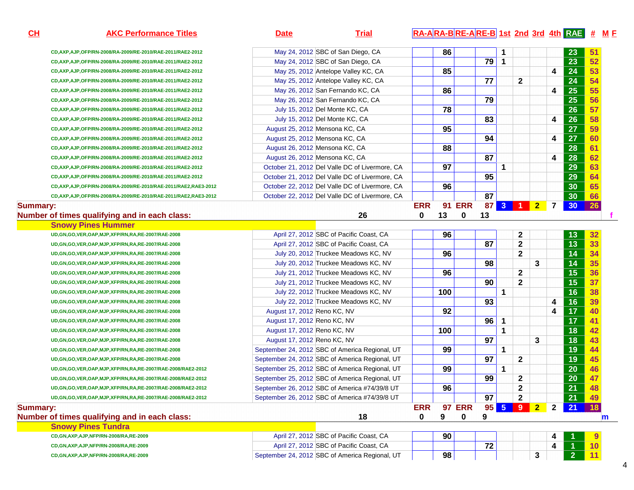**CD,AXP,AJP,OFP/RN-2008/RA-2009/RE-2010/RAE-2011/RAE2-2012CD,AXP,AJP,OFP/RN-2008/RA-2009/RE-2010/RAE-2011/RAE2-2012CD,AXP,AJP,OFP/RN-2008/RA-2009/RE-2010/RAE-2011/RAE2-2012**CD,AXP,A CD,AXP,A CD,AXP,A CD,AXP,A CD,AXP,A CD,AXP,A CD,AXP,A CD,AXP,A CD,AXP,A CD,AXP,A CD,AXP,A CD,AXP,A CD,AXP,A

#### **Summary:**

#### **Number of time**

#### **Summary:Number of time**

| Snowy Pines Tundra                        |                                                |    |    |  |  |
|-------------------------------------------|------------------------------------------------|----|----|--|--|
| CD,GN,AXP,AJP,NFP/RN-2008/RA,RE-2009      | April 27, 2012 SBC of Pacific Coast, CA        | 90 |    |  |  |
| CD, GN, AXP, AJP, NFP/RN-2008/RA, RE-2009 | April 27, 2012 SBC of Pacific Coast, CA        |    | 72 |  |  |
| CD,GN,AXP,AJP,NFP/RN-2008/RA,RE-2009      | September 24, 2012 SBC of America Regional, UT | 98 |    |  |  |

| , îtles<br><b>AK</b> | латс | <b>ria</b> | -AIRA-RIRF-<br>E-AIRE-BI 1st_2nd_3rd_4th RAI⊒L_# |
|----------------------|------|------------|--------------------------------------------------|
|                      |      |            |                                                  |

A **86 1 1 23 51** 

A 23 52

| :D,AXP,AJP,OFP/RN-2008/RA-2009/RE-2010/RAE-2011/RAE2-2012      |                             | May 25, 2012 Antelope Valley KC, CA            |            | 85  |               |                 |                |                         |                | 4              | $\overline{24}$ | 53 |
|----------------------------------------------------------------|-----------------------------|------------------------------------------------|------------|-----|---------------|-----------------|----------------|-------------------------|----------------|----------------|-----------------|----|
| :D,AXP,AJP,OFP/RN-2008/RA-2009/RE-2010/RAE-2011/RAE2-2012      |                             | May 25, 2012 Antelope Valley KC, CA            |            |     |               | $\overline{77}$ |                | $\mathbf{2}$            |                |                | $\overline{24}$ | 54 |
| :D,AXP,AJP,OFP/RN-2008/RA-2009/RE-2010/RAE-2011/RAE2-2012      |                             | May 26, 2012 San Fernando KC, CA               |            | 86  |               |                 |                |                         |                | 4              | 25              | 55 |
| :D,AXP,AJP,OFP/RN-2008/RA-2009/RE-2010/RAE-2011/RAE2-2012      |                             | May 26, 2012 San Fernando KC, CA               |            |     |               | $\overline{79}$ |                |                         |                |                | 25              | 56 |
| :D,AXP,AJP,OFP/RN-2008/RA-2009/RE-2010/RAE-2011/RAE2-2012      |                             | July 15, 2012 Del Monte KC, CA                 |            | 78  |               |                 |                |                         |                |                | 26              | 57 |
| :D,AXP,AJP,OFP/RN-2008/RA-2009/RE-2010/RAE-2011/RAE2-2012      |                             | July 15, 2012 Del Monte KC, CA                 |            |     |               | 83              |                |                         |                | 4              | 26              | 58 |
| :D,AXP,AJP,OFP/RN-2008/RA-2009/RE-2010/RAE-2011/RAE2-2012      |                             | August 25, 2012 Mensona KC, CA                 |            | 95  |               |                 |                |                         |                |                | 27              | 59 |
| :D,AXP,AJP,OFP/RN-2008/RA-2009/RE-2010/RAE-2011/RAE2-2012      |                             | August 25, 2012 Mensona KC, CA                 |            |     |               | 94              |                |                         |                | 4              | 27              | 60 |
| :D,AXP,AJP,OFP/RN-2008/RA-2009/RE-2010/RAE-2011/RAE2-2012      |                             | August 26, 2012 Mensona KC, CA                 |            | 88  |               |                 |                |                         |                |                | 28              | 61 |
| :D,AXP,AJP,OFP/RN-2008/RA-2009/RE-2010/RAE-2011/RAE2-2012      |                             | August 26, 2012 Mensona KC, CA                 |            |     |               | $\overline{87}$ |                |                         |                | 4              | 28              | 62 |
| :D,AXP,AJP,OFP/RN-2008/RA-2009/RE-2010/RAE-2011/RAE2-2012      |                             | October 21, 2012 Del Valle DC of Livermore, CA |            | 97  |               |                 | 1              |                         |                |                | 29              | 63 |
| :D,AXP,AJP,OFP/RN-2008/RA-2009/RE-2010/RAE-2011/RAE2-2012      |                             | October 21, 2012 Del Valle DC of Livermore, CA |            |     |               | 95              |                |                         |                |                | 29              | 64 |
| :D,AXP,AJP,OFP/RN-2008/RA-2009/RE-2010/RAE-2011/RAE2,RAE3-2012 |                             | October 22, 2012 Del Valle DC of Livermore, CA |            | 96  |               |                 |                |                         |                |                | 30              | 65 |
| :D,AXP,AJP,OFP/RN-2008/RA-2009/RE-2010/RAE-2011/RAE2,RAE3-2012 |                             | October 22, 2012 Del Valle DC of Livermore, CA |            |     |               | $\overline{87}$ |                |                         |                |                | 30              | 66 |
|                                                                |                             |                                                | <b>ERR</b> |     | <b>91 ERR</b> | 87              | 3 <sup>2</sup> | $\blacksquare$          | 2 <sup>1</sup> | $\overline{7}$ | 30 <sub>o</sub> | 26 |
| f times qualifying and in each class:                          |                             | 26                                             | $\bf{0}$   | 13  | $\bf{0}$      | 13              |                |                         |                |                |                 |    |
| <b>Snowy Pines Hummer</b>                                      |                             |                                                |            |     |               |                 |                |                         |                |                |                 |    |
| D,GN,GO,VER,OAP,MJP,XFP/RN,RA,RE-2007/RAE-2008                 |                             | April 27, 2012 SBC of Pacific Coast, CA        |            | 96  |               |                 |                | $\mathbf 2$             |                |                | 13              | 32 |
| D,GN,GO,VER,OAP,MJP,XFP/RN,RA,RE-2007/RAE-2008                 |                             | April 27, 2012 SBC of Pacific Coast, CA        |            |     |               | 87              |                | $\overline{\mathbf{2}}$ |                |                | 13              | 33 |
| D,GN,GO,VER,OAP,MJP,XFP/RN,RA,RE-2007/RAE-2008                 |                             | July 20, 2012 Truckee Meadows KC, NV           |            | 96  |               |                 |                | $\overline{2}$          |                |                | 14              | 34 |
| D,GN,GO,VER,OAP,MJP,XFP/RN,RA,RE-2007/RAE-2008                 |                             | July 20, 2012 Truckee Meadows KC, NV           |            |     |               | 98              |                |                         | 3              |                | 14              | 35 |
| D,GN,GO,VER,OAP,MJP,XFP/RN,RA,RE-2007/RAE-2008                 |                             | July 21, 2012 Truckee Meadows KC, NV           |            | 96  |               |                 |                | $\mathbf 2$             |                |                | 15              | 36 |
| D,GN,GO,VER,OAP,MJP,XFP/RN,RA,RE-2007/RAE-2008                 |                             | July 21, 2012 Truckee Meadows KC, NV           |            |     |               | 90              |                | $\mathbf{2}$            |                |                | 15              | 37 |
| D,GN,GO,VER,OAP,MJP,XFP/RN,RA,RE-2007/RAE-2008                 |                             | July 22, 2012 Truckee Meadows KC, NV           |            | 100 |               |                 | $\mathbf{1}$   |                         |                |                | 16              | 38 |
| D,GN,GO,VER,OAP,MJP,XFP/RN,RA,RE-2007/RAE-2008                 |                             | July 22, 2012 Truckee Meadows KC, NV           |            |     |               | 93              |                |                         |                | 4              | 16              | 39 |
| D,GN,GO,VER,OAP,MJP,XFP/RN,RA,RE-2007/RAE-2008                 | August 17, 2012 Reno KC, NV |                                                |            | 92  |               |                 |                |                         |                | 4              | 17              | 40 |
| D,GN,GO,VER,OAP,MJP,XFP/RN,RA,RE-2007/RAE-2008                 | August 17, 2012 Reno KC, NV |                                                |            |     |               | 96              | 1              |                         |                |                | 17              | 41 |
| D,GN,GO,VER,OAP,MJP,XFP/RN,RA,RE-2007/RAE-2008                 | August 17, 2012 Reno KC, NV |                                                |            | 100 |               |                 | 1              |                         |                |                | 18              | 42 |
| D,GN,GO,VER,OAP,MJP,XFP/RN,RA,RE-2007/RAE-2008                 | August 17, 2012 Reno KC, NV |                                                |            |     |               | 97              |                |                         | 3              |                | 18              | 43 |
| D,GN,GO,VER,OAP,MJP,XFP/RN,RA,RE-2007/RAE-2008                 |                             | September 24, 2012 SBC of America Regional, UT |            | 99  |               |                 | 1              |                         |                |                | 19              | 44 |
| D,GN,GO,VER,OAP,MJP,XFP/RN,RA,RE-2007/RAE-2008                 |                             | September 24, 2012 SBC of America Regional, UT |            |     |               | 97              |                | $\mathbf{2}$            |                |                | 19              | 45 |
| D,GN,GO,VER,OAP,MJP,XFP/RN,RA,RE-2007/RAE-2008/RAE2-2012       |                             | September 25, 2012 SBC of America Regional, UT |            | 99  |               |                 | 1              |                         |                |                | 20              | 46 |
| D,GN,GO,VER,OAP,MJP,XFP/RN,RA,RE-2007/RAE-2008/RAE2-2012       |                             | September 25, 2012 SBC of America Regional, UT |            |     |               | 99              |                | 2                       |                |                | 20              | 47 |
| D,GN,GO,VER,OAP,MJP,XFP/RN,RA,RE-2007/RAE-2008/RAE2-2012       |                             | September 26, 2012 SBC of America #74/39/8 UT  |            | 96  |               |                 |                | $\mathbf 2$             |                |                | 21              | 48 |
| D,GN,GO,VER,OAP,MJP,XFP/RN,RA,RE-2007/RAE-2008/RAE2-2012       |                             | September 26, 2012 SBC of America #74/39/8 UT  |            |     |               | 97              |                | $\mathbf{2}$            |                |                | 21              | 49 |
|                                                                |                             |                                                |            |     |               |                 |                |                         |                |                |                 |    |
|                                                                |                             |                                                | <b>ERR</b> |     | <b>97 ERR</b> | 95              | 5 <sub>5</sub> | 9                       | $\overline{2}$ | $\mathbf{2}$   | 21              | 18 |

May 24, 2012 SBC of San Diego, CA

May 24, 2012 SBC of San Diego, CA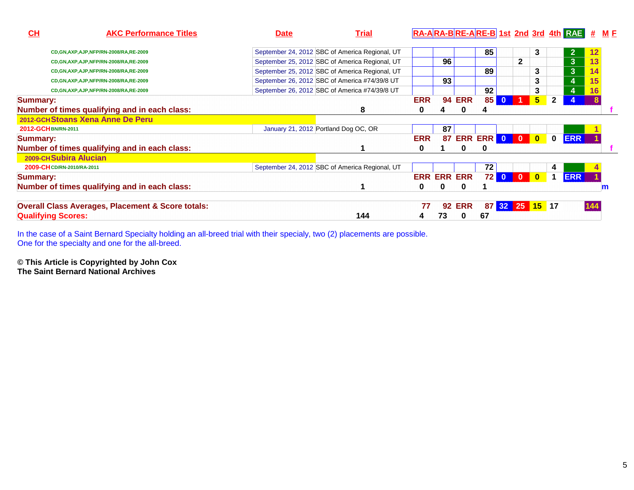| CL                         | <b>AKC Performance Titles</b>                                | <b>Date</b> | <b>Trial</b>                                   |            |                    |                  |                 |              |                |                         |              | RA-ARA-BRE-ARE-B 1st 2nd 3rd 4th RAE | #   | <u>M F</u> |
|----------------------------|--------------------------------------------------------------|-------------|------------------------------------------------|------------|--------------------|------------------|-----------------|--------------|----------------|-------------------------|--------------|--------------------------------------|-----|------------|
|                            | CD, GN, AXP, AJP, NFP/RN-2008/RA, RE-2009                    |             | September 24, 2012 SBC of America Regional, UT |            |                    |                  | 85              |              |                | 3                       |              | $\mathbf{2}$                         |     |            |
|                            | CD, GN, AXP, AJP, NFP/RN-2008/RA, RE-2009                    |             | September 25, 2012 SBC of America Regional, UT |            | 96                 |                  |                 |              | $\mathbf{2}$   |                         |              | 3 <sup>1</sup>                       |     |            |
|                            | CD, GN, AXP, AJP, NFP/RN-2008/RA, RE-2009                    |             | September 25, 2012 SBC of America Regional, UT |            |                    |                  | 89              |              |                | 3                       |              | 3 <sup>1</sup>                       |     |            |
|                            | CD, GN, AXP, AJP, NFP/RN-2008/RA, RE-2009                    |             | September 26, 2012 SBC of America #74/39/8 UT  |            | 93                 |                  |                 |              |                | 3                       |              | 4                                    |     |            |
|                            | CD, GN, AXP, AJP, NFP/RN-2008/RA, RE-2009                    |             | September 26, 2012 SBC of America #74/39/8 UT  |            |                    |                  | 92              |              |                | 3                       |              | 4                                    |     |            |
| <b>Summary:</b>            |                                                              |             |                                                | <b>ERR</b> |                    | <b>94 ERR</b>    | 85 <sub>1</sub> | $\mathbf{0}$ |                | 5 <sup>5</sup>          | $\mathbf{2}$ |                                      |     |            |
|                            | Number of times qualifying and in each class:                |             | 8                                              | 0          |                    | 0                | 4               |              |                |                         |              |                                      |     |            |
|                            | 2012-GCH Stoans Xena Anne De Peru                            |             |                                                |            |                    |                  |                 |              |                |                         |              |                                      |     |            |
| 2012-GCHBN/RN-2011         |                                                              |             | January 21, 2012 Portland Dog OC, OR           |            | 87                 |                  |                 |              |                |                         |              |                                      |     |            |
| <b>Summary:</b>            |                                                              |             |                                                | <b>ERR</b> |                    | 87 ERR ERR 0 0 0 |                 |              |                |                         | $\mathbf 0$  | <b>ERR</b>                           |     |            |
|                            | Number of times qualifying and in each class:                |             |                                                | 0          |                    | 0                | 0               |              |                |                         |              |                                      |     |            |
| 2009-CH Subira Alucian     |                                                              |             |                                                |            |                    |                  |                 |              |                |                         |              |                                      |     |            |
| 2009-CH CD/RN-2010/RA-2011 |                                                              |             | September 24, 2012 SBC of America Regional, UT |            |                    |                  | 72              |              |                |                         | 4            |                                      |     |            |
| <b>Summary:</b>            |                                                              |             |                                                |            | <b>ERR ERR ERR</b> |                  | 72              | $\bullet$    | $\overline{0}$ | $\overline{\mathbf{0}}$ |              | <b>ERR</b>                           |     |            |
|                            | Number of times qualifying and in each class:                |             |                                                | 0          |                    | 0                |                 |              |                |                         |              |                                      |     | Im         |
|                            | <b>Overall Class Averages, Placement &amp; Score totals:</b> |             |                                                | 77         | 92                 | <b>ERR</b>       |                 |              | 87 32 25 15 17 |                         |              |                                      | 144 |            |
| <b>Qualifying Scores:</b>  |                                                              |             | 144                                            |            | 73                 | 0                | 67              |              |                |                         |              |                                      |     |            |

In the case of a Saint Bernard Specialty holding an all-breed trial with their specialy, two (2) placements are possible. One for the specialty and one for the all-breed.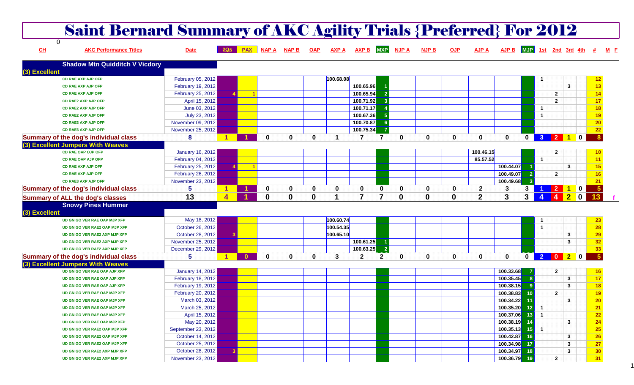|               | <b>Saint Bernard Summary of AKC Agility Trials {Preferred} For 2012</b> |                                      |                           |                  |               |              |             |              |                |                |              |              |              |                |                        |                                |                |                         |                                              |                |       |
|---------------|-------------------------------------------------------------------------|--------------------------------------|---------------------------|------------------|---------------|--------------|-------------|--------------|----------------|----------------|--------------|--------------|--------------|----------------|------------------------|--------------------------------|----------------|-------------------------|----------------------------------------------|----------------|-------|
| CL            | $\Omega$<br><b>AKC Performance Titles</b>                               | <b>Date</b>                          |                           |                  | PAX NAPA NAPB |              | <b>OAP</b>  | <b>AXP A</b> | AXP B MXP      |                | <b>NJP A</b> | <b>NJP B</b> | <b>OJP</b>   | <b>AJP A</b>   | <b>AJP B</b>           | <b>MJP</b> 1st 2nd 3rd 4th $#$ |                |                         |                                              |                | $M$ E |
|               | <b>Shadow Mtn Quidditch V Vicdory</b>                                   |                                      |                           |                  |               |              |             |              |                |                |              |              |              |                |                        |                                |                |                         |                                              |                |       |
| (3) Excellent |                                                                         |                                      |                           |                  |               |              |             |              |                |                |              |              |              |                |                        |                                |                |                         |                                              |                |       |
|               | <b>CD RAE AXP AJP OFP</b><br><b>CD RAE AXP AJP OFP</b>                  | February 05, 2012                    |                           |                  |               |              |             | 100.68.08    | 100.65.96      |                |              |              |              |                |                        |                                |                |                         | $\mathbf{3}$                                 | 13             |       |
|               | <b>CD RAE AXP AJP OFP</b>                                               | February 19, 2012                    |                           |                  |               |              |             |              | 100.65.94      |                |              |              |              |                |                        |                                |                | $\overline{\mathbf{2}}$ |                                              | 14             |       |
|               | <b>CD RAE2 AXP AJP OFP</b>                                              | February 25, 2012<br>April 15, 2012  |                           |                  |               |              |             |              | 100.71.92      |                |              |              |              |                |                        |                                |                | $\overline{2}$          |                                              | 17             |       |
|               | <b>CD RAE2 AXP AJP OFP</b>                                              | June 03, 2012                        |                           |                  |               |              |             |              | 100.71.17      |                |              |              |              |                |                        |                                | -1             |                         |                                              | 18             |       |
|               | <b>CD RAE2 AXP AJP OFP</b>                                              | July 23, 2012                        |                           |                  |               |              |             |              | 100.67.36      |                |              |              |              |                |                        |                                | $\overline{1}$ |                         |                                              | 19             |       |
|               | <b>CD RAE3 AXP AJP OFP</b>                                              | November 09, 2012                    |                           |                  |               |              |             |              | 100.70.87      |                |              |              |              |                |                        |                                |                |                         |                                              | 20             |       |
|               | <b>CD RAE3 AXP AJP OFP</b>                                              | November 25, 2012                    |                           |                  |               |              |             |              | 100.75.34      |                |              |              |              |                |                        |                                |                |                         |                                              | 22             |       |
|               | Summary of the dog's individual class                                   | 8                                    |                           |                  | $\bf{0}$      | $\bf{0}$     | 0           | 1            | $\overline{7}$ | $\overline{7}$ | 0            | 0            | $\mathbf{0}$ | $\bf{0}$       | $\bf{0}$               | $\mathbf{0}$                   |                |                         | 3 2 1 0                                      | 8              |       |
|               | (3) Excellent Jumpers With Weaves                                       |                                      |                           |                  |               |              |             |              |                |                |              |              |              |                |                        |                                |                |                         |                                              |                |       |
|               | <b>CD RAE OAP OJP OFP</b>                                               | <b>January 16, 2012</b>              |                           |                  |               |              |             |              |                |                |              |              |              | 100.46.15      |                        |                                |                | $\mathbf{2}$            |                                              |                |       |
|               | <b>CD RAE OAP AJP OFP</b>                                               | February 04, 2012                    |                           |                  |               |              |             |              |                |                |              |              |              | 85.57.52       |                        |                                | $\overline{1}$ |                         |                                              | 11             |       |
|               | <b>CD RAE AXP AJP OFP</b>                                               | February 25, 2012                    |                           | $\blacksquare$ 1 |               |              |             |              |                |                |              |              |              |                | 100.44.07              |                                |                |                         | 3                                            | 15             |       |
|               | <b>CD RAE AXP AJP OFP</b>                                               | February 26, 2012                    |                           |                  |               |              |             |              |                |                |              |              |              |                | 100.49.07              | -2                             |                | $\overline{2}$          |                                              | 16             |       |
|               | <b>CD RAE3 AXP AJP OFP</b>                                              | November 23, 2012                    |                           |                  |               |              |             |              |                |                |              |              |              |                | 100.49.68              | -3                             |                |                         |                                              | 21             |       |
|               | Summary of the dog's individual class                                   | 5                                    |                           |                  | $\mathbf 0$   | $\mathbf 0$  | 0           | 0            | 0              | 0              | 0            | 0            | 0            | $\mathbf{2}$   | 3                      | 3                              |                | $\overline{2}$          | $\blacksquare$<br>$\mathbf{1}$               | 5              |       |
|               | <b>Summary of ALL the dog's classes</b>                                 | 13                                   | $\boldsymbol{\varLambda}$ |                  | $\mathbf{0}$  | $\bf{0}$     | $\mathbf 0$ |              | 7              |                | $\bf{0}$     | $\bf{0}$     | $\mathbf 0$  | $\overline{2}$ | 3                      | 3 <sup>1</sup>                 |                | $\overline{4}$          | 2 <sub>2</sub><br>$\overline{\phantom{a}}$ 0 |                |       |
| (3) Excellent | <b>Snowy Pines Hummer</b>                                               |                                      |                           |                  |               |              |             |              |                |                |              |              |              |                |                        |                                |                |                         |                                              |                |       |
|               | UD GN GO VER RAE OAP MJP XFP                                            | May 18, 2012                         |                           |                  |               |              |             |              |                |                |              |              |              |                |                        |                                |                |                         |                                              | 23             |       |
|               | UD GN GO VER RAE2 OAP MJP XFP                                           |                                      |                           |                  |               |              |             |              |                |                |              |              |              |                |                        |                                |                |                         |                                              |                |       |
|               |                                                                         |                                      |                           |                  |               |              |             | 100.60.74    |                |                |              |              |              |                |                        |                                | -1             |                         |                                              |                |       |
|               |                                                                         | October 26, 2012                     |                           |                  |               |              |             | 100.54.35    |                |                |              |              |              |                |                        |                                | $\overline{1}$ |                         |                                              | 28             |       |
|               | UD GN GO VER RAE2 AXP MJP XFP                                           | October 28, 2012                     |                           |                  |               |              |             | 100.65.10    |                |                |              |              |              |                |                        |                                |                |                         | $\mathbf{3}$                                 | 29             |       |
|               | UD GN GO VER RAE2 AXP MJP XFP                                           | November 25, 2012                    |                           |                  |               |              |             |              | 100.61.25      |                |              |              |              |                |                        |                                |                |                         | 3                                            | 32             |       |
|               | UD GN GO VER RAE2 AXP MJP XFP                                           | December 29, 2012                    |                           |                  |               |              |             |              | 100.63.25      |                |              |              |              |                |                        |                                |                |                         |                                              | 33             |       |
|               | Summary of the dog's individual class                                   | 5                                    |                           | $\mathbf{0}$     | $\mathbf{0}$  | $\mathbf{0}$ | 0           | 3            | $\mathbf{2}$   | $\overline{2}$ | 0            | 0            | 0            | 0              | 0                      | $\overline{\mathbf{0}}$        |                |                         | 2020                                         | 5 <sup>5</sup> |       |
|               | (3) Excellent Jumpers With Weaves                                       |                                      |                           |                  |               |              |             |              |                |                |              |              |              |                |                        |                                |                |                         |                                              |                |       |
|               | UD GN GO VER RAE OAP AJP XFP                                            | <b>January 14, 2012</b>              |                           |                  |               |              |             |              |                |                |              |              |              |                | 100.33.68              |                                |                | $\overline{2}$          |                                              | 16             |       |
|               | UD GN GO VER RAE OAP AJP XFP                                            | February 18, 2012                    |                           |                  |               |              |             |              |                |                |              |              |              |                | 100.35.45              | 8                              |                |                         | $\mathbf{3}$                                 | 17             |       |
|               | UD GN GO VER RAE OAP AJP XFP<br>UD GN GO VER RAE OAP MJP XFP            | February 19, 2012                    |                           |                  |               |              |             |              |                |                |              |              |              |                | 100.38.15              | 9                              |                |                         | $\mathbf{3}$                                 | 18             |       |
|               | UD GN GO VER RAE OAP MJP XFP                                            | February 20, 2012                    |                           |                  |               |              |             |              |                |                |              |              |              |                | 100.38.83              | 10                             |                | $\overline{2}$          |                                              | 19             |       |
|               | UD GN GO VER RAE OAP MJP XFP                                            | March 03, 2012                       |                           |                  |               |              |             |              |                |                |              |              |              |                | 100.34.22              | 11                             | $\mathbf{1}$   |                         | 3                                            | 20             |       |
|               | UD GN GO VER RAE OAP MJP XFP                                            | March 25, 2012                       |                           |                  |               |              |             |              |                |                |              |              |              |                | 100.35.20              | 12                             | $\mathbf{1}$   |                         |                                              | 21             |       |
|               | UD GN GO VER RAE OAP MJP XFP                                            | April 15, 2012                       |                           |                  |               |              |             |              |                |                |              |              |              |                | 100.37.06              | 13<br>14                       |                |                         | $\mathbf{3}$                                 | 22             |       |
|               | UD GN GO VER RAE2 OAP MJP XFP                                           | May 20, 2012                         |                           |                  |               |              |             |              |                |                |              |              |              |                | 100.38.19              | 15                             | $\mathbf 1$    |                         |                                              | 24<br>25       |       |
|               | UD GN GO VER RAE2 OAP MJP XFP                                           | September 23, 2012                   |                           |                  |               |              |             |              |                |                |              |              |              |                | 100.35.13              | 16                             |                |                         | $\mathbf{3}$                                 |                |       |
|               | UD GN GO VER RAE2 OAP MJP XFP                                           | October 14, 2012                     |                           |                  |               |              |             |              |                |                |              |              |              |                | 100.42.87              | 17                             |                |                         | 3                                            | 26<br>27       |       |
|               | UD GN GO VER RAE2 AXP MJP XFP                                           | October 25, 2012<br>October 28, 2012 |                           |                  |               |              |             |              |                |                |              |              |              |                | 100.34.98<br>100.34.97 | 18                             |                |                         | 3                                            | 30             |       |

1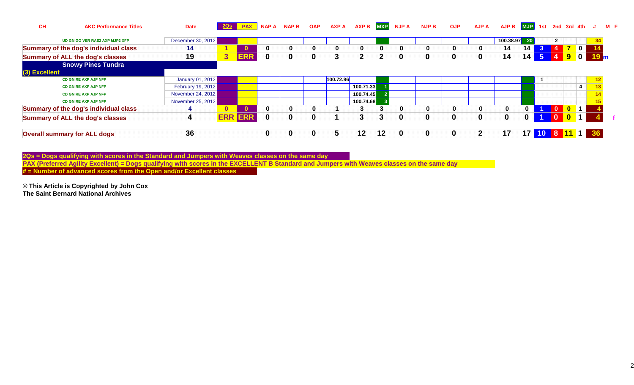| $CH$          | <b>AKC Performance Titles</b>           | <b>Date</b>       |              | <b>PAX</b> | <b>NAP A</b> | <b>NAP B</b> | <u>OAP</u> | <b>AXP A</b> | <b>AXP B</b> | <b>MXP</b> | <b>NJP A</b> | <b>NJP B</b> | <b>OJP</b> | <b>AJP A</b> | <b>AJP B</b> | MJP 1st         |                      | <u>2nd 3rd 4th #</u> |                |                  |                           | $M$ E |
|---------------|-----------------------------------------|-------------------|--------------|------------|--------------|--------------|------------|--------------|--------------|------------|--------------|--------------|------------|--------------|--------------|-----------------|----------------------|----------------------|----------------|------------------|---------------------------|-------|
|               | UD GN GO VER RAE2 AXP MJP2 XFP          | December 30, 2012 |              |            |              |              |            |              |              |            |              |              |            |              | 100.38.97 20 |                 |                      | $\overline{2}$       |                |                  | 34 <sub>l</sub>           |       |
|               | Summary of the dog's individual class   | 14                |              |            | 0            | 0            |            |              | 0            |            | 0            | 0            | 0          | 0            | 14           | 14              |                      |                      |                | $\blacksquare$   |                           |       |
|               | <b>Summary of ALL the dog's classes</b> | 19                | $\mathbf{3}$ | <b>ERR</b> | $\bf{0}$     | 0            | $\bf{0}$   |              | 2            |            | $\Omega$     | 0            | 0          |              | 14           | 14              | 5 <sub>5</sub>       |                      | $\overline{9}$ | $\blacksquare$   | $\mathbf{F}$ <sub>m</sub> |       |
|               | <b>Snowy Pines Tundra</b>               |                   |              |            |              |              |            |              |              |            |              |              |            |              |              |                 |                      |                      |                |                  |                           |       |
| (3) Excellent |                                         |                   |              |            |              |              |            |              |              |            |              |              |            |              |              |                 |                      |                      |                |                  |                           |       |
|               | <b>CD GN RE AXP AJP NFP</b>             | January 01, 2012  |              |            |              |              |            | 100.72.86    |              |            |              |              |            |              |              |                 |                      |                      |                |                  | 12                        |       |
|               | <b>CD GN RE AXP AJP NFP</b>             | February 19, 2012 |              |            |              |              |            |              | 100.71.33    |            |              |              |            |              |              |                 |                      |                      |                |                  | 13                        |       |
|               | <b>CD GN RE AXP AJP NFP</b>             | November 24, 2012 |              |            |              |              |            |              | 100.74.45    |            |              |              |            |              |              |                 |                      |                      |                |                  |                           |       |
|               | CD GN RE AXP AJP NFP                    | November 25, 2012 |              |            |              |              |            |              | 100.74.68    |            |              |              |            |              |              |                 |                      |                      |                |                  |                           |       |
|               | Summary of the dog's individual class   |                   |              |            | $\Omega$     | 0            | 0          |              |              |            | 0            | 0            | 0          | $\mathbf{0}$ | $\bf{0}$     | 0               | $\blacktriangleleft$ | - 0                  | l o            | $\blacksquare$ 1 |                           |       |
|               | <b>Summary of ALL the dog's classes</b> | 4                 | <b>ERR</b>   | <b>ERR</b> | $\bf{0}$     | 0            | $\bf{0}$   |              | 3            | 3          | 0            | $\bf{0}$     | 0          |              | $\bf{0}$     | 0               |                      | - 0                  | $\mathbf{0}$   | $\mathbf 1$      |                           |       |
|               | <b>Overall summary for ALL dogs</b>     | 36                |              |            | $\bf{0}$     | 0            | 0          |              | 12           | 12         | $\mathbf{0}$ | $\bf{0}$     | 0          |              | 17           | 17 <sup>1</sup> | 10                   |                      |                |                  |                           |       |

2Qs = Dogs qualifying with scores in the Standard and Jumpers with Weaves classes on the same day<br>PAX (Preferred Agility Excellent) = Dogs qualifying with scores in the EXCELLENT B Standard and Jumpers with Weaves classes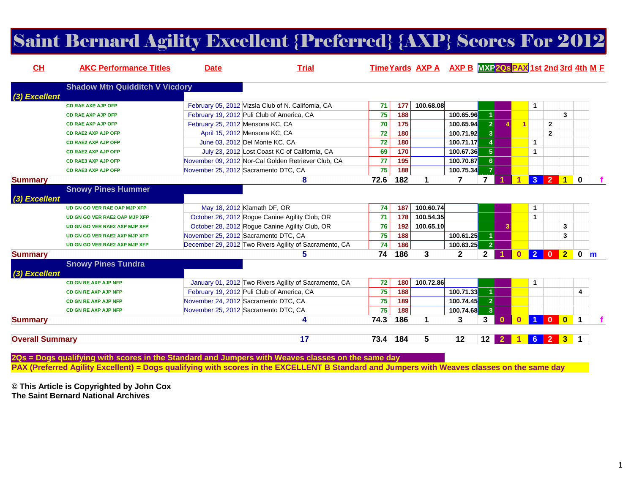### Saint Bernard Agility Excellent {Preferred} {AXP} Scores For 2012

| CL                     | <b>AKC Performance Titles</b>         | <b>Date</b>                      | <b>Trial</b>                                           |      |     | Time Yards AXP A AXP B MXP 20s PAX 1st 2nd 3rd 4th M F |              |                 |          |          |                      |                |              |                      |              |
|------------------------|---------------------------------------|----------------------------------|--------------------------------------------------------|------|-----|--------------------------------------------------------|--------------|-----------------|----------|----------|----------------------|----------------|--------------|----------------------|--------------|
|                        | <b>Shadow Mtn Quidditch V Vicdory</b> |                                  |                                                        |      |     |                                                        |              |                 |          |          |                      |                |              |                      |              |
| (3) Excellent          |                                       |                                  |                                                        |      |     |                                                        |              |                 |          |          |                      |                |              |                      |              |
|                        | <b>CD RAE AXP AJP OFP</b>             |                                  | February 05, 2012 Vizsla Club of N. California, CA     | 71   | 177 | 100.68.08                                              |              |                 |          |          | 1                    |                |              |                      |              |
|                        | <b>CD RAE AXP AJP OFP</b>             |                                  | February 19, 2012 Puli Club of America, CA             | 75   | 188 |                                                        | 100.65.96    |                 |          |          |                      |                | 3            |                      |              |
|                        | <b>CD RAE AXP AJP OFP</b>             | February 25, 2012 Mensona KC, CA |                                                        | 70   | 175 |                                                        | 100.65.94    | $\mathbf{2}$    |          | 1        |                      | $\overline{2}$ |              |                      |              |
|                        | <b>CD RAE2 AXP AJP OFP</b>            |                                  | April 15, 2012 Mensona KC, CA                          | 72   | 180 |                                                        | 100.71.92    | 3 <sup>1</sup>  |          |          |                      | $\mathbf{2}$   |              |                      |              |
|                        | <b>CD RAE2 AXP AJP OFP</b>            |                                  | June 03, 2012 Del Monte KC, CA                         | 72   | 180 |                                                        | 100.71.17    | $\overline{4}$  |          |          | $\mathbf{1}$         |                |              |                      |              |
|                        | <b>CD RAE2 AXP AJP OFP</b>            |                                  | July 23, 2012 Lost Coast KC of California, CA          | 69   | 170 |                                                        | 100.67.36    | 5 <sup>1</sup>  |          |          | 1                    |                |              |                      |              |
|                        | <b>CD RAE3 AXP AJP OFP</b>            |                                  | November 09, 2012 Nor-Cal Golden Retriever Club, CA    | 77   | 195 |                                                        | 100.70.87    | 6 <sup>1</sup>  |          |          |                      |                |              |                      |              |
|                        | <b>CD RAE3 AXP AJP OFP</b>            |                                  | November 25, 2012 Sacramento DTC, CA                   | 75   | 188 |                                                        | 100.75.34    | $\vert 7 \vert$ |          |          |                      |                |              |                      |              |
| <b>Summary</b>         |                                       |                                  | 8                                                      | 72.6 | 182 | 1                                                      |              | 7               |          |          | 3 <sup>1</sup>       | $\overline{2}$ | <b>10</b>    |                      |              |
|                        | <b>Snowy Pines Hummer</b>             |                                  |                                                        |      |     |                                                        |              |                 |          |          |                      |                |              |                      |              |
| (3) Excellent          |                                       |                                  |                                                        |      |     |                                                        |              |                 |          |          |                      |                |              |                      |              |
|                        | UD GN GO VER RAE OAP MJP XFP          |                                  | May 18, 2012 Klamath DF, OR                            | 74   | 187 | 100.60.74                                              |              |                 |          |          | $\mathbf{1}$         |                |              |                      |              |
|                        | UD GN GO VER RAE2 OAP MJP XFP         |                                  | October 26, 2012 Roque Canine Agility Club, OR         | 71   | 178 | 100.54.35                                              |              |                 |          |          | 1                    |                |              |                      |              |
|                        | UD GN GO VER RAE2 AXP MJP XFP         |                                  | October 28, 2012 Rogue Canine Agility Club, OR         | 76   | 192 | 100.65.10                                              |              |                 | 3        |          |                      |                | 3            |                      |              |
|                        | UD GN GO VER RAE2 AXP MJP XFP         |                                  | November 25, 2012 Sacramento DTC, CA                   | 75   | 188 |                                                        | 100.61.25    | 1.              |          |          |                      |                | 3            |                      |              |
|                        | UD GN GO VER RAE2 AXP MJP XFP         |                                  | December 29, 2012 Two Rivers Agility of Sacramento, CA | 74   | 186 |                                                        | 100.63.25    | $\mathbf{2}$    |          |          |                      |                |              |                      |              |
| <b>Summary</b>         |                                       |                                  | 5.                                                     | 74   | 186 | 3                                                      | $\mathbf{2}$ | $\mathbf{2}$    |          |          | $\overline{2}$       | $\mathbf{0}$   | $2-1$        | $\mathbf 0$          | $\mathbf{m}$ |
|                        | <b>Snowy Pines Tundra</b>             |                                  |                                                        |      |     |                                                        |              |                 |          |          |                      |                |              |                      |              |
| (3) Excellent          |                                       |                                  |                                                        |      |     |                                                        |              |                 |          |          |                      |                |              |                      |              |
|                        | CD GN RE AXP AJP NFP                  |                                  | January 01, 2012 Two Rivers Agility of Sacramento, CA  | 72   | 180 | 100.72.86                                              |              |                 |          |          | $\mathbf{1}$         |                |              |                      |              |
|                        | CD GN RE AXP AJP NFP                  |                                  | February 19, 2012 Puli Club of America, CA             | 75   | 188 |                                                        | 100.71.33    | $\blacksquare$  |          |          |                      |                |              | 4                    |              |
|                        | CD GN RE AXP AJP NFP                  |                                  | November 24, 2012 Sacramento DTC, CA                   | 75   | 189 |                                                        | 100.74.45    | $\vert$ 2       |          |          |                      |                |              |                      |              |
|                        | <b>CD GN RE AXP AJP NFP</b>           |                                  | November 25, 2012 Sacramento DTC, CA                   | 75   | 188 |                                                        | 100.74.68    | 3 <sup>2</sup>  |          |          |                      |                |              |                      |              |
| <b>Summary</b>         |                                       |                                  | 4                                                      | 74.3 | 186 | 1                                                      | 3            | 3               | $\Omega$ | $\bf{0}$ | $\blacktriangleleft$ |                |              | $\blacktriangleleft$ |              |
|                        |                                       |                                  |                                                        |      |     |                                                        |              |                 |          |          |                      |                |              |                      |              |
| <b>Overall Summary</b> |                                       |                                  | 17                                                     | 73.4 | 184 | 5                                                      | 12           | 12              |          |          | 6                    | $\overline{2}$ | $\mathbf{3}$ |                      |              |
|                        |                                       |                                  |                                                        |      |     |                                                        |              |                 |          |          |                      |                |              |                      |              |

**2Qs = Dogs qualifying with scores in the Standard and Jumpers with Weaves classes on the same dayPAX (Preferred Agility Excellent) = Dogs qualifying with scores in the EXCELLENT B Standard and Jumpers with Weaves classes on the same day**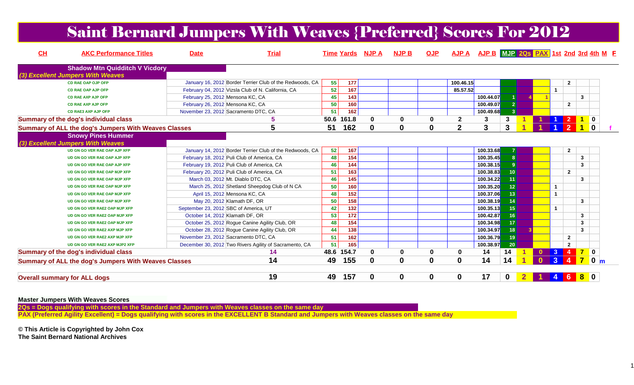### Saint Bernard Jumpers With Weaves {Preferred} Scores For 2012

| CH | <b>AKC Performance Titles</b>                        | <b>Date</b>                      | <b>Trial</b>                                             |                 |                   | <b>Time Yards NJP A</b> | <b>NJP B</b> | <b>OJP</b> | <b>AJP A</b>   | AJP B MJP 2Qs PAX 1st 2nd 3rd 4th M F |                 |              |                      |                  |                  |                         |
|----|------------------------------------------------------|----------------------------------|----------------------------------------------------------|-----------------|-------------------|-------------------------|--------------|------------|----------------|---------------------------------------|-----------------|--------------|----------------------|------------------|------------------|-------------------------|
|    | <b>Shadow Mtn Quidditch V Vicdory</b>                |                                  |                                                          |                 |                   |                         |              |            |                |                                       |                 |              |                      |                  |                  |                         |
|    | (3) Excellent Jumpers With Weaves                    |                                  |                                                          |                 |                   |                         |              |            |                |                                       |                 |              |                      |                  |                  |                         |
|    | <b>CD RAE OAP OJP OFP</b>                            |                                  | January 16, 2012 Border Terrier Club of the Redwoods, CA | 55              | 177               |                         |              |            | 100.46.15      |                                       |                 |              |                      | $\overline{2}$   |                  |                         |
|    | <b>CD RAE OAP AJP OFP</b>                            |                                  | February 04, 2012 Vizsla Club of N. California, CA       | 52              | $\frac{167}{167}$ |                         |              |            | 85.57.52       |                                       |                 |              |                      |                  |                  |                         |
|    | <b>CD RAE AXP AJP OFP</b>                            | February 25, 2012 Mensona KC, CA |                                                          | 45              | 143               |                         |              |            |                | 100.44.07                             |                 |              |                      |                  | 3                |                         |
|    | <b>CD RAE AXP AJP OFP</b>                            | February 26, 2012 Mensona KC, CA |                                                          | 50              | 160               |                         |              |            |                | 100.49.07                             | 2 <sup>1</sup>  |              |                      | $\mathbf{2}$     |                  |                         |
|    | <b>CD RAE3 AXP AJP OFP</b>                           |                                  | November 23, 2012 Sacramento DTC, CA                     | 51              | 162               |                         |              |            |                | 100.49.68                             | 3 <sup>1</sup>  |              |                      |                  |                  |                         |
|    | Summary of the dog's individual class                |                                  | 5                                                        | 50.6            | 161.8             | $\mathbf 0$             | $\Omega$     | 0          | $\mathbf{2}$   | 3                                     | 3               |              |                      |                  |                  | $\overline{0}$          |
|    | Summary of ALL the dog's Jumpers With Weaves Classes |                                  | 5                                                        | 51              | 162               | $\mathbf 0$             | $\bf{0}$     | 0          | $\overline{2}$ | 3                                     | 3               |              |                      | $\overline{2}$   |                  | $\overline{\mathbf{0}}$ |
|    | <b>Snowy Pines Hummer</b>                            |                                  |                                                          |                 |                   |                         |              |            |                |                                       |                 |              |                      |                  |                  |                         |
|    | (3) Excellent Jumpers With Weaves                    |                                  |                                                          |                 |                   |                         |              |            |                |                                       |                 |              |                      |                  |                  |                         |
|    | UD GN GO VER RAE OAP AJP XFP                         |                                  | January 14, 2012 Border Terrier Club of the Redwoods, CA | 52              | 167               |                         |              |            |                | 100.33.68                             |                 |              |                      | $\overline{2}$   |                  |                         |
|    | UD GN GO VER RAE OAP AJP XFP                         |                                  | February 18, 2012 Puli Club of America, CA               | 48              | $\frac{154}{154}$ |                         |              |            |                | 100.35.45                             | 8 <sup>1</sup>  |              |                      |                  | 3                |                         |
|    | UD GN GO VER RAE OAP AJP XFP                         |                                  | February 19, 2012 Puli Club of America, CA               | 46              | 144               |                         |              |            |                | 100.38.15                             | 9               |              |                      |                  | 3                |                         |
|    | UD GN GO VER RAE OAP MJP XFP                         |                                  | February 20, 2012 Puli Club of America, CA               | 51              | 163               |                         |              |            |                | 100.38.83                             | 10 <sup>1</sup> |              |                      | $\overline{2}$   |                  |                         |
|    | UD GN GO VER RAE OAP MJP XFP                         |                                  | March 03, 2012 Mt. Diablo DTC, CA                        | 46              | 145               |                         |              |            |                | 100.34.22                             | 11              |              |                      |                  | 3                |                         |
|    | UD GN GO VER RAE OAP MJP XFP                         |                                  | March 25, 2012 Shetland Sheepdog Club of N CA            | 50              | 160               |                         |              |            |                | 100.35.20                             | 12              |              | $\mathbf{1}$         |                  |                  |                         |
|    | UD GN GO VER RAE OAP MJP XFP                         |                                  | April 15, 2012 Mensona KC, CA                            | 48              | 152               |                         |              |            |                | 100.37.06                             | 13              |              | $\mathbf{1}$         |                  |                  |                         |
|    | UD GN GO VER RAE OAP MJP XFP                         |                                  | May 20, 2012 Klamath DF, OR                              | 50              | 158               |                         |              |            |                | 100.38.19                             | 14              |              |                      |                  | $\mathbf{3}$     |                         |
|    | UD GN GO VER RAE2 OAP MJP XFP                        |                                  | September 23, 2012 SBC of America, UT                    | 42              | 132               |                         |              |            |                | 100.35.13                             | 15              |              | $\blacktriangleleft$ |                  |                  |                         |
|    | UD GN GO VER RAE2 OAP MJP XFP                        | October 14, 2012 Klamath DF, OR  |                                                          | 53              | 172               |                         |              |            |                | 100.42.87                             | 16              |              |                      |                  | $\mathbf{3}$     |                         |
|    | UD GN GO VER RAE2 OAP MJP XFP                        |                                  | October 25, 2012 Roque Canine Agility Club, OR           | 48              | 154               |                         |              |            |                | 100.34.98                             | 17 <sup>2</sup> |              |                      |                  | 3                |                         |
|    | UD GN GO VER RAE2 AXP MJP XFP                        |                                  | October 28, 2012 Rogue Canine Agility Club, OR           | 44              | 138               |                         |              |            |                | 100.34.97                             | 18              |              |                      |                  | 3                |                         |
|    | UD GN GO VER RAE2 AXP MJP XFP                        |                                  | November 23, 2012 Sacramento DTC, CA                     | $\overline{51}$ | $\frac{162}{ }$   |                         |              |            |                | 100.36.79                             | 19              |              |                      | $\overline{2}$   |                  |                         |
|    | UD GN GO VER RAE2 AXP MJP2 XFP                       |                                  | December 30, 2012 Two Rivers Agility of Sacramento, CA   | 51              | 165               |                         |              |            |                | 100.38.97                             | 20              |              |                      | $\overline{2}$   |                  |                         |
|    | Summary of the dog's individual class                |                                  | 14                                                       | 48.6            | 154.7             | $\mathbf 0$             | 0            | 0          | 0              | 14                                    | 14              | $\mathbf{0}$ | $\blacksquare$       | $\overline{4}$   | $\blacksquare$ 0 |                         |
|    | Summary of ALL the dog's Jumpers With Weaves Classes |                                  | 14                                                       | 49              | 155               | $\mathbf 0$             | $\bf{0}$     | 0          | $\bf{0}$       | 14                                    | 14              | $\mathbf{0}$ | 3                    | $\boldsymbol{4}$ | $\overline{7}$   | $\bullet$ m             |
|    | <b>Overall summary for ALL dogs</b>                  |                                  | 19                                                       | 49              | 157               | $\mathbf 0$             | $\bf{0}$     | 0          | $\mathbf 0$    | 17                                    | $\mathbf 0$     |              |                      | 6                |                  |                         |

#### **Master Jumpers With Weaves Scores**

 **2Qs = Dogs qualifying with scores in the Standard and Jumpers with Weaves classes on the same dayPAX (Preferred Agility Excellent) = Dogs qualifying with scores in the EXCELLENT B Standard and Jumpers with Weaves classes on the same day**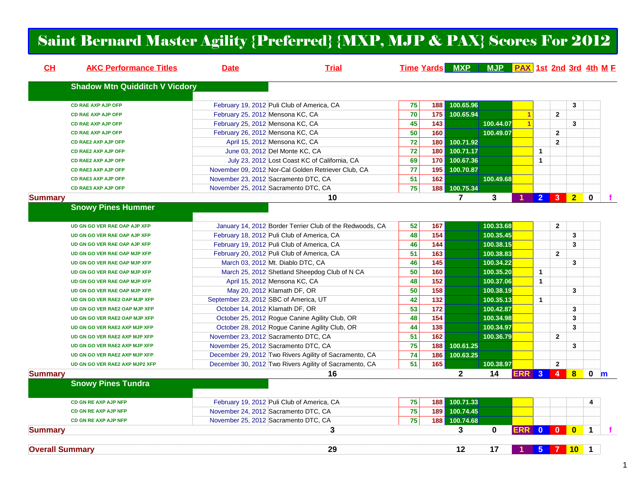### Saint Bernard Master Agility {Preferred} {MXP, MJP & PAX} Scores For 2012

| CH                     | <b>AKC Performance Titles</b>         | <b>Date</b>                           | <b>Trial</b>                                             |                 |     | Time Yards MXP MJP PAX 1st 2nd 3rd 4th M F |           |              |                |                |                |             |   |
|------------------------|---------------------------------------|---------------------------------------|----------------------------------------------------------|-----------------|-----|--------------------------------------------|-----------|--------------|----------------|----------------|----------------|-------------|---|
|                        | <b>Shadow Mtn Quidditch V Vicdory</b> |                                       |                                                          |                 |     |                                            |           |              |                |                |                |             |   |
|                        | <b>CD RAE AXP AJP OFP</b>             |                                       | February 19, 2012 Puli Club of America, CA               | 75              | 188 | 100.65.96                                  |           |              |                |                | 3              |             |   |
|                        | <b>CD RAE AXP AJP OFP</b>             | February 25, 2012 Mensona KC, CA      |                                                          | $\overline{70}$ | 175 | 100.65.94                                  |           | -1           |                | $\overline{2}$ |                |             |   |
|                        | <b>CD RAE AXP AJP OFP</b>             | February 25, 2012 Mensona KC, CA      |                                                          | 45              | 143 |                                            | 100.44.07 | $\mathbf{1}$ |                |                | 3              |             |   |
|                        | <b>CD RAE AXP AJP OFP</b>             | February 26, 2012 Mensona KC, CA      |                                                          | 50              | 160 |                                            | 100.49.07 |              |                | $\overline{2}$ |                |             |   |
|                        | <b>CD RAE2 AXP AJP OFP</b>            | April 15, 2012 Mensona KC, CA         |                                                          | 72              | 180 | 100.71.92                                  |           |              |                | $\overline{2}$ |                |             |   |
|                        | <b>CD RAE2 AXP AJP OFP</b>            | June 03, 2012 Del Monte KC, CA        |                                                          | 72              | 180 | 100.71.17                                  |           |              | $\mathbf{1}$   |                |                |             |   |
|                        | <b>CD RAE2 AXP AJP OFP</b>            |                                       | July 23, 2012 Lost Coast KC of California, CA            | 69              | 170 | 100.67.36                                  |           |              | $\mathbf{1}$   |                |                |             |   |
|                        | <b>CD RAE3 AXP AJP OFP</b>            |                                       | November 09, 2012 Nor-Cal Golden Retriever Club, CA      | 77              | 195 | 100.70.87                                  |           |              |                |                |                |             |   |
|                        | <b>CD RAE3 AXP AJP OFP</b>            | November 23, 2012 Sacramento DTC, CA  |                                                          | 51              | 162 |                                            | 100.49.68 |              |                |                |                |             |   |
|                        | <b>CD RAE3 AXP AJP OFP</b>            | November 25, 2012 Sacramento DTC, CA  |                                                          | $\overline{75}$ | 188 | 100.75.34                                  |           |              |                |                |                |             |   |
| Summary                |                                       |                                       | 10                                                       |                 |     | $\overline{7}$                             | 3         |              | 2 <sup>1</sup> | 3 <sup>2</sup> | $\overline{2}$ | $\bf{0}$    |   |
|                        | <b>Snowy Pines Hummer</b>             |                                       |                                                          |                 |     |                                            |           |              |                |                |                |             |   |
|                        | UD GN GO VER RAE OAP AJP XFP          |                                       | January 14, 2012 Border Terrier Club of the Redwoods, CA | 52              | 167 |                                            | 100.33.68 |              |                | $\mathbf{2}$   |                |             |   |
|                        | UD GN GO VER RAE OAP AJP XFP          |                                       | February 18, 2012 Puli Club of America, CA               | 48              | 154 |                                            | 100.35.45 |              |                |                | 3              |             |   |
|                        | UD GN GO VER RAE OAP AJP XFP          |                                       | February 19, 2012 Puli Club of America, CA               | 46              | 144 |                                            | 100.38.15 |              |                |                | 3              |             |   |
|                        | UD GN GO VER RAE OAP MJP XFP          |                                       | February 20, 2012 Puli Club of America, CA               | 51              | 163 |                                            | 100.38.83 |              |                | $\overline{2}$ |                |             |   |
|                        | UD GN GO VER RAE OAP MJP XFP          | March 03, 2012 Mt. Diablo DTC, CA     |                                                          | 46              | 145 |                                            | 100.34.22 |              |                |                | 3              |             |   |
|                        | UD GN GO VER RAE OAP MJP XFP          |                                       | March 25, 2012 Shetland Sheepdog Club of N CA            | 50              | 160 |                                            | 100.35.20 |              | $\mathbf{1}$   |                |                |             |   |
|                        | UD GN GO VER RAE OAP MJP XFP          | April 15, 2012 Mensona KC, CA         |                                                          | 48              | 152 |                                            | 100.37.06 |              | $\mathbf{1}$   |                |                |             |   |
|                        | UD GN GO VER RAE OAP MJP XFP          | May 20, 2012 Klamath DF, OR           |                                                          | 50              | 158 |                                            | 100.38.19 |              |                |                | 3              |             |   |
|                        | UD GN GO VER RAE2 OAP MJP XFP         | September 23, 2012 SBC of America, UT |                                                          | 42              | 132 |                                            | 100.35.13 |              | $\mathbf{1}$   |                |                |             |   |
|                        | UD GN GO VER RAE2 OAP MJP XFP         | October 14, 2012 Klamath DF, OR       |                                                          | 53              | 172 |                                            | 100.42.87 |              |                |                | 3              |             |   |
|                        | UD GN GO VER RAE2 OAP MJP XFP         |                                       | October 25, 2012 Rogue Canine Agility Club, OR           | 48              | 154 |                                            | 100.34.98 |              |                |                | 3              |             |   |
|                        | UD GN GO VER RAE2 AXP MJP XFP         |                                       | October 28, 2012 Rogue Canine Agility Club, OR           | 44              | 138 |                                            | 100.34.97 |              |                |                | 3              |             |   |
|                        | UD GN GO VER RAE2 AXP MJP XFP         | November 23, 2012 Sacramento DTC, CA  |                                                          | 51              | 162 |                                            | 100.36.79 |              |                | $\overline{2}$ |                |             |   |
|                        | UD GN GO VER RAE2 AXP MJP XFP         | November 25, 2012 Sacramento DTC, CA  |                                                          | $\overline{75}$ | 188 | 100.61.25                                  |           |              |                |                | 3              |             |   |
|                        | UD GN GO VER RAE2 AXP MJP XFP         |                                       | December 29, 2012 Two Rivers Agility of Sacramento, CA   | 74              | 186 | 100.63.25                                  |           |              |                |                |                |             |   |
|                        | UD GN GO VER RAE2 AXP MJP2 XFP        |                                       | December 30, 2012 Two Rivers Agility of Sacramento, CA   | 51              | 165 |                                            | 100.38.97 |              |                | $\mathbf{2}$   |                |             |   |
| <b>Summary</b>         |                                       |                                       | 16                                                       |                 |     | $\mathbf{2}$                               | 14        | ERR I        | $\mathbf{3}$   | $\mathbf{A}$   | $\bf{8}$       | 0           | m |
|                        | <b>Snowy Pines Tundra</b>             |                                       |                                                          |                 |     |                                            |           |              |                |                |                |             |   |
|                        |                                       |                                       |                                                          |                 |     |                                            |           |              |                |                |                |             |   |
|                        | CD GN RE AXP AJP NFP                  |                                       | February 19, 2012 Puli Club of America, CA               | 75              | 188 | 100.71.33                                  |           |              |                |                |                | 4           |   |
|                        | <b>CD GN RE AXP AJP NFP</b>           | November 24, 2012 Sacramento DTC, CA  |                                                          | 75              | 189 | 100.74.45                                  |           |              |                |                |                |             |   |
|                        | <b>CD GN RE AXP AJP NFP</b>           | November 25, 2012 Sacramento DTC, CA  |                                                          | 75              | 188 | 100.74.68                                  |           |              |                |                |                |             |   |
| <b>Summary</b>         |                                       |                                       | 3                                                        |                 |     | 3                                          | $\bf{0}$  | ERR I        |                | $0$ 0          | $\mathbf{0}$   | 1           |   |
| <b>Overall Summary</b> |                                       |                                       | 29                                                       |                 |     | 12                                         | 17        |              |                | 5 7 10         |                | $\mathbf 1$ |   |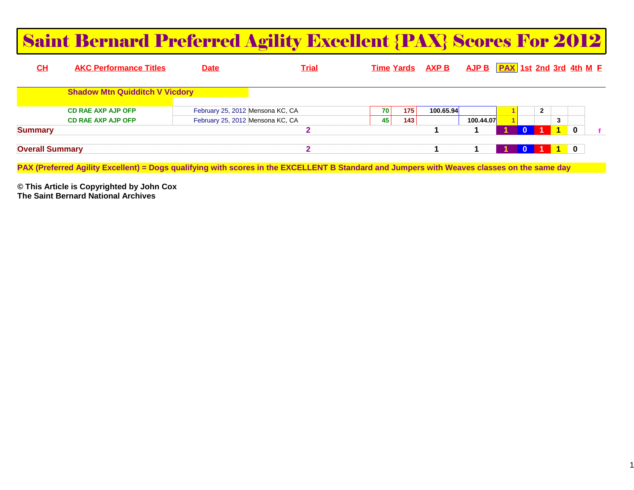|                        | <b>Saint Bernard Preferred Agility Excellent {PAX} Scores For 2012</b>                                                                      |                                  |              |                   |     |              |           |                                   |              |                                                                         |   |  |
|------------------------|---------------------------------------------------------------------------------------------------------------------------------------------|----------------------------------|--------------|-------------------|-----|--------------|-----------|-----------------------------------|--------------|-------------------------------------------------------------------------|---|--|
| CH                     | <b>AKC Performance Titles</b>                                                                                                               | <b>Date</b>                      | <b>Trial</b> | <b>Time Yards</b> |     | <b>AXP B</b> |           | $AJP B$ $PAX$ 1st 2nd 3rd 4th M E |              |                                                                         |   |  |
|                        | <b>Shadow Mtn Quidditch V Vicdory</b>                                                                                                       |                                  |              |                   |     |              |           |                                   |              |                                                                         |   |  |
|                        | <b>CD RAE AXP AJP OFP</b>                                                                                                                   | February 25, 2012 Mensona KC, CA |              | 70 l              | 175 | 100.65.94    |           |                                   | $\mathbf{2}$ |                                                                         |   |  |
|                        | <b>CD RAE AXP AJP OFP</b>                                                                                                                   | February 25, 2012 Mensona KC, CA |              | 45                | 143 |              | 100.44.07 |                                   |              | 3                                                                       |   |  |
| <b>Summary</b>         |                                                                                                                                             |                                  |              |                   |     |              |           |                                   |              |                                                                         | 0 |  |
| <b>Overall Summary</b> | PAX (Preferred Agility Excellent) = Dogs qualifying with scores in the EXCELLENT B Standard and Jumpers with Weaves classes on the same day |                                  | $\mathbf{2}$ |                   |     |              |           |                                   |              | $\begin{array}{ c c c c c } \hline \textbf{1} & \textbf{0} \end{array}$ |   |  |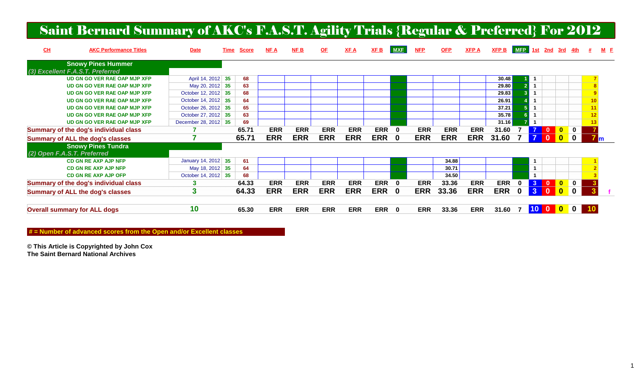## Saint Bernard Summary of AKC's F.A.S.T. Agility Trials {Regular & Preferred} For 2012

| CL                          | <b>AKC Performance Titles</b>           | <b>Date</b>          | Time | <b>Score</b> | NF A       | <b>NFB</b> | <u>OF</u>  | XF A       | <b>XFB</b> | <b>MXE</b>  | <b>NFP</b> | <b>OFP</b> | <b>XFPA</b> | XFP B      | MFP 1st |                |                         | <u>2nd 3rd 4th</u> |                                        |    | $M$ $E$ |
|-----------------------------|-----------------------------------------|----------------------|------|--------------|------------|------------|------------|------------|------------|-------------|------------|------------|-------------|------------|---------|----------------|-------------------------|--------------------|----------------------------------------|----|---------|
|                             | <b>Snowy Pines Hummer</b>               |                      |      |              |            |            |            |            |            |             |            |            |             |            |         |                |                         |                    |                                        |    |         |
|                             | (3) Excellent F.A.S.T. Preferred        |                      |      |              |            |            |            |            |            |             |            |            |             |            |         |                |                         |                    |                                        |    |         |
|                             | UD GN GO VER RAE OAP MJP XFP            | April 14, 2012 35    |      | 68           |            |            |            |            |            |             |            |            |             | 30.48      |         |                |                         |                    |                                        |    |         |
|                             | UD GN GO VER RAE OAP MJP XFP            | May 20, 2012 35      |      | 63           |            |            |            |            |            |             |            |            |             | 29.80      |         |                |                         |                    |                                        |    |         |
|                             | UD GN GO VER RAE OAP MJP XFP            | October 12, 2012 35  |      | 68           |            |            |            |            |            |             |            |            |             | 29.83      |         |                |                         |                    |                                        | 9  |         |
|                             | UD GN GO VER RAE OAP MJP XFP            | October 14, 2012 35  |      | 64           |            |            |            |            |            |             |            |            |             | 26.91      |         |                |                         |                    |                                        | 10 |         |
|                             | UD GN GO VER RAE OAP MJP XFP            | October 26, 2012 35  |      | 65           |            |            |            |            |            |             |            |            |             | 37.21      |         |                |                         |                    |                                        | 11 |         |
|                             | UD GN GO VER RAE OAP MJP XFP            | October 27, 2012 35  |      | 63           |            |            |            |            |            |             |            |            |             | 35.78      |         |                |                         |                    |                                        | 12 |         |
|                             | UD GN GO VER RAE OAP MJP XFP            | December 28, 2012 35 |      | 69           |            |            |            |            |            |             |            |            |             | 31.16      |         |                |                         |                    |                                        | 13 |         |
|                             | Summary of the dog's individual class   |                      |      | 65.71        | <b>ERR</b> | <b>ERR</b> | <b>ERR</b> | <b>ERR</b> | <b>ERR</b> | $\bf{0}$    | <b>ERR</b> | <b>ERR</b> | <b>ERR</b>  | 31.60      |         | $\overline{7}$ | $\overline{\mathbf{0}}$ | $\mathbf{0}$       | $\mathbf 0$                            |    |         |
|                             | <b>Summary of ALL the dog's classes</b> |                      |      | 65.71        | <b>ERR</b> | <b>ERR</b> | <b>ERR</b> | <b>ERR</b> | <b>ERR</b> | 0           | <b>ERR</b> | <b>ERR</b> | <b>ERR</b>  | 31.60      |         |                | $\bf{0}$                | $\mathbf{0}$       | $\bf{0}$                               |    | lm.     |
|                             | <b>Snowy Pines Tundra</b>               |                      |      |              |            |            |            |            |            |             |            |            |             |            |         |                |                         |                    |                                        |    |         |
| (2) Open F.A.S.T. Preferred |                                         |                      |      |              |            |            |            |            |            |             |            |            |             |            |         |                |                         |                    |                                        |    |         |
|                             | <b>CD GN RE AXP AJP NFP</b>             | January 14, 2012 35  |      | 61           |            |            |            |            |            |             |            | 34.88      |             |            |         | $\mathbf 1$    |                         |                    |                                        |    |         |
|                             | <b>CD GN RE AXP AJP NFP</b>             | May 18, 2012 35      |      | 64           |            |            |            |            |            |             |            | 30.71      |             |            |         |                |                         |                    |                                        |    |         |
|                             | <b>CD GN RE AXP AJP OFP</b>             | October 14, 2012 35  |      | 68           |            |            |            |            |            |             |            | 34.50      |             |            |         |                |                         |                    |                                        |    |         |
|                             | Summary of the dog's individual class   |                      |      | 64.33        | <b>ERR</b> | <b>ERR</b> | <b>ERR</b> | <b>ERR</b> | <b>ERR</b> | $\mathbf 0$ | <b>ERR</b> | 33.36      | <b>ERR</b>  | <b>ERR</b> |         | 3 <sup>2</sup> | O                       | $\mathbf{0}$       | $\mathbf 0$                            |    |         |
|                             | <b>Summary of ALL the dog's classes</b> | 3                    |      | 64.33        | <b>ERR</b> | <b>ERR</b> | <b>ERR</b> | <b>ERR</b> | <b>ERR</b> | $\mathbf 0$ | <b>ERR</b> | 33.36      | <b>ERR</b>  | <b>ERR</b> | 0       | 3 <sup>1</sup> | $\bf{0}$                | $\mathbf{0}$       | $\mathbf 0$                            |    |         |
|                             | <b>Overall summary for ALL dogs</b>     | 10                   |      | 65.30        | <b>ERR</b> | <b>ERR</b> | <b>ERR</b> | <b>ERR</b> | <b>ERR</b> | $\mathbf 0$ | <b>ERR</b> | 33.36      | <b>ERR</b>  | 31.60      |         | 10 0           |                         | l 0                | $\blacksquare$ 0 $\blacktriangleright$ |    |         |

 **# = Number of advanced scores from the Open and/or Excellent classes**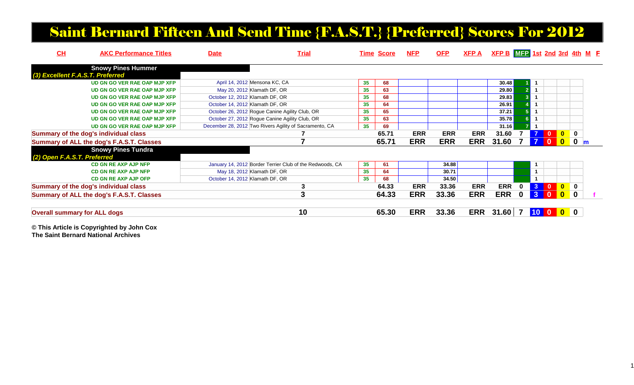### Saint Bernard Fifteen And Send Time {F.A.S.T.} {Preferred} Scores For 2012

| CH                                  | <b>AKC Performance Titles</b>                    | <b>Date</b>                     | <b>Trial</b>                                             |    | <b>Time Score</b> | <b>NFP</b> | <b>OFP</b> | <b>XFPA</b> | $XFP B$ $MFP$ 1st 2nd 3rd 4th M $F$ |          |                 |                                                              |                         |             |  |
|-------------------------------------|--------------------------------------------------|---------------------------------|----------------------------------------------------------|----|-------------------|------------|------------|-------------|-------------------------------------|----------|-----------------|--------------------------------------------------------------|-------------------------|-------------|--|
|                                     | <b>Snowy Pines Hummer</b>                        |                                 |                                                          |    |                   |            |            |             |                                     |          |                 |                                                              |                         |             |  |
| (3) Excellent F.A.S.T. Preferred    |                                                  |                                 |                                                          |    |                   |            |            |             |                                     |          |                 |                                                              |                         |             |  |
|                                     | UD GN GO VER RAE OAP MJP XFP                     |                                 | April 14, 2012 Mensona KC, CA                            | 35 | 68                |            |            |             | 30.48                               |          |                 |                                                              |                         |             |  |
|                                     | UD GN GO VER RAE OAP MJP XFP                     |                                 | May 20, 2012 Klamath DF, OR                              | 35 | 63                |            |            |             | 29.80                               |          |                 |                                                              |                         |             |  |
|                                     | UD GN GO VER RAE OAP MJP XFP                     | October 12, 2012 Klamath DF, OR |                                                          | 35 | 68                |            |            |             | 29.83                               |          |                 |                                                              |                         |             |  |
|                                     | UD GN GO VER RAE OAP MJP XFP                     | October 14, 2012 Klamath DF, OR |                                                          | 35 | 64                |            |            |             | 26.91                               |          |                 |                                                              |                         |             |  |
|                                     | UD GN GO VER RAE OAP MJP XFP                     |                                 | October 26, 2012 Rogue Canine Agility Club, OR           | 35 | 65                |            |            |             | 37.21                               |          |                 |                                                              |                         |             |  |
|                                     | UD GN GO VER RAE OAP MJP XFP                     |                                 | October 27, 2012 Rogue Canine Agility Club, OR           | 35 | 63                |            |            |             | 35.78                               |          |                 |                                                              |                         |             |  |
|                                     | UD GN GO VER RAE OAP MJP XFP                     |                                 | December 28, 2012 Two Rivers Agility of Sacramento, CA   | 35 | 69                |            |            |             | 31.16                               |          |                 |                                                              |                         |             |  |
|                                     | Summary of the dog's individual class            |                                 |                                                          |    | 65.71             | <b>ERR</b> | <b>ERR</b> | <b>ERR</b>  | 31.60                               |          |                 | $\mathbf{0}$                                                 | $\blacktriangleleft$ 0  | $\bf{0}$    |  |
|                                     | <b>Summary of ALL the dog's F.A.S.T. Classes</b> |                                 |                                                          |    | 65.71             | <b>ERR</b> | <b>ERR</b> | <b>ERR</b>  | 31.60                               |          |                 | $\mathbf{0}$                                                 | $\mathbf{0}$            | $\mathbf 0$ |  |
|                                     | <b>Snowy Pines Tundra</b>                        |                                 |                                                          |    |                   |            |            |             |                                     |          |                 |                                                              |                         |             |  |
| (2) Open F.A.S.T. Preferred         |                                                  |                                 |                                                          |    |                   |            |            |             |                                     |          |                 |                                                              |                         |             |  |
|                                     | <b>CD GN RE AXP AJP NFP</b>                      |                                 | January 14, 2012 Border Terrier Club of the Redwoods, CA | 35 | 61                |            | 34.88      |             |                                     |          | $\overline{1}$  |                                                              |                         |             |  |
|                                     | <b>CD GN RE AXP AJP NFP</b>                      |                                 | May 18, 2012 Klamath DF, OR                              | 35 | 64                |            | 30.71      |             |                                     |          | $\overline{1}$  |                                                              |                         |             |  |
|                                     | <b>CD GN RE AXP AJP OFP</b>                      | October 14, 2012 Klamath DF, OR |                                                          | 35 | 68                |            | 34.50      |             |                                     |          |                 |                                                              |                         |             |  |
|                                     | Summary of the dog's individual class            |                                 | 3                                                        |    | 64.33             | <b>ERR</b> | 33.36      | <b>ERR</b>  | <b>ERR</b>                          | $\bf{0}$ | 3 <sup>7</sup>  | $\begin{array}{ c c c c c }\n\hline\n0 & 0 & 0\n\end{array}$ |                         | $\bf{0}$    |  |
|                                     | Summary of ALL the dog's F.A.S.T. Classes        |                                 | 3                                                        |    | 64.33             | <b>ERR</b> | 33.36      | <b>ERR</b>  | <b>ERR</b>                          | 0        | $\mathbf{3}$    |                                                              | $\mathbf{0}$            | $\mathbf 0$ |  |
|                                     |                                                  |                                 | 10                                                       |    | 65.30             | <b>ERR</b> | 33.36      | <b>ERR</b>  | 31.60                               |          | 10 <sup>°</sup> | $\mathbf{0}$                                                 | $\overline{\mathbf{0}}$ | 0           |  |
| <b>Overall summary for ALL dogs</b> |                                                  |                                 |                                                          |    |                   |            |            |             |                                     |          |                 |                                                              |                         |             |  |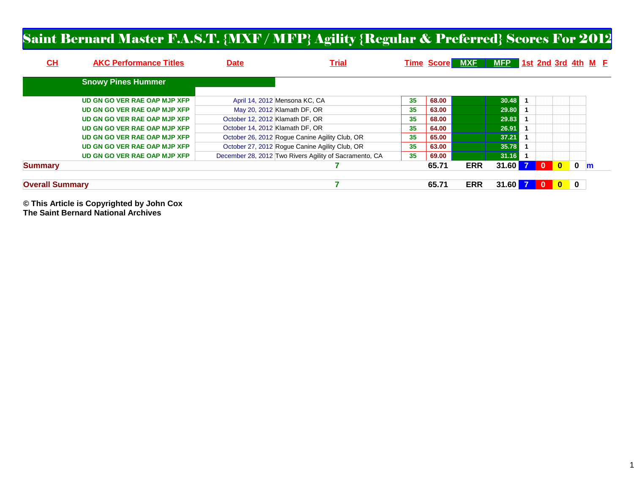#### Saint Bernard Master F.A.S.T. {MXF / MFP} Agility {Regular & Preferred} Scores For 2012

| <u>СН</u>              | <b>AKC Performance Titles</b> | <b>Date</b>                     | <b>Trial</b>                                           |    | <b>Time Score MXE</b> |            | MFP 1st 2nd 3rd 4th M E |          |              |             |              |  |
|------------------------|-------------------------------|---------------------------------|--------------------------------------------------------|----|-----------------------|------------|-------------------------|----------|--------------|-------------|--------------|--|
|                        | <b>Snowy Pines Hummer</b>     |                                 |                                                        |    |                       |            |                         |          |              |             |              |  |
|                        | UD GN GO VER RAE OAP MJP XFP  |                                 | April 14, 2012 Mensona KC, CA                          | 35 | 68.00                 |            | 30.48                   |          |              |             |              |  |
|                        | UD GN GO VER RAE OAP MJP XFP  |                                 | May 20, 2012 Klamath DF, OR                            | 35 | 63.00                 |            | 29.80                   |          |              |             |              |  |
|                        | UD GN GO VER RAE OAP MJP XFP  | October 12, 2012 Klamath DF, OR |                                                        | 35 | 68.00                 |            | 29.83                   |          |              |             |              |  |
|                        | UD GN GO VER RAE OAP MJP XFP  | October 14, 2012 Klamath DF, OR |                                                        | 35 | 64.00                 |            | 26.91                   |          |              |             |              |  |
|                        | UD GN GO VER RAE OAP MJP XFP  |                                 | October 26, 2012 Roque Canine Agility Club, OR         | 35 | 65.00                 |            | 37.21                   |          |              |             |              |  |
|                        | UD GN GO VER RAE OAP MJP XFP  |                                 | October 27, 2012 Rogue Canine Agility Club, OR         | 35 | 63.00                 |            | 35.78                   |          |              |             |              |  |
|                        | UD GN GO VER RAE OAP MJP XFP  |                                 | December 28, 2012 Two Rivers Agility of Sacramento, CA | 35 | 69.00                 |            | 31.16                   |          |              |             |              |  |
| <b>Summary</b>         |                               |                                 |                                                        |    | 65.71                 | <b>ERR</b> | 31.60                   | $\Omega$ | $\mathbf{0}$ | $\mathbf 0$ | $\mathbf{m}$ |  |
| <b>Overall Summary</b> |                               |                                 |                                                        |    | 65.71                 | <b>ERR</b> | 31.60                   |          | $\mathbf{0}$ | 0           |              |  |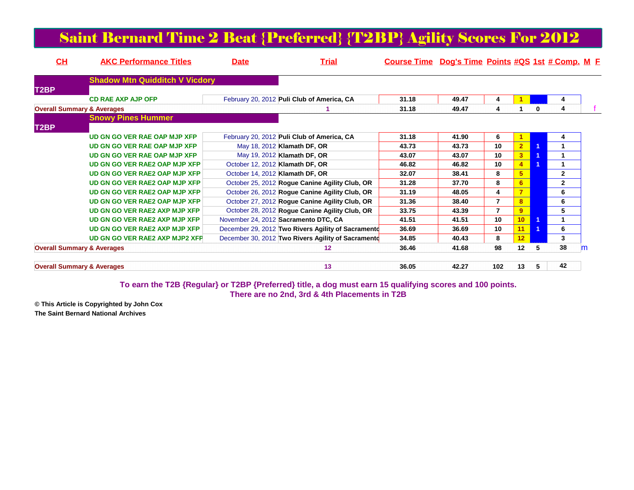| <b>Saint Bernard Time 2 Beat {Preferred} {T2BP} Agility Scores For 2012</b> |  |
|-----------------------------------------------------------------------------|--|
|-----------------------------------------------------------------------------|--|

| CH                                    | <b>AKC Performance Titles</b>         | <b>Date</b> | <b>Trial</b>                                       | Course Time Dog's Time Points #QS 1st # Comp. M E |       |                |                 |   |              |   |
|---------------------------------------|---------------------------------------|-------------|----------------------------------------------------|---------------------------------------------------|-------|----------------|-----------------|---|--------------|---|
|                                       | <b>Shadow Mtn Quidditch V Vicdory</b> |             |                                                    |                                                   |       |                |                 |   |              |   |
| T <sub>2</sub> BP                     |                                       |             |                                                    |                                                   |       |                |                 |   |              |   |
|                                       | <b>CD RAE AXP AJP OFP</b>             |             | February 20, 2012 Puli Club of America, CA         | 31.18                                             | 49.47 |                |                 |   | 4            |   |
| <b>Overall Summary &amp; Averages</b> |                                       |             |                                                    | 31.18                                             | 49.47 |                |                 | 0 | 4            |   |
|                                       | <b>Snowy Pines Hummer</b>             |             |                                                    |                                                   |       |                |                 |   |              |   |
| T2BP                                  |                                       |             |                                                    |                                                   |       |                |                 |   |              |   |
|                                       | UD GN GO VER RAE OAP MJP XFP          |             | February 20, 2012 Puli Club of America, CA         | 31.18                                             | 41.90 | 6              |                 |   | 4            |   |
|                                       | UD GN GO VER RAE OAP MJP XFP          |             | May 18, 2012 Klamath DF, OR                        | 43.73                                             | 43.73 | 10             | 2 <sup>1</sup>  |   |              |   |
|                                       | UD GN GO VER RAE OAP MJP XFP          |             | May 19, 2012 Klamath DF, OR                        | 43.07                                             | 43.07 | 10             | 3 <sup>7</sup>  |   |              |   |
|                                       | UD GN GO VER RAE2 OAP MJP XFP         |             | October 12, 2012 Klamath DF, OR                    | 46.82                                             | 46.82 | 10             | $\overline{4}$  |   |              |   |
|                                       | UD GN GO VER RAE2 OAP MJP XFP         |             | October 14, 2012 Klamath DF, OR                    | 32.07                                             | 38.41 | 8              | 5 <sup>5</sup>  |   | $\mathbf{2}$ |   |
|                                       | UD GN GO VER RAE2 OAP MJP XFP         |             | October 25, 2012 Rogue Canine Agility Club, OR     | 31.28                                             | 37.70 | 8              | 6               |   | $\mathbf{2}$ |   |
|                                       | UD GN GO VER RAE2 OAP MJP XFP         |             | October 26, 2012 Rogue Canine Agility Club, OR     | 31.19                                             | 48.05 | 4              | $\overline{7}$  |   | 6            |   |
|                                       | UD GN GO VER RAE2 OAP MJP XFP         |             | October 27, 2012 Rogue Canine Agility Club, OR     | 31.36                                             | 38.40 | $\overline{7}$ | 8               |   | 6            |   |
|                                       | UD GN GO VER RAE2 AXP MJP XFP         |             | October 28, 2012 Roque Canine Agility Club, OR     | 33.75                                             | 43.39 | $\overline{7}$ | 9               |   | 5            |   |
|                                       | UD GN GO VER RAE2 AXP MJP XFP         |             | November 24, 2012 Sacramento DTC, CA               | 41.51                                             | 41.51 | 10             | 10 <sup>1</sup> |   |              |   |
|                                       | UD GN GO VER RAE2 AXP MJP XFP         |             | December 29, 2012 Two Rivers Agility of Sacramento | 36.69                                             | 36.69 | 10             | 11              |   | 6            |   |
|                                       | <b>UD GN GO VER RAE2 AXP MJP2 XFP</b> |             | December 30, 2012 Two Rivers Agility of Sacramento | 34.85                                             | 40.43 | 8              | 12 <sub>2</sub> |   | 3            |   |
| <b>Overall Summary &amp; Averages</b> |                                       |             | 12                                                 | 36.46                                             | 41.68 | 98             | 12              | 5 | 38           | m |
| <b>Overall Summary &amp; Averages</b> |                                       |             | 13                                                 | 36.05                                             | 42.27 | 102            | 13              | 5 | 42           |   |

### **To earn the T2B {Regular} or T2BP {Preferred} title, a dog must earn 15 qualifying scores and 100 points. There are no 2nd, 3rd & 4th Placements in T2B**